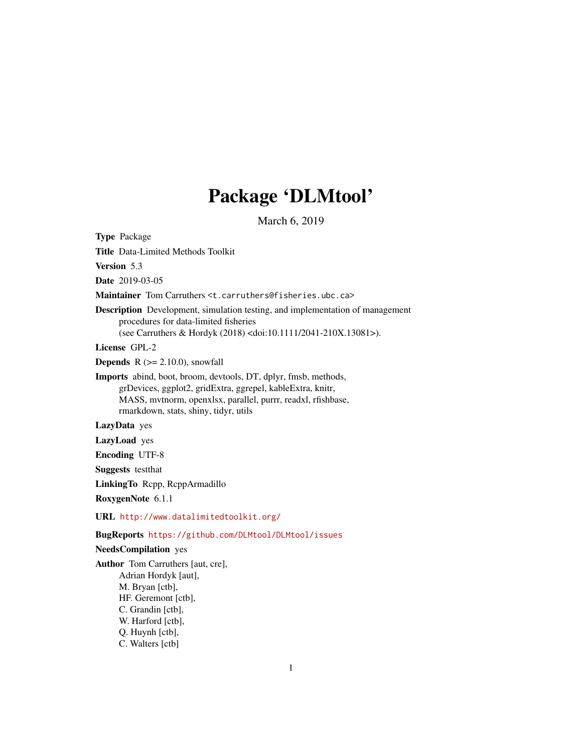# Package 'DLMtool'

March 6, 2019

Type Package Title Data-Limited Methods Toolkit Version 5.3 Date 2019-03-05 Maintainer Tom Carruthers <t.carruthers@fisheries.ubc.ca> Description Development, simulation testing, and implementation of management procedures for data-limited fisheries (see Carruthers & Hordyk (2018) <doi:10.1111/2041-210X.13081>). License GPL-2 **Depends**  $R$  ( $>= 2.10.0$ ), snowfall Imports abind, boot, broom, devtools, DT, dplyr, fmsb, methods, grDevices, ggplot2, gridExtra, ggrepel, kableExtra, knitr, MASS, mvtnorm, openxlsx, parallel, purrr, readxl, rfishbase, rmarkdown, stats, shiny, tidyr, utils LazyData yes LazyLoad yes Encoding UTF-8 Suggests testthat LinkingTo Rcpp, RcppArmadillo RoxygenNote 6.1.1 URL <http://www.datalimitedtoolkit.org/> BugReports <https://github.com/DLMtool/DLMtool/issues> NeedsCompilation yes Author Tom Carruthers [aut, cre], Adrian Hordyk [aut], M. Bryan [ctb], HF. Geremont [ctb], C. Grandin [ctb], W. Harford [ctb],

Q. Huynh [ctb],

C. Walters [ctb]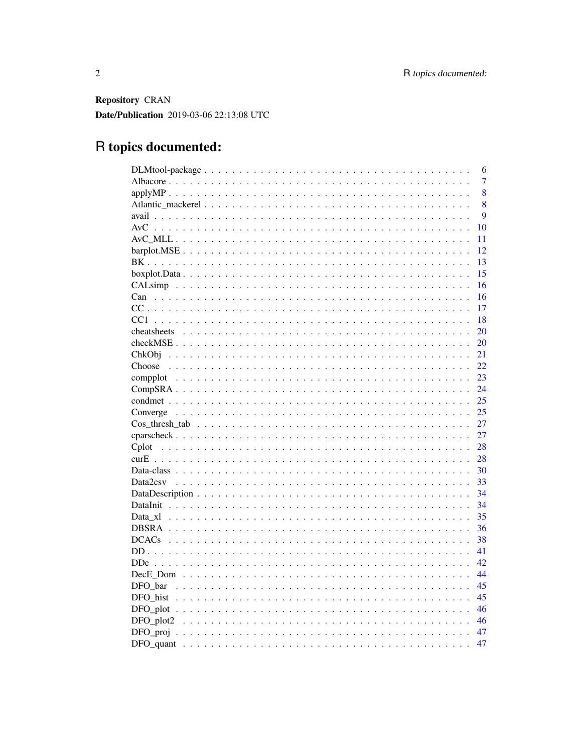Repository CRAN Date/Publication 2019-03-06 22:13:08 UTC

# R topics documented:

|            | 6              |
|------------|----------------|
|            | $\overline{7}$ |
|            | 8              |
|            | 8              |
|            | 9              |
|            | 10             |
|            | 11             |
|            | 12             |
|            | 13             |
|            | 15             |
|            | 16             |
|            | 16             |
|            | 17             |
|            | 18             |
|            | 20             |
|            | 20             |
| ChkObj     | 21             |
|            | 22             |
|            | 23             |
|            | 24             |
|            | 25             |
|            | 25             |
|            | 27             |
|            | 27             |
|            | 28             |
|            | 28             |
|            | 30             |
|            | 33             |
|            | 34             |
|            | 34             |
|            | 35             |
|            | 36             |
|            | 38             |
|            | 41             |
| <b>DDe</b> | 42             |
|            | 44             |
|            | 45             |
|            | 45             |
|            |                |
|            | 46             |
|            | 47             |
|            | 47             |
|            |                |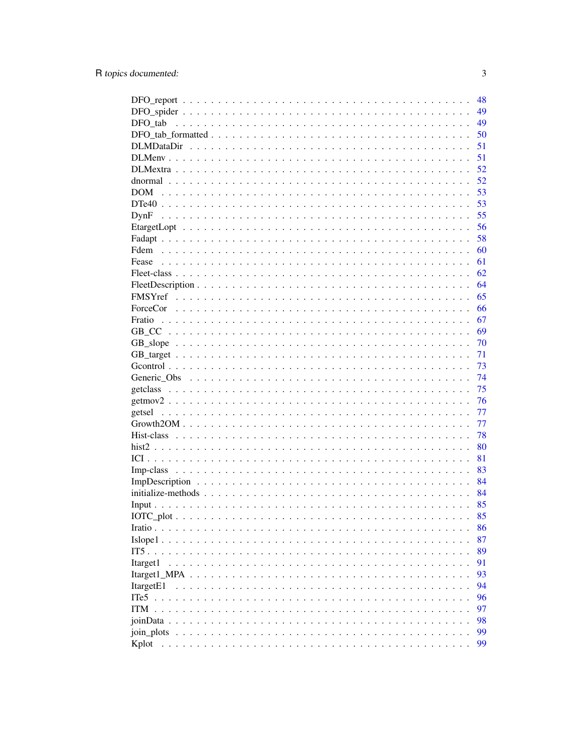|                       | 48 |
|-----------------------|----|
|                       | 49 |
| DFO tab               | 49 |
|                       | 50 |
|                       | 51 |
|                       | 51 |
|                       | 52 |
|                       | 52 |
| DOM                   | 53 |
|                       | 53 |
| DynF                  | 55 |
|                       | 56 |
|                       | 58 |
|                       | 60 |
| Fease                 | 61 |
|                       | 62 |
|                       | 64 |
|                       | 65 |
|                       | 66 |
|                       | 67 |
|                       | 69 |
|                       | 70 |
|                       | 71 |
|                       | 73 |
|                       | 74 |
|                       | 75 |
|                       |    |
|                       | 76 |
|                       | 77 |
|                       | 77 |
|                       | 78 |
|                       | 80 |
|                       | 81 |
|                       | 83 |
|                       | 84 |
|                       | 84 |
|                       | 85 |
|                       | 85 |
|                       | 86 |
| $Islope1 \dots$       | 87 |
| IT5                   | 89 |
| Itarget1              | 91 |
| Itarget1 MPA          | 93 |
| Itarget <sub>E1</sub> | 94 |
| ITe <sub>5</sub>      | 96 |
| ITM                   | 97 |
| <i>ioinData</i> .     | 98 |
| join plots            | 99 |
| Kplot                 | 99 |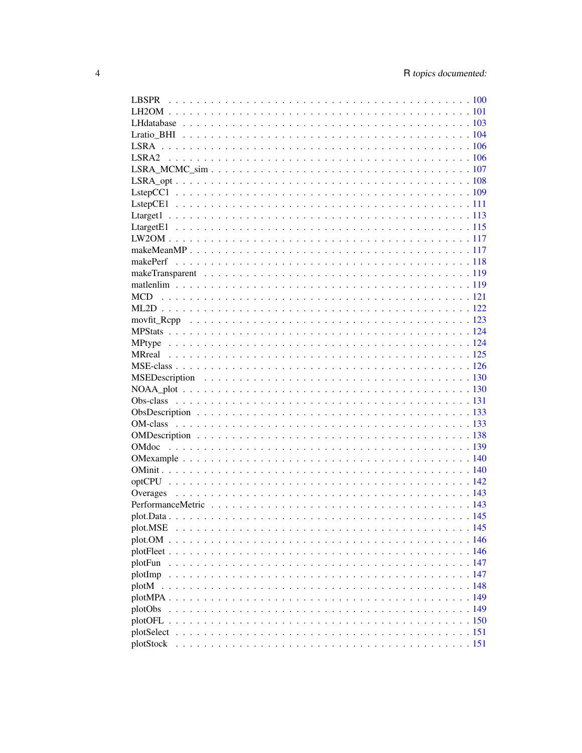| plot.MSE |  |
|----------|--|
|          |  |
|          |  |
| plotFun  |  |
|          |  |
|          |  |
|          |  |
|          |  |
|          |  |
|          |  |
|          |  |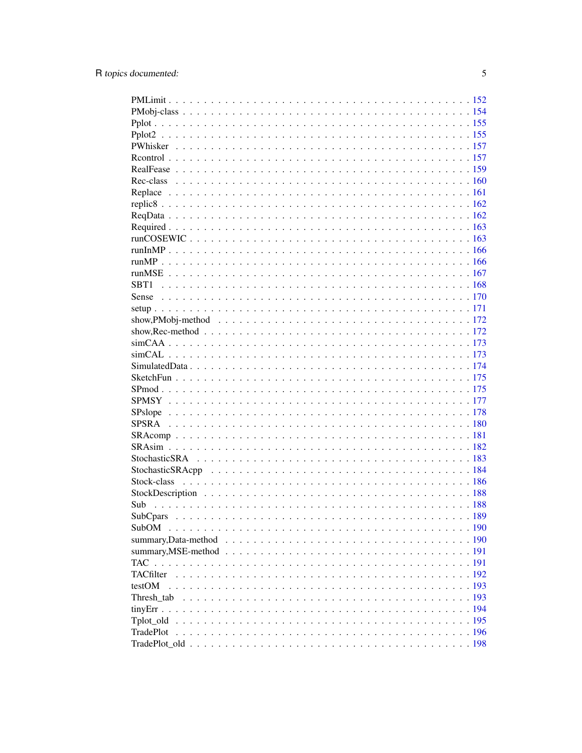| Sub      |  |
|----------|--|
| SubCpars |  |
|          |  |
|          |  |
|          |  |
|          |  |
|          |  |
| testOM   |  |
|          |  |
|          |  |
|          |  |
|          |  |
|          |  |
|          |  |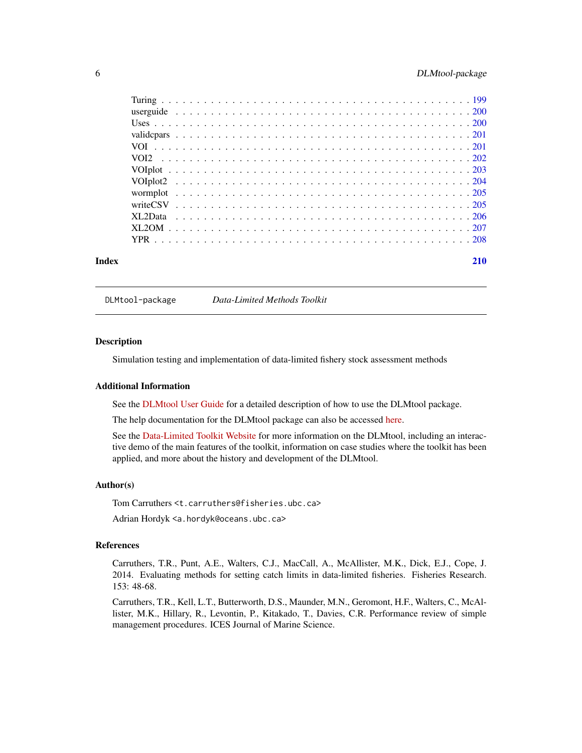<span id="page-5-0"></span>

| Index |  |  |  |  |  |  |  |  |  |  |  |  |  |  |  |  |  |  |  | 210 |
|-------|--|--|--|--|--|--|--|--|--|--|--|--|--|--|--|--|--|--|--|-----|

DLMtool-package *Data-Limited Methods Toolkit*

#### **Description**

Simulation testing and implementation of data-limited fishery stock assessment methods

#### Additional Information

See the [DLMtool User Guide](https://dlmtool.github.io/DLMtool/userguide/introduction.html) for a detailed description of how to use the DLMtool package.

The help documentation for the DLMtool package can also be accessed [here.](https://dlmtool.github.io/DLMtool/)

See the [Data-Limited Toolkit Website](http://www.datalimitedtoolkit.org/) for more information on the DLMtool, including an interactive demo of the main features of the toolkit, information on case studies where the toolkit has been applied, and more about the history and development of the DLMtool.

#### Author(s)

Tom Carruthers <t.carruthers@fisheries.ubc.ca>

Adrian Hordyk <a.hordyk@oceans.ubc.ca>

#### References

Carruthers, T.R., Punt, A.E., Walters, C.J., MacCall, A., McAllister, M.K., Dick, E.J., Cope, J. 2014. Evaluating methods for setting catch limits in data-limited fisheries. Fisheries Research. 153: 48-68.

Carruthers, T.R., Kell, L.T., Butterworth, D.S., Maunder, M.N., Geromont, H.F., Walters, C., McAllister, M.K., Hillary, R., Levontin, P., Kitakado, T., Davies, C.R. Performance review of simple management procedures. ICES Journal of Marine Science.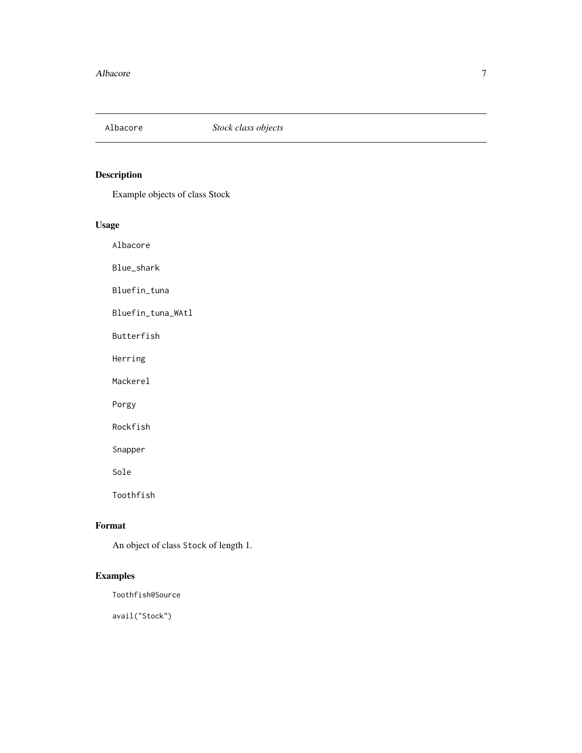<span id="page-6-0"></span>

Example objects of class Stock

# Usage

Albacore

Blue\_shark

Bluefin\_tuna

Bluefin\_tuna\_WAtl

Butterfish

Herring

Mackerel

Porgy

Rockfish

Snapper

Sole

Toothfish

# Format

An object of class Stock of length 1.

# Examples

Toothfish@Source

avail("Stock")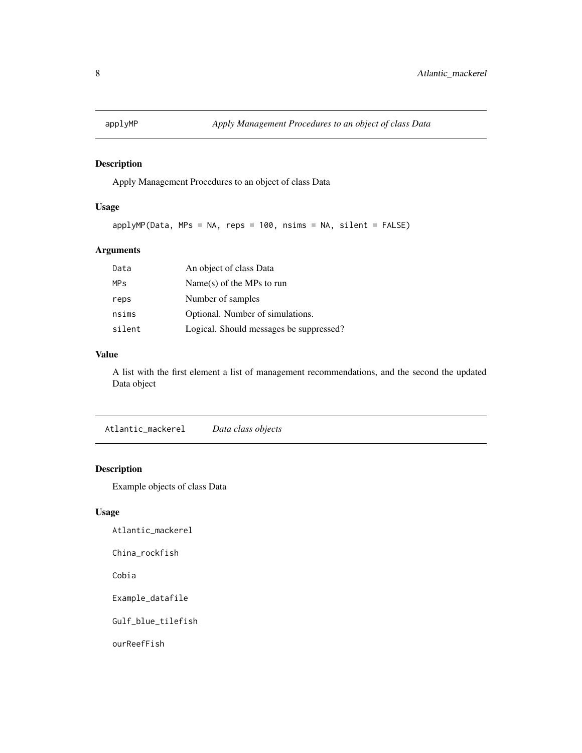<span id="page-7-0"></span>

Apply Management Procedures to an object of class Data

# Usage

 $applyMP(Data, MPS = NA, reps = 100, nsims = NA, silent = FALSE)$ 

# Arguments

| An object of class Data                 |
|-----------------------------------------|
| $Name(s)$ of the MPs to run             |
| Number of samples                       |
| Optional. Number of simulations.        |
| Logical. Should messages be suppressed? |
|                                         |

#### Value

A list with the first element a list of management recommendations, and the second the updated Data object

Atlantic\_mackerel *Data class objects*

# Description

Example objects of class Data

# Usage

Atlantic\_mackerel

China\_rockfish

Cobia

Example\_datafile

Gulf\_blue\_tilefish

ourReefFish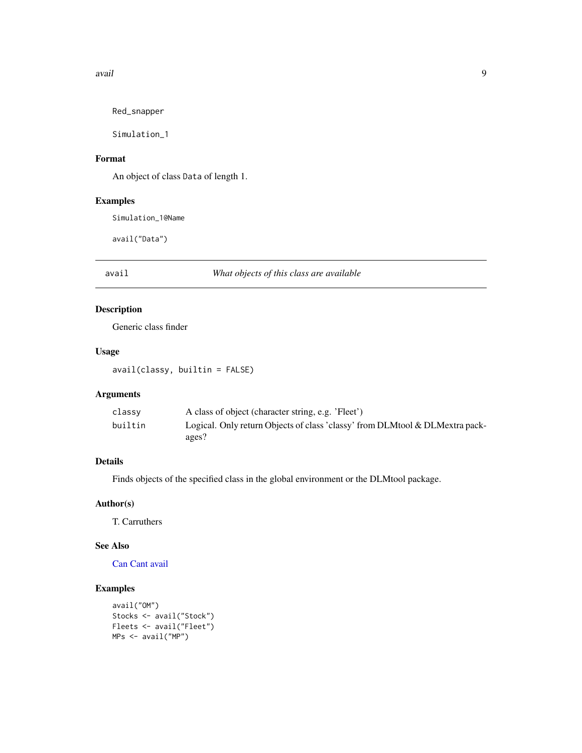#### <span id="page-8-0"></span>avail 9

Red\_snapper

Simulation\_1

# Format

An object of class Data of length 1.

# Examples

Simulation\_1@Name

avail("Data")

<span id="page-8-1"></span>avail *What objects of this class are available*

# Description

Generic class finder

### Usage

avail(classy, builtin = FALSE)

# Arguments

| classy  | A class of object (character string, e.g. 'Fleet')                           |
|---------|------------------------------------------------------------------------------|
| builtin | Logical. Only return Objects of class 'classy' from DLMtool & DLMextra pack- |
|         | ages?                                                                        |

# Details

Finds objects of the specified class in the global environment or the DLMtool package.

#### Author(s)

T. Carruthers

# See Also

[Can](#page-15-1) [Cant](#page-15-2) [avail](#page-8-1)

# Examples

```
avail("OM")
Stocks <- avail("Stock")
Fleets <- avail("Fleet")
MPs <- avail("MP")
```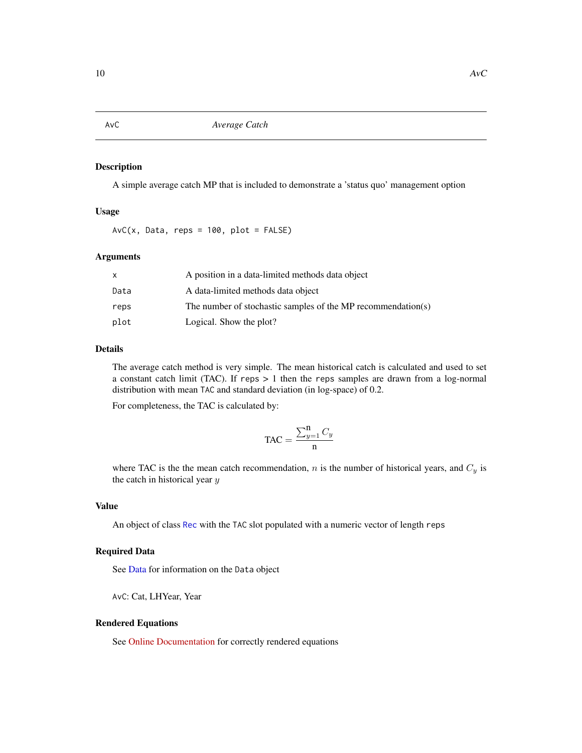A simple average catch MP that is included to demonstrate a 'status quo' management option

#### Usage

 $AvC(x, Data, reps = 100, plot = FALSE)$ 

#### Arguments

|      | A position in a data-limited methods data object             |
|------|--------------------------------------------------------------|
| Data | A data-limited methods data object                           |
| reps | The number of stochastic samples of the MP recommendation(s) |
| plot | Logical. Show the plot?                                      |

#### Details

The average catch method is very simple. The mean historical catch is calculated and used to set a constant catch limit (TAC). If reps  $> 1$  then the reps samples are drawn from a log-normal distribution with mean TAC and standard deviation (in log-space) of 0.2.

For completeness, the TAC is calculated by:

$$
\text{TAC} = \frac{\sum_{y=1}^{n} C_y}{n}
$$

where TAC is the the mean catch recommendation,  $n$  is the number of historical years, and  $C_y$  is the catch in historical year  $y$ 

# Value

An object of class [Rec](#page-159-1) with the TAC slot populated with a numeric vector of length reps

# Required Data

See [Data](#page-29-1) for information on the Data object

AvC: Cat, LHYear, Year

#### Rendered Equations

See [Online Documentation](https://dlmtool.github.io/DLMtool/reference/AvC.html) for correctly rendered equations

<span id="page-9-1"></span><span id="page-9-0"></span>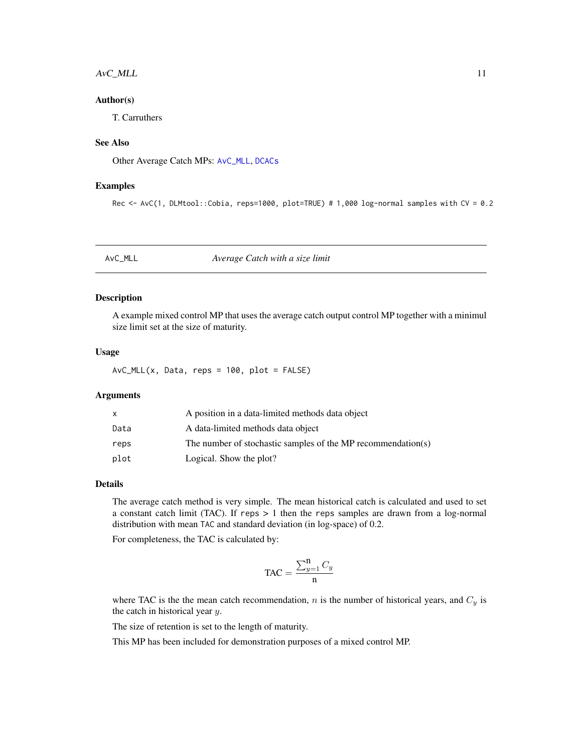# <span id="page-10-0"></span>AvC\_MLL 11

# Author(s)

T. Carruthers

#### See Also

Other Average Catch MPs: [AvC\\_MLL](#page-10-1), [DCACs](#page-37-1)

#### Examples

Rec <- AvC(1, DLMtool::Cobia, reps=1000, plot=TRUE) # 1,000 log-normal samples with CV = 0.2

#### <span id="page-10-1"></span>AvC\_MLL *Average Catch with a size limit*

# Description

A example mixed control MP that uses the average catch output control MP together with a minimul size limit set at the size of maturity.

#### Usage

 $AVC_MLL(x, Data, reps = 100, plot = FALSE)$ 

#### Arguments

|      | A position in a data-limited methods data object             |
|------|--------------------------------------------------------------|
| Data | A data-limited methods data object                           |
| reps | The number of stochastic samples of the MP recommendation(s) |
| plot | Logical. Show the plot?                                      |

#### Details

The average catch method is very simple. The mean historical catch is calculated and used to set a constant catch limit (TAC). If reps  $> 1$  then the reps samples are drawn from a log-normal distribution with mean TAC and standard deviation (in log-space) of 0.2.

For completeness, the TAC is calculated by:

$$
\text{TAC} = \frac{\sum_{y=1}^{n} C_y}{n}
$$

where TAC is the the mean catch recommendation,  $n$  is the number of historical years, and  $C_y$  is the catch in historical year  $y$ .

The size of retention is set to the length of maturity.

This MP has been included for demonstration purposes of a mixed control MP.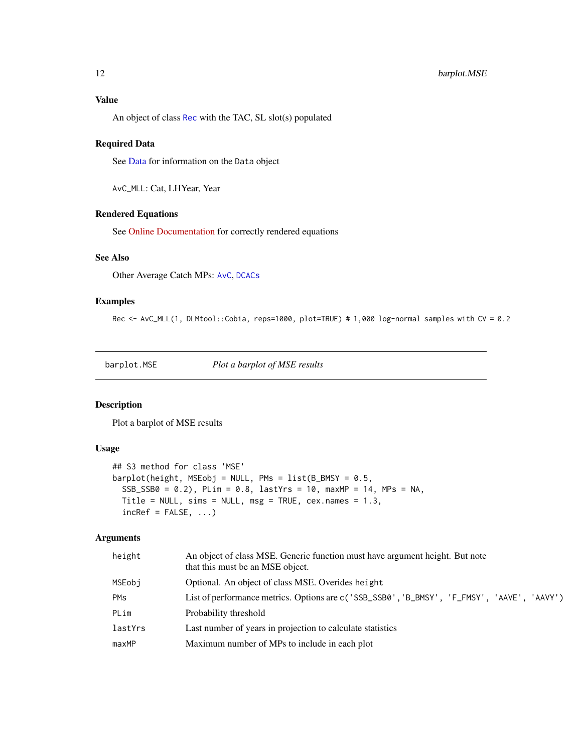# <span id="page-11-0"></span>Value

An object of class [Rec](#page-159-1) with the TAC, SL slot(s) populated

#### Required Data

See [Data](#page-29-1) for information on the Data object

AvC\_MLL: Cat, LHYear, Year

# Rendered Equations

See [Online Documentation](https://dlmtool.github.io/DLMtool/reference/AvC_MLL.html) for correctly rendered equations

### See Also

Other Average Catch MPs: [AvC](#page-9-1), [DCACs](#page-37-1)

#### Examples

Rec <- AvC\_MLL(1, DLMtool::Cobia, reps=1000, plot=TRUE) # 1,000 log-normal samples with CV = 0.2

barplot.MSE *Plot a barplot of MSE results*

### Description

Plot a barplot of MSE results

#### Usage

```
## S3 method for class 'MSE'
barplot(height, MSEobj = NULL, PMs = list(B_BMSY = 0.5,SSB_SSB0 = 0.2, PLim = 0.8, lastYrs = 10, maxMP = 14, MPs = NA,
 Title = NULL, sims = NULL, msg = TRUE, cex.names = 1.3,
  inCRef = FALSE, ...)
```
#### Arguments

| height                | An object of class MSE. Generic function must have argument height. But note<br>that this must be an MSE object. |
|-----------------------|------------------------------------------------------------------------------------------------------------------|
| MSEobi                | Optional. An object of class MSE. Overides height                                                                |
| <b>PM<sub>S</sub></b> | List of performance metrics. Options are c('SSB_SSB0', 'B_BMSY', 'F_FMSY', 'AAVE', 'AAVY')                       |
| PLim                  | Probability threshold                                                                                            |
| lastYrs               | Last number of years in projection to calculate statistics                                                       |
| maxMP                 | Maximum number of MPs to include in each plot                                                                    |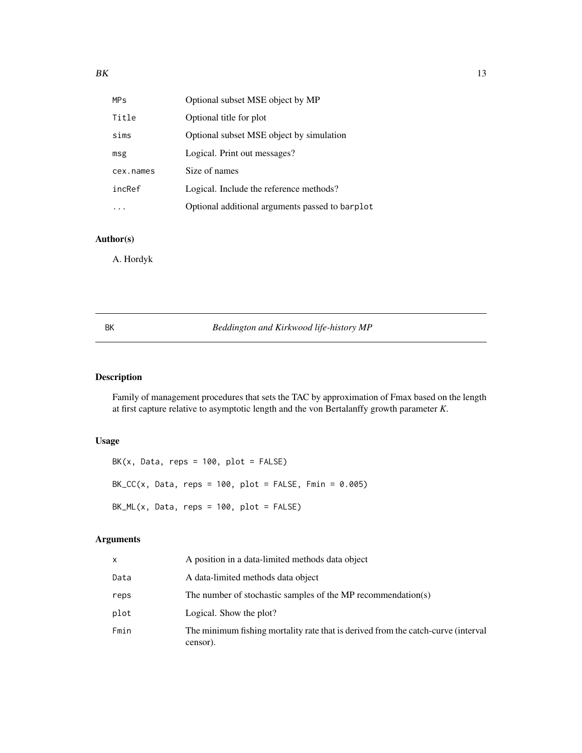<span id="page-12-0"></span>

| <b>MP<sub>S</sub></b> | Optional subset MSE object by MP                |
|-----------------------|-------------------------------------------------|
| Title                 | Optional title for plot                         |
| sims                  | Optional subset MSE object by simulation        |
| msg                   | Logical. Print out messages?                    |
| cex.names             | Size of names                                   |
| incRef                | Logical. Include the reference methods?         |
|                       | Optional additional arguments passed to barplot |

# Author(s)

A. Hordyk

BK *Beddington and Kirkwood life-history MP*

# Description

Family of management procedures that sets the TAC by approximation of Fmax based on the length at first capture relative to asymptotic length and the von Bertalanffy growth parameter *K*.

# Usage

 $BK(x, Data, reps = 100, plot = FALSE)$ BK\_CC(x, Data, reps =  $100$ , plot = FALSE, Fmin =  $0.005$ )  $BK_ML(x, Data, reps = 100, plot = FALSE)$ 

# Arguments

| x    | A position in a data-limited methods data object                                              |
|------|-----------------------------------------------------------------------------------------------|
| Data | A data-limited methods data object                                                            |
| reps | The number of stochastic samples of the MP recommendation(s)                                  |
| plot | Logical. Show the plot?                                                                       |
| Fmin | The minimum fishing mortality rate that is derived from the catch-curve (interval<br>censor). |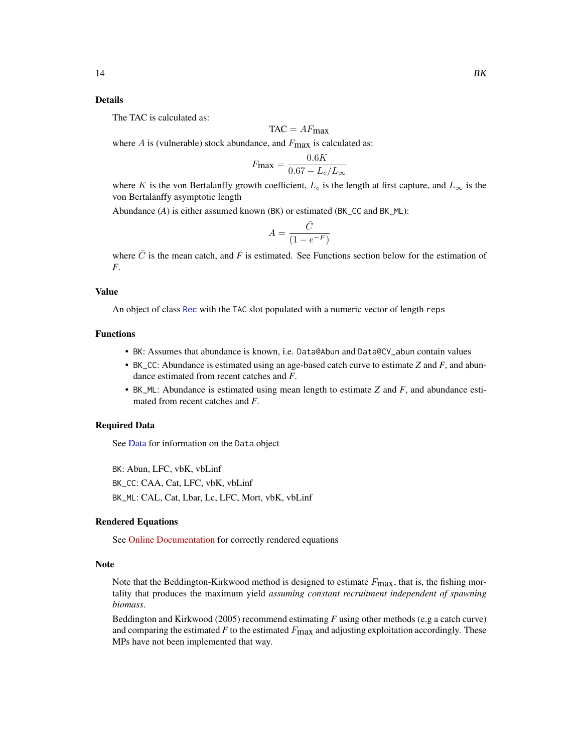#### Details

The TAC is calculated as:

$$
TAC = AF_{\text{max}}
$$

where  $A$  is (vulnerable) stock abundance, and  $F_{\text{max}}$  is calculated as:

$$
F_{\text{max}} = \frac{0.6K}{0.67 - L_c/L_{\infty}}
$$

where K is the von Bertalanffy growth coefficient,  $L_c$  is the length at first capture, and  $L_{\infty}$  is the von Bertalanffy asymptotic length

Abundance (*A*) is either assumed known (BK) or estimated (BK\_CC and BK\_ML):

$$
A = \frac{\bar{C}}{(1 - e^{-F})}
$$

where  $\bar{C}$  is the mean catch, and *F* is estimated. See Functions section below for the estimation of *F*.

#### Value

An object of class [Rec](#page-159-1) with the TAC slot populated with a numeric vector of length reps

#### Functions

- BK: Assumes that abundance is known, i.e. Data@Abun and Data@CV\_abun contain values
- BK\_CC: Abundance is estimated using an age-based catch curve to estimate *Z* and *F*, and abundance estimated from recent catches and *F*.
- BK\_ML: Abundance is estimated using mean length to estimate *Z* and *F*, and abundance estimated from recent catches and *F*.

#### Required Data

See [Data](#page-29-1) for information on the Data object

BK: Abun, LFC, vbK, vbLinf BK\_CC: CAA, Cat, LFC, vbK, vbLinf BK\_ML: CAL, Cat, Lbar, Lc, LFC, Mort, vbK, vbLinf

#### Rendered Equations

See [Online Documentation](https://dlmtool.github.io/DLMtool/reference/BK.html) for correctly rendered equations

#### Note

Note that the Beddington-Kirkwood method is designed to estimate  $F_{\text{max}}$ , that is, the fishing mortality that produces the maximum yield *assuming constant recruitment independent of spawning biomass*.

Beddington and Kirkwood (2005) recommend estimating *F* using other methods (e.g a catch curve) and comparing the estimated  $F$  to the estimated  $F_{\text{max}}$  and adjusting exploitation accordingly. These MPs have not been implemented that way.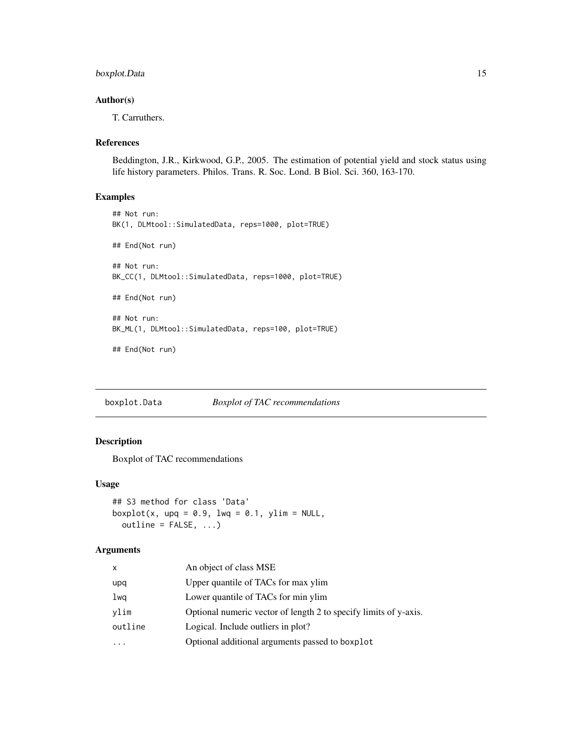# <span id="page-14-0"></span>boxplot.Data 15

# Author(s)

T. Carruthers.

#### References

Beddington, J.R., Kirkwood, G.P., 2005. The estimation of potential yield and stock status using life history parameters. Philos. Trans. R. Soc. Lond. B Biol. Sci. 360, 163-170.

#### Examples

```
## Not run:
BK(1, DLMtool::SimulatedData, reps=1000, plot=TRUE)
## End(Not run)
## Not run:
BK_CC(1, DLMtool::SimulatedData, reps=1000, plot=TRUE)
## End(Not run)
## Not run:
BK_ML(1, DLMtool::SimulatedData, reps=100, plot=TRUE)
## End(Not run)
```
boxplot.Data *Boxplot of TAC recommendations*

#### Description

Boxplot of TAC recommendations

#### Usage

```
## S3 method for class 'Data'
boxplot(x, upq = 0.9, lwq = 0.1, ylim = NULL,
 outline = FALSE, ...)
```
# Arguments

| x       | An object of class MSE                                           |
|---------|------------------------------------------------------------------|
| upq     | Upper quantile of TACs for max ylim                              |
| lwq     | Lower quantile of TACs for min ylim                              |
| vlim    | Optional numeric vector of length 2 to specify limits of y-axis. |
| outline | Logical. Include outliers in plot?                               |
| .       | Optional additional arguments passed to boxplot                  |
|         |                                                                  |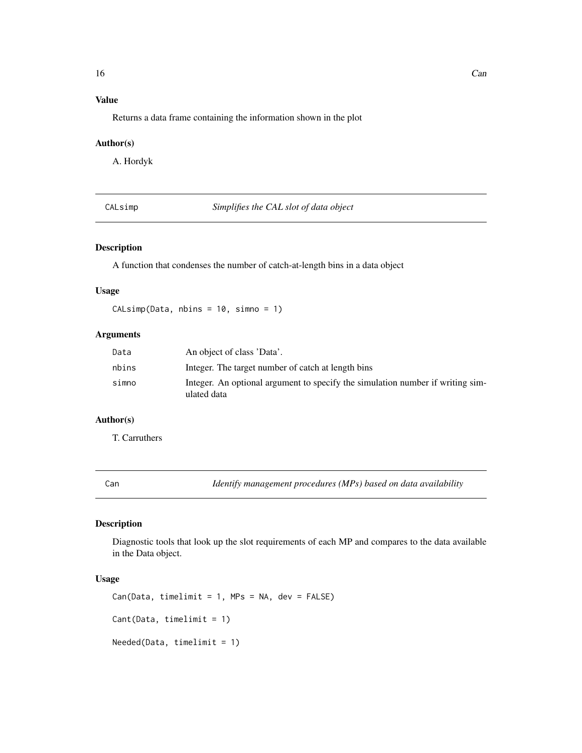# <span id="page-15-0"></span>Value

Returns a data frame containing the information shown in the plot

# Author(s)

A. Hordyk

CALsimp *Simplifies the CAL slot of data object*

# Description

A function that condenses the number of catch-at-length bins in a data object

#### Usage

CALsimp(Data, nbins = 10, simno = 1)

# Arguments

| Data  | An object of class 'Data'.                                                                    |
|-------|-----------------------------------------------------------------------------------------------|
| nbins | Integer. The target number of catch at length bins                                            |
| simno | Integer. An optional argument to specify the simulation number if writing sim-<br>ulated data |

# Author(s)

T. Carruthers

<span id="page-15-1"></span>Can *Identify management procedures (MPs) based on data availability*

# <span id="page-15-2"></span>Description

Diagnostic tools that look up the slot requirements of each MP and compares to the data available in the Data object.

#### Usage

```
Can(Data, timelimit = 1, MPs = NA, dev = FALSE)Cant(Data, timelimit = 1)
Needed(Data, timelimit = 1)
```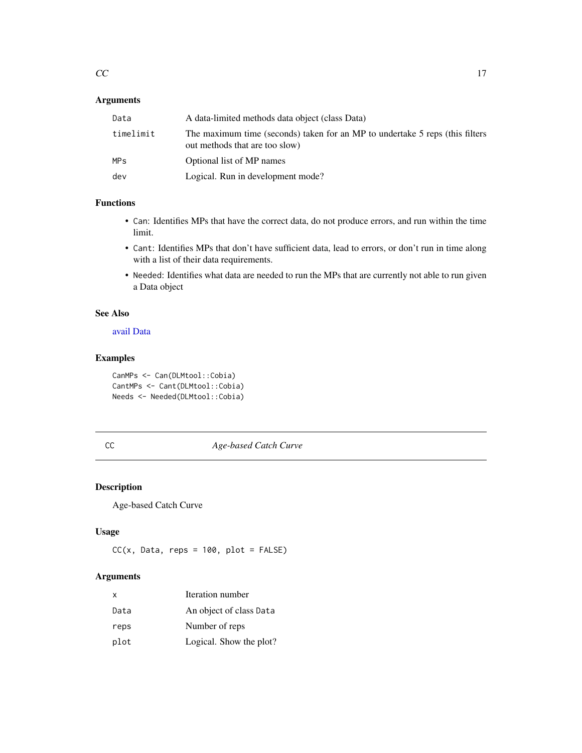# <span id="page-16-0"></span>Arguments

| Data      | A data-limited methods data object (class Data)                                                                |
|-----------|----------------------------------------------------------------------------------------------------------------|
| timelimit | The maximum time (seconds) taken for an MP to undertake 5 reps (this filters<br>out methods that are too slow) |
| MPS       | Optional list of MP names                                                                                      |
| dev       | Logical. Run in development mode?                                                                              |
|           |                                                                                                                |

# Functions

- Can: Identifies MPs that have the correct data, do not produce errors, and run within the time limit.
- Cant: Identifies MPs that don't have sufficient data, lead to errors, or don't run in time along with a list of their data requirements.
- Needed: Identifies what data are needed to run the MPs that are currently not able to run given a Data object

# See Also

#### [avail](#page-8-1) [Data](#page-29-1)

# Examples

```
CanMPs <- Can(DLMtool::Cobia)
CantMPs <- Cant(DLMtool::Cobia)
Needs <- Needed(DLMtool::Cobia)
```
# CC *Age-based Catch Curve*

# Description

Age-based Catch Curve

#### Usage

```
CC(x, Data, reps = 100, plot = FALSE)
```
#### Arguments

| x    | Iteration number        |
|------|-------------------------|
| Data | An object of class Data |
| reps | Number of reps          |
| plot | Logical. Show the plot? |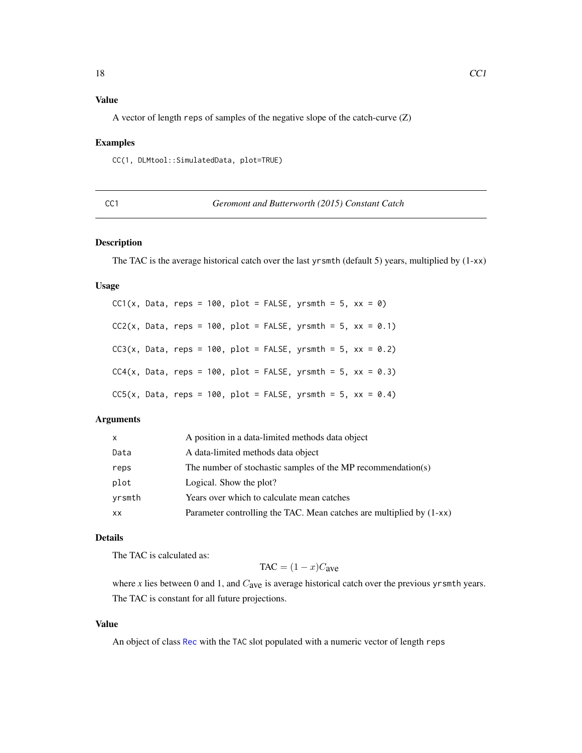# <span id="page-17-0"></span>Value

A vector of length reps of samples of the negative slope of the catch-curve (Z)

# Examples

CC(1, DLMtool::SimulatedData, plot=TRUE)

| ٦<br>п.              |  |
|----------------------|--|
| ۰.<br>×<br>۰.        |  |
| ۰.<br>v<br>. .<br>M. |  |

Geromont and Butterworth (2015) Constant Catch

#### Description

The TAC is the average historical catch over the last yrsmth (default 5) years, multiplied by (1-xx)

#### Usage

|  |  |  |  | $CC1(x, Data, reps = 100, plot = FALSE, yrsmth = 5, xx = 0)$   |  |  |  |
|--|--|--|--|----------------------------------------------------------------|--|--|--|
|  |  |  |  | $CC2(x, Data, reps = 100, plot = FALSE, yrsmth = 5, xx = 0.1)$ |  |  |  |
|  |  |  |  | $CC3(x, Data, reps = 100, plot = FALSE, yrsmth = 5, xx = 0.2)$ |  |  |  |
|  |  |  |  | $CC4(x, Data, reps = 100, plot = FALSE, yrsmth = 5, xx = 0.3)$ |  |  |  |
|  |  |  |  | $CC5(x, Data, reps = 100, plot = FALSE, yrsmth = 5, xx = 0.4)$ |  |  |  |

# Arguments

| $\mathsf{x}$ | A position in a data-limited methods data object                     |
|--------------|----------------------------------------------------------------------|
| Data         | A data-limited methods data object                                   |
| reps         | The number of stochastic samples of the MP recommendation(s)         |
| plot         | Logical. Show the plot?                                              |
| yrsmth       | Years over which to calculate mean catches                           |
| <b>XX</b>    | Parameter controlling the TAC. Mean catches are multiplied by (1-xx) |

#### Details

The TAC is calculated as:

$$
TAC = (1 - x)Cave
$$

where  $x$  lies between 0 and 1, and  $C_{ave}$  is average historical catch over the previous yrsmth years. The TAC is constant for all future projections.

# Value

An object of class [Rec](#page-159-1) with the TAC slot populated with a numeric vector of length reps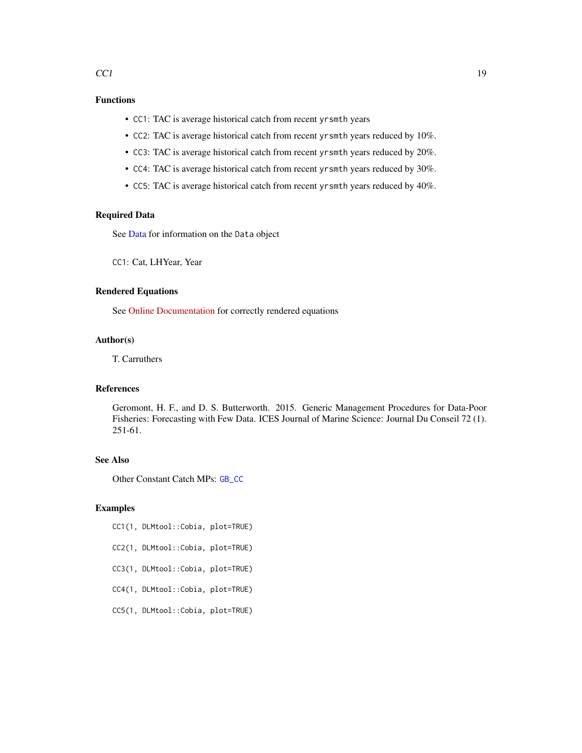# Functions

- CC1: TAC is average historical catch from recent yrsmth years
- CC2: TAC is average historical catch from recent yrsmth years reduced by 10%.
- CC3: TAC is average historical catch from recent yrsmth years reduced by 20%.
- CC4: TAC is average historical catch from recent yrsmth years reduced by 30%.
- CC5: TAC is average historical catch from recent yrsmth years reduced by 40%.

# Required Data

See [Data](#page-29-1) for information on the Data object

CC1: Cat, LHYear, Year

#### Rendered Equations

See [Online Documentation](https://dlmtool.github.io/DLMtool/reference/CC1.html) for correctly rendered equations

# Author(s)

T. Carruthers

# References

Geromont, H. F., and D. S. Butterworth. 2015. Generic Management Procedures for Data-Poor Fisheries: Forecasting with Few Data. ICES Journal of Marine Science: Journal Du Conseil 72 (1). 251-61.

# See Also

Other Constant Catch MPs: [GB\\_CC](#page-68-1)

# Examples

- CC1(1, DLMtool::Cobia, plot=TRUE)
- CC2(1, DLMtool::Cobia, plot=TRUE)
- CC3(1, DLMtool::Cobia, plot=TRUE)
- CC4(1, DLMtool::Cobia, plot=TRUE)
- CC5(1, DLMtool::Cobia, plot=TRUE)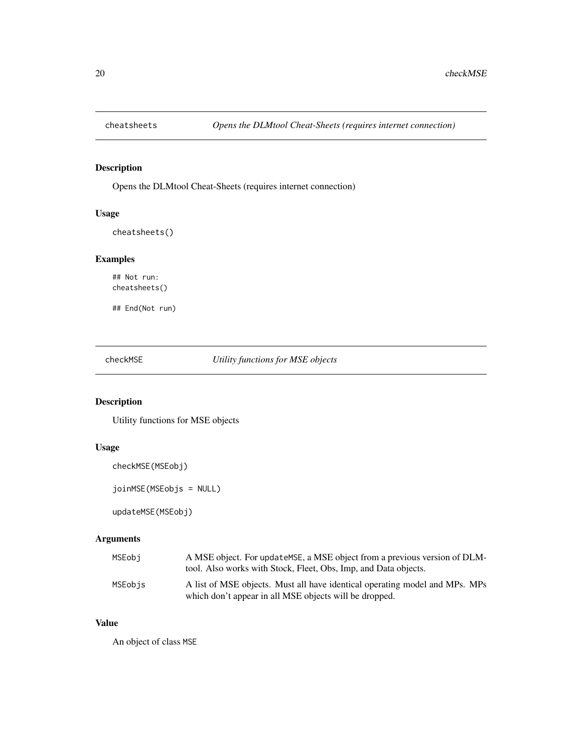<span id="page-19-0"></span>

Opens the DLMtool Cheat-Sheets (requires internet connection)

# Usage

```
cheatsheets()
```
# Examples

## Not run: cheatsheets()

## End(Not run)

checkMSE *Utility functions for MSE objects*

# Description

Utility functions for MSE objects

# Usage

checkMSE(MSEobj)

joinMSE(MSEobjs = NULL)

updateMSE(MSEobj)

# Arguments

| MSEobi  | A MSE object. For update MSE, a MSE object from a previous version of DLM-<br>tool. Also works with Stock, Fleet, Obs, Imp. and Data objects. |
|---------|-----------------------------------------------------------------------------------------------------------------------------------------------|
| MSEobis | A list of MSE objects. Must all have identical operating model and MPs. MPs<br>which don't appear in all MSE objects will be dropped.         |

# Value

An object of class MSE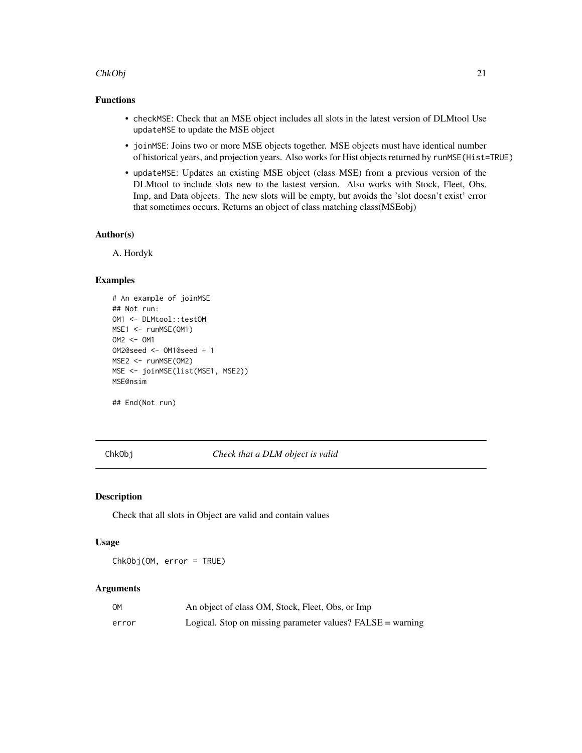#### <span id="page-20-0"></span>ChkObj 21

# Functions

- checkMSE: Check that an MSE object includes all slots in the latest version of DLMtool Use updateMSE to update the MSE object
- joinMSE: Joins two or more MSE objects together. MSE objects must have identical number of historical years, and projection years. Also works for Hist objects returned by runMSE(Hist=TRUE)
- updateMSE: Updates an existing MSE object (class MSE) from a previous version of the DLMtool to include slots new to the lastest version. Also works with Stock, Fleet, Obs, Imp, and Data objects. The new slots will be empty, but avoids the 'slot doesn't exist' error that sometimes occurs. Returns an object of class matching class(MSEobj)

# Author(s)

A. Hordyk

#### Examples

```
# An example of joinMSE
## Not run:
OM1 <- DLMtool::testOM
MSE1 <- runMSE(OM1)
OM2 <- OM1
OM2@seed <- OM1@seed + 1
MSE2 <- runMSE(OM2)
MSE <- joinMSE(list(MSE1, MSE2))
MSE@nsim
```
## End(Not run)

ChkObj *Check that a DLM object is valid*

#### **Description**

Check that all slots in Object are valid and contain values

#### Usage

ChkObj(OM, error = TRUE)

#### Arguments

| ОM    | An object of class OM, Stock, Fleet, Obs, or Imp           |
|-------|------------------------------------------------------------|
| error | Logical. Stop on missing parameter values? FALSE = warning |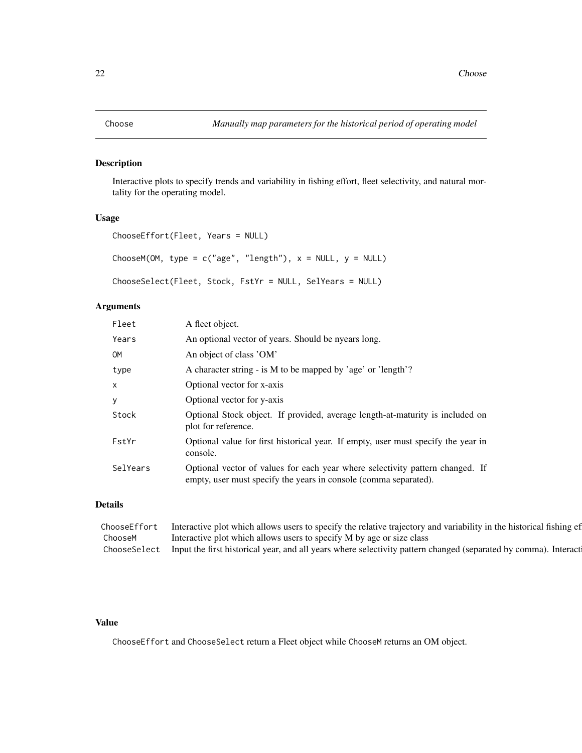<span id="page-21-0"></span>Interactive plots to specify trends and variability in fishing effort, fleet selectivity, and natural mortality for the operating model.

#### Usage

```
ChooseEffort(Fleet, Years = NULL)
ChooseM(OM, type = c("age", "length"), x = NULL, y = NULL)ChooseSelect(Fleet, Stock, FstYr = NULL, SelYears = NULL)
```
# Arguments

| Fleet     | A fleet object.                                                                                                                                   |
|-----------|---------------------------------------------------------------------------------------------------------------------------------------------------|
| Years     | An optional vector of years. Should be nyears long.                                                                                               |
| <b>OM</b> | An object of class 'OM'                                                                                                                           |
| type      | A character string - is M to be mapped by 'age' or 'length'?                                                                                      |
| X         | Optional vector for x-axis                                                                                                                        |
| у         | Optional vector for y-axis                                                                                                                        |
| Stock     | Optional Stock object. If provided, average length-at-maturity is included on<br>plot for reference.                                              |
| FstYr     | Optional value for first historical year. If empty, user must specify the year in<br>console.                                                     |
| SelYears  | Optional vector of values for each year where selectivity pattern changed. If<br>empty, user must specify the years in console (comma separated). |

# Details

| ChooseEffort Interactive plot which allows users to specify the relative trajectory and variability in the historical fishing ef |  |
|----------------------------------------------------------------------------------------------------------------------------------|--|
| ChooseM Interactive plot which allows users to specify M by age or size class                                                    |  |
| ChooseSelect Input the first historical year, and all years where selectivity pattern changed (separated by comma). Interact     |  |

# Value

ChooseEffort and ChooseSelect return a Fleet object while ChooseM returns an OM object.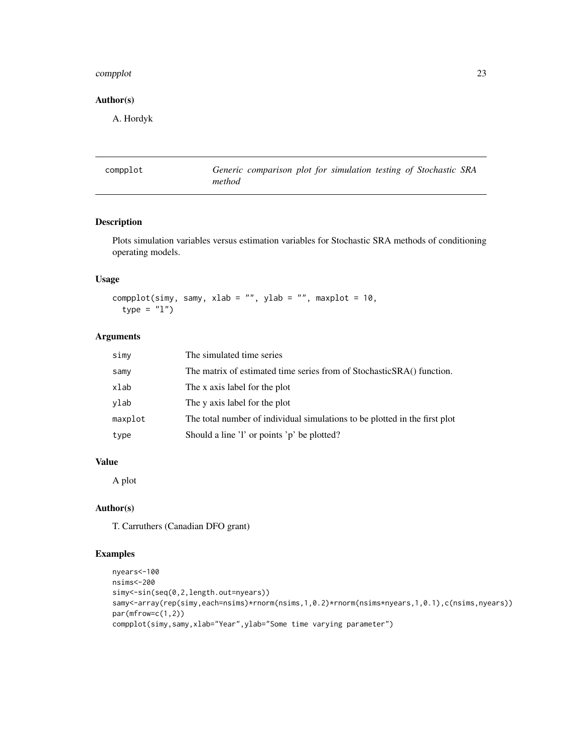#### <span id="page-22-0"></span>complot 23

## Author(s)

A. Hordyk

| compplot |        | Generic comparison plot for simulation testing of Stochastic SRA |
|----------|--------|------------------------------------------------------------------|
|          | method |                                                                  |

# Description

Plots simulation variables versus estimation variables for Stochastic SRA methods of conditioning operating models.

# Usage

```
compplot(simy, samy, xlab = ", ylab = ", maxplot = 10,
  type = "1")
```
# Arguments

| simy    | The simulated time series                                                  |
|---------|----------------------------------------------------------------------------|
| samy    | The matrix of estimated time series from of StochasticSRA() function.      |
| xlab    | The x axis label for the plot                                              |
| ylab    | The y axis label for the plot                                              |
| maxplot | The total number of individual simulations to be plotted in the first plot |
| type    | Should a line 'l' or points 'p' be plotted?                                |

#### Value

A plot

# Author(s)

T. Carruthers (Canadian DFO grant)

# Examples

```
nyears<-100
nsims<-200
simy<-sin(seq(0,2,length.out=nyears))
samy<-array(rep(simy,each=nsims)*rnorm(nsims,1,0.2)*rnorm(nsims*nyears,1,0.1),c(nsims,nyears))
par(mfrow=c(1,2))
compplot(simy,samy,xlab="Year",ylab="Some time varying parameter")
```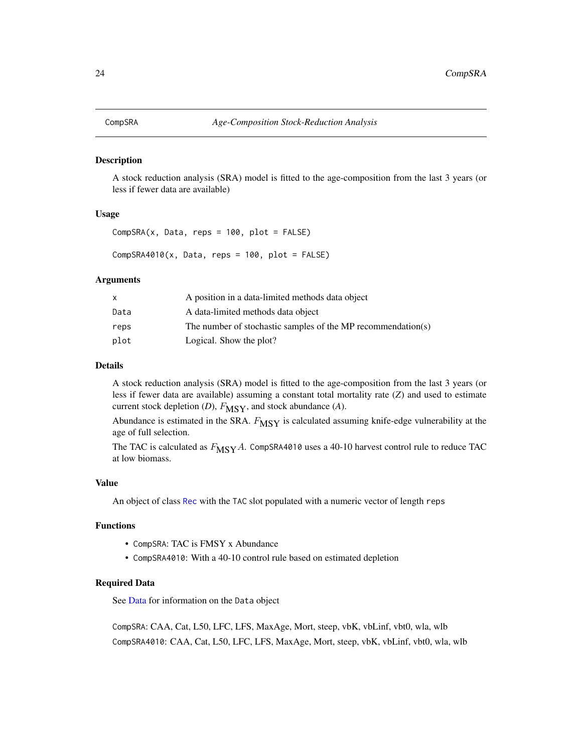<span id="page-23-0"></span>

A stock reduction analysis (SRA) model is fitted to the age-composition from the last 3 years (or less if fewer data are available)

#### Usage

```
CompSRA(x, Data, reps = 100, plot = FALSE)
```
 $CompSRA4010(x, Data, reps = 100, plot = FALSE)$ 

#### Arguments

| x    | A position in a data-limited methods data object             |
|------|--------------------------------------------------------------|
| Data | A data-limited methods data object                           |
| reps | The number of stochastic samples of the MP recommendation(s) |
| plot | Logical. Show the plot?                                      |

# Details

A stock reduction analysis (SRA) model is fitted to the age-composition from the last 3 years (or less if fewer data are available) assuming a constant total mortality rate (*Z*) and used to estimate current stock depletion (*D*),  $F_{\text{MSY}}$ , and stock abundance (*A*).

Abundance is estimated in the SRA.  $F_{\text{MSY}}$  is calculated assuming knife-edge vulnerability at the age of full selection.

The TAC is calculated as  $F_{\text{MSY}}A$ . CompSRA4010 uses a 40-10 harvest control rule to reduce TAC at low biomass.

# Value

An object of class [Rec](#page-159-1) with the TAC slot populated with a numeric vector of length reps

# Functions

- CompSRA: TAC is FMSY x Abundance
- CompSRA4010: With a 40-10 control rule based on estimated depletion

# Required Data

See [Data](#page-29-1) for information on the Data object

CompSRA: CAA, Cat, L50, LFC, LFS, MaxAge, Mort, steep, vbK, vbLinf, vbt0, wla, wlb CompSRA4010: CAA, Cat, L50, LFC, LFS, MaxAge, Mort, steep, vbK, vbLinf, vbt0, wla, wlb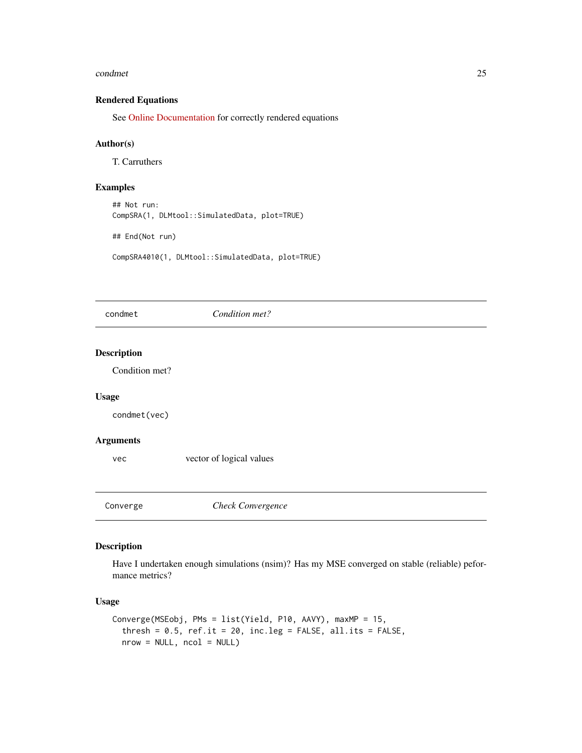#### <span id="page-24-0"></span>condmet 25

# Rendered Equations

See [Online Documentation](https://dlmtool.github.io/DLMtool/reference/CompSRA.html) for correctly rendered equations

## Author(s)

T. Carruthers

# Examples

## Not run: CompSRA(1, DLMtool::SimulatedData, plot=TRUE)

## End(Not run)

CompSRA4010(1, DLMtool::SimulatedData, plot=TRUE)

# condmet *Condition met?*

## Description

Condition met?

# Usage

condmet(vec)

### Arguments

vec vector of logical values

Converge *Check Convergence*

### Description

Have I undertaken enough simulations (nsim)? Has my MSE converged on stable (reliable) peformance metrics?

# Usage

```
Converge(MSEobj, PMs = list(Yield, P10, AAVY), maxMP = 15,
  thresh = 0.5, ref.it = 20, inc.leg = FALSE, all.its = FALSE,
  nrow = NULL, ncol = NULL)
```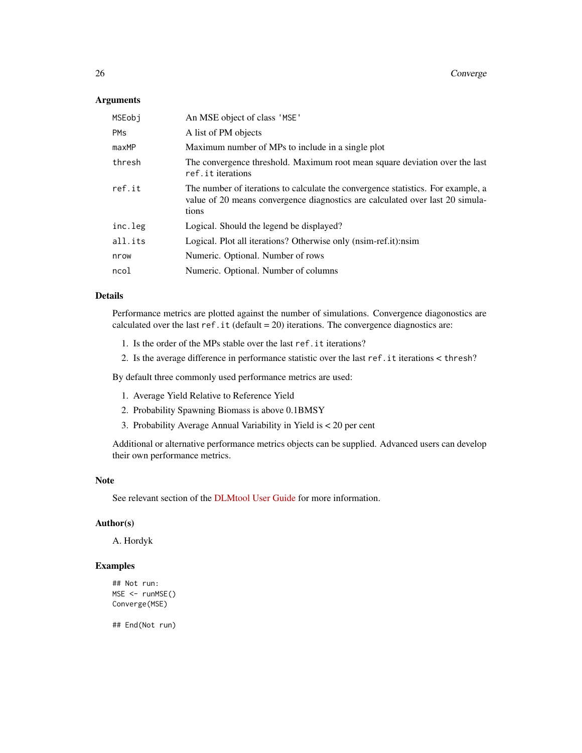#### Arguments

| An MSE object of class 'MSE'                                                                                                                                               |
|----------------------------------------------------------------------------------------------------------------------------------------------------------------------------|
| A list of PM objects                                                                                                                                                       |
| Maximum number of MPs to include in a single plot                                                                                                                          |
| The convergence threshold. Maximum root mean square deviation over the last<br>ref.it iterations                                                                           |
| The number of iterations to calculate the convergence statistics. For example, a<br>value of 20 means convergence diagnostics are calculated over last 20 simula-<br>tions |
| Logical. Should the legend be displayed?                                                                                                                                   |
| Logical. Plot all iterations? Otherwise only (nsim-ref.it):nsim                                                                                                            |
| Numeric. Optional. Number of rows                                                                                                                                          |
| Numeric. Optional. Number of columns                                                                                                                                       |
|                                                                                                                                                                            |

#### Details

Performance metrics are plotted against the number of simulations. Convergence diagonostics are calculated over the last ref.it (default =  $20$ ) iterations. The convergence diagnostics are:

- 1. Is the order of the MPs stable over the last ref.it iterations?
- 2. Is the average difference in performance statistic over the last ref.it iterations < thresh?

By default three commonly used performance metrics are used:

- 1. Average Yield Relative to Reference Yield
- 2. Probability Spawning Biomass is above 0.1BMSY
- 3. Probability Average Annual Variability in Yield is < 20 per cent

Additional or alternative performance metrics objects can be supplied. Advanced users can develop their own performance metrics.

#### Note

See relevant section of the [DLMtool User Guide](https://dlmtool.github.io/DLMtool/userguide/checking-convergence.html) for more information.

# Author(s)

A. Hordyk

# Examples

```
## Not run:
MSE <- runMSE()
Converge(MSE)
```
## End(Not run)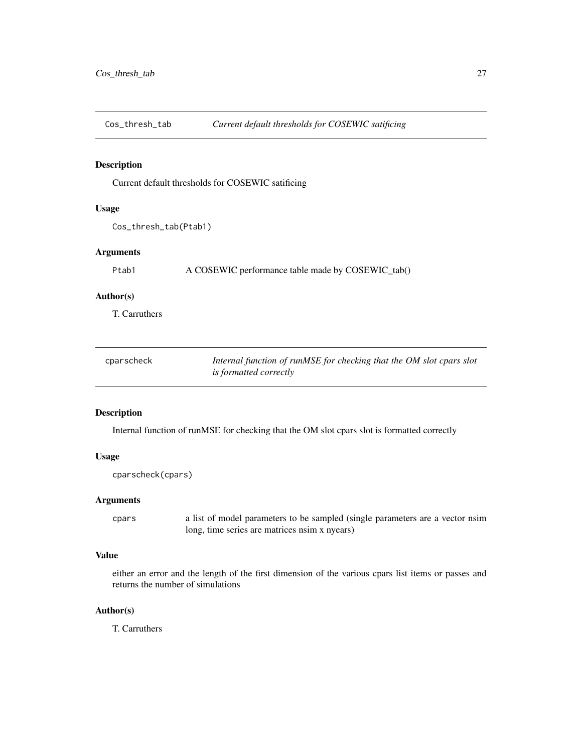<span id="page-26-0"></span>

Current default thresholds for COSEWIC satificing

# Usage

```
Cos_thresh_tab(Ptab1)
```
# Arguments

Ptab1 A COSEWIC performance table made by COSEWIC\_tab()

#### Author(s)

T. Carruthers

| cparscheck | Internal function of runMSE for checking that the OM slot cpars slot |
|------------|----------------------------------------------------------------------|
|            | <i>is formatted correctly</i>                                        |

# Description

Internal function of runMSE for checking that the OM slot cpars slot is formatted correctly

#### Usage

cparscheck(cpars)

## Arguments

cpars a list of model parameters to be sampled (single parameters are a vector nsim long, time series are matrices nsim x nyears)

#### Value

either an error and the length of the first dimension of the various cpars list items or passes and returns the number of simulations

# Author(s)

T. Carruthers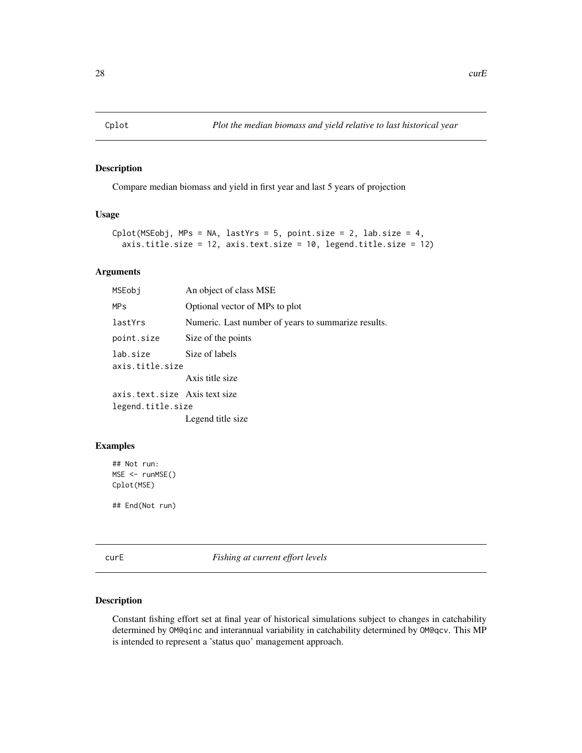<span id="page-27-0"></span>

Compare median biomass and yield in first year and last 5 years of projection

# Usage

```
Cplot(MSEobj, MPs = NA, lastYrs = 5, point.size = 2, lab.size = 4,axis.title.size = 12, axis.text.size = 10, legend.title.size = 12)
```
# Arguments

| MSEobi                       | An object of class MSE                              |
|------------------------------|-----------------------------------------------------|
| <b>MPs</b>                   | Optional vector of MPs to plot                      |
| lastYrs                      | Numeric. Last number of years to summarize results. |
| point.size                   | Size of the points                                  |
| lab.size<br>axis.title.size  | Size of labels                                      |
|                              | Axis title size                                     |
| axis.text.size Axistext size |                                                     |
| legend.title.size            |                                                     |
|                              | Legend title size                                   |

#### Examples

```
## Not run:
MSE <- runMSE()
Cplot(MSE)
```
## End(Not run)

curE *Fishing at current effort levels*

#### Description

Constant fishing effort set at final year of historical simulations subject to changes in catchability determined by OM@qinc and interannual variability in catchability determined by OM@qcv. This MP is intended to represent a 'status quo' management approach.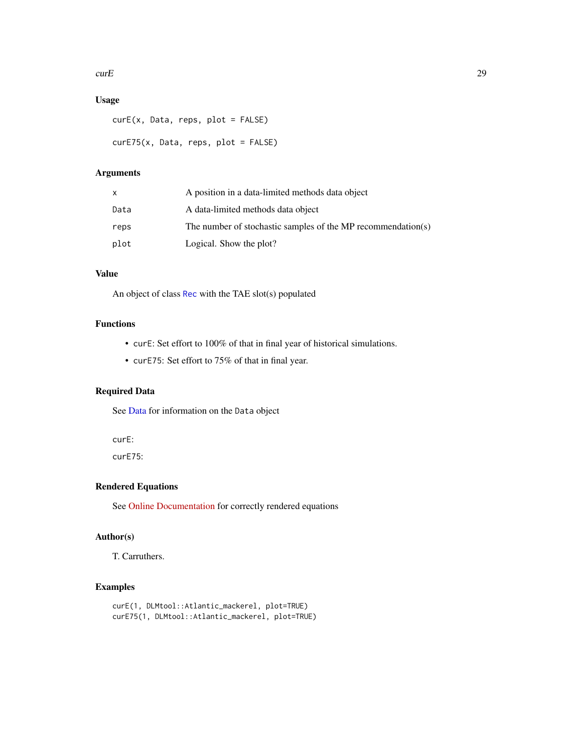#### $curE$  29

# Usage

```
curE(x, Data, reps, plot = FALSE)
curE75(x, Data, reps, plot = FALSE)
```
# Arguments

| x    | A position in a data-limited methods data object             |
|------|--------------------------------------------------------------|
| Data | A data-limited methods data object                           |
| reps | The number of stochastic samples of the MP recommendation(s) |
| plot | Logical. Show the plot?                                      |

# Value

An object of class [Rec](#page-159-1) with the TAE slot(s) populated

# Functions

- curE: Set effort to 100% of that in final year of historical simulations.
- curE75: Set effort to 75% of that in final year.

# Required Data

See [Data](#page-29-1) for information on the Data object

curE:

curE75:

# Rendered Equations

See [Online Documentation](https://dlmtool.github.io/DLMtool/reference/curE.html) for correctly rendered equations

# Author(s)

T. Carruthers.

# Examples

```
curE(1, DLMtool::Atlantic_mackerel, plot=TRUE)
curE75(1, DLMtool::Atlantic_mackerel, plot=TRUE)
```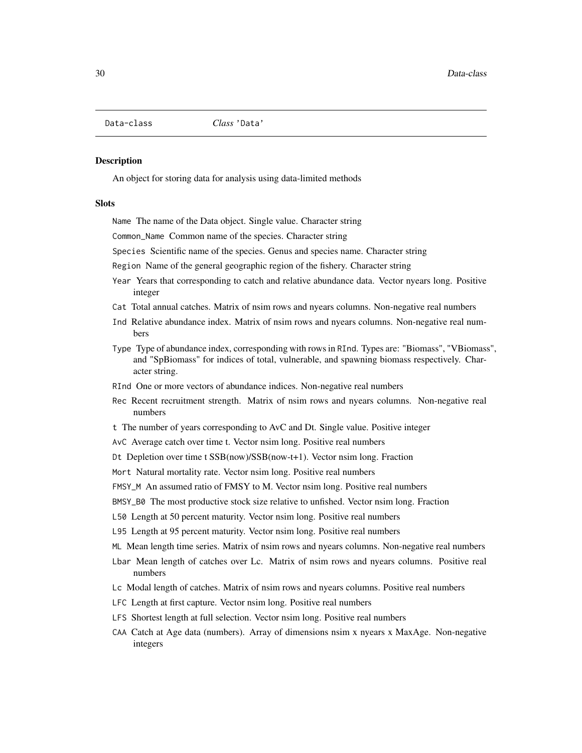<span id="page-29-1"></span><span id="page-29-0"></span>

An object for storing data for analysis using data-limited methods

#### **Slots**

Name The name of the Data object. Single value. Character string

Common\_Name Common name of the species. Character string

Species Scientific name of the species. Genus and species name. Character string

Region Name of the general geographic region of the fishery. Character string

- Year Years that corresponding to catch and relative abundance data. Vector nyears long. Positive integer
- Cat Total annual catches. Matrix of nsim rows and nyears columns. Non-negative real numbers
- Ind Relative abundance index. Matrix of nsim rows and nyears columns. Non-negative real numbers
- Type Type of abundance index, corresponding with rows in RInd. Types are: "Biomass", "VBiomass", and "SpBiomass" for indices of total, vulnerable, and spawning biomass respectively. Character string.
- RInd One or more vectors of abundance indices. Non-negative real numbers
- Rec Recent recruitment strength. Matrix of nsim rows and nyears columns. Non-negative real numbers
- t The number of years corresponding to AvC and Dt. Single value. Positive integer
- AvC Average catch over time t. Vector nsim long. Positive real numbers
- Dt Depletion over time t SSB(now)/SSB(now-t+1). Vector nsim long. Fraction
- Mort Natural mortality rate. Vector nsim long. Positive real numbers
- FMSY\_M An assumed ratio of FMSY to M. Vector nsim long. Positive real numbers
- BMSY\_B0 The most productive stock size relative to unfished. Vector nsim long. Fraction
- L50 Length at 50 percent maturity. Vector nsim long. Positive real numbers
- L95 Length at 95 percent maturity. Vector nsim long. Positive real numbers

ML Mean length time series. Matrix of nsim rows and nyears columns. Non-negative real numbers

- Lbar Mean length of catches over Lc. Matrix of nsim rows and nyears columns. Positive real numbers
- Lc Modal length of catches. Matrix of nsim rows and nyears columns. Positive real numbers
- LFC Length at first capture. Vector nsim long. Positive real numbers
- LFS Shortest length at full selection. Vector nsim long. Positive real numbers
- CAA Catch at Age data (numbers). Array of dimensions nsim x nyears x MaxAge. Non-negative integers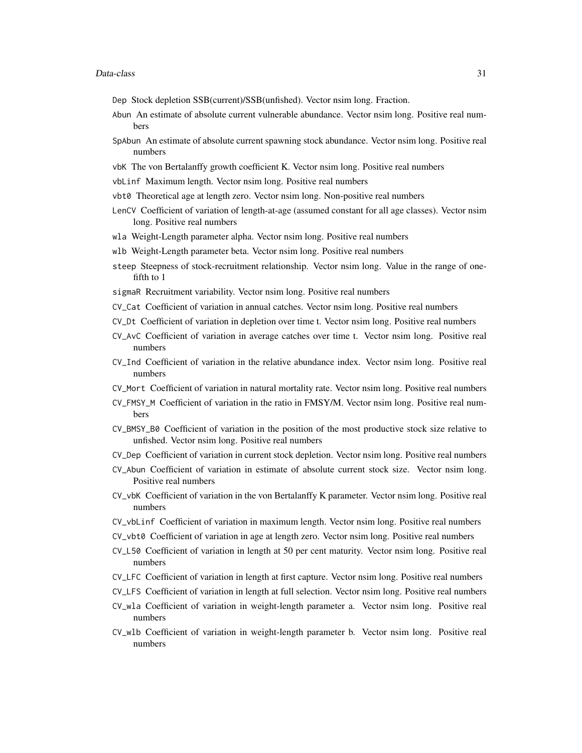- Dep Stock depletion SSB(current)/SSB(unfished). Vector nsim long. Fraction.
- Abun An estimate of absolute current vulnerable abundance. Vector nsim long. Positive real numbers
- SpAbun An estimate of absolute current spawning stock abundance. Vector nsim long. Positive real numbers
- vbK The von Bertalanffy growth coefficient K. Vector nsim long. Positive real numbers
- vbLinf Maximum length. Vector nsim long. Positive real numbers
- vbt0 Theoretical age at length zero. Vector nsim long. Non-positive real numbers
- LenCV Coefficient of variation of length-at-age (assumed constant for all age classes). Vector nsim long. Positive real numbers
- wla Weight-Length parameter alpha. Vector nsim long. Positive real numbers
- wlb Weight-Length parameter beta. Vector nsim long. Positive real numbers
- steep Steepness of stock-recruitment relationship. Vector nsim long. Value in the range of onefifth to 1
- sigmaR Recruitment variability. Vector nsim long. Positive real numbers
- CV\_Cat Coefficient of variation in annual catches. Vector nsim long. Positive real numbers
- CV\_Dt Coefficient of variation in depletion over time t. Vector nsim long. Positive real numbers
- CV\_AvC Coefficient of variation in average catches over time t. Vector nsim long. Positive real numbers
- CV\_Ind Coefficient of variation in the relative abundance index. Vector nsim long. Positive real numbers
- CV\_Mort Coefficient of variation in natural mortality rate. Vector nsim long. Positive real numbers
- CV\_FMSY\_M Coefficient of variation in the ratio in FMSY/M. Vector nsim long. Positive real numbers
- CV\_BMSY\_B0 Coefficient of variation in the position of the most productive stock size relative to unfished. Vector nsim long. Positive real numbers
- CV\_Dep Coefficient of variation in current stock depletion. Vector nsim long. Positive real numbers
- CV\_Abun Coefficient of variation in estimate of absolute current stock size. Vector nsim long. Positive real numbers
- CV\_vbK Coefficient of variation in the von Bertalanffy K parameter. Vector nsim long. Positive real numbers
- CV\_vbLinf Coefficient of variation in maximum length. Vector nsim long. Positive real numbers
- CV\_vbt0 Coefficient of variation in age at length zero. Vector nsim long. Positive real numbers
- CV\_L50 Coefficient of variation in length at 50 per cent maturity. Vector nsim long. Positive real numbers
- CV\_LFC Coefficient of variation in length at first capture. Vector nsim long. Positive real numbers
- CV\_LFS Coefficient of variation in length at full selection. Vector nsim long. Positive real numbers
- CV\_wla Coefficient of variation in weight-length parameter a. Vector nsim long. Positive real numbers
- CV\_wlb Coefficient of variation in weight-length parameter b. Vector nsim long. Positive real numbers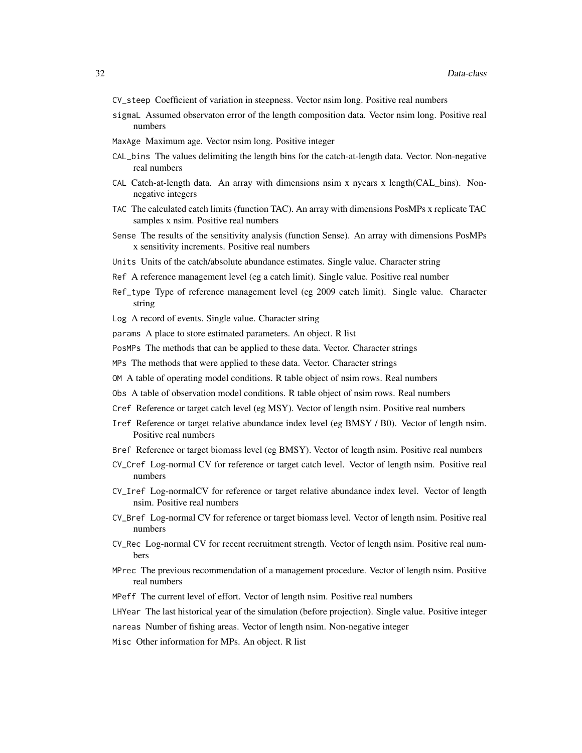- CV\_steep Coefficient of variation in steepness. Vector nsim long. Positive real numbers
- sigmaL Assumed observaton error of the length composition data. Vector nsim long. Positive real numbers
- MaxAge Maximum age. Vector nsim long. Positive integer
- CAL\_bins The values delimiting the length bins for the catch-at-length data. Vector. Non-negative real numbers
- CAL Catch-at-length data. An array with dimensions nsim x nyears x length(CAL\_bins). Nonnegative integers
- TAC The calculated catch limits (function TAC). An array with dimensions PosMPs x replicate TAC samples x nsim. Positive real numbers
- Sense The results of the sensitivity analysis (function Sense). An array with dimensions PosMPs x sensitivity increments. Positive real numbers
- Units Units of the catch/absolute abundance estimates. Single value. Character string
- Ref A reference management level (eg a catch limit). Single value. Positive real number
- Ref\_type Type of reference management level (eg 2009 catch limit). Single value. Character string
- Log A record of events. Single value. Character string
- params A place to store estimated parameters. An object. R list
- PosMPs The methods that can be applied to these data. Vector. Character strings
- MPs The methods that were applied to these data. Vector. Character strings
- OM A table of operating model conditions. R table object of nsim rows. Real numbers
- Obs A table of observation model conditions. R table object of nsim rows. Real numbers
- Cref Reference or target catch level (eg MSY). Vector of length nsim. Positive real numbers
- Iref Reference or target relative abundance index level (eg BMSY / B0). Vector of length nsim. Positive real numbers
- Bref Reference or target biomass level (eg BMSY). Vector of length nsim. Positive real numbers
- CV\_Cref Log-normal CV for reference or target catch level. Vector of length nsim. Positive real numbers
- CV\_Iref Log-normalCV for reference or target relative abundance index level. Vector of length nsim. Positive real numbers
- CV\_Bref Log-normal CV for reference or target biomass level. Vector of length nsim. Positive real numbers
- CV\_Rec Log-normal CV for recent recruitment strength. Vector of length nsim. Positive real numbers
- MPrec The previous recommendation of a management procedure. Vector of length nsim. Positive real numbers
- MPeff The current level of effort. Vector of length nsim. Positive real numbers
- LHYear The last historical year of the simulation (before projection). Single value. Positive integer
- nareas Number of fishing areas. Vector of length nsim. Non-negative integer
- Misc Other information for MPs. An object. R list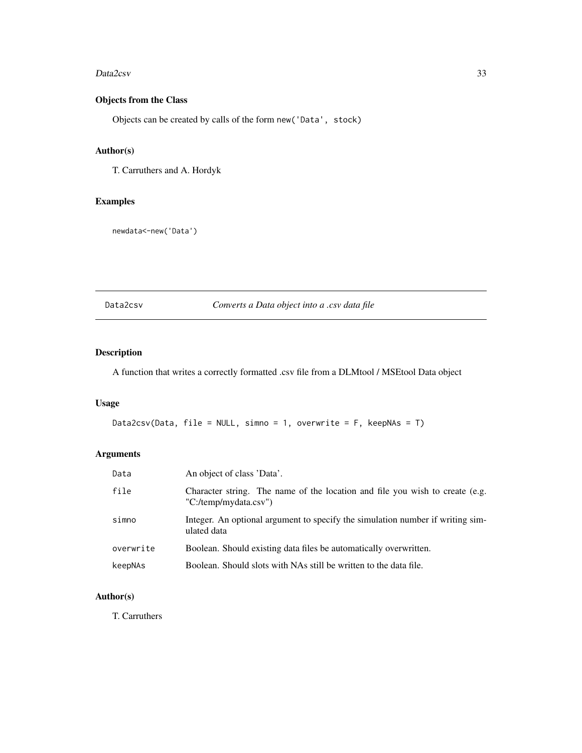#### <span id="page-32-0"></span>Data2csv 33

# Objects from the Class

Objects can be created by calls of the form new('Data', stock)

# Author(s)

T. Carruthers and A. Hordyk

# Examples

newdata<-new('Data')

# Data2csv *Converts a Data object into a .csv data file*

# Description

A function that writes a correctly formatted .csv file from a DLMtool / MSEtool Data object

#### Usage

```
Data2csv(Data, file = NULL, simno = 1, overwrite = F, keepNAs = T)
```
# Arguments

| Data      | An object of class 'Data'.                                                                            |
|-----------|-------------------------------------------------------------------------------------------------------|
| file      | Character string. The name of the location and file you wish to create (e.g.<br>"C:/temp/mydata.csv") |
| simno     | Integer. An optional argument to specify the simulation number if writing sim-<br>ulated data         |
| overwrite | Boolean. Should existing data files be automatically overwritten.                                     |
| keepNAs   | Boolean. Should slots with NAs still be written to the data file.                                     |

# Author(s)

T. Carruthers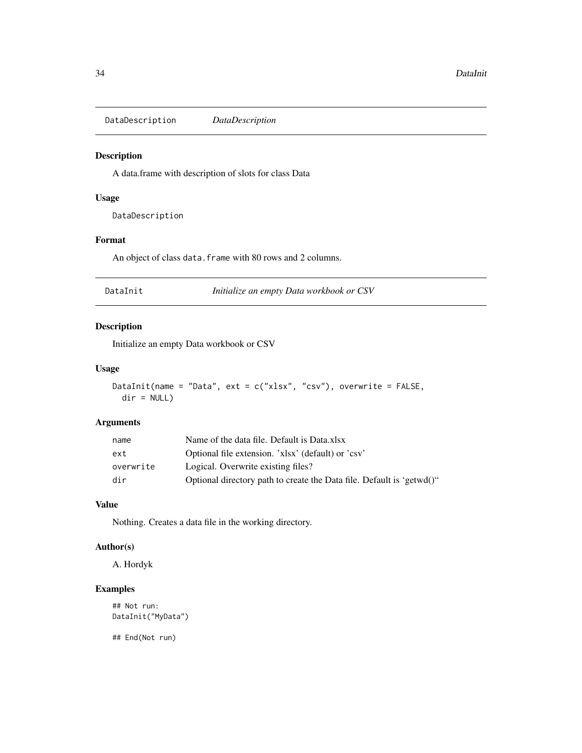<span id="page-33-0"></span>DataDescription *DataDescription*

# Description

A data.frame with description of slots for class Data

# Usage

DataDescription

### Format

An object of class data. frame with 80 rows and 2 columns.

DataInit *Initialize an empty Data workbook or CSV*

#### Description

Initialize an empty Data workbook or CSV

#### Usage

```
DataInit(name = "Data", ext = c("xlsx", "csv"), overwrite = FALSE,
 dir = NULL)
```
# Arguments

| name      | Name of the data file. Default is Data.xlsx                           |
|-----------|-----------------------------------------------------------------------|
| ext       | Optional file extension. 'xlsx' (default) or 'csy'                    |
| overwrite | Logical. Overwrite existing files?                                    |
| dir       | Optional directory path to create the Data file. Default is 'getwd()" |

# Value

Nothing. Creates a data file in the working directory.

## Author(s)

A. Hordyk

# Examples

## Not run: DataInit("MyData")

## End(Not run)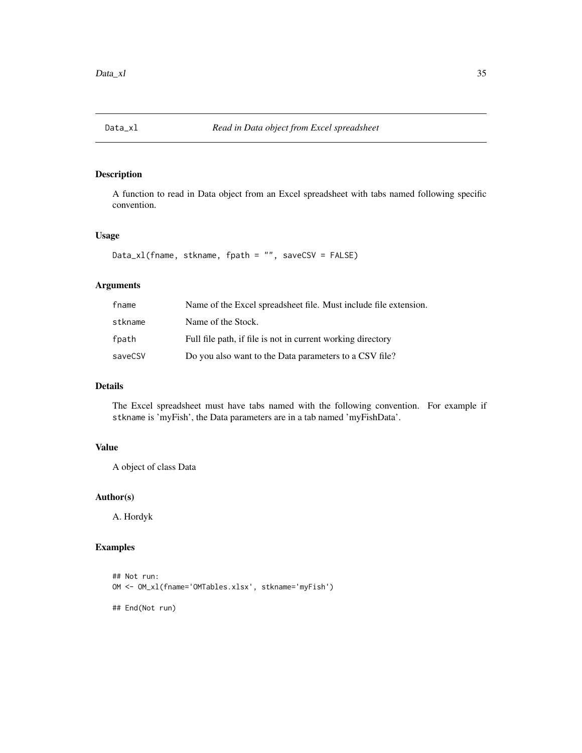<span id="page-34-0"></span>

A function to read in Data object from an Excel spreadsheet with tabs named following specific convention.

## Usage

Data\_xl(fname, stkname, fpath = "", saveCSV = FALSE)

# Arguments

| fname   | Name of the Excel spreadsheet file. Must include file extension. |
|---------|------------------------------------------------------------------|
| stkname | Name of the Stock.                                               |
| fpath   | Full file path, if file is not in current working directory      |
| saveCSV | Do you also want to the Data parameters to a CSV file?           |

# Details

The Excel spreadsheet must have tabs named with the following convention. For example if stkname is 'myFish', the Data parameters are in a tab named 'myFishData'.

# Value

A object of class Data

# Author(s)

A. Hordyk

#### Examples

```
## Not run:
OM <- OM_xl(fname='OMTables.xlsx', stkname='myFish')
## End(Not run)
```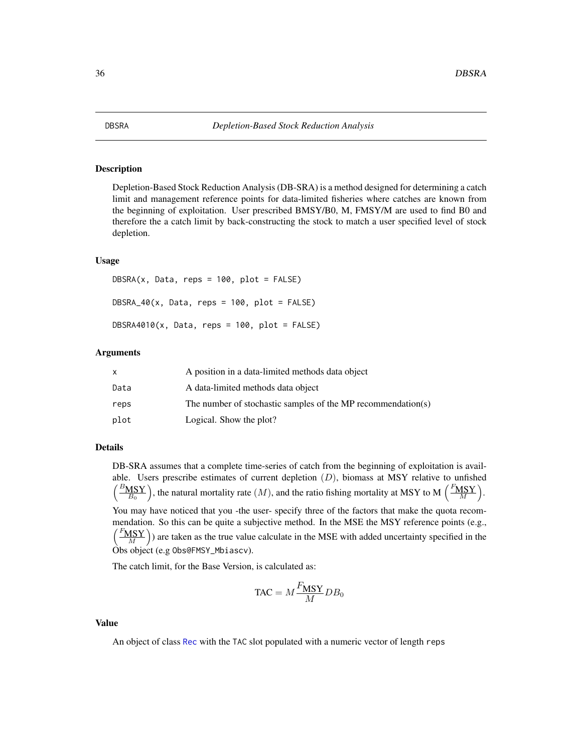<span id="page-35-0"></span>Depletion-Based Stock Reduction Analysis (DB-SRA) is a method designed for determining a catch limit and management reference points for data-limited fisheries where catches are known from the beginning of exploitation. User prescribed BMSY/B0, M, FMSY/M are used to find B0 and therefore the a catch limit by back-constructing the stock to match a user specified level of stock depletion.

#### Usage

```
DBSRA(x, Data, reps = 100, plot = FALSE)DBSRA_40(x, Data, reps = 100, plot = FALSE)DBSRA4010(x, Data, reps = 100, plot = FALSE)
```
#### Arguments

|      | A position in a data-limited methods data object             |
|------|--------------------------------------------------------------|
| Data | A data-limited methods data object                           |
| reps | The number of stochastic samples of the MP recommendation(s) |
| plot | Logical. Show the plot?                                      |

# Details

DB-SRA assumes that a complete time-series of catch from the beginning of exploitation is available. Users prescribe estimates of current depletion  $(D)$ , biomass at MSY relative to unfished  $\left(\frac{B_{\text{MSY}}}{B_0}\right)$ , the natural mortality rate  $(M)$ , and the ratio fishing mortality at MSY to M  $\left(\frac{F_{\text{MSY}}}{M}\right)$ .

You may have noticed that you -the user- specify three of the factors that make the quota recommendation. So this can be quite a subjective method. In the MSE the MSY reference points (e.g.,  $\left(\frac{F_{\text{MSY}}}{M}\right)$ ) are taken as the true value calculate in the MSE with added uncertainty specified in the Obs object (e.g Obs@FMSY\_Mbiascv).

The catch limit, for the Base Version, is calculated as:

$$
\text{TAC} = M \frac{F_{\text{MSY}}}{M} DB_0
$$

# Value

An object of class [Rec](#page-159-1) with the TAC slot populated with a numeric vector of length reps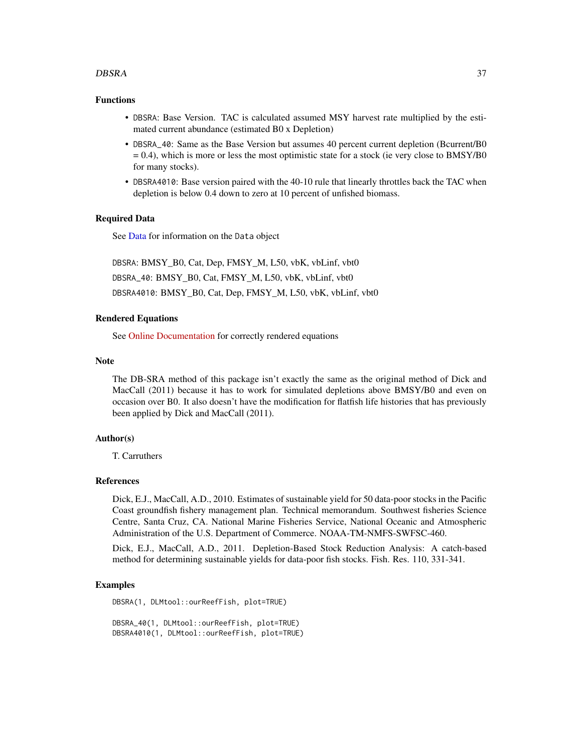#### DBSRA 37

#### Functions

- DBSRA: Base Version. TAC is calculated assumed MSY harvest rate multiplied by the estimated current abundance (estimated B0 x Depletion)
- DBSRA\_40: Same as the Base Version but assumes 40 percent current depletion (Bcurrent/B0  $= 0.4$ ), which is more or less the most optimistic state for a stock (ie very close to BMSY/B0 for many stocks).
- DBSRA4010: Base version paired with the 40-10 rule that linearly throttles back the TAC when depletion is below 0.4 down to zero at 10 percent of unfished biomass.

# Required Data

See [Data](#page-29-0) for information on the Data object

DBSRA: BMSY\_B0, Cat, Dep, FMSY\_M, L50, vbK, vbLinf, vbt0 DBSRA\_40: BMSY\_B0, Cat, FMSY\_M, L50, vbK, vbLinf, vbt0 DBSRA4010: BMSY\_B0, Cat, Dep, FMSY\_M, L50, vbK, vbLinf, vbt0

### Rendered Equations

See [Online Documentation](https://dlmtool.github.io/DLMtool/reference/DBSRA.html) for correctly rendered equations

### Note

The DB-SRA method of this package isn't exactly the same as the original method of Dick and MacCall (2011) because it has to work for simulated depletions above BMSY/B0 and even on occasion over B0. It also doesn't have the modification for flatfish life histories that has previously been applied by Dick and MacCall (2011).

### Author(s)

T. Carruthers

#### References

Dick, E.J., MacCall, A.D., 2010. Estimates of sustainable yield for 50 data-poor stocks in the Pacific Coast groundfish fishery management plan. Technical memorandum. Southwest fisheries Science Centre, Santa Cruz, CA. National Marine Fisheries Service, National Oceanic and Atmospheric Administration of the U.S. Department of Commerce. NOAA-TM-NMFS-SWFSC-460.

Dick, E.J., MacCall, A.D., 2011. Depletion-Based Stock Reduction Analysis: A catch-based method for determining sustainable yields for data-poor fish stocks. Fish. Res. 110, 331-341.

### Examples

DBSRA(1, DLMtool::ourReefFish, plot=TRUE)

DBSRA\_40(1, DLMtool::ourReefFish, plot=TRUE) DBSRA4010(1, DLMtool::ourReefFish, plot=TRUE)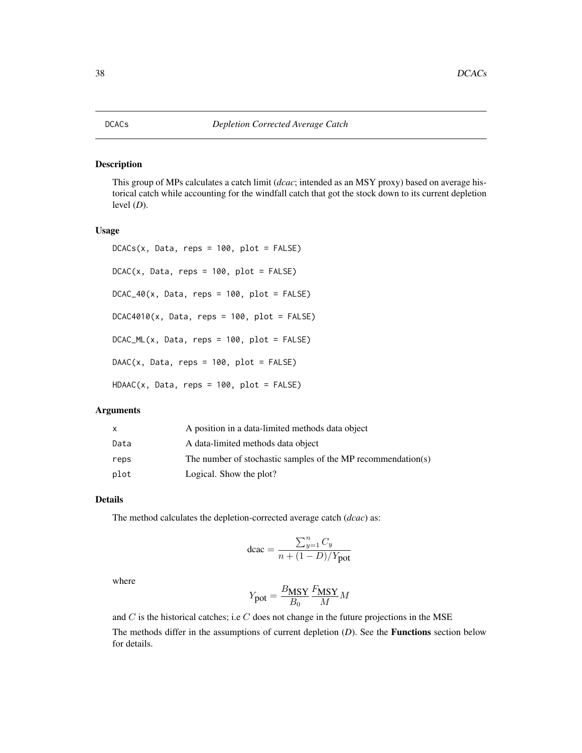This group of MPs calculates a catch limit (*dcac*; intended as an MSY proxy) based on average historical catch while accounting for the windfall catch that got the stock down to its current depletion level  $(D)$ .

# Usage

```
DCACS(x, Data, reps = 100, plot = FALSE)DCAC(x, Data, reps = 100, plot = FALSE)DCAC_40(x, Data, reps = 100, plot = FALSE)DCAC4010(x, Data, reps = 100, plot = FALSE)DCAC_ML(x, Data, reps = 100, plot = FALSE)
DAAC(x, Data, reps = 100, plot = FALSE)HDAAC(x, Data, reps = 100, plot = FALSE)
```
### Arguments

| x.   | A position in a data-limited methods data object             |
|------|--------------------------------------------------------------|
| Data | A data-limited methods data object                           |
| reps | The number of stochastic samples of the MP recommendation(s) |
| plot | Logical. Show the plot?                                      |

### Details

The method calculates the depletion-corrected average catch (*dcac*) as:

$$
\text{dcac} = \frac{\sum_{y=1}^n C_y}{n+(1-D)/Y\text{pot}}
$$

where

$$
Y_{\text{pot}} = \frac{B_{\text{MSY}}}{B_0} \frac{F_{\text{MSY}}}{M} M
$$

and  $C$  is the historical catches; i.e  $C$  does not change in the future projections in the MSE The methods differ in the assumptions of current depletion (*D*). See the Functions section below for details.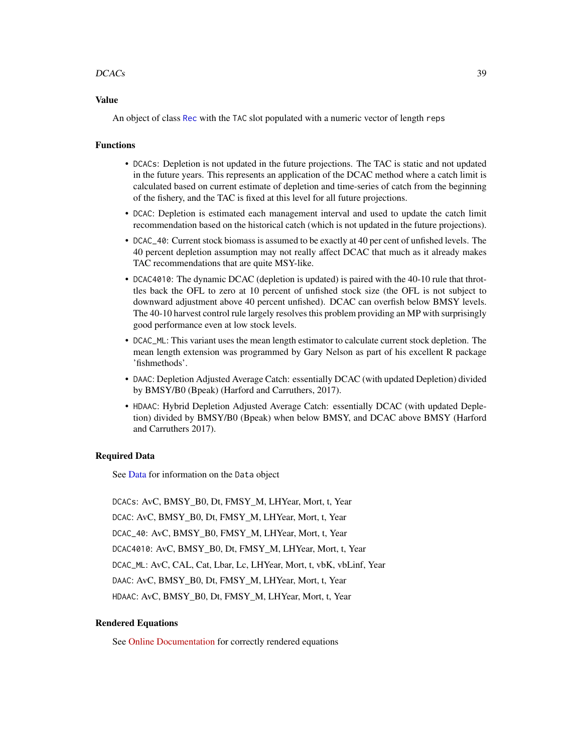### $DCACs$  39

#### Value

An object of class [Rec](#page-159-0) with the TAC slot populated with a numeric vector of length reps

### Functions

- DCACs: Depletion is not updated in the future projections. The TAC is static and not updated in the future years. This represents an application of the DCAC method where a catch limit is calculated based on current estimate of depletion and time-series of catch from the beginning of the fishery, and the TAC is fixed at this level for all future projections.
- DCAC: Depletion is estimated each management interval and used to update the catch limit recommendation based on the historical catch (which is not updated in the future projections).
- DCAC\_40: Current stock biomass is assumed to be exactly at 40 per cent of unfished levels. The 40 percent depletion assumption may not really affect DCAC that much as it already makes TAC recommendations that are quite MSY-like.
- DCAC4010: The dynamic DCAC (depletion is updated) is paired with the 40-10 rule that throttles back the OFL to zero at 10 percent of unfished stock size (the OFL is not subject to downward adjustment above 40 percent unfished). DCAC can overfish below BMSY levels. The 40-10 harvest control rule largely resolves this problem providing an MP with surprisingly good performance even at low stock levels.
- DCAC\_ML: This variant uses the mean length estimator to calculate current stock depletion. The mean length extension was programmed by Gary Nelson as part of his excellent R package 'fishmethods'.
- DAAC: Depletion Adjusted Average Catch: essentially DCAC (with updated Depletion) divided by BMSY/B0 (Bpeak) (Harford and Carruthers, 2017).
- HDAAC: Hybrid Depletion Adjusted Average Catch: essentially DCAC (with updated Depletion) divided by BMSY/B0 (Bpeak) when below BMSY, and DCAC above BMSY (Harford and Carruthers 2017).

#### Required Data

See [Data](#page-29-0) for information on the Data object

DCACs: AvC, BMSY\_B0, Dt, FMSY\_M, LHYear, Mort, t, Year DCAC: AvC, BMSY\_B0, Dt, FMSY\_M, LHYear, Mort, t, Year DCAC\_40: AvC, BMSY\_B0, FMSY\_M, LHYear, Mort, t, Year DCAC4010: AvC, BMSY\_B0, Dt, FMSY\_M, LHYear, Mort, t, Year DCAC\_ML: AvC, CAL, Cat, Lbar, Lc, LHYear, Mort, t, vbK, vbLinf, Year DAAC: AvC, BMSY\_B0, Dt, FMSY\_M, LHYear, Mort, t, Year HDAAC: AvC, BMSY\_B0, Dt, FMSY\_M, LHYear, Mort, t, Year

### Rendered Equations

See [Online Documentation](https://dlmtool.github.io/DLMtool/reference/DCAC.html) for correctly rendered equations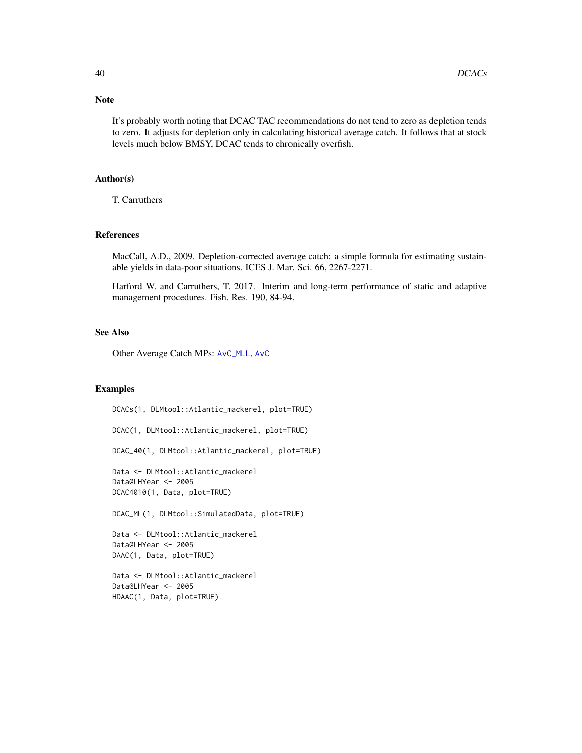### Note

It's probably worth noting that DCAC TAC recommendations do not tend to zero as depletion tends to zero. It adjusts for depletion only in calculating historical average catch. It follows that at stock levels much below BMSY, DCAC tends to chronically overfish.

# Author(s)

T. Carruthers

#### References

MacCall, A.D., 2009. Depletion-corrected average catch: a simple formula for estimating sustainable yields in data-poor situations. ICES J. Mar. Sci. 66, 2267-2271.

Harford W. and Carruthers, T. 2017. Interim and long-term performance of static and adaptive management procedures. Fish. Res. 190, 84-94.

### See Also

Other Average Catch MPs: [AvC\\_MLL](#page-10-0), [AvC](#page-9-0)

#### Examples

DCACs(1, DLMtool::Atlantic\_mackerel, plot=TRUE) DCAC(1, DLMtool::Atlantic\_mackerel, plot=TRUE) DCAC\_40(1, DLMtool::Atlantic\_mackerel, plot=TRUE) Data <- DLMtool::Atlantic\_mackerel Data@LHYear <- 2005 DCAC4010(1, Data, plot=TRUE) DCAC\_ML(1, DLMtool::SimulatedData, plot=TRUE) Data <- DLMtool::Atlantic\_mackerel Data@LHYear <- 2005 DAAC(1, Data, plot=TRUE) Data <- DLMtool::Atlantic\_mackerel Data@LHYear <- 2005 HDAAC(1, Data, plot=TRUE)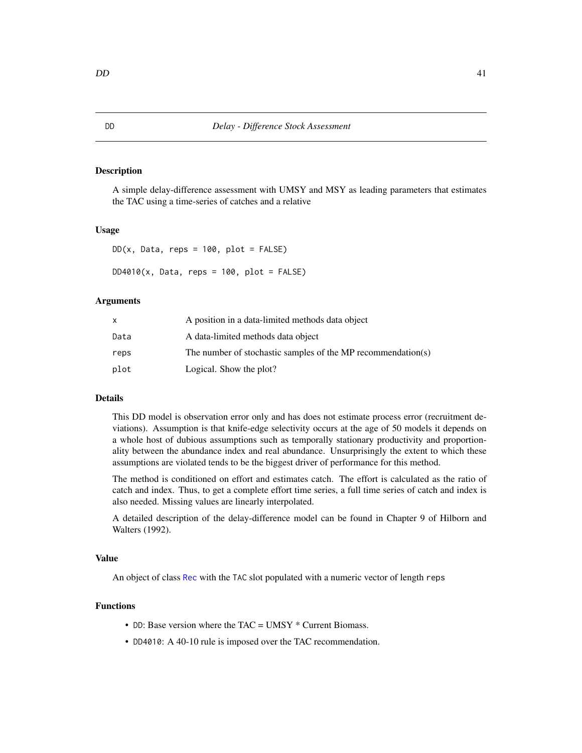A simple delay-difference assessment with UMSY and MSY as leading parameters that estimates the TAC using a time-series of catches and a relative

#### Usage

```
DD(x, Data, reps = 100, plot = FALSE)DD4010(x, Data, reps = 100, plot = FALSE)
```
### Arguments

|      | A position in a data-limited methods data object             |
|------|--------------------------------------------------------------|
| Data | A data-limited methods data object                           |
| reps | The number of stochastic samples of the MP recommendation(s) |
| plot | Logical. Show the plot?                                      |

# Details

This DD model is observation error only and has does not estimate process error (recruitment deviations). Assumption is that knife-edge selectivity occurs at the age of 50 models it depends on a whole host of dubious assumptions such as temporally stationary productivity and proportionality between the abundance index and real abundance. Unsurprisingly the extent to which these assumptions are violated tends to be the biggest driver of performance for this method.

The method is conditioned on effort and estimates catch. The effort is calculated as the ratio of catch and index. Thus, to get a complete effort time series, a full time series of catch and index is also needed. Missing values are linearly interpolated.

A detailed description of the delay-difference model can be found in Chapter 9 of Hilborn and Walters (1992).

#### Value

An object of class [Rec](#page-159-0) with the TAC slot populated with a numeric vector of length reps

# Functions

- DD: Base version where the TAC = UMSY \* Current Biomass.
- DD4010: A 40-10 rule is imposed over the TAC recommendation.

<span id="page-40-0"></span>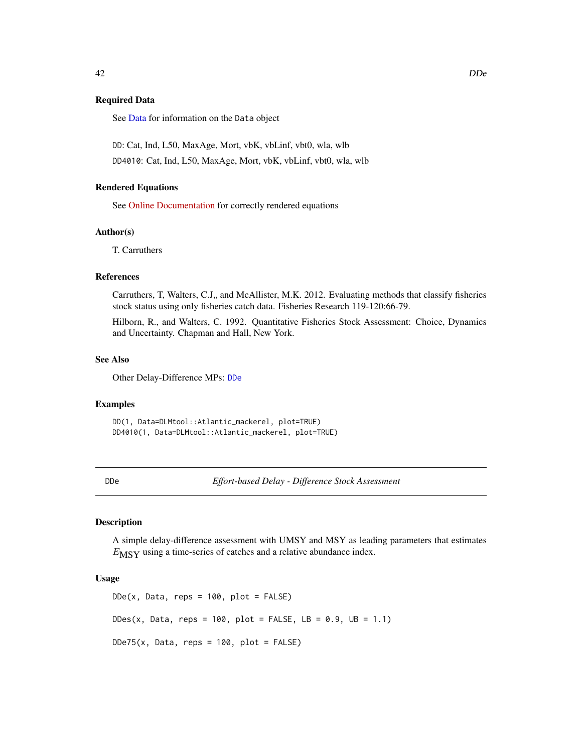### Required Data

See [Data](#page-29-0) for information on the Data object

DD: Cat, Ind, L50, MaxAge, Mort, vbK, vbLinf, vbt0, wla, wlb

DD4010: Cat, Ind, L50, MaxAge, Mort, vbK, vbLinf, vbt0, wla, wlb

### Rendered Equations

See [Online Documentation](https://dlmtool.github.io/DLMtool/reference/DD.html) for correctly rendered equations

# Author(s)

T. Carruthers

# References

Carruthers, T, Walters, C.J., and McAllister, M.K. 2012. Evaluating methods that classify fisheries stock status using only fisheries catch data. Fisheries Research 119-120:66-79.

Hilborn, R., and Walters, C. 1992. Quantitative Fisheries Stock Assessment: Choice, Dynamics and Uncertainty. Chapman and Hall, New York.

# See Also

Other Delay-Difference MPs: [DDe](#page-41-0)

#### Examples

DD(1, Data=DLMtool::Atlantic\_mackerel, plot=TRUE) DD4010(1, Data=DLMtool::Atlantic\_mackerel, plot=TRUE)

<span id="page-41-0"></span>DDe *Effort-based Delay - Difference Stock Assessment*

# Description

A simple delay-difference assessment with UMSY and MSY as leading parameters that estimates  $E_{\text{MSY}}$  using a time-series of catches and a relative abundance index.

### Usage

 $DDe(x, Data, reps = 100, plot = FALSE)$  $DDes(x, Data, reps = 100, plot = FALSE, LB = 0.9, UB = 1.1)$  $DDe75(x, Data, reps = 100, plot = FALSE)$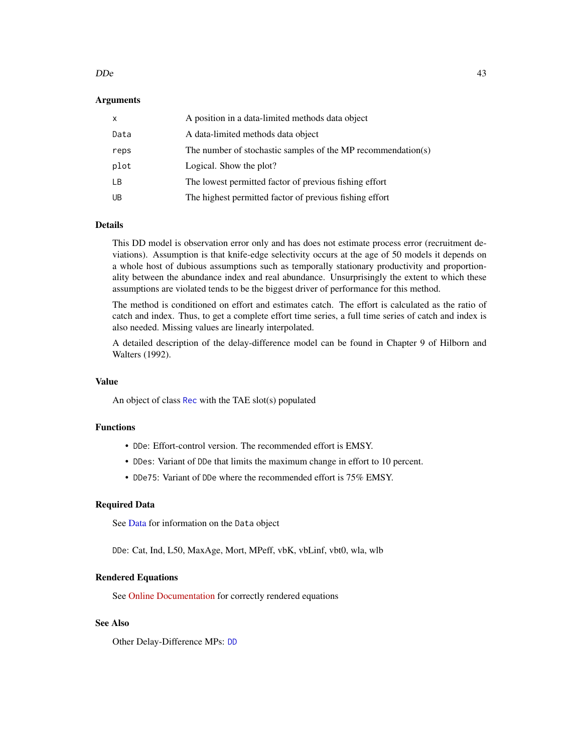#### $D$ De  $\qquad 43$

### Arguments

| X    | A position in a data-limited methods data object             |
|------|--------------------------------------------------------------|
| Data | A data-limited methods data object                           |
| reps | The number of stochastic samples of the MP recommendation(s) |
| plot | Logical. Show the plot?                                      |
| LВ   | The lowest permitted factor of previous fishing effort       |
| UB   | The highest permitted factor of previous fishing effort      |

# Details

This DD model is observation error only and has does not estimate process error (recruitment deviations). Assumption is that knife-edge selectivity occurs at the age of 50 models it depends on a whole host of dubious assumptions such as temporally stationary productivity and proportionality between the abundance index and real abundance. Unsurprisingly the extent to which these assumptions are violated tends to be the biggest driver of performance for this method.

The method is conditioned on effort and estimates catch. The effort is calculated as the ratio of catch and index. Thus, to get a complete effort time series, a full time series of catch and index is also needed. Missing values are linearly interpolated.

A detailed description of the delay-difference model can be found in Chapter 9 of Hilborn and Walters (1992).

# Value

An object of class [Rec](#page-159-0) with the TAE slot(s) populated

# Functions

- DDe: Effort-control version. The recommended effort is EMSY.
- DDes: Variant of DDe that limits the maximum change in effort to 10 percent.
- DDe75: Variant of DDe where the recommended effort is 75% EMSY.

#### Required Data

See [Data](#page-29-0) for information on the Data object

DDe: Cat, Ind, L50, MaxAge, Mort, MPeff, vbK, vbLinf, vbt0, wla, wlb

### Rendered Equations

See [Online Documentation](https://dlmtool.github.io/DLMtool/reference/DDe.html) for correctly rendered equations

# See Also

Other Delay-Difference MPs: [DD](#page-40-0)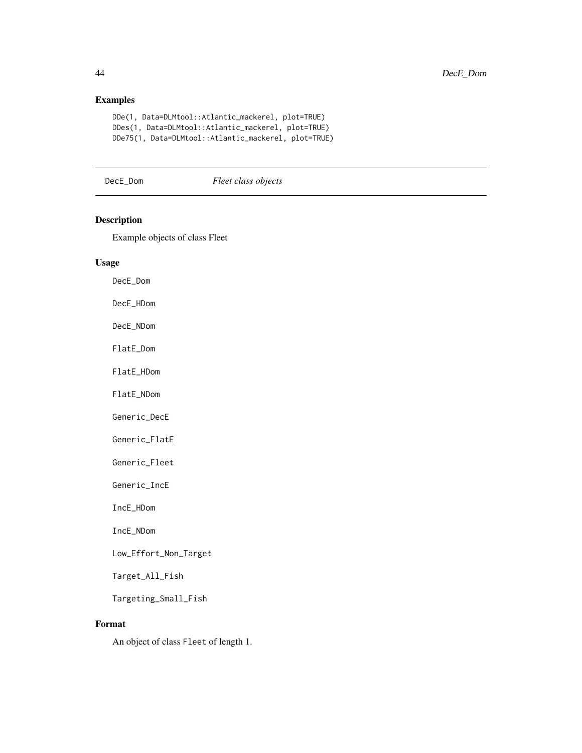# Examples

```
DDe(1, Data=DLMtool::Atlantic_mackerel, plot=TRUE)
DDes(1, Data=DLMtool::Atlantic_mackerel, plot=TRUE)
DDe75(1, Data=DLMtool::Atlantic_mackerel, plot=TRUE)
```
### DecE\_Dom *Fleet class objects*

# Description

Example objects of class Fleet

#### Usage

DecE\_Dom

DecE\_HDom

DecE\_NDom

FlatE\_Dom

FlatE\_HDom

FlatE\_NDom

Generic\_DecE

Generic\_FlatE

Generic\_Fleet

Generic\_IncE

IncE\_HDom

IncE\_NDom

Low\_Effort\_Non\_Target

Target\_All\_Fish

Targeting\_Small\_Fish

# Format

An object of class Fleet of length 1.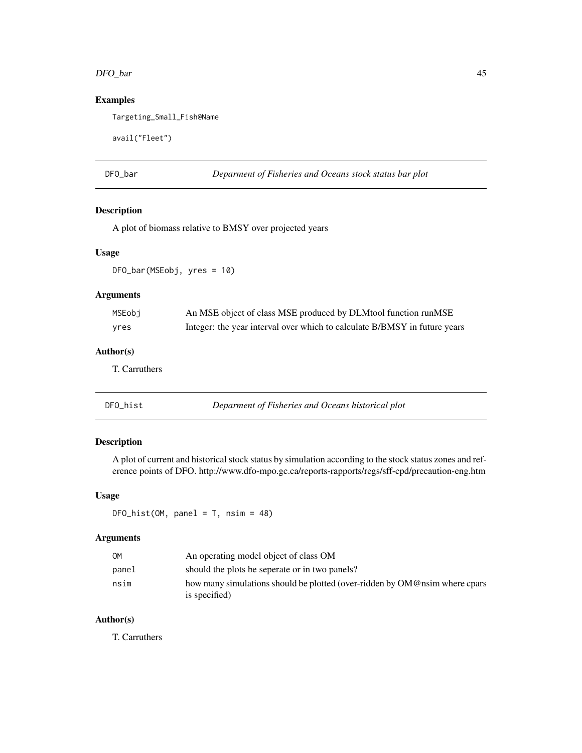#### DFO\_bar 45

# Examples

Targeting\_Small\_Fish@Name

```
avail("Fleet")
```
DFO\_bar *Deparment of Fisheries and Oceans stock status bar plot*

# Description

A plot of biomass relative to BMSY over projected years

#### Usage

DFO\_bar(MSEobj, yres = 10)

# Arguments

| MSEobi | An MSE object of class MSE produced by DLMtool function runMSE            |
|--------|---------------------------------------------------------------------------|
| yres   | Integer: the year interval over which to calculate B/BMSY in future years |

# Author(s)

T. Carruthers

| DFO_hist | Deparment of Fisheries and Oceans historical plot |
|----------|---------------------------------------------------|
|----------|---------------------------------------------------|

# Description

A plot of current and historical stock status by simulation according to the stock status zones and reference points of DFO. http://www.dfo-mpo.gc.ca/reports-rapports/regs/sff-cpd/precaution-eng.htm

### Usage

 $DFO\_hist(OM, panel = T, nsim = 48)$ 

# Arguments

| OM    | An operating model object of class OM                                      |
|-------|----------------------------------------------------------------------------|
| panel | should the plots be seperate or in two panels?                             |
| nsim  | how many simulations should be plotted (over-ridden by OM@nsim where cpars |
|       | is specified)                                                              |

# Author(s)

T. Carruthers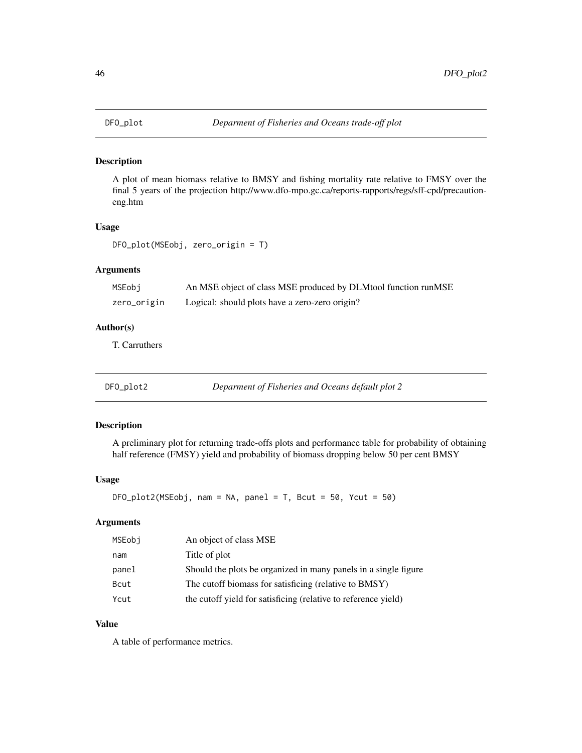A plot of mean biomass relative to BMSY and fishing mortality rate relative to FMSY over the final 5 years of the projection http://www.dfo-mpo.gc.ca/reports-rapports/regs/sff-cpd/precautioneng.htm

#### Usage

```
DFO_plot(MSEobj, zero_origin = T)
```
# Arguments

| MSEobj      | An MSE object of class MSE produced by DLMtool function runMSE |
|-------------|----------------------------------------------------------------|
| zero_origin | Logical: should plots have a zero-zero origin?                 |

# Author(s)

T. Carruthers

DFO\_plot2 *Deparment of Fisheries and Oceans default plot 2*

### Description

A preliminary plot for returning trade-offs plots and performance table for probability of obtaining half reference (FMSY) yield and probability of biomass dropping below 50 per cent BMSY

### Usage

```
DFO_plot2(MSEobj, nam = NA, panel = T, Beut = 50, Ycut = 50)
```
# Arguments

| MSEobi | An object of class MSE                                          |
|--------|-----------------------------------------------------------------|
| nam    | Title of plot                                                   |
| panel  | Should the plots be organized in many panels in a single figure |
| Bcut   | The cutoff biomass for satisficing (relative to BMSY)           |
| Ycut   | the cutoff yield for satisficing (relative to reference yield)  |

# Value

A table of performance metrics.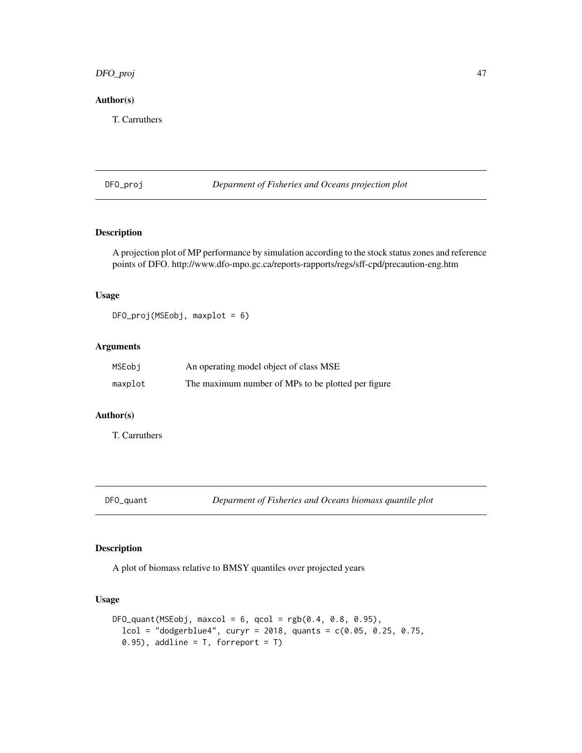# DFO\_proj 47

# Author(s)

T. Carruthers

DFO\_proj *Deparment of Fisheries and Oceans projection plot*

# Description

A projection plot of MP performance by simulation according to the stock status zones and reference points of DFO. http://www.dfo-mpo.gc.ca/reports-rapports/regs/sff-cpd/precaution-eng.htm

### Usage

DFO\_proj(MSEobj, maxplot = 6)

# Arguments

| MSEobi  | An operating model object of class MSE             |
|---------|----------------------------------------------------|
| maxplot | The maximum number of MPs to be plotted per figure |

# Author(s)

T. Carruthers

# Description

A plot of biomass relative to BMSY quantiles over projected years

#### Usage

```
DFO_quant(MSEobj, maxcol = 6, qcol = rgb(0.4, 0.8, 0.95),
  lcol = "dodgerblue4", curyr = 2018, quants = c(0.05, 0.25, 0.75,0.95), addline = T, forreport = T)
```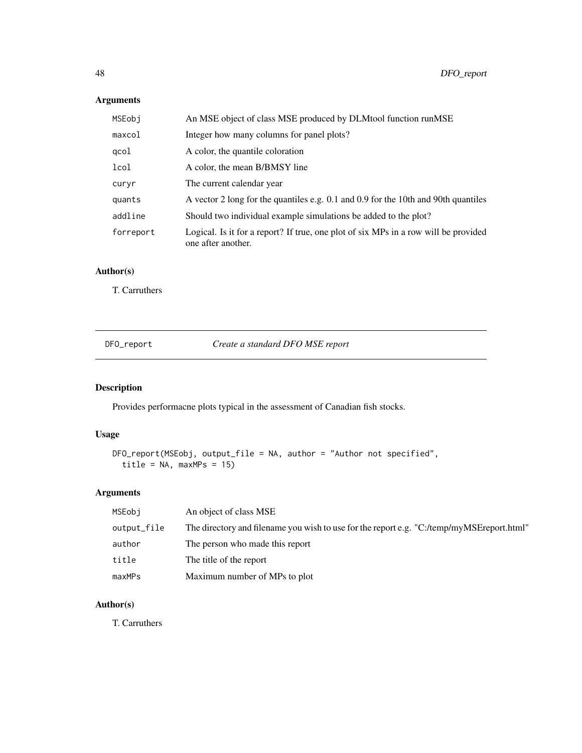# Arguments

| MSEobi    | An MSE object of class MSE produced by DLMtool function runMSE                                            |
|-----------|-----------------------------------------------------------------------------------------------------------|
| maxcol    | Integer how many columns for panel plots?                                                                 |
| qcol      | A color, the quantile coloration                                                                          |
| lcol      | A color, the mean B/BMSY line                                                                             |
| curyr     | The current calendar year                                                                                 |
| quants    | A vector 2 long for the quantiles e.g. 0.1 and 0.9 for the 10th and 90th quantiles                        |
| addline   | Should two individual example simulations be added to the plot?                                           |
| forreport | Logical. Is it for a report? If true, one plot of six MPs in a row will be provided<br>one after another. |

# Author(s)

T. Carruthers

DFO\_report *Create a standard DFO MSE report*

# Description

Provides performacne plots typical in the assessment of Canadian fish stocks.

# Usage

```
DFO_report(MSEobj, output_file = NA, author = "Author not specified",
  title = NA, maxMPs = 15)
```
# Arguments

| MSEobi      | An object of class MSE                                                                    |
|-------------|-------------------------------------------------------------------------------------------|
| output_file | The directory and filename you wish to use for the report e.g. "C:/temp/myMSEreport.html" |
| author      | The person who made this report                                                           |
| title       | The title of the report                                                                   |
| maxMPs      | Maximum number of MPs to plot                                                             |

# Author(s)

T. Carruthers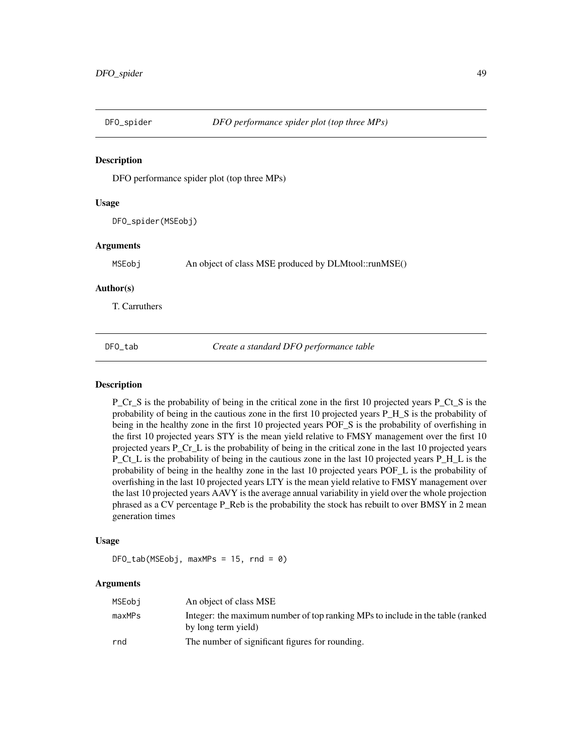DFO performance spider plot (top three MPs)

### Usage

DFO\_spider(MSEobj)

### Arguments

MSEobj An object of class MSE produced by DLMtool::runMSE()

### Author(s)

T. Carruthers

DFO\_tab *Create a standard DFO performance table*

### Description

P\_Cr\_S is the probability of being in the critical zone in the first 10 projected years P\_Ct\_S is the probability of being in the cautious zone in the first 10 projected years P\_H\_S is the probability of being in the healthy zone in the first 10 projected years POF\_S is the probability of overfishing in the first 10 projected years STY is the mean yield relative to FMSY management over the first 10 projected years P\_Cr\_L is the probability of being in the critical zone in the last 10 projected years P\_Ct\_L is the probability of being in the cautious zone in the last 10 projected years P\_H\_L is the probability of being in the healthy zone in the last 10 projected years POF\_L is the probability of overfishing in the last 10 projected years LTY is the mean yield relative to FMSY management over the last 10 projected years AAVY is the average annual variability in yield over the whole projection phrased as a CV percentage P\_Reb is the probability the stock has rebuilt to over BMSY in 2 mean generation times

#### Usage

DFO\_tab(MSEobj, maxMPs = 15, rnd = 0)

#### Arguments

| MSEobi | An object of class MSE                                                                                |
|--------|-------------------------------------------------------------------------------------------------------|
| maxMPs | Integer: the maximum number of top ranking MPs to include in the table (ranked<br>by long term yield) |
| rnd    | The number of significant figures for rounding.                                                       |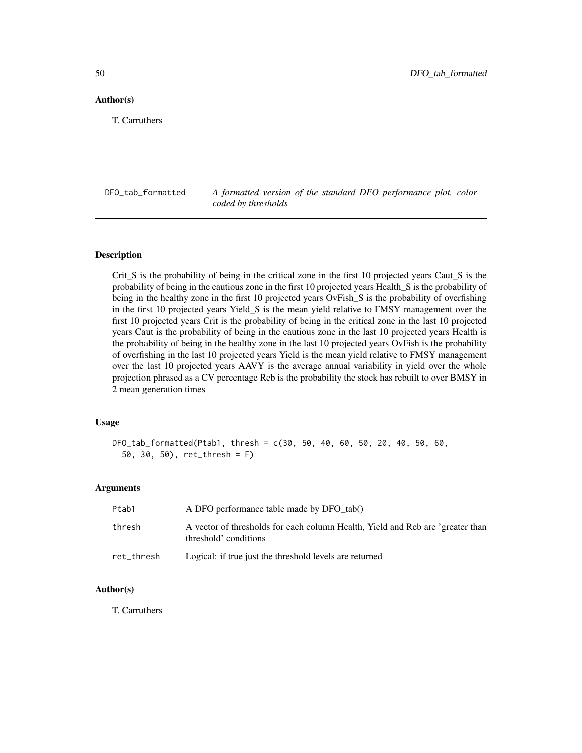### Author(s)

T. Carruthers

DFO\_tab\_formatted *A formatted version of the standard DFO performance plot, color coded by thresholds*

#### Description

Crit\_S is the probability of being in the critical zone in the first 10 projected years Caut\_S is the probability of being in the cautious zone in the first 10 projected years Health\_S is the probability of being in the healthy zone in the first 10 projected years OvFish\_S is the probability of overfishing in the first 10 projected years Yield\_S is the mean yield relative to FMSY management over the first 10 projected years Crit is the probability of being in the critical zone in the last 10 projected years Caut is the probability of being in the cautious zone in the last 10 projected years Health is the probability of being in the healthy zone in the last 10 projected years OvFish is the probability of overfishing in the last 10 projected years Yield is the mean yield relative to FMSY management over the last 10 projected years AAVY is the average annual variability in yield over the whole projection phrased as a CV percentage Reb is the probability the stock has rebuilt to over BMSY in 2 mean generation times

# Usage

```
DFO_tab_formatted(Ptab1, thresh = c(30, 50, 40, 60, 50, 20, 40, 50, 60,
  50, 30, 50), ret_thresh = F)
```
#### Arguments

| Ptab1      | A DFO performance table made by DFO tab()                                                               |
|------------|---------------------------------------------------------------------------------------------------------|
| thresh     | A vector of thresholds for each column Health, Yield and Reb are 'greater than<br>threshold' conditions |
| ret_thresh | Logical: if true just the threshold levels are returned                                                 |

### Author(s)

T. Carruthers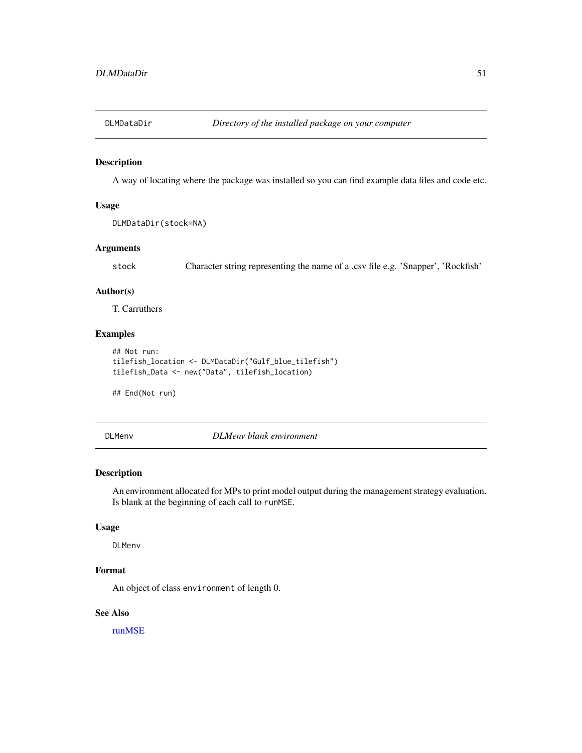A way of locating where the package was installed so you can find example data files and code etc.

### Usage

DLMDataDir(stock=NA)

### Arguments

stock Character string representing the name of a .csv file e.g. 'Snapper', 'Rockfish'

### Author(s)

T. Carruthers

# Examples

```
## Not run:
tilefish_location <- DLMDataDir("Gulf_blue_tilefish")
tilefish_Data <- new("Data", tilefish_location)
```
## End(Not run)

DLMenv *DLMenv blank environment*

### Description

An environment allocated for MPs to print model output during the management strategy evaluation. Is blank at the beginning of each call to runMSE.

# Usage

DLMenv

# Format

An object of class environment of length 0.

### See Also

[runMSE](#page-166-0)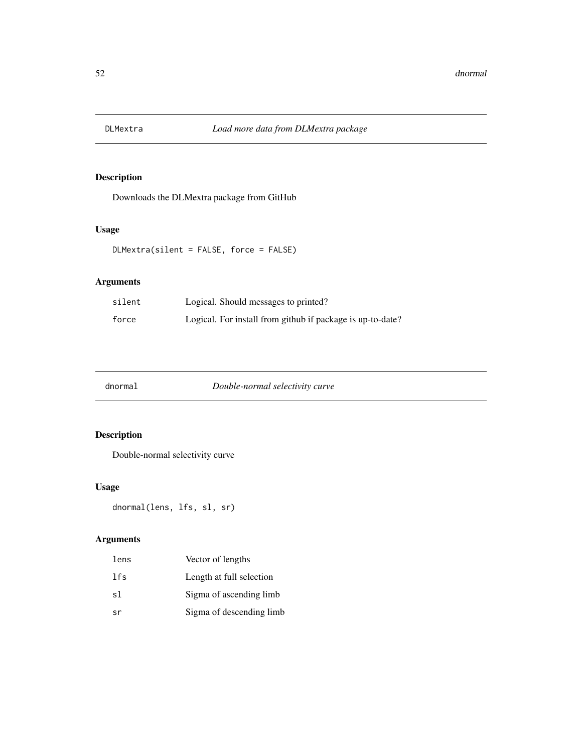Downloads the DLMextra package from GitHub

# Usage

DLMextra(silent = FALSE, force = FALSE)

# Arguments

| silent | Logical. Should messages to printed?                       |
|--------|------------------------------------------------------------|
| force  | Logical. For install from github if package is up-to-date? |

dnormal *Double-normal selectivity curve*

# Description

Double-normal selectivity curve

# Usage

dnormal(lens, lfs, sl, sr)

# Arguments

| lens | Vector of lengths        |
|------|--------------------------|
| lfs  | Length at full selection |
| s1   | Sigma of ascending limb  |
| sr   | Sigma of descending limb |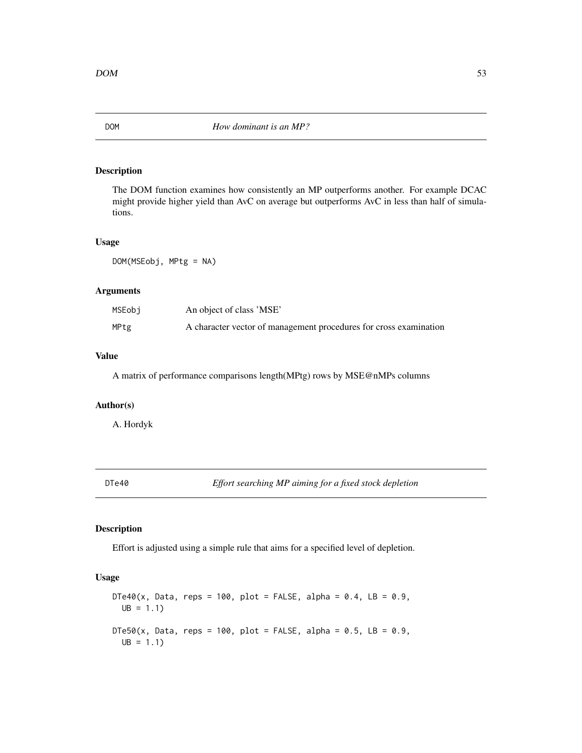The DOM function examines how consistently an MP outperforms another. For example DCAC might provide higher yield than AvC on average but outperforms AvC in less than half of simulations.

### Usage

DOM(MSEobj, MPtg = NA)

### Arguments

| MSEobi | An object of class 'MSE'                                          |
|--------|-------------------------------------------------------------------|
| MPtg   | A character vector of management procedures for cross examination |

# Value

A matrix of performance comparisons length(MPtg) rows by MSE@nMPs columns

# Author(s)

A. Hordyk

DTe40 *Effort searching MP aiming for a fixed stock depletion*

# Description

Effort is adjusted using a simple rule that aims for a specified level of depletion.

### Usage

```
DTe40(x, Data, reps = 100, plot = FALSE, alpha = 0.4, LB = 0.9,UB = 1.1DTe50(x, Data, reps = 100, plot = FALSE, alpha = 0.5, LB = 0.9,UB = 1.1
```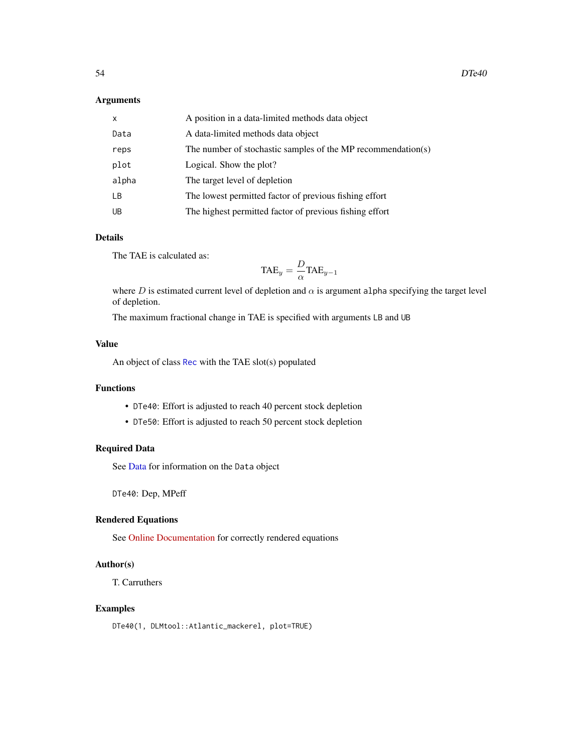# Arguments

| $\mathsf{x}$ | A position in a data-limited methods data object             |
|--------------|--------------------------------------------------------------|
| Data         | A data-limited methods data object                           |
| reps         | The number of stochastic samples of the MP recommendation(s) |
| plot         | Logical. Show the plot?                                      |
| alpha        | The target level of depletion                                |
| LB.          | The lowest permitted factor of previous fishing effort       |
| UB           | The highest permitted factor of previous fishing effort      |

# Details

The TAE is calculated as:

$$
\text{TAE}_y = \frac{D}{\alpha} \text{TAE}_{y-1}
$$

where D is estimated current level of depletion and  $\alpha$  is argument alpha specifying the target level of depletion.

The maximum fractional change in TAE is specified with arguments LB and UB

# Value

An object of class [Rec](#page-159-0) with the TAE slot(s) populated

# Functions

- DTe40: Effort is adjusted to reach 40 percent stock depletion
- DTe50: Effort is adjusted to reach 50 percent stock depletion

# Required Data

See [Data](#page-29-0) for information on the Data object

DTe40: Dep, MPeff

# Rendered Equations

See [Online Documentation](https://dlmtool.github.io/DLMtool/reference/DTe40.html) for correctly rendered equations

# Author(s)

T. Carruthers

### Examples

DTe40(1, DLMtool::Atlantic\_mackerel, plot=TRUE)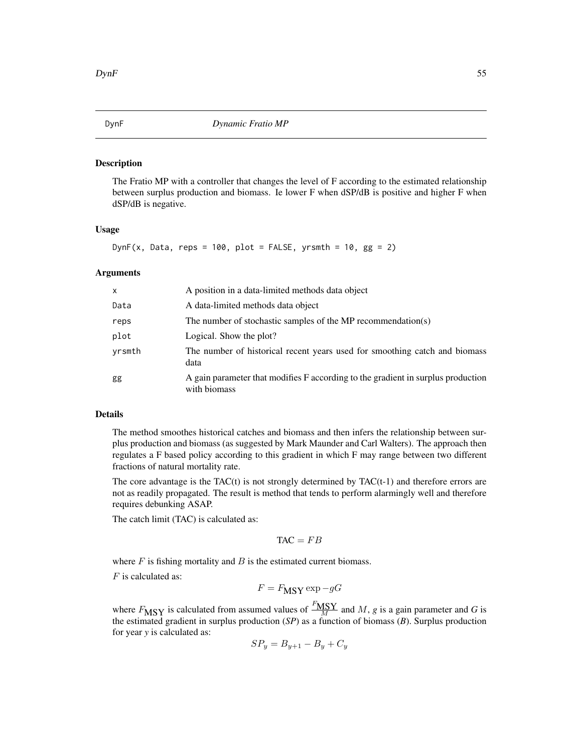The Fratio MP with a controller that changes the level of F according to the estimated relationship between surplus production and biomass. Ie lower F when dSP/dB is positive and higher F when dSP/dB is negative.

# Usage

DynF(x, Data, reps =  $100$ , plot = FALSE, yrsmth =  $10$ , gg = 2)

#### Arguments

| X      | A position in a data-limited methods data object                                                 |
|--------|--------------------------------------------------------------------------------------------------|
| Data   | A data-limited methods data object                                                               |
| reps   | The number of stochastic samples of the MP recommendation(s)                                     |
| plot   | Logical. Show the plot?                                                                          |
| yrsmth | The number of historical recent years used for smoothing catch and biomass<br>data               |
| gg     | A gain parameter that modifies F according to the gradient in surplus production<br>with biomass |

### Details

The method smoothes historical catches and biomass and then infers the relationship between surplus production and biomass (as suggested by Mark Maunder and Carl Walters). The approach then regulates a F based policy according to this gradient in which F may range between two different fractions of natural mortality rate.

The core advantage is the  $TAC(t)$  is not strongly determined by  $TAC(t-1)$  and therefore errors are not as readily propagated. The result is method that tends to perform alarmingly well and therefore requires debunking ASAP.

The catch limit (TAC) is calculated as:

$$
TAC = FB
$$

where  $F$  is fishing mortality and  $B$  is the estimated current biomass.

 $F$  is calculated as:

$$
F = F_{\text{MSY}} \exp{-gG}
$$

where  $F_{\text{MSY}}$  is calculated from assumed values of  $\frac{F_{\text{MSY}}}{M}$  and M, *g* is a gain parameter and *G* is the estimated gradient in surplus production (*SP*) as a function of biomass (*B*). Surplus production for year *y* is calculated as:

$$
SP_y = B_{y+1} - B_y + C_y
$$

<span id="page-54-0"></span>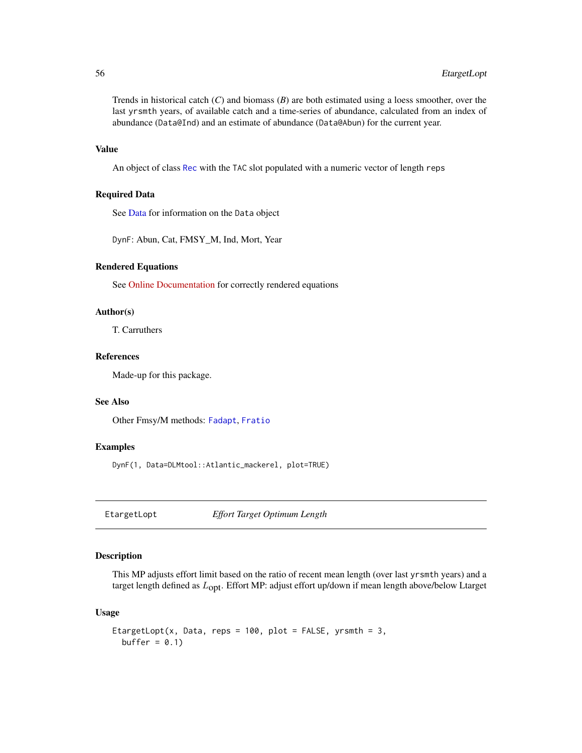Trends in historical catch (*C*) and biomass (*B*) are both estimated using a loess smoother, over the last yrsmth years, of available catch and a time-series of abundance, calculated from an index of abundance (Data@Ind) and an estimate of abundance (Data@Abun) for the current year.

### Value

An object of class [Rec](#page-159-0) with the TAC slot populated with a numeric vector of length reps

# Required Data

See [Data](#page-29-0) for information on the Data object

DynF: Abun, Cat, FMSY\_M, Ind, Mort, Year

# Rendered Equations

See [Online Documentation](https://dlmtool.github.io/DLMtool/reference/DynF.html) for correctly rendered equations

# Author(s)

T. Carruthers

# References

Made-up for this package.

# See Also

Other Fmsy/M methods: [Fadapt](#page-57-0), [Fratio](#page-66-0)

#### Examples

DynF(1, Data=DLMtool::Atlantic\_mackerel, plot=TRUE)

EtargetLopt *Effort Target Optimum Length*

### Description

This MP adjusts effort limit based on the ratio of recent mean length (over last yrsmth years) and a target length defined as  $L_{\text{opt}}$ . Effort MP: adjust effort up/down if mean length above/below Ltarget

### Usage

```
EtargetLopt(x, Data, reps = 100, plot = FALSE, yrsmth = 3,
 buffer = 0.1)
```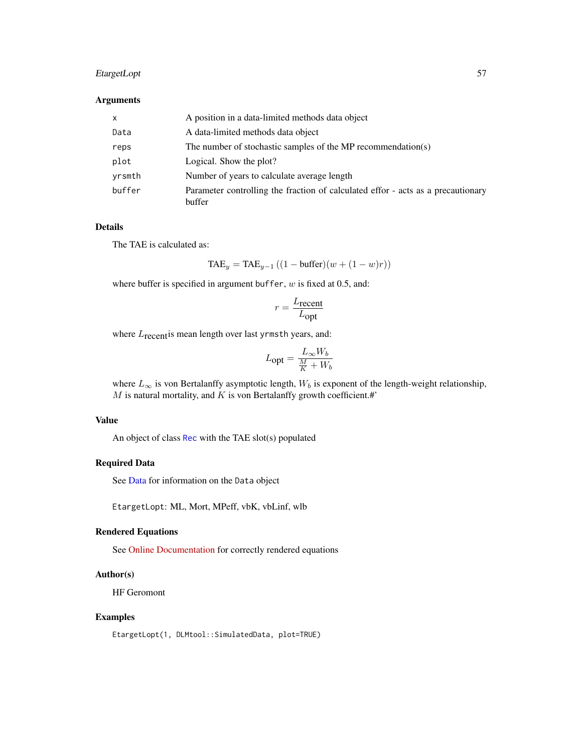# EtargetLopt 57

### Arguments

| $\times$ | A position in a data-limited methods data object                                           |
|----------|--------------------------------------------------------------------------------------------|
| Data     | A data-limited methods data object                                                         |
| reps     | The number of stochastic samples of the MP recommendation(s)                               |
| plot     | Logical. Show the plot?                                                                    |
| yrsmth   | Number of years to calculate average length                                                |
| buffer   | Parameter controlling the fraction of calculated effor - acts as a precautionary<br>buffer |

### Details

The TAE is calculated as:

$$
TAE_y = TAE_{y-1} ((1 - \text{buffer})(w + (1 - w)r))
$$

where buffer is specified in argument buffer,  $w$  is fixed at 0.5, and:

$$
r = \frac{L_{\text{recent}}}{L_{\text{opt}}}
$$

where  $L_{\text{recent}}$  is mean length over last yrmsth years, and:

$$
L_{\text{opt}} = \frac{L_{\infty}W_b}{\frac{M}{K}+W_b}
$$

where  $L_{\infty}$  is von Bertalanffy asymptotic length,  $W_b$  is exponent of the length-weight relationship,  $M$  is natural mortality, and  $K$  is von Bertalanffy growth coefficient.#'

# Value

An object of class [Rec](#page-159-0) with the TAE slot(s) populated

# Required Data

See [Data](#page-29-0) for information on the Data object

EtargetLopt: ML, Mort, MPeff, vbK, vbLinf, wlb

#### Rendered Equations

See [Online Documentation](https://dlmtool.github.io/DLMtool/reference/EtargetLopt.html) for correctly rendered equations

# Author(s)

HF Geromont

# Examples

EtargetLopt(1, DLMtool::SimulatedData, plot=TRUE)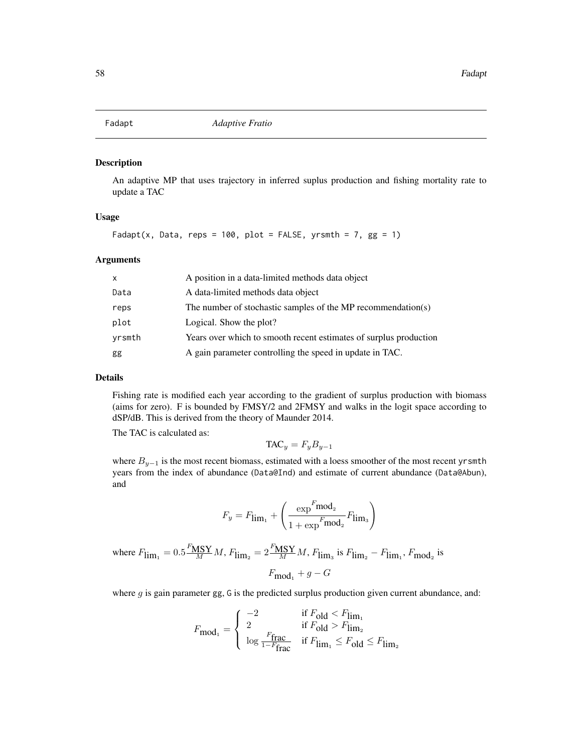<span id="page-57-0"></span>

An adaptive MP that uses trajectory in inferred suplus production and fishing mortality rate to update a TAC

### Usage

Fadapt(x, Data, reps = 100, plot = FALSE, yrsmth = 7,  $gg = 1$ )

### Arguments

| X      | A position in a data-limited methods data object                  |
|--------|-------------------------------------------------------------------|
| Data   | A data-limited methods data object                                |
| reps   | The number of stochastic samples of the MP recommendation(s)      |
| plot   | Logical. Show the plot?                                           |
| yrsmth | Years over which to smooth recent estimates of surplus production |
| gg     | A gain parameter controlling the speed in update in TAC.          |

### Details

Fishing rate is modified each year according to the gradient of surplus production with biomass (aims for zero). F is bounded by FMSY/2 and 2FMSY and walks in the logit space according to dSP/dB. This is derived from the theory of Maunder 2014.

The TAC is calculated as:

$$
\mathrm{TAC}_y = F_y B_{y-1}
$$

where  $B_{y-1}$  is the most recent biomass, estimated with a loess smoother of the most recent yrsmth years from the index of abundance (Data@Ind) and estimate of current abundance (Data@Abun), and

$$
F_y = F_{\lim_1} + \left(\frac{\exp^F\!\text{mod}_2}{1 + \exp^F\!\text{mod}_2}F_{\lim_3}\right)
$$

where 
$$
F_{\lim_1} = 0.5 \frac{F_{\text{MSY}}}{M} M
$$
,  $F_{\lim_2} = 2 \frac{F_{\text{MSY}}}{M} M$ ,  $F_{\lim_3}$  is  $F_{\lim_2} - F_{\lim_1}$ ,  $F_{\text{mod}_2}$  is  
 $F_{\text{mod}_1} + g - G$ 

where g is gain parameter gg, G is the predicted surplus production given current abundance, and:

$$
F_{\text{mod}_1} = \begin{cases} -2 & \text{if } F_{\text{old}} < F_{\text{lim}_1} \\ 2 & \text{if } F_{\text{old}} > F_{\text{lim}_2} \\ \log \frac{F_{\text{frac}}}{1 - F_{\text{frac}}} & \text{if } F_{\text{lim}_1} \le F_{\text{old}} \le F_{\text{lim}_2} \end{cases}
$$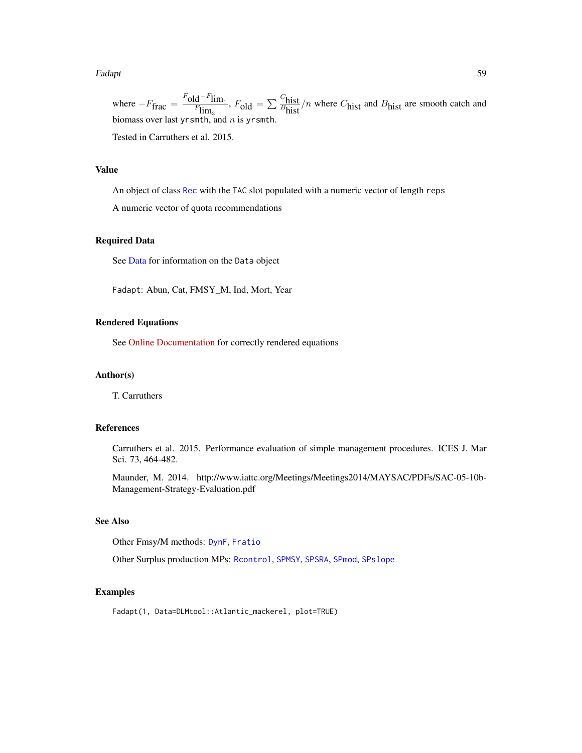#### Fadapt 59 September 2014 and 2014 and 2014 and 2014 and 2014 and 2014 and 2014 and 2014 and 2014 and 2014 and 2014 and 2014 and 2014 and 2014 and 2014 and 2014 and 2014 and 2014 and 2014 and 2014 and 2014 and 2014 and 2014

where  $-F_{\text{frac}} = \frac{F_{\text{old}} - F_{\text{lim}_1}}{F_{\text{lim}_3}}$ ,  $F_{\text{old}} = \sum \frac{C_{\text{hist}}}{F_{\text{hist}}}$  $\frac{\text{m}_{\text{B}}}{B_{\text{hist}}}/n$  where  $C_{\text{hist}}$  and  $B_{\text{hist}}$  are smooth catch and biomass over last yrsmth, and  $n$  is yrsmth.

Tested in Carruthers et al. 2015.

#### Value

An object of class [Rec](#page-159-0) with the TAC slot populated with a numeric vector of length reps

A numeric vector of quota recommendations

### Required Data

See [Data](#page-29-0) for information on the Data object

Fadapt: Abun, Cat, FMSY\_M, Ind, Mort, Year

### Rendered Equations

See [Online Documentation](https://dlmtool.github.io/DLMtool/reference/Fadapt.html) for correctly rendered equations

### Author(s)

T. Carruthers

# References

Carruthers et al. 2015. Performance evaluation of simple management procedures. ICES J. Mar Sci. 73, 464-482.

Maunder, M. 2014. http://www.iattc.org/Meetings/Meetings2014/MAYSAC/PDFs/SAC-05-10b-Management-Strategy-Evaluation.pdf

#### See Also

Other Fmsy/M methods: [DynF](#page-54-0), [Fratio](#page-66-0)

Other Surplus production MPs: [Rcontrol](#page-156-0), [SPMSY](#page-176-0), [SPSRA](#page-179-0), [SPmod](#page-174-0), [SPslope](#page-177-0)

### Examples

Fadapt(1, Data=DLMtool::Atlantic\_mackerel, plot=TRUE)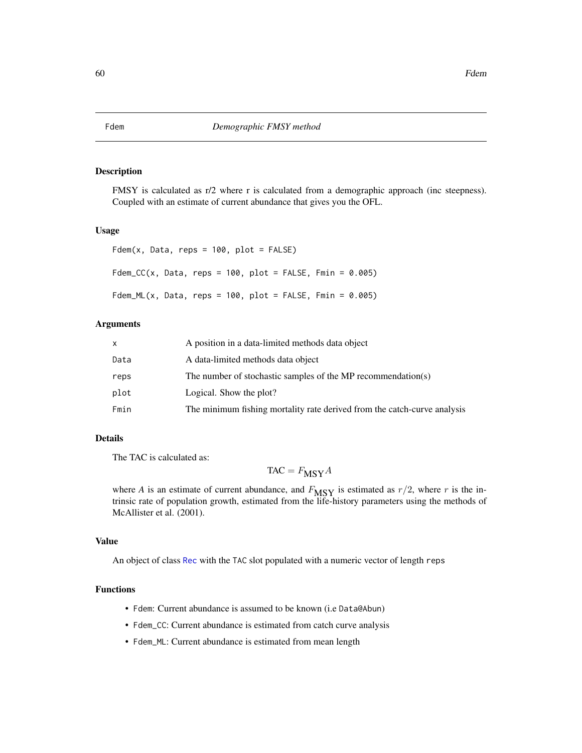FMSY is calculated as r/2 where r is calculated from a demographic approach (inc steepness). Coupled with an estimate of current abundance that gives you the OFL.

### Usage

```
Fdem(x, Data, reps = 100, plot = FALSE)Fdem_CC(x, Data, reps = 100, plot = FALSE, Fmin = 0.005)Fdem_ML(x, Data, reps = 100, plot = FALSE, Fmin = 0.005)
```
# Arguments

|      | A position in a data-limited methods data object                         |
|------|--------------------------------------------------------------------------|
| Data | A data-limited methods data object                                       |
| reps | The number of stochastic samples of the MP recommendation(s)             |
| plot | Logical. Show the plot?                                                  |
| Fmin | The minimum fishing mortality rate derived from the catch-curve analysis |

# Details

The TAC is calculated as:

 $TAC = F_{MSY}A$ 

where *A* is an estimate of current abundance, and  $F_{\text{MSY}}$  is estimated as  $r/2$ , where *r* is the intrinsic rate of population growth, estimated from the life-history parameters using the methods of McAllister et al. (2001).

### Value

An object of class [Rec](#page-159-0) with the TAC slot populated with a numeric vector of length reps

### Functions

- Fdem: Current abundance is assumed to be known (i.e Data@Abun)
- Fdem\_CC: Current abundance is estimated from catch curve analysis
- Fdem\_ML: Current abundance is estimated from mean length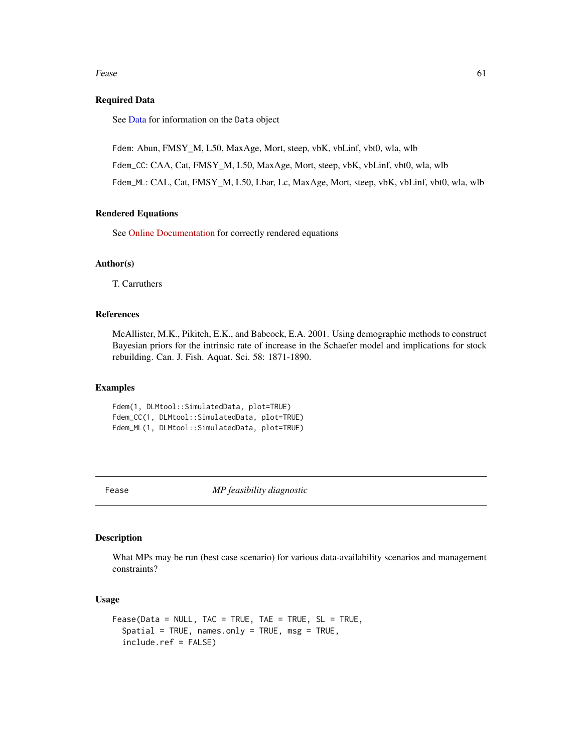#### Fease 61

### Required Data

See [Data](#page-29-0) for information on the Data object

Fdem: Abun, FMSY\_M, L50, MaxAge, Mort, steep, vbK, vbLinf, vbt0, wla, wlb

Fdem\_CC: CAA, Cat, FMSY\_M, L50, MaxAge, Mort, steep, vbK, vbLinf, vbt0, wla, wlb

Fdem\_ML: CAL, Cat, FMSY\_M, L50, Lbar, Lc, MaxAge, Mort, steep, vbK, vbLinf, vbt0, wla, wlb

# Rendered Equations

See [Online Documentation](https://dlmtool.github.io/DLMtool/reference/Fdem.html) for correctly rendered equations

### Author(s)

T. Carruthers

# References

McAllister, M.K., Pikitch, E.K., and Babcock, E.A. 2001. Using demographic methods to construct Bayesian priors for the intrinsic rate of increase in the Schaefer model and implications for stock rebuilding. Can. J. Fish. Aquat. Sci. 58: 1871-1890.

# Examples

Fdem(1, DLMtool::SimulatedData, plot=TRUE) Fdem\_CC(1, DLMtool::SimulatedData, plot=TRUE) Fdem\_ML(1, DLMtool::SimulatedData, plot=TRUE)

Fease *MP feasibility diagnostic*

### Description

What MPs may be run (best case scenario) for various data-availability scenarios and management constraints?

# Usage

```
Fease(Data = NULL, TAC = TRUE, TAE = TRUE, SL = TRUE,
  Spatial = TRUE, names-only = TRUE, msg = TRUE,include.ref = FALSE)
```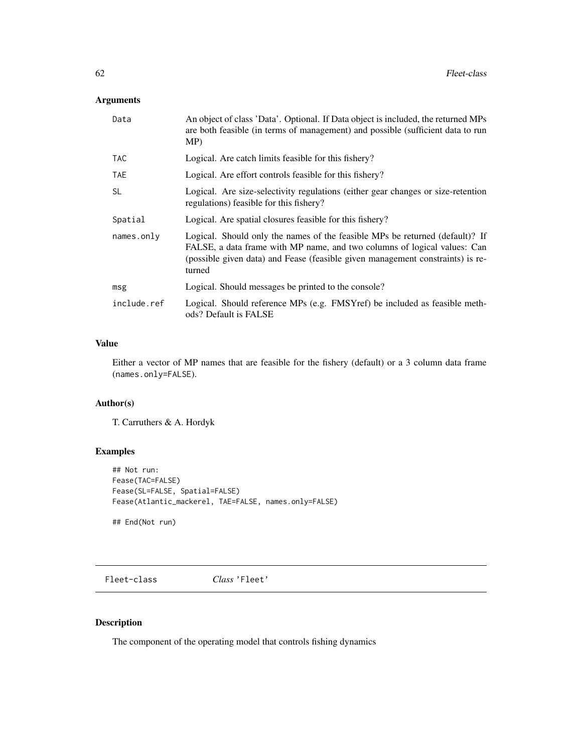# Arguments

| An object of class 'Data'. Optional. If Data object is included, the returned MPs<br>are both feasible (in terms of management) and possible (sufficient data to run<br>MP)                                                                          |
|------------------------------------------------------------------------------------------------------------------------------------------------------------------------------------------------------------------------------------------------------|
| Logical. Are catch limits feasible for this fishery?                                                                                                                                                                                                 |
| Logical. Are effort controls feasible for this fishery?                                                                                                                                                                                              |
| Logical. Are size-selectivity regulations (either gear changes or size-retention<br>regulations) feasible for this fishery?                                                                                                                          |
| Logical. Are spatial closures feasible for this fishery?                                                                                                                                                                                             |
| Logical. Should only the names of the feasible MPs be returned (default)? If<br>FALSE, a data frame with MP name, and two columns of logical values: Can<br>(possible given data) and Fease (feasible given management constraints) is re-<br>turned |
| Logical. Should messages be printed to the console?                                                                                                                                                                                                  |
| Logical. Should reference MPs (e.g. FMSYref) be included as feasible meth-<br>ods? Default is FALSE                                                                                                                                                  |
|                                                                                                                                                                                                                                                      |

# Value

Either a vector of MP names that are feasible for the fishery (default) or a 3 column data frame (names.only=FALSE).

# Author(s)

T. Carruthers & A. Hordyk

# Examples

```
## Not run:
Fease(TAC=FALSE)
Fease(SL=FALSE, Spatial=FALSE)
Fease(Atlantic_mackerel, TAE=FALSE, names.only=FALSE)
```
## End(Not run)

Fleet-class *Class* 'Fleet'

# Description

The component of the operating model that controls fishing dynamics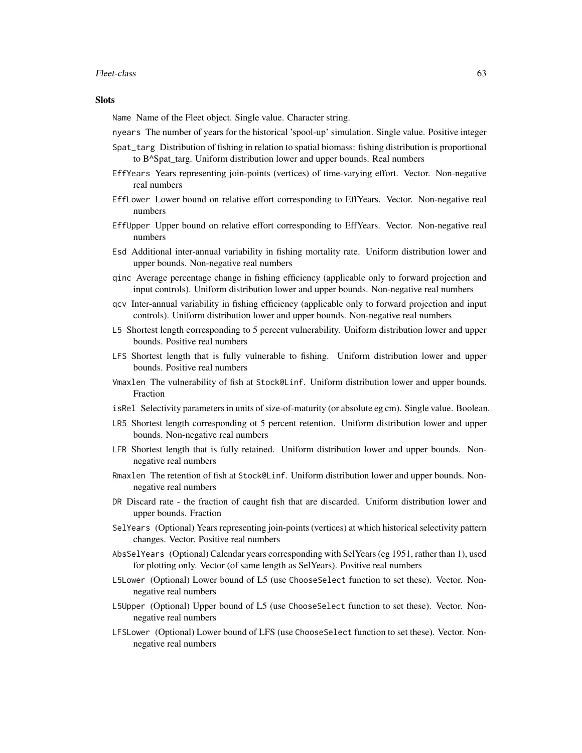#### Fleet-class 63

### **Slots**

Name Name of the Fleet object. Single value. Character string.

nyears The number of years for the historical 'spool-up' simulation. Single value. Positive integer

- Spat\_targ Distribution of fishing in relation to spatial biomass: fishing distribution is proportional to B^Spat\_targ. Uniform distribution lower and upper bounds. Real numbers
- EffYears Years representing join-points (vertices) of time-varying effort. Vector. Non-negative real numbers
- EffLower Lower bound on relative effort corresponding to EffYears. Vector. Non-negative real numbers
- EffUpper Upper bound on relative effort corresponding to EffYears. Vector. Non-negative real numbers
- Esd Additional inter-annual variability in fishing mortality rate. Uniform distribution lower and upper bounds. Non-negative real numbers
- qinc Average percentage change in fishing efficiency (applicable only to forward projection and input controls). Uniform distribution lower and upper bounds. Non-negative real numbers
- qcv Inter-annual variability in fishing efficiency (applicable only to forward projection and input controls). Uniform distribution lower and upper bounds. Non-negative real numbers
- L5 Shortest length corresponding to 5 percent vulnerability. Uniform distribution lower and upper bounds. Positive real numbers
- LFS Shortest length that is fully vulnerable to fishing. Uniform distribution lower and upper bounds. Positive real numbers
- Vmaxlen The vulnerability of fish at Stock@Linf. Uniform distribution lower and upper bounds. Fraction
- isRel Selectivity parameters in units of size-of-maturity (or absolute eg cm). Single value. Boolean.
- LR5 Shortest length corresponding ot 5 percent retention. Uniform distribution lower and upper bounds. Non-negative real numbers
- LFR Shortest length that is fully retained. Uniform distribution lower and upper bounds. Nonnegative real numbers
- Rmaxlen The retention of fish at Stock@Linf. Uniform distribution lower and upper bounds. Nonnegative real numbers
- DR Discard rate the fraction of caught fish that are discarded. Uniform distribution lower and upper bounds. Fraction
- SelYears (Optional) Years representing join-points (vertices) at which historical selectivity pattern changes. Vector. Positive real numbers
- AbsSelYears (Optional) Calendar years corresponding with SelYears (eg 1951, rather than 1), used for plotting only. Vector (of same length as SelYears). Positive real numbers
- L5Lower (Optional) Lower bound of L5 (use ChooseSelect function to set these). Vector. Nonnegative real numbers
- L5Upper (Optional) Upper bound of L5 (use ChooseSelect function to set these). Vector. Nonnegative real numbers
- LFSLower (Optional) Lower bound of LFS (use ChooseSelect function to set these). Vector. Nonnegative real numbers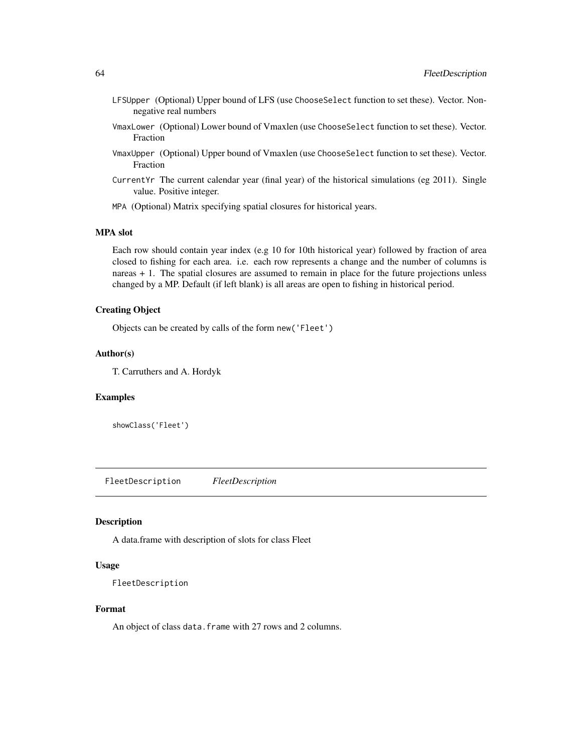- LFSUpper (Optional) Upper bound of LFS (use ChooseSelect function to set these). Vector. Nonnegative real numbers
- VmaxLower (Optional) Lower bound of Vmaxlen (use ChooseSelect function to set these). Vector. Fraction
- VmaxUpper (Optional) Upper bound of Vmaxlen (use ChooseSelect function to set these). Vector. Fraction
- CurrentYr The current calendar year (final year) of the historical simulations (eg 2011). Single value. Positive integer.
- MPA (Optional) Matrix specifying spatial closures for historical years.

### MPA slot

Each row should contain year index (e.g 10 for 10th historical year) followed by fraction of area closed to fishing for each area. i.e. each row represents a change and the number of columns is nareas + 1. The spatial closures are assumed to remain in place for the future projections unless changed by a MP. Default (if left blank) is all areas are open to fishing in historical period.

# Creating Object

Objects can be created by calls of the form new('Fleet')

#### Author(s)

T. Carruthers and A. Hordyk

# Examples

showClass('Fleet')

FleetDescription *FleetDescription*

### Description

A data.frame with description of slots for class Fleet

### Usage

FleetDescription

### Format

An object of class data. frame with 27 rows and 2 columns.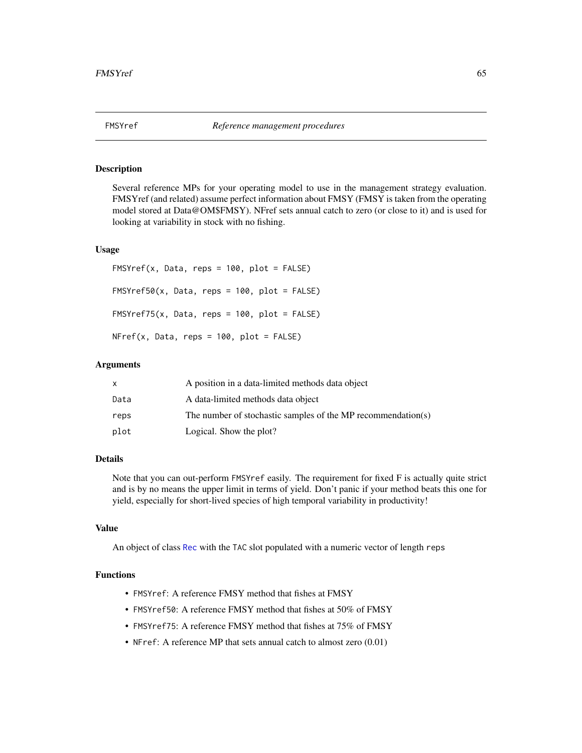Several reference MPs for your operating model to use in the management strategy evaluation. FMSYref (and related) assume perfect information about FMSY (FMSY is taken from the operating model stored at Data@OM\$FMSY). NFref sets annual catch to zero (or close to it) and is used for looking at variability in stock with no fishing.

### Usage

 $FMSYref(x, Data, reps = 100, plot = FALSE)$  $FMSYref50(x, Data, reps = 100, plot = FALSE)$  $FMSYref75(x, Data, reps = 100, plot = FALSE)$  $NFref(x, Data, reps = 100, plot = FALSE)$ 

### Arguments

|      | A position in a data-limited methods data object             |
|------|--------------------------------------------------------------|
| Data | A data-limited methods data object                           |
| reps | The number of stochastic samples of the MP recommendation(s) |
| plot | Logical. Show the plot?                                      |

#### Details

Note that you can out-perform FMSYref easily. The requirement for fixed F is actually quite strict and is by no means the upper limit in terms of yield. Don't panic if your method beats this one for yield, especially for short-lived species of high temporal variability in productivity!

### Value

An object of class [Rec](#page-159-0) with the TAC slot populated with a numeric vector of length reps

### Functions

- FMSYref: A reference FMSY method that fishes at FMSY
- FMSYref50: A reference FMSY method that fishes at 50% of FMSY
- FMSYref75: A reference FMSY method that fishes at 75% of FMSY
- NFref: A reference MP that sets annual catch to almost zero  $(0.01)$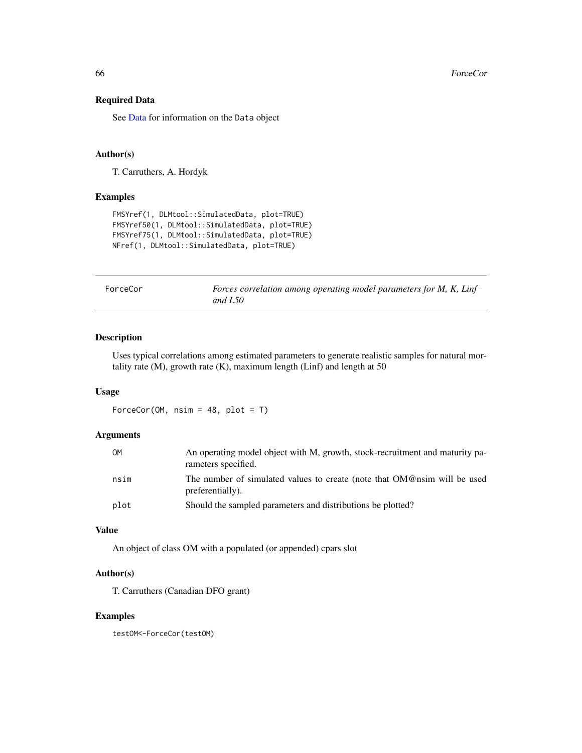# Required Data

See [Data](#page-29-0) for information on the Data object

#### Author(s)

T. Carruthers, A. Hordyk

### Examples

```
FMSYref(1, DLMtool::SimulatedData, plot=TRUE)
FMSYref50(1, DLMtool::SimulatedData, plot=TRUE)
FMSYref75(1, DLMtool::SimulatedData, plot=TRUE)
NFref(1, DLMtool::SimulatedData, plot=TRUE)
```
ForceCor *Forces correlation among operating model parameters for M, K, Linf and L50*

# Description

Uses typical correlations among estimated parameters to generate realistic samples for natural mortality rate  $(M)$ , growth rate  $(K)$ , maximum length  $(Linf)$  and length at 50

### Usage

```
ForceCor(OM, nsim = 48, plot = T)
```
### Arguments

| 0M   | An operating model object with M, growth, stock-recruitment and maturity pa-<br>rameters specified. |
|------|-----------------------------------------------------------------------------------------------------|
| nsim | The number of simulated values to create (note that OM@nsim will be used<br>preferentially).        |
| plot | Should the sampled parameters and distributions be plotted?                                         |

### Value

An object of class OM with a populated (or appended) cpars slot

### Author(s)

T. Carruthers (Canadian DFO grant)

### Examples

testOM<-ForceCor(testOM)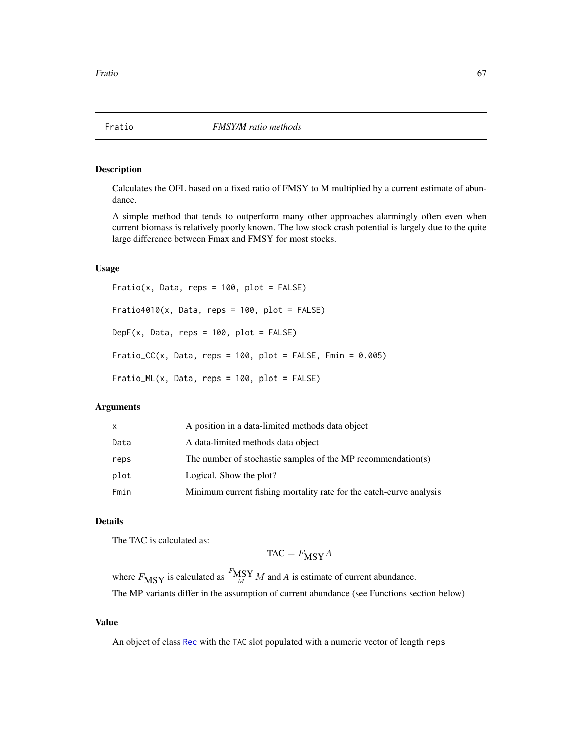<span id="page-66-0"></span>

Calculates the OFL based on a fixed ratio of FMSY to M multiplied by a current estimate of abundance.

A simple method that tends to outperform many other approaches alarmingly often even when current biomass is relatively poorly known. The low stock crash potential is largely due to the quite large difference between Fmax and FMSY for most stocks.

### Usage

Fratio(x, Data, reps = 100, plot = FALSE)  $Fratio4010(x, Data, reps = 100, plot = FALSE)$ DepF(x, Data, reps =  $100$ , plot = FALSE) Fratio\_CC(x, Data, reps =  $100$ , plot = FALSE, Fmin =  $0.005$ ) Fratio\_ML(x, Data, reps = 100, plot = FALSE)

# Arguments

| A data-limited methods data object<br>Data<br>The number of stochastic samples of the MP recommendation(s)<br>reps<br>plot<br>Logical. Show the plot?<br>Fmin | x | A position in a data-limited methods data object                    |
|---------------------------------------------------------------------------------------------------------------------------------------------------------------|---|---------------------------------------------------------------------|
|                                                                                                                                                               |   |                                                                     |
|                                                                                                                                                               |   |                                                                     |
|                                                                                                                                                               |   |                                                                     |
|                                                                                                                                                               |   | Minimum current fishing mortality rate for the catch-curve analysis |

# Details

The TAC is calculated as:

$$
TAC = F_{\text{MSY}}A
$$

where  $F_{\text{MSY}}$  is calculated as  $\frac{F_{\text{MSY}}}{M} M$  and A is estimate of current abundance. The MP variants differ in the assumption of current abundance (see Functions section below)

# Value

An object of class [Rec](#page-159-0) with the TAC slot populated with a numeric vector of length reps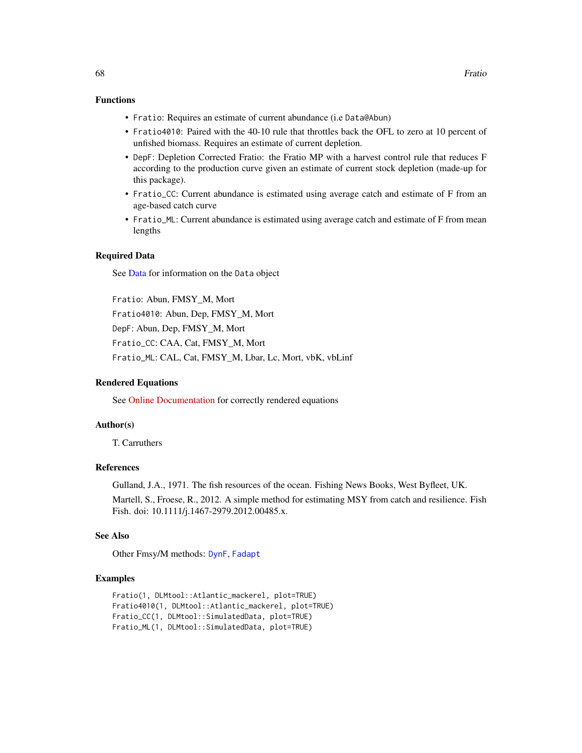# Functions

- Fratio: Requires an estimate of current abundance (i.e Data@Abun)
- Fratio4010: Paired with the 40-10 rule that throttles back the OFL to zero at 10 percent of unfished biomass. Requires an estimate of current depletion.
- DepF: Depletion Corrected Fratio: the Fratio MP with a harvest control rule that reduces F according to the production curve given an estimate of current stock depletion (made-up for this package).
- Fratio\_CC: Current abundance is estimated using average catch and estimate of F from an age-based catch curve
- Fratio\_ML: Current abundance is estimated using average catch and estimate of F from mean lengths

### Required Data

See [Data](#page-29-0) for information on the Data object

Fratio: Abun, FMSY\_M, Mort Fratio4010: Abun, Dep, FMSY\_M, Mort DepF: Abun, Dep, FMSY\_M, Mort Fratio\_CC: CAA, Cat, FMSY\_M, Mort Fratio\_ML: CAL, Cat, FMSY\_M, Lbar, Lc, Mort, vbK, vbLinf

# Rendered Equations

See [Online Documentation](https://dlmtool.github.io/DLMtool/reference/Fratio.html) for correctly rendered equations

### Author(s)

T. Carruthers

# References

Gulland, J.A., 1971. The fish resources of the ocean. Fishing News Books, West Byfleet, UK. Martell, S., Froese, R., 2012. A simple method for estimating MSY from catch and resilience. Fish Fish. doi: 10.1111/j.1467-2979.2012.00485.x.

#### See Also

Other Fmsy/M methods: [DynF](#page-54-0), [Fadapt](#page-57-0)

### Examples

```
Fratio(1, DLMtool::Atlantic_mackerel, plot=TRUE)
Fratio4010(1, DLMtool::Atlantic_mackerel, plot=TRUE)
Fratio_CC(1, DLMtool::SimulatedData, plot=TRUE)
Fratio_ML(1, DLMtool::SimulatedData, plot=TRUE)
```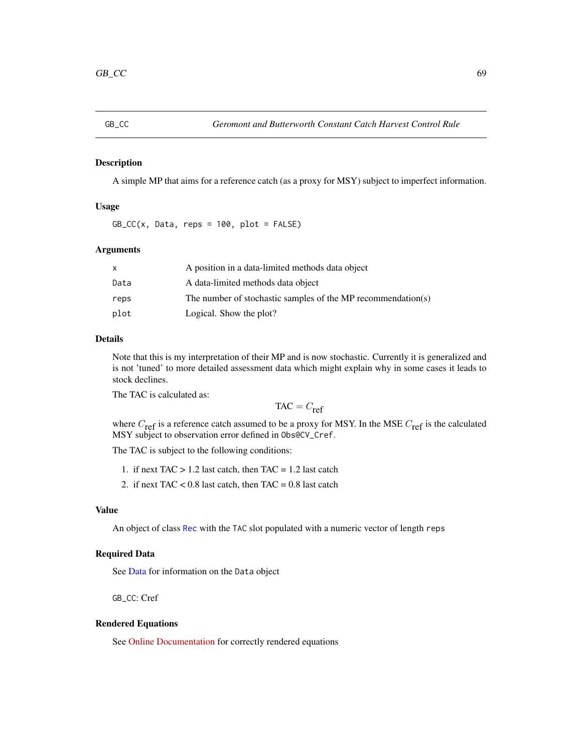A simple MP that aims for a reference catch (as a proxy for MSY) subject to imperfect information.

### Usage

 $GB\_CC(x, Data, reps = 100, plot = FALSE)$ 

# Arguments

|      | A position in a data-limited methods data object             |
|------|--------------------------------------------------------------|
| Data | A data-limited methods data object                           |
| reps | The number of stochastic samples of the MP recommendation(s) |
| plot | Logical. Show the plot?                                      |

### Details

Note that this is my interpretation of their MP and is now stochastic. Currently it is generalized and is not 'tuned' to more detailed assessment data which might explain why in some cases it leads to stock declines.

The TAC is calculated as:

$$
TAC = C_{ref}
$$

where  $C_{\text{ref}}$  is a reference catch assumed to be a proxy for MSY. In the MSE  $C_{\text{ref}}$  is the calculated MSY subject to observation error defined in Obs@CV\_Cref.

The TAC is subject to the following conditions:

- 1. if next  $TAC > 1.2$  last catch, then  $TAC = 1.2$  last catch
- 2. if next TAC  $< 0.8$  last catch, then TAC = 0.8 last catch

#### Value

An object of class [Rec](#page-159-0) with the TAC slot populated with a numeric vector of length reps

### Required Data

See [Data](#page-29-0) for information on the Data object

GB\_CC: Cref

#### Rendered Equations

See [Online Documentation](https://dlmtool.github.io/DLMtool/reference/GB_CC.html) for correctly rendered equations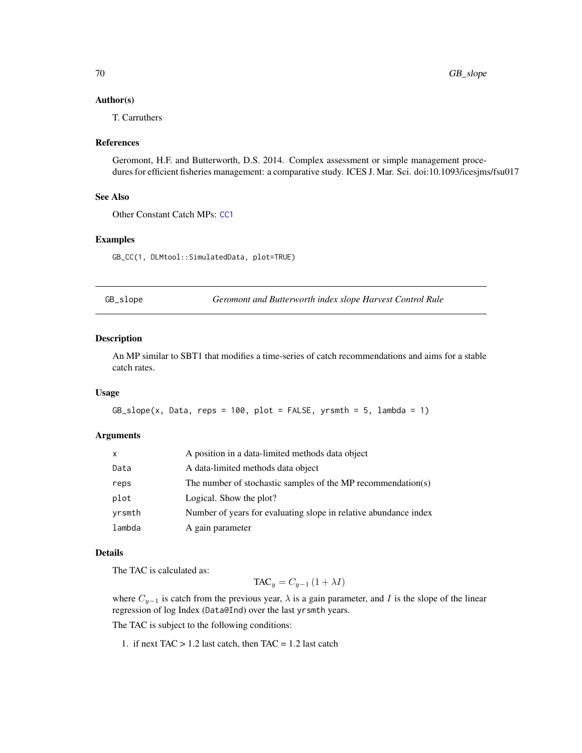### Author(s)

T. Carruthers

#### References

Geromont, H.F. and Butterworth, D.S. 2014. Complex assessment or simple management procedures for efficient fisheries management: a comparative study. ICES J. Mar. Sci. doi:10.1093/icesjms/fsu017

### See Also

Other Constant Catch MPs: [CC1](#page-17-0)

### Examples

GB\_CC(1, DLMtool::SimulatedData, plot=TRUE)

GB\_slope *Geromont and Butterworth index slope Harvest Control Rule*

#### Description

An MP similar to SBT1 that modifies a time-series of catch recommendations and aims for a stable catch rates.

#### Usage

```
GB\_slope(x, Data, reps = 100, plot = FALSE, yrsmth = 5, lambda = 1)
```
#### **Arguments**

| X      | A position in a data-limited methods data object                 |
|--------|------------------------------------------------------------------|
| Data   | A data-limited methods data object                               |
| reps   | The number of stochastic samples of the MP recommendation(s)     |
| plot   | Logical. Show the plot?                                          |
| yrsmth | Number of years for evaluating slope in relative abundance index |
| lambda | A gain parameter                                                 |

# Details

The TAC is calculated as:

 $TAC_y = C_{y-1} (1 + \lambda I)$ 

where  $C_{y-1}$  is catch from the previous year,  $\lambda$  is a gain parameter, and I is the slope of the linear regression of log Index (Data@Ind) over the last yrsmth years.

The TAC is subject to the following conditions:

1. if next  $TAC > 1.2$  last catch, then  $TAC = 1.2$  last catch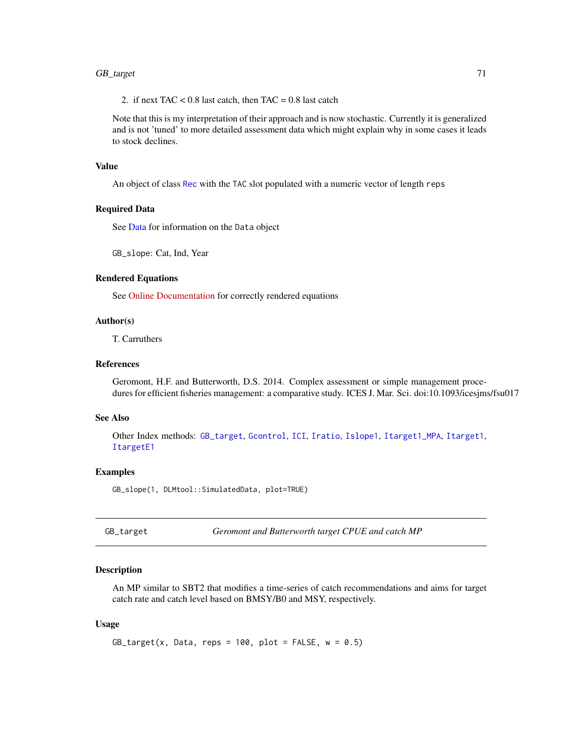# GB\_target 71

2. if next TAC  $< 0.8$  last catch, then TAC = 0.8 last catch

Note that this is my interpretation of their approach and is now stochastic. Currently it is generalized and is not 'tuned' to more detailed assessment data which might explain why in some cases it leads to stock declines.

### Value

An object of class [Rec](#page-159-0) with the TAC slot populated with a numeric vector of length reps

# Required Data

See [Data](#page-29-0) for information on the Data object

GB\_slope: Cat, Ind, Year

### Rendered Equations

See [Online Documentation](https://dlmtool.github.io/DLMtool/reference/GB_slope.html) for correctly rendered equations

### Author(s)

T. Carruthers

### References

Geromont, H.F. and Butterworth, D.S. 2014. Complex assessment or simple management procedures for efficient fisheries management: a comparative study. ICES J. Mar. Sci. doi:10.1093/icesjms/fsu017

# See Also

Other Index methods: [GB\\_target](#page-70-0), [Gcontrol](#page-72-0), [ICI](#page-80-0), [Iratio](#page-85-0), [Islope1](#page-86-0), [Itarget1\\_MPA](#page-92-0), [Itarget1](#page-90-0), [ItargetE1](#page-93-0)

#### Examples

GB\_slope(1, DLMtool::SimulatedData, plot=TRUE)

<span id="page-70-0"></span>GB\_target *Geromont and Butterworth target CPUE and catch MP*

# Description

An MP similar to SBT2 that modifies a time-series of catch recommendations and aims for target catch rate and catch level based on BMSY/B0 and MSY, respectively.

#### Usage

```
GB\_target(x, Data, reps = 100, plot = FALSE, w = 0.5)
```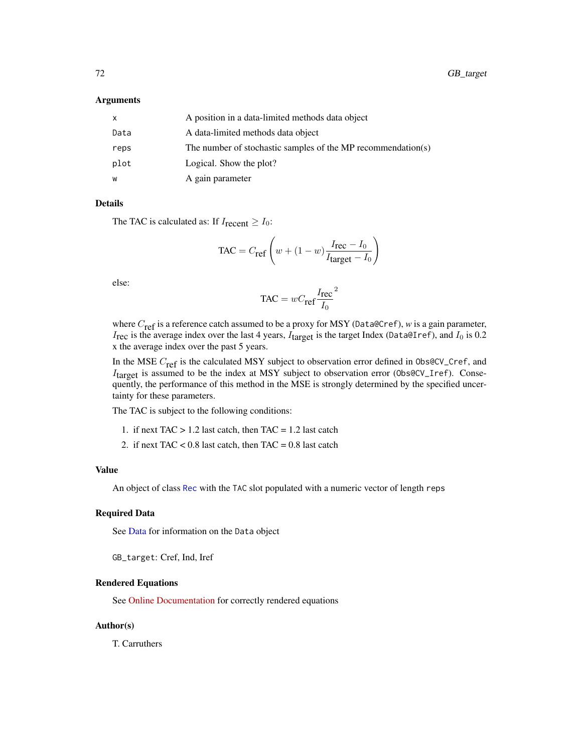#### Arguments

| x    | A position in a data-limited methods data object             |
|------|--------------------------------------------------------------|
| Data | A data-limited methods data object                           |
| reps | The number of stochastic samples of the MP recommendation(s) |
| plot | Logical. Show the plot?                                      |
| w    | A gain parameter                                             |

### Details

The TAC is calculated as: If  $I_{\text{recent}} \geq I_0$ :

$$
\text{TAC} = C_{\text{ref}} \left( w + (1 - w) \frac{I_{\text{rec}} - I_0}{I_{\text{target}} - I_0} \right)
$$

else:

$$
TAC = wC_{\text{ref}}\frac{I_{\text{rec}}}{I_0}^2
$$

where C<sub>ref</sub> is a reference catch assumed to be a proxy for MSY (Data@Cref), *w* is a gain parameter,  $I_{\text{rec}}$  is the average index over the last 4 years,  $I_{\text{target}}$  is the target Index (Data@Iref), and  $I_0$  is 0.2 x the average index over the past 5 years.

In the MSE  $C_{\text{ref}}$  is the calculated MSY subject to observation error defined in 0bs@CV\_Cref, and  $I<sub>target</sub>$  is assumed to be the index at MSY subject to observation error (0bs@CV\_Iref). Consequently, the performance of this method in the MSE is strongly determined by the specified uncertainty for these parameters.

The TAC is subject to the following conditions:

- 1. if next TAC  $> 1.2$  last catch, then TAC = 1.2 last catch
- 2. if next TAC <  $0.8$  last catch, then TAC =  $0.8$  last catch

### Value

An object of class [Rec](#page-159-0) with the TAC slot populated with a numeric vector of length reps

#### Required Data

See [Data](#page-29-0) for information on the Data object

GB\_target: Cref, Ind, Iref

### Rendered Equations

See [Online Documentation](https://dlmtool.github.io/DLMtool/reference/GB_target.html) for correctly rendered equations

### Author(s)

T. Carruthers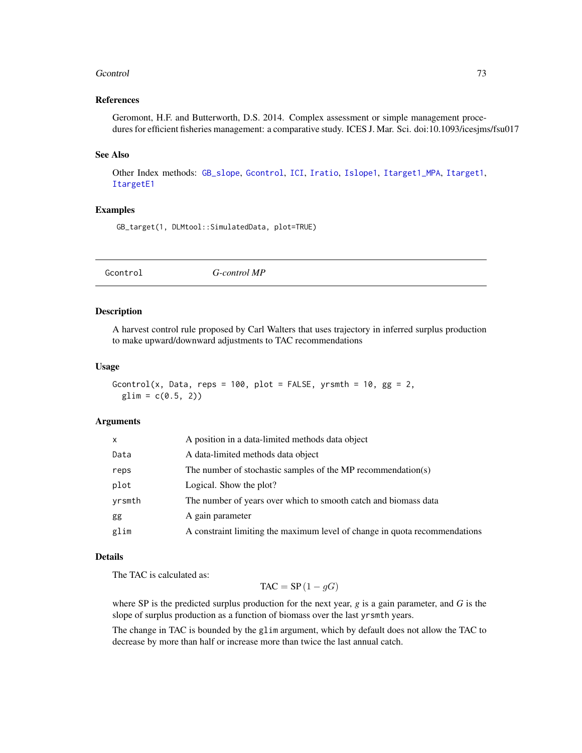#### Geontrol 73

### References

Geromont, H.F. and Butterworth, D.S. 2014. Complex assessment or simple management procedures for efficient fisheries management: a comparative study. ICES J. Mar. Sci. doi:10.1093/icesjms/fsu017

#### See Also

Other Index methods: [GB\\_slope](#page-69-0), [Gcontrol](#page-72-0), [ICI](#page-80-0), [Iratio](#page-85-0), [Islope1](#page-86-0), [Itarget1\\_MPA](#page-92-0), [Itarget1](#page-90-0), [ItargetE1](#page-93-0)

### Examples

GB\_target(1, DLMtool::SimulatedData, plot=TRUE)

<span id="page-72-0"></span>Gcontrol *G-control MP*

#### Description

A harvest control rule proposed by Carl Walters that uses trajectory in inferred surplus production to make upward/downward adjustments to TAC recommendations

#### Usage

```
Gcontrol(x, Data, reps = 100, plot = FALSE, yrsmth = 10, gg = 2,
 glim = c(0.5, 2)
```
#### Arguments

| x      | A position in a data-limited methods data object                           |
|--------|----------------------------------------------------------------------------|
| Data   | A data-limited methods data object                                         |
| reps   | The number of stochastic samples of the MP recommendation(s)               |
| plot   | Logical. Show the plot?                                                    |
| yrsmth | The number of years over which to smooth catch and biomass data            |
| gg     | A gain parameter                                                           |
| glim   | A constraint limiting the maximum level of change in quota recommendations |

### Details

The TAC is calculated as:

 $TAC = SP(1 - gG)$ 

where SP is the predicted surplus production for the next year, *g* is a gain parameter, and *G* is the slope of surplus production as a function of biomass over the last yrsmth years.

The change in TAC is bounded by the glim argument, which by default does not allow the TAC to decrease by more than half or increase more than twice the last annual catch.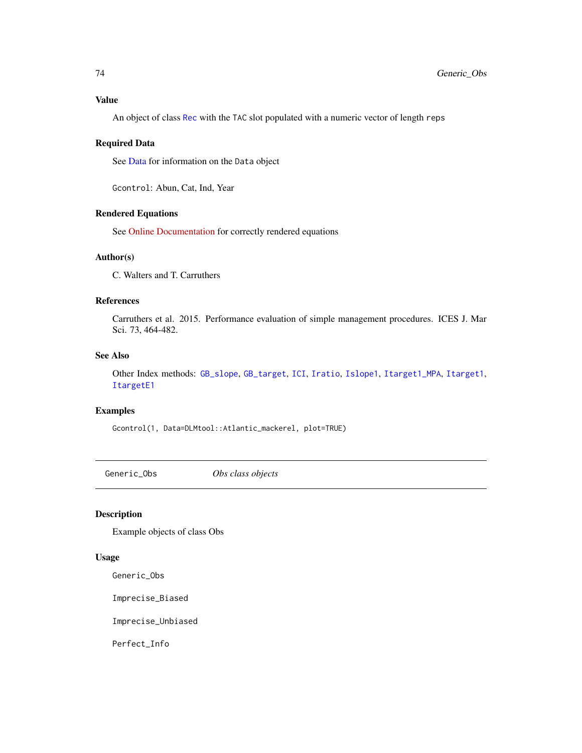## Value

An object of class [Rec](#page-159-0) with the TAC slot populated with a numeric vector of length reps

### Required Data

See [Data](#page-29-0) for information on the Data object

Gcontrol: Abun, Cat, Ind, Year

## Rendered Equations

See [Online Documentation](https://dlmtool.github.io/DLMtool/reference/Gcontrol.html) for correctly rendered equations

## Author(s)

C. Walters and T. Carruthers

#### References

Carruthers et al. 2015. Performance evaluation of simple management procedures. ICES J. Mar Sci. 73, 464-482.

# See Also

Other Index methods: [GB\\_slope](#page-69-0), [GB\\_target](#page-70-0), [ICI](#page-80-0), [Iratio](#page-85-0), [Islope1](#page-86-0), [Itarget1\\_MPA](#page-92-0), [Itarget1](#page-90-0), [ItargetE1](#page-93-0)

### Examples

Gcontrol(1, Data=DLMtool::Atlantic\_mackerel, plot=TRUE)

Generic\_Obs *Obs class objects*

### Description

Example objects of class Obs

### Usage

Generic\_Obs

Imprecise\_Biased

Imprecise\_Unbiased

Perfect\_Info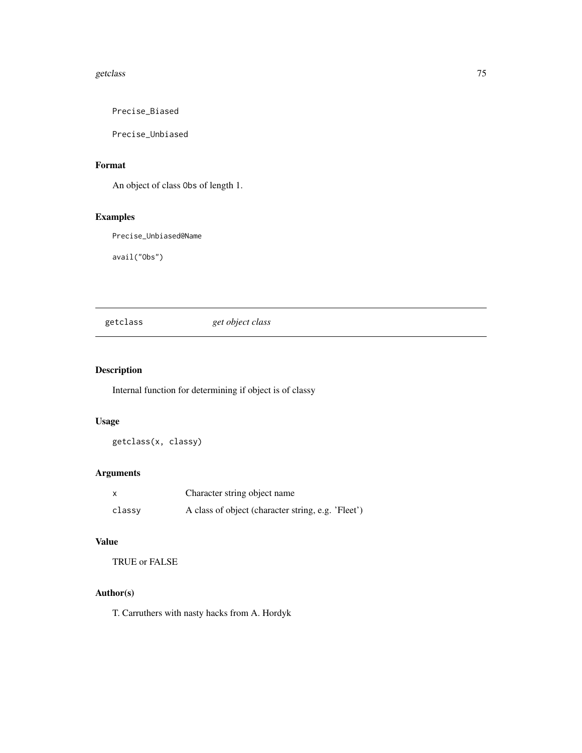#### getclass **75**

Precise\_Biased

Precise\_Unbiased

# Format

An object of class Obs of length 1.

# Examples

Precise\_Unbiased@Name

avail("Obs")

getclass *get object class*

## Description

Internal function for determining if object is of classy

## Usage

getclass(x, classy)

# Arguments

|        | Character string object name                       |
|--------|----------------------------------------------------|
| classy | A class of object (character string, e.g. 'Fleet') |

## Value

TRUE or FALSE

## Author(s)

T. Carruthers with nasty hacks from A. Hordyk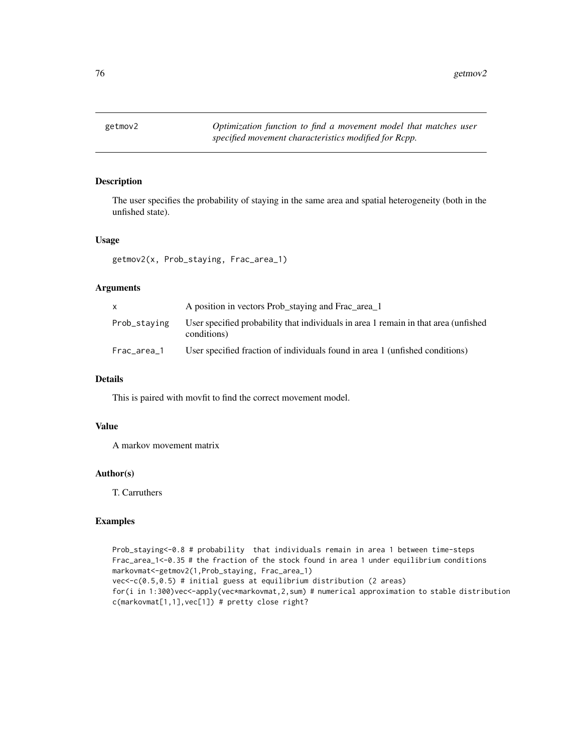### Description

The user specifies the probability of staying in the same area and spatial heterogeneity (both in the unfished state).

### Usage

getmov2(x, Prob\_staying, Frac\_area\_1)

## Arguments

| X            | A position in vectors Prob_staying and Frac_area_1                                                 |
|--------------|----------------------------------------------------------------------------------------------------|
| Prob_staving | User specified probability that individuals in area 1 remain in that area (unfished<br>conditions) |
| Frac_area_1  | User specified fraction of individuals found in area 1 (unfished conditions)                       |

#### Details

This is paired with movfit to find the correct movement model.

#### Value

A markov movement matrix

### Author(s)

T. Carruthers

### Examples

Prob\_staying<-0.8 # probability that individuals remain in area 1 between time-steps Frac\_area\_1<-0.35 # the fraction of the stock found in area 1 under equilibrium conditions markovmat<-getmov2(1,Prob\_staying, Frac\_area\_1) vec<-c(0.5,0.5) # initial guess at equilibrium distribution (2 areas) for(i in 1:300)vec<-apply(vec\*markovmat,2,sum) # numerical approximation to stable distribution c(markovmat[1,1],vec[1]) # pretty close right?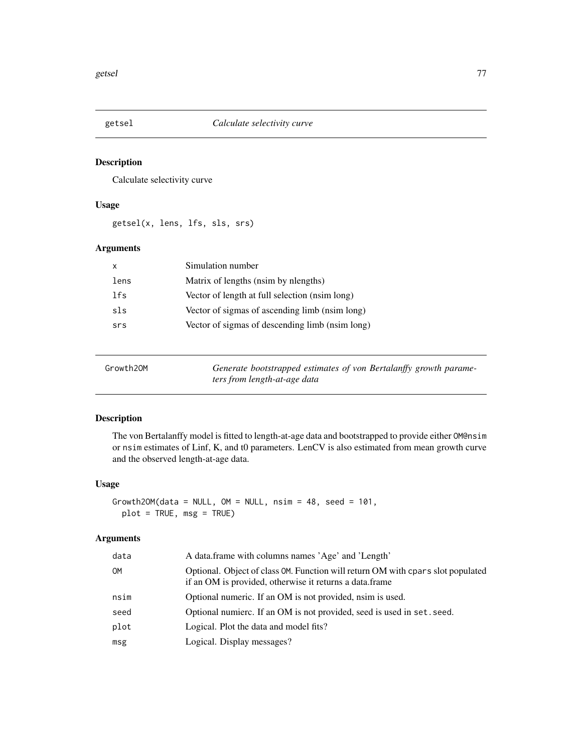## Description

Calculate selectivity curve

## Usage

getsel(x, lens, lfs, sls, srs)

## Arguments

| $\mathsf{x}$ | Simulation number                               |
|--------------|-------------------------------------------------|
| lens         | Matrix of lengths (nsim by nengths)             |
| lfs          | Vector of length at full selection (nsim long)  |
| sls          | Vector of sigmas of ascending limb (nsim long)  |
| srs          | Vector of sigmas of descending limb (nsim long) |
|              |                                                 |

| Growth20M | Generate bootstrapped estimates of von Bertalanffy growth parame- |
|-----------|-------------------------------------------------------------------|
|           | ters from length-at-age data                                      |

# Description

The von Bertalanffy model is fitted to length-at-age data and bootstrapped to provide either OM@nsim or nsim estimates of Linf, K, and t0 parameters. LenCV is also estimated from mean growth curve and the observed length-at-age data.

# Usage

```
Growth2OM(data = NULL, OM = NULL, nsim = 48, seed = 101,
 plot = TRUE, msg = TRUE)
```
## Arguments

| data | A data frame with columns names 'Age' and 'Length'                                                                                         |
|------|--------------------------------------------------------------------------------------------------------------------------------------------|
| OM   | Optional. Object of class OM. Function will return OM with cpars slot populated<br>if an OM is provided, otherwise it returns a data.frame |
| nsim | Optional numeric. If an OM is not provided, nsim is used.                                                                                  |
| seed | Optional numierc. If an OM is not provided, seed is used in set. seed.                                                                     |
| plot | Logical. Plot the data and model fits?                                                                                                     |
| msg  | Logical. Display messages?                                                                                                                 |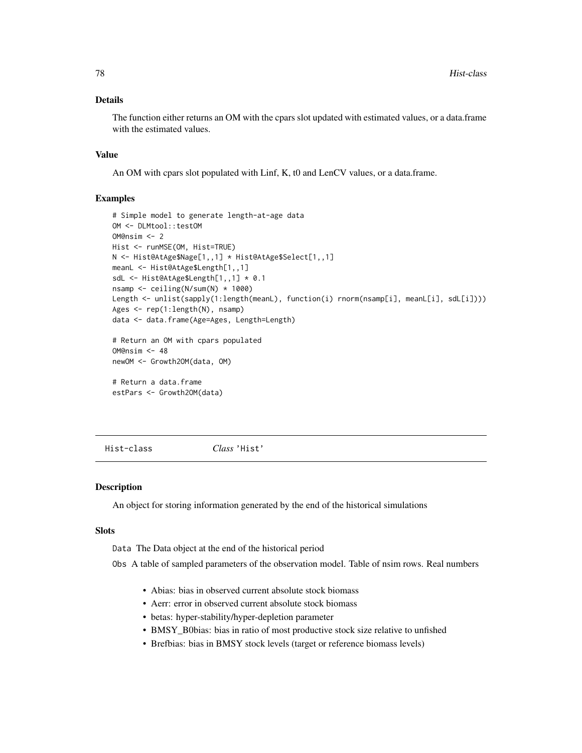### Details

The function either returns an OM with the cpars slot updated with estimated values, or a data.frame with the estimated values.

#### Value

An OM with cpars slot populated with Linf, K, t0 and LenCV values, or a data.frame.

### Examples

```
# Simple model to generate length-at-age data
OM <- DLMtool::testOM
OM@nsim <- 2
Hist <- runMSE(OM, Hist=TRUE)
N <- Hist@AtAge$Nage[1,,1] * Hist@AtAge$Select[1,,1]
meanL <- Hist@AtAge$Length[1,,1]
sdL <- Hist@AtAge$Length[1,,1] * 0.1
nsamp <- ceiling(N/sum(N) * 1000)
Length <- unlist(sapply(1:length(meanL), function(i) rnorm(nsamp[i], meanL[i], sdL[i])))
Ages <- rep(1:length(N), nsamp)
data <- data.frame(Age=Ages, Length=Length)
# Return an OM with cpars populated
OM@nsim <- 48
newOM <- Growth2OM(data, OM)
```
# Return a data.frame estPars <- Growth2OM(data)

Hist-class *Class* 'Hist'

### Description

An object for storing information generated by the end of the historical simulations

# Slots

Data The Data object at the end of the historical period

Obs A table of sampled parameters of the observation model. Table of nsim rows. Real numbers

- Abias: bias in observed current absolute stock biomass
- Aerr: error in observed current absolute stock biomass
- betas: hyper-stability/hyper-depletion parameter
- BMSY\_B0bias: bias in ratio of most productive stock size relative to unfished
- Brefbias: bias in BMSY stock levels (target or reference biomass levels)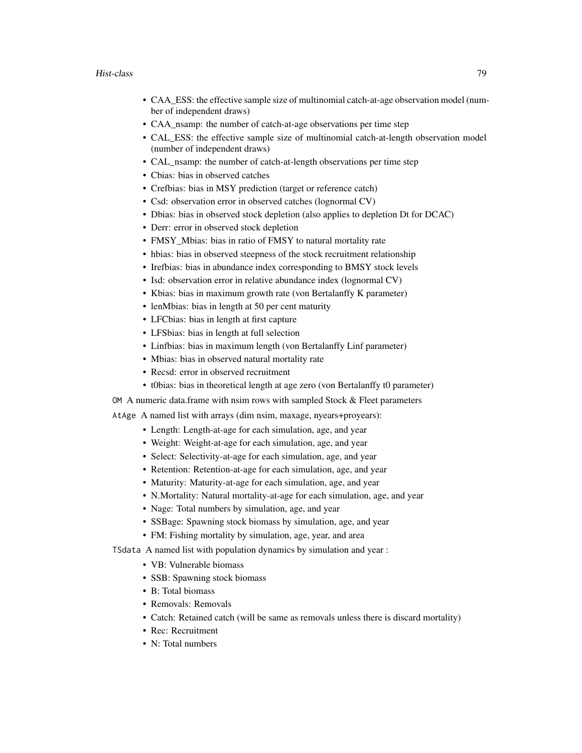- CAA\_ESS: the effective sample size of multinomial catch-at-age observation model (number of independent draws)
- CAA nsamp: the number of catch-at-age observations per time step
- CAL\_ESS: the effective sample size of multinomial catch-at-length observation model (number of independent draws)
- CAL\_nsamp: the number of catch-at-length observations per time step
- Cbias: bias in observed catches
- Crefbias: bias in MSY prediction (target or reference catch)
- Csd: observation error in observed catches (lognormal CV)
- Dbias: bias in observed stock depletion (also applies to depletion Dt for DCAC)
- Derr: error in observed stock depletion
- FMSY\_Mbias: bias in ratio of FMSY to natural mortality rate
- hbias: bias in observed steepness of the stock recruitment relationship
- Irefbias: bias in abundance index corresponding to BMSY stock levels
- Isd: observation error in relative abundance index (lognormal CV)
- Kbias: bias in maximum growth rate (von Bertalanffy K parameter)
- lenMbias: bias in length at 50 per cent maturity
- LFCbias: bias in length at first capture
- LFSbias: bias in length at full selection
- Linfbias: bias in maximum length (von Bertalanffy Linf parameter)
- Mbias: bias in observed natural mortality rate
- Recsd: error in observed recruitment
- t0bias: bias in theoretical length at age zero (von Bertalanffy t0 parameter)

OM A numeric data.frame with nsim rows with sampled Stock  $&$  Fleet parameters

AtAge A named list with arrays (dim nsim, maxage, nyears+proyears):

- Length: Length-at-age for each simulation, age, and year
- Weight: Weight-at-age for each simulation, age, and year
- Select: Selectivity-at-age for each simulation, age, and year
- Retention: Retention-at-age for each simulation, age, and year
- Maturity: Maturity-at-age for each simulation, age, and year
- N.Mortality: Natural mortality-at-age for each simulation, age, and year
- Nage: Total numbers by simulation, age, and year
- SSBage: Spawning stock biomass by simulation, age, and year
- FM: Fishing mortality by simulation, age, year, and area

TSdata A named list with population dynamics by simulation and year :

- VB: Vulnerable biomass
- SSB: Spawning stock biomass
- B: Total biomass
- Removals: Removals
- Catch: Retained catch (will be same as removals unless there is discard mortality)
- Rec: Recruitment
- N: Total numbers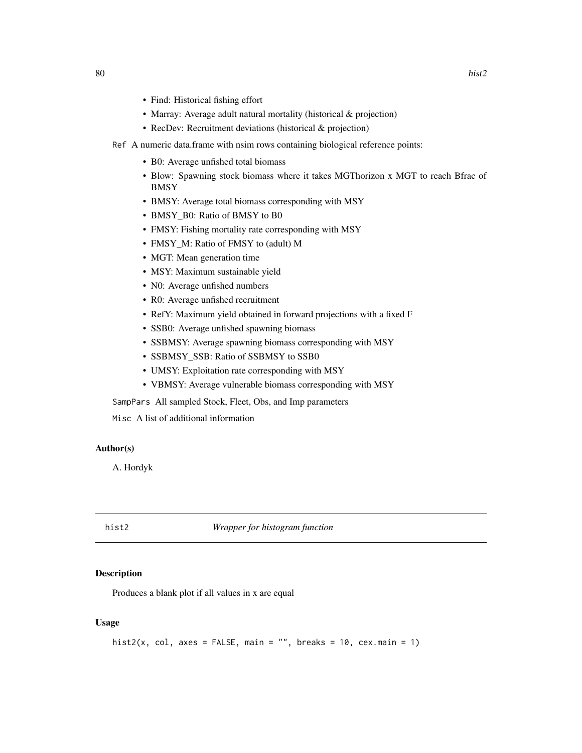- Find: Historical fishing effort
- Marray: Average adult natural mortality (historical & projection)
- RecDev: Recruitment deviations (historical & projection)
- Ref A numeric data.frame with nsim rows containing biological reference points:
	- B0: Average unfished total biomass
	- Blow: Spawning stock biomass where it takes MGThorizon x MGT to reach Bfrac of **BMSY**
	- BMSY: Average total biomass corresponding with MSY
	- BMSY\_B0: Ratio of BMSY to B0
	- FMSY: Fishing mortality rate corresponding with MSY
	- FMSY\_M: Ratio of FMSY to (adult) M
	- MGT: Mean generation time
	- MSY: Maximum sustainable yield
	- N0: Average unfished numbers
	- R0: Average unfished recruitment
	- RefY: Maximum yield obtained in forward projections with a fixed F
	- SSB0: Average unfished spawning biomass
	- SSBMSY: Average spawning biomass corresponding with MSY
	- SSBMSY\_SSB: Ratio of SSBMSY to SSB0
	- UMSY: Exploitation rate corresponding with MSY
	- VBMSY: Average vulnerable biomass corresponding with MSY

SampPars All sampled Stock, Fleet, Obs, and Imp parameters

Misc A list of additional information

#### Author(s)

A. Hordyk

hist2 *Wrapper for histogram function*

### Description

Produces a blank plot if all values in x are equal

### Usage

```
hist2(x, col, axes = FALSE, main = "", breaks = 10, cex.main = 1)
```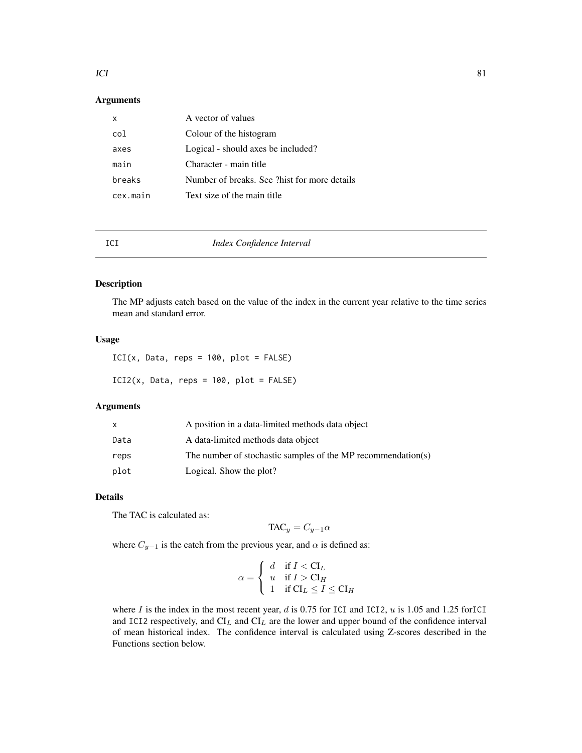#### $ICI$  81

## Arguments

| x        | A vector of values                           |
|----------|----------------------------------------------|
| col      | Colour of the histogram                      |
| axes     | Logical - should axes be included?           |
| main     | Character - main title                       |
| breaks   | Number of breaks. See ?hist for more details |
| cex.main | Text size of the main title                  |

<span id="page-80-0"></span>

## ICI *Index Confidence Interval*

## Description

The MP adjusts catch based on the value of the index in the current year relative to the time series mean and standard error.

### Usage

 $ICI(x, Data, reps = 100, plot = FALSE)$  $ICI2(x, Data, reps = 100, plot = FALSE)$ 

### Arguments

|      | A position in a data-limited methods data object             |
|------|--------------------------------------------------------------|
| Data | A data-limited methods data object                           |
| reps | The number of stochastic samples of the MP recommendation(s) |
| plot | Logical. Show the plot?                                      |

## Details

The TAC is calculated as:

$$
TAC_y = C_{y-1}\alpha
$$

where  $C_{y-1}$  is the catch from the previous year, and  $\alpha$  is defined as:

$$
\alpha = \begin{cases} d & \text{if } I < \mathcal{C}I_L \\ u & \text{if } I > \mathcal{C}I_H \\ 1 & \text{if } \mathcal{C}I_L \le I \le \mathcal{C}I_H \end{cases}
$$

where  $I$  is the index in the most recent year,  $d$  is 0.75 for ICI and ICI2,  $u$  is 1.05 and 1.25 forICI and ICI2 respectively, and  $CI_L$  and  $CI_L$  are the lower and upper bound of the confidence interval of mean historical index. The confidence interval is calculated using Z-scores described in the Functions section below.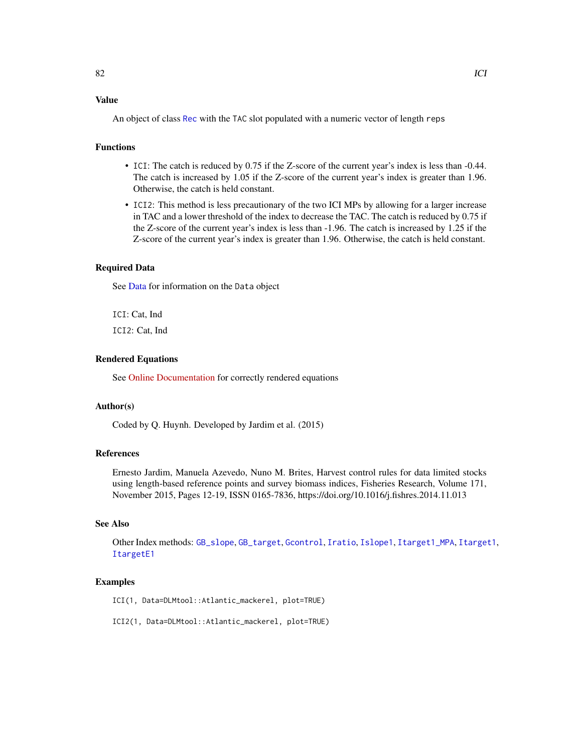# Value

An object of class [Rec](#page-159-0) with the TAC slot populated with a numeric vector of length reps

## Functions

- ICI: The catch is reduced by 0.75 if the Z-score of the current year's index is less than -0.44. The catch is increased by 1.05 if the Z-score of the current year's index is greater than 1.96. Otherwise, the catch is held constant.
- ICI2: This method is less precautionary of the two ICI MPs by allowing for a larger increase in TAC and a lower threshold of the index to decrease the TAC. The catch is reduced by 0.75 if the Z-score of the current year's index is less than -1.96. The catch is increased by 1.25 if the Z-score of the current year's index is greater than 1.96. Otherwise, the catch is held constant.

## Required Data

See [Data](#page-29-0) for information on the Data object

ICI: Cat, Ind ICI2: Cat, Ind

### Rendered Equations

See [Online Documentation](https://dlmtool.github.io/DLMtool/reference/ICI.html) for correctly rendered equations

### Author(s)

Coded by Q. Huynh. Developed by Jardim et al. (2015)

### References

Ernesto Jardim, Manuela Azevedo, Nuno M. Brites, Harvest control rules for data limited stocks using length-based reference points and survey biomass indices, Fisheries Research, Volume 171, November 2015, Pages 12-19, ISSN 0165-7836, https://doi.org/10.1016/j.fishres.2014.11.013

## See Also

Other Index methods: [GB\\_slope](#page-69-0), [GB\\_target](#page-70-0), [Gcontrol](#page-72-0), [Iratio](#page-85-0), [Islope1](#page-86-0), [Itarget1\\_MPA](#page-92-0), [Itarget1](#page-90-0), [ItargetE1](#page-93-0)

#### Examples

ICI(1, Data=DLMtool::Atlantic\_mackerel, plot=TRUE)

ICI2(1, Data=DLMtool::Atlantic\_mackerel, plot=TRUE)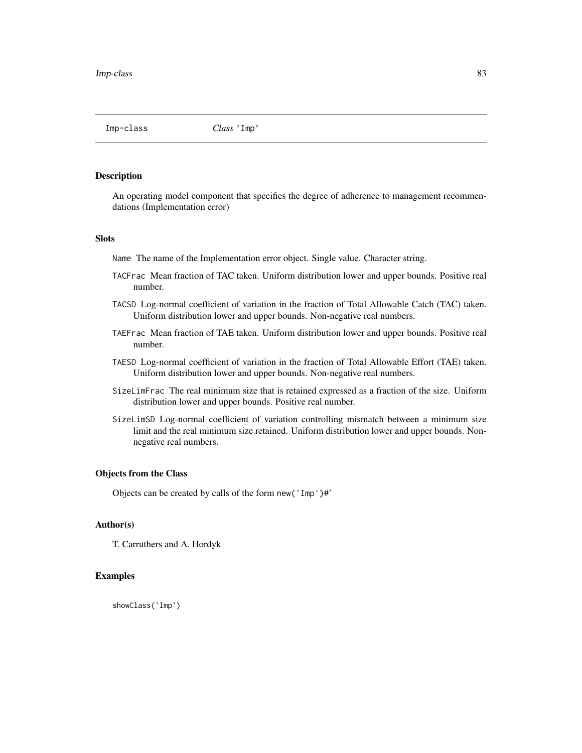Imp-class *Class* 'Imp'

#### Description

An operating model component that specifies the degree of adherence to management recommendations (Implementation error)

#### Slots

Name The name of the Implementation error object. Single value. Character string.

- TACFrac Mean fraction of TAC taken. Uniform distribution lower and upper bounds. Positive real number.
- TACSD Log-normal coefficient of variation in the fraction of Total Allowable Catch (TAC) taken. Uniform distribution lower and upper bounds. Non-negative real numbers.
- TAEFrac Mean fraction of TAE taken. Uniform distribution lower and upper bounds. Positive real number.
- TAESD Log-normal coefficient of variation in the fraction of Total Allowable Effort (TAE) taken. Uniform distribution lower and upper bounds. Non-negative real numbers.
- SizeLimFrac The real minimum size that is retained expressed as a fraction of the size. Uniform distribution lower and upper bounds. Positive real number.
- SizeLimSD Log-normal coefficient of variation controlling mismatch between a minimum size limit and the real minimum size retained. Uniform distribution lower and upper bounds. Nonnegative real numbers.

#### Objects from the Class

Objects can be created by calls of the form new('Imp')#'

### Author(s)

T. Carruthers and A. Hordyk

### Examples

showClass('Imp')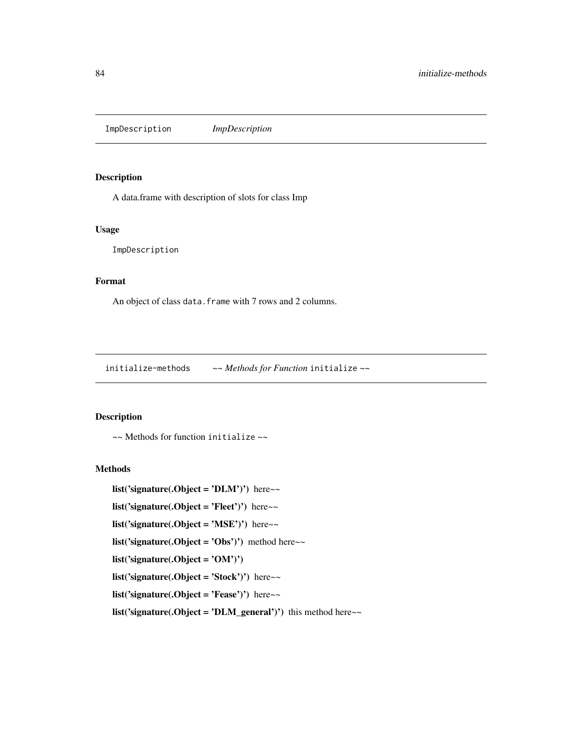ImpDescription *ImpDescription*

## Description

A data.frame with description of slots for class Imp

## Usage

ImpDescription

### Format

An object of class data. frame with 7 rows and 2 columns.

initialize-methods *~~ Methods for Function* initialize *~~*

### Description

~~ Methods for function initialize ~~

### Methods

list('signature(.Object = 'DLM')') here~~

list('signature(.Object = 'Fleet')') here~~

list('signature(.Object = 'MSE')') here $\sim$ 

list('signature(.Object = 'Obs')') method here $\sim$ 

list('signature(.Object = 'OM')')

list('signature(.Object = 'Stock')') here $\sim$ 

list('signature(.Object = 'Fease')') here~~

list('signature(.Object = 'DLM\_general')') this method here $\sim$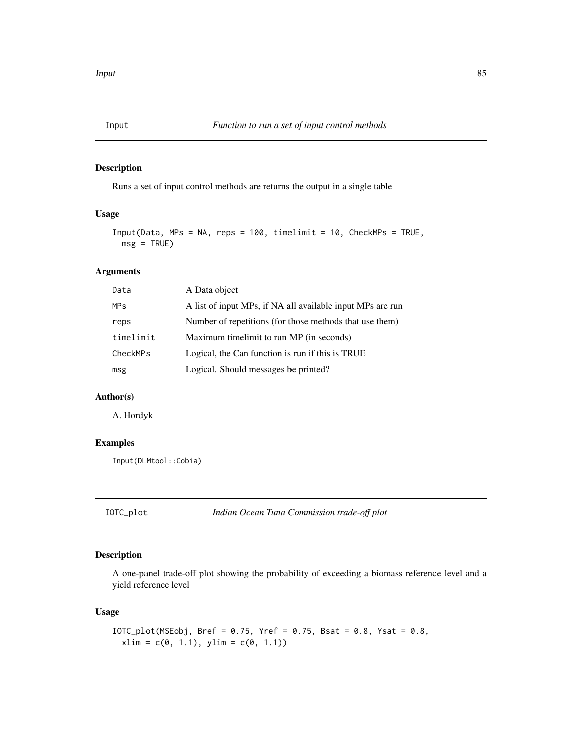## Description

Runs a set of input control methods are returns the output in a single table

## Usage

```
Input(Data, MPs = NA, reps = 100, timelimit = 10, CheckMPs = TRUE,
 msg = TRUE)
```
## Arguments

| Data       | A Data object                                              |
|------------|------------------------------------------------------------|
| <b>MPs</b> | A list of input MPs, if NA all available input MPs are run |
| reps       | Number of repetitions (for those methods that use them)    |
| timelimit  | Maximum timelimit to run MP (in seconds)                   |
| CheckMPs   | Logical, the Can function is run if this is TRUE           |
| msg        | Logical. Should messages be printed?                       |

# Author(s)

A. Hordyk

# Examples

Input(DLMtool::Cobia)

IOTC\_plot *Indian Ocean Tuna Commission trade-off plot*

### Description

A one-panel trade-off plot showing the probability of exceeding a biomass reference level and a yield reference level

### Usage

```
IOTC_plot(MSEobj, Bref = 0.75, Yref = 0.75, Bsat = 0.8, Ysat = 0.8,
 xlim = c(0, 1.1), ylim = c(0, 1.1))
```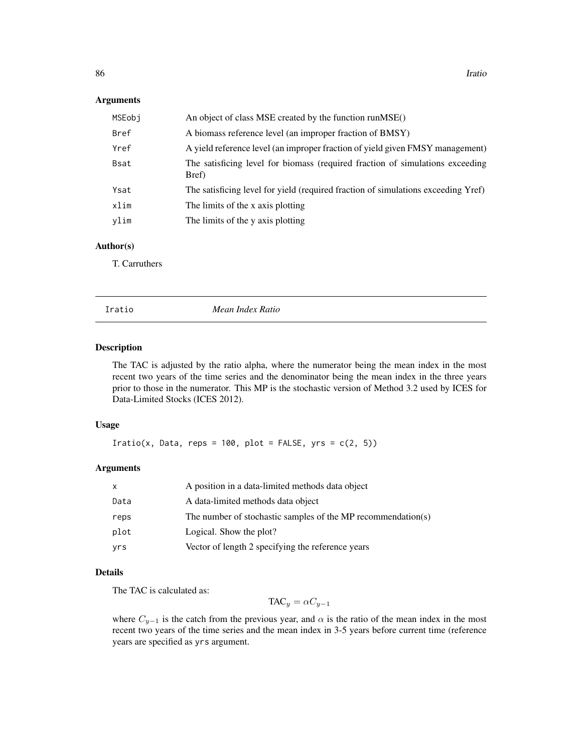#### Arguments

| An object of class MSE created by the function runMSE()                                |
|----------------------------------------------------------------------------------------|
| A biomass reference level (an improper fraction of BMSY)                               |
| A yield reference level (an improper fraction of yield given FMSY management)          |
| The satisficing level for biomass (required fraction of simulations exceeding<br>Bref) |
| The satisficing level for yield (required fraction of simulations exceeding Yref)      |
| The limits of the x axis plotting                                                      |
| The limits of the y axis plotting                                                      |
|                                                                                        |

## Author(s)

T. Carruthers

<span id="page-85-0"></span>Iratio *Mean Index Ratio*

## Description

The TAC is adjusted by the ratio alpha, where the numerator being the mean index in the most recent two years of the time series and the denominator being the mean index in the three years prior to those in the numerator. This MP is the stochastic version of Method 3.2 used by ICES for Data-Limited Stocks (ICES 2012).

### Usage

Iratio(x, Data, reps = 100, plot = FALSE,  $yrs = c(2, 5)$ )

#### Arguments

| x    | A position in a data-limited methods data object             |
|------|--------------------------------------------------------------|
| Data | A data-limited methods data object                           |
| reps | The number of stochastic samples of the MP recommendation(s) |
| plot | Logical. Show the plot?                                      |
| yrs  | Vector of length 2 specifying the reference years            |

#### Details

The TAC is calculated as:

 $TAC_y = \alpha C_{y-1}$ 

where  $C_{y-1}$  is the catch from the previous year, and  $\alpha$  is the ratio of the mean index in the most recent two years of the time series and the mean index in 3-5 years before current time (reference years are specified as yrs argument.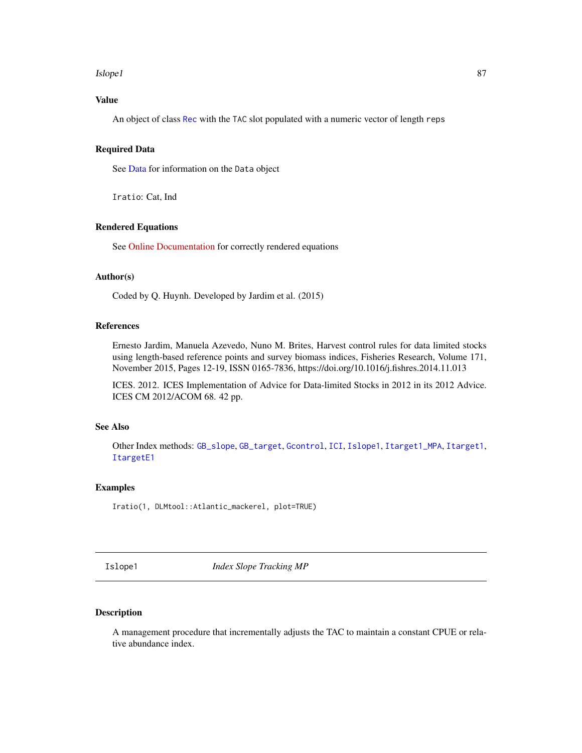#### Islope1 87 and 2012 12:00 the state of the state of the state of the state of the state of the state of the state of the state of the state of the state of the state of the state of the state of the state of the state of t

# Value

An object of class [Rec](#page-159-0) with the TAC slot populated with a numeric vector of length reps

### Required Data

See [Data](#page-29-0) for information on the Data object

Iratio: Cat, Ind

### Rendered Equations

See [Online Documentation](https://dlmtool.github.io/DLMtool/reference/Iratio.html) for correctly rendered equations

# Author(s)

Coded by Q. Huynh. Developed by Jardim et al. (2015)

#### References

Ernesto Jardim, Manuela Azevedo, Nuno M. Brites, Harvest control rules for data limited stocks using length-based reference points and survey biomass indices, Fisheries Research, Volume 171, November 2015, Pages 12-19, ISSN 0165-7836, https://doi.org/10.1016/j.fishres.2014.11.013

ICES. 2012. ICES Implementation of Advice for Data-limited Stocks in 2012 in its 2012 Advice. ICES CM 2012/ACOM 68. 42 pp.

#### See Also

Other Index methods: [GB\\_slope](#page-69-0), [GB\\_target](#page-70-0), [Gcontrol](#page-72-0), [ICI](#page-80-0), [Islope1](#page-86-0), [Itarget1\\_MPA](#page-92-0), [Itarget1](#page-90-0), [ItargetE1](#page-93-0)

## Examples

Iratio(1, DLMtool::Atlantic\_mackerel, plot=TRUE)

<span id="page-86-0"></span>Islope1 *Index Slope Tracking MP*

## Description

A management procedure that incrementally adjusts the TAC to maintain a constant CPUE or relative abundance index.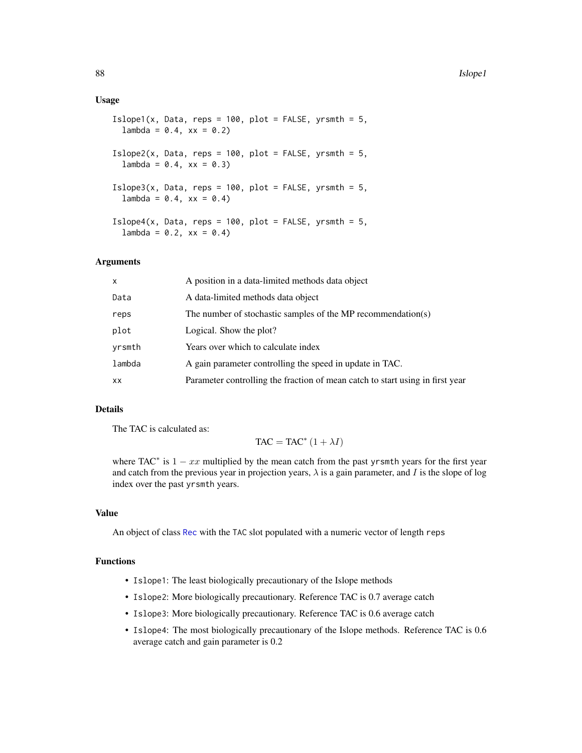#### Usage

```
Islope1(x, Data, reps = 100, plot = FALSE, yrsmth = 5,
  lambda = 0.4, xx = 0.2Islope2(x, Data, reps = 100, plot = FALSE, yrsmth = 5,
  lambda = 0.4, xx = 0.3Islope3(x, Data, reps = 100, plot = FALSE, yrsmth = 5,
  lambda = 0.4, xx = 0.4)Islope4(x, Data, reps = 100, plot = FALSE, yrsmth = 5,
  lambda = 0.2, xx = 0.4
```
## Arguments

| x      | A position in a data-limited methods data object                              |
|--------|-------------------------------------------------------------------------------|
| Data   | A data-limited methods data object                                            |
| reps   | The number of stochastic samples of the MP recommendation(s)                  |
| plot   | Logical. Show the plot?                                                       |
| vrsmth | Years over which to calculate index                                           |
| lambda | A gain parameter controlling the speed in update in TAC.                      |
| xх     | Parameter controlling the fraction of mean catch to start using in first year |

### Details

The TAC is calculated as:

$$
TAC = TAC^* (1 + \lambda I)
$$

where TAC<sup>\*</sup> is  $1 - xx$  multiplied by the mean catch from the past yrsmth years for the first year and catch from the previous year in projection years,  $\lambda$  is a gain parameter, and I is the slope of log index over the past yrsmth years.

## Value

An object of class [Rec](#page-159-0) with the TAC slot populated with a numeric vector of length reps

### Functions

- Islope1: The least biologically precautionary of the Islope methods
- Islope2: More biologically precautionary. Reference TAC is 0.7 average catch
- Islope3: More biologically precautionary. Reference TAC is 0.6 average catch
- Islope4: The most biologically precautionary of the Islope methods. Reference TAC is 0.6 average catch and gain parameter is 0.2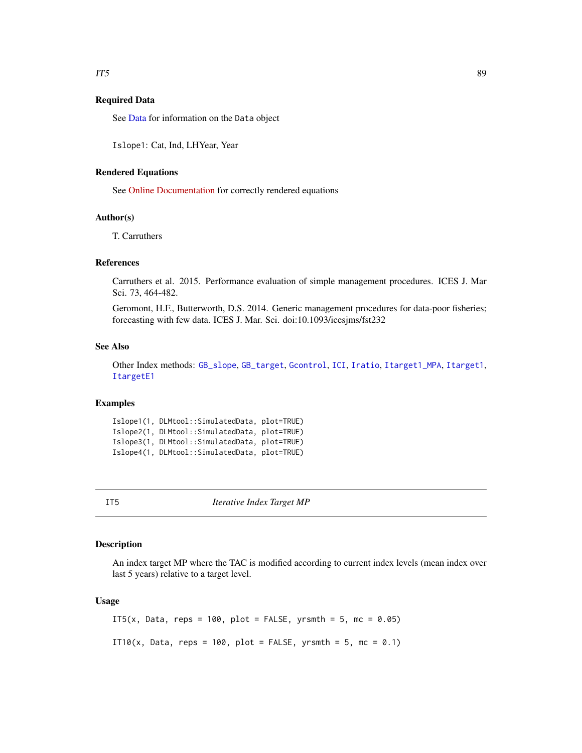### Required Data

See [Data](#page-29-0) for information on the Data object

Islope1: Cat, Ind, LHYear, Year

### Rendered Equations

See [Online Documentation](https://dlmtool.github.io/DLMtool/reference/Islope1.html) for correctly rendered equations

### Author(s)

T. Carruthers

#### References

Carruthers et al. 2015. Performance evaluation of simple management procedures. ICES J. Mar Sci. 73, 464-482.

Geromont, H.F., Butterworth, D.S. 2014. Generic management procedures for data-poor fisheries; forecasting with few data. ICES J. Mar. Sci. doi:10.1093/icesjms/fst232

### See Also

Other Index methods: [GB\\_slope](#page-69-0), [GB\\_target](#page-70-0), [Gcontrol](#page-72-0), [ICI](#page-80-0), [Iratio](#page-85-0), [Itarget1\\_MPA](#page-92-0), [Itarget1](#page-90-0), [ItargetE1](#page-93-0)

### Examples

Islope1(1, DLMtool::SimulatedData, plot=TRUE) Islope2(1, DLMtool::SimulatedData, plot=TRUE) Islope3(1, DLMtool::SimulatedData, plot=TRUE) Islope4(1, DLMtool::SimulatedData, plot=TRUE)

IT5 *Iterative Index Target MP*

### Description

An index target MP where the TAC is modified according to current index levels (mean index over last 5 years) relative to a target level.

#### Usage

IT5(x, Data, reps = 100, plot = FALSE, yrsmth = 5, mc =  $0.05$ ) IT10(x, Data, reps = 100, plot = FALSE, yrsmth = 5, mc = 0.1)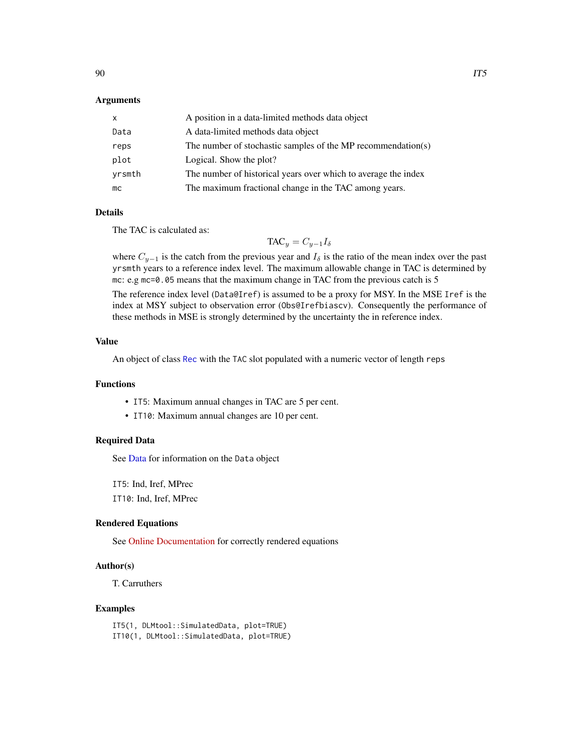### Arguments

| X      | A position in a data-limited methods data object               |
|--------|----------------------------------------------------------------|
| Data   | A data-limited methods data object                             |
| reps   | The number of stochastic samples of the MP recommendation(s)   |
| plot   | Logical. Show the plot?                                        |
| yrsmth | The number of historical years over which to average the index |
| mc     | The maximum fractional change in the TAC among years.          |

### Details

The TAC is calculated as:

 $TAC_y = C_{y-1}I_\delta$ 

where  $C_{y-1}$  is the catch from the previous year and  $I_\delta$  is the ratio of the mean index over the past yrsmth years to a reference index level. The maximum allowable change in TAC is determined by mc: e.g mc=0.05 means that the maximum change in TAC from the previous catch is 5

The reference index level (Data@Iref) is assumed to be a proxy for MSY. In the MSE Iref is the index at MSY subject to observation error (Obs@Irefbiascv). Consequently the performance of these methods in MSE is strongly determined by the uncertainty the in reference index.

#### Value

An object of class [Rec](#page-159-0) with the TAC slot populated with a numeric vector of length reps

#### Functions

- IT5: Maximum annual changes in TAC are 5 per cent.
- IT10: Maximum annual changes are 10 per cent.

### Required Data

See [Data](#page-29-0) for information on the Data object

IT5: Ind, Iref, MPrec

IT10: Ind, Iref, MPrec

# Rendered Equations

See [Online Documentation](https://dlmtool.github.io/DLMtool/reference/IT5.html) for correctly rendered equations

## Author(s)

T. Carruthers

#### Examples

IT5(1, DLMtool::SimulatedData, plot=TRUE) IT10(1, DLMtool::SimulatedData, plot=TRUE)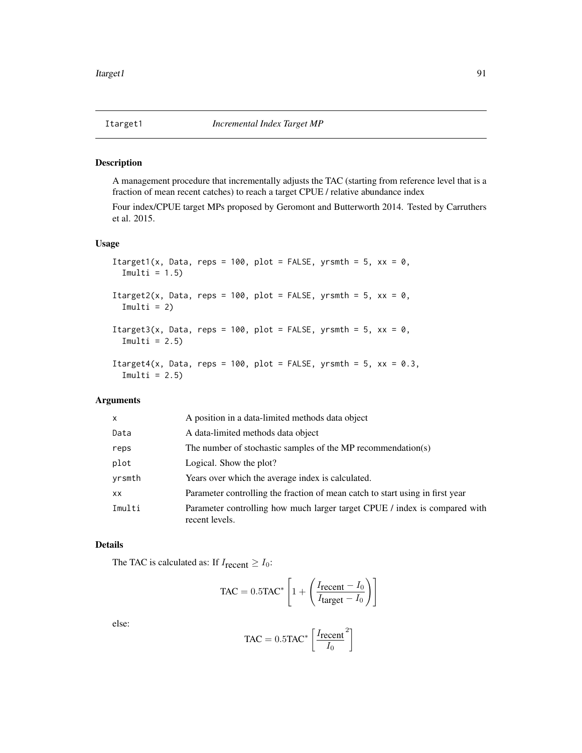<span id="page-90-0"></span>

#### Description

A management procedure that incrementally adjusts the TAC (starting from reference level that is a fraction of mean recent catches) to reach a target CPUE / relative abundance index

Four index/CPUE target MPs proposed by Geromont and Butterworth 2014. Tested by Carruthers et al. 2015.

### Usage

```
Itarget1(x, Data, reps = 100, plot = FALSE, yrsmth = 5, xx = 0,
  Imulti = 1.5)Itarget2(x, Data, reps = 100, plot = FALSE, yrsmth = 5, xx = 0,
  Imulti = 2)
Itarget3(x, Data, reps = 100, plot = FALSE, yrsmth = 5, xx = 0,
  Imulti = 2.5)
Itarget4(x, Data, reps = 100, plot = FALSE, yrsmth = 5, xx = 0.3,
  Imulti = 2.5)
```
### Arguments

| X      | A position in a data-limited methods data object                                             |
|--------|----------------------------------------------------------------------------------------------|
| Data   | A data-limited methods data object                                                           |
| reps   | The number of stochastic samples of the MP recommendation(s)                                 |
| plot   | Logical. Show the plot?                                                                      |
| yrsmth | Years over which the average index is calculated.                                            |
| XX     | Parameter controlling the fraction of mean catch to start using in first year                |
| Imulti | Parameter controlling how much larger target CPUE / index is compared with<br>recent levels. |

### Details

The TAC is calculated as: If  $I_{recent} \geq I_0$ :

$$
\text{TAC} = 0.5 \text{TAC}^* \left[ 1 + \left( \frac{I_{\text{recent}} - I_0}{I_{\text{target}} - I_0} \right) \right]
$$

else:

$$
\text{TAC} = 0.5 \text{TAC}^* \left[ \frac{I_{\text{recent}}}{I_0}^2 \right]
$$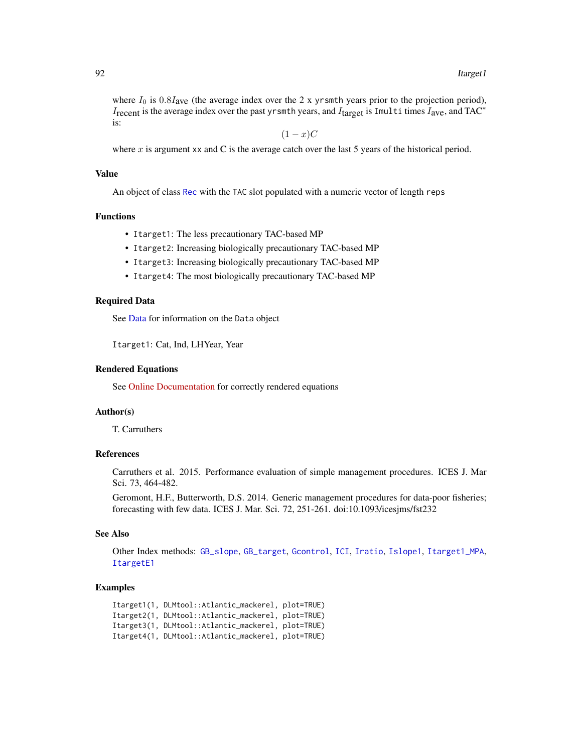where  $I_0$  is 0.8Iave (the average index over the 2 x yrsmth years prior to the projection period),  $I_{\text{recent}}$  is the average index over the past yrsmth years, and  $I_{\text{target}}$  is Imulti times  $I_{\text{ave}}$ , and TAC<sup>\*</sup> is:

 $(1-x)C$ 

where  $x$  is argument xx and C is the average catch over the last 5 years of the historical period.

## Value

An object of class [Rec](#page-159-0) with the TAC slot populated with a numeric vector of length reps

#### Functions

- Itarget1: The less precautionary TAC-based MP
- Itarget2: Increasing biologically precautionary TAC-based MP
- Itarget3: Increasing biologically precautionary TAC-based MP
- Itarget4: The most biologically precautionary TAC-based MP

#### Required Data

See [Data](#page-29-0) for information on the Data object

Itarget1: Cat, Ind, LHYear, Year

#### Rendered Equations

See [Online Documentation](https://dlmtool.github.io/DLMtool/reference/Itarget1.html) for correctly rendered equations

#### Author(s)

T. Carruthers

#### References

Carruthers et al. 2015. Performance evaluation of simple management procedures. ICES J. Mar Sci. 73, 464-482.

Geromont, H.F., Butterworth, D.S. 2014. Generic management procedures for data-poor fisheries; forecasting with few data. ICES J. Mar. Sci. 72, 251-261. doi:10.1093/icesjms/fst232

#### See Also

Other Index methods: [GB\\_slope](#page-69-0), [GB\\_target](#page-70-0), [Gcontrol](#page-72-0), [ICI](#page-80-0), [Iratio](#page-85-0), [Islope1](#page-86-0), [Itarget1\\_MPA](#page-92-0), [ItargetE1](#page-93-0)

#### Examples

```
Itarget1(1, DLMtool::Atlantic_mackerel, plot=TRUE)
Itarget2(1, DLMtool::Atlantic_mackerel, plot=TRUE)
Itarget3(1, DLMtool::Atlantic_mackerel, plot=TRUE)
Itarget4(1, DLMtool::Atlantic_mackerel, plot=TRUE)
```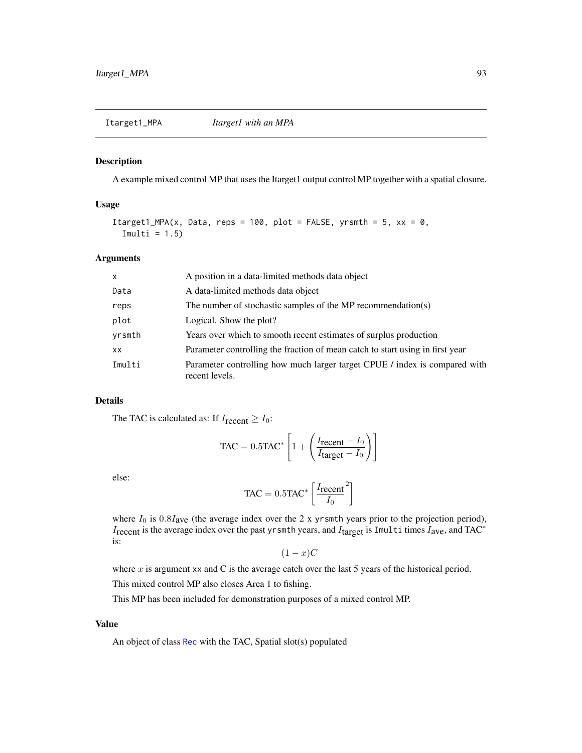## <span id="page-92-0"></span>Description

A example mixed control MP that uses the Itarget1 output control MP together with a spatial closure.

## Usage

Itarget1\_MPA(x, Data, reps = 100, plot = FALSE, yrsmth = 5,  $xx = 0$ ,  $Imulti = 1.5)$ 

#### Arguments

| $\mathsf{x}$ | A position in a data-limited methods data object                                             |
|--------------|----------------------------------------------------------------------------------------------|
| Data         | A data-limited methods data object                                                           |
| reps         | The number of stochastic samples of the MP recommendation(s)                                 |
| plot         | Logical. Show the plot?                                                                      |
| yrsmth       | Years over which to smooth recent estimates of surplus production                            |
| <b>XX</b>    | Parameter controlling the fraction of mean catch to start using in first year                |
| Imulti       | Parameter controlling how much larger target CPUE / index is compared with<br>recent levels. |

## Details

The TAC is calculated as: If  $I_{recent} \geq I_0$ :

$$
\text{TAC} = 0.5 \text{TAC}^* \left[ 1 + \left( \frac{I_{\text{recent}} - I_0}{I_{\text{target}} - I_0} \right) \right]
$$

else:

$$
TAC = 0.5TAC^* \left[ \frac{I_{\text{recent}}}{I_0}^2 \right]
$$

where  $I_0$  is  $0.8I_{\text{ave}}$  (the average index over the 2 x yrsmth years prior to the projection period), Irecent is the average index over the past yrsmth years, and Itarget is Imulti times Iave, and TAC<sup>∗</sup> is:

$$
(1-x)C
$$

where  $x$  is argument xx and C is the average catch over the last 5 years of the historical period.

This mixed control MP also closes Area 1 to fishing.

This MP has been included for demonstration purposes of a mixed control MP.

## Value

An object of class [Rec](#page-159-0) with the TAC, Spatial slot(s) populated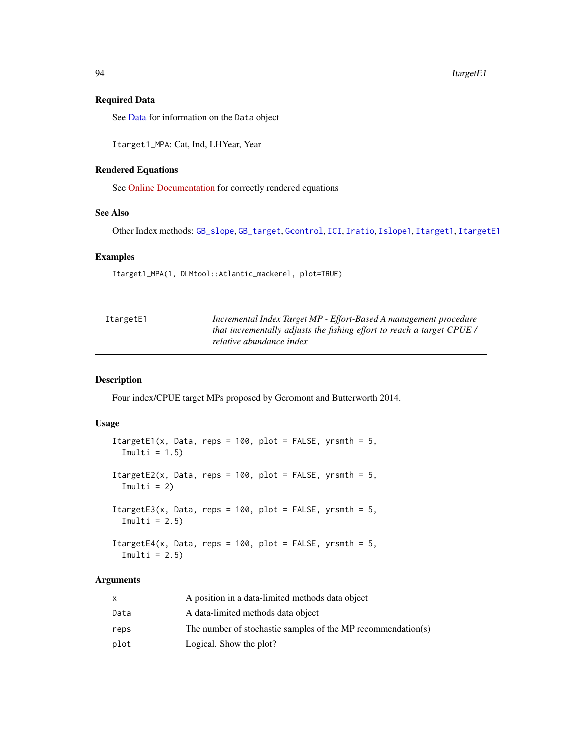## Required Data

See [Data](#page-29-0) for information on the Data object

Itarget1\_MPA: Cat, Ind, LHYear, Year

### Rendered Equations

See [Online Documentation](https://dlmtool.github.io/DLMtool/reference/Itarget1_MPA.html) for correctly rendered equations

#### See Also

Other Index methods: [GB\\_slope](#page-69-0), [GB\\_target](#page-70-0), [Gcontrol](#page-72-0), [ICI](#page-80-0), [Iratio](#page-85-0), [Islope1](#page-86-0), [Itarget1](#page-90-0), [ItargetE1](#page-93-0)

### Examples

Itarget1\_MPA(1, DLMtool::Atlantic\_mackerel, plot=TRUE)

<span id="page-93-0"></span>

| ItargetE1 | Incremental Index Target MP - Effort-Based A management procedure      |
|-----------|------------------------------------------------------------------------|
|           | that incrementally adjusts the fishing effort to reach a target CPUE / |
|           | relative abundance index                                               |

### Description

Four index/CPUE target MPs proposed by Geromont and Butterworth 2014.

## Usage

```
ItargetE1(x, Data, reps = 100, plot = FALSE, yrsmth = 5,
  Imulti = 1.5)
ItargetE2(x, Data, reps = 100, plot = FALSE, yrsmth = 5,
  Imulti = 2)ItargetE3(x, Data, reps = 100, plot = FALSE, yrsmth = 5,
 Imulti = 2.5)
ItargetE4(x, Data, reps = 100, plot = FALSE, yrsmth = 5,
  Imulti = 2.5)
```
## Arguments

|      | A position in a data-limited methods data object             |
|------|--------------------------------------------------------------|
| Data | A data-limited methods data object                           |
| reps | The number of stochastic samples of the MP recommendation(s) |
| plot | Logical. Show the plot?                                      |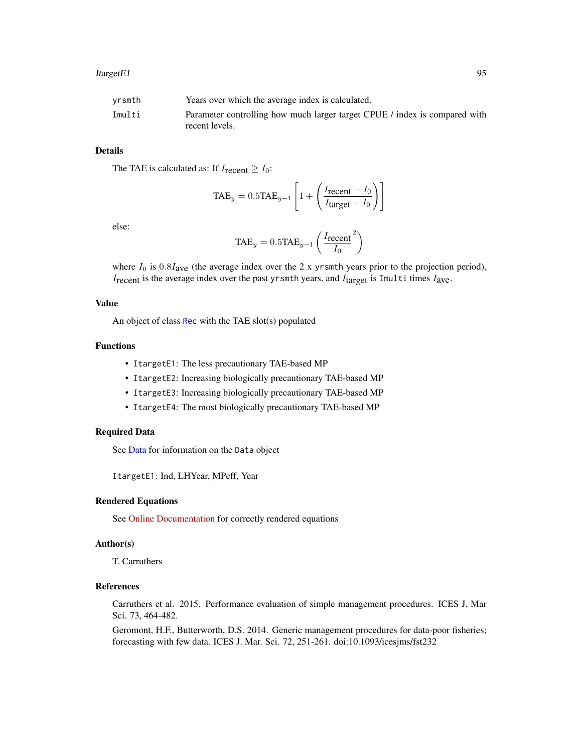#### ItargetE1 95

| Imulti         | vrsmth | Years over which the average index is calculated.                          |
|----------------|--------|----------------------------------------------------------------------------|
| recent levels. |        | Parameter controlling how much larger target CPUE / index is compared with |

## Details

The TAE is calculated as: If  $I_{\text{recent}} \geq I_0$ :

$$
TAE_y = 0.5TAE_{y-1} \left[ 1 + \left( \frac{I_{\text{recent}} - I_0}{I_{\text{target}} - I_0} \right) \right]
$$

else:

$$
TAE_y = 0.5TAE_{y-1} \left( \frac{I_{\text{recent}}}{I_0}^2 \right)
$$

where  $I_0$  is  $0.8I_{ave}$  (the average index over the 2 x yrsmth years prior to the projection period),  $I_{\text{recent}}$  is the average index over the past yrsmth years, and  $I_{\text{target}}$  is Imulti times  $I_{\text{ave}}$ .

### Value

An object of class [Rec](#page-159-0) with the TAE slot(s) populated

## Functions

- ItargetE1: The less precautionary TAE-based MP
- ItargetE2: Increasing biologically precautionary TAE-based MP
- ItargetE3: Increasing biologically precautionary TAE-based MP
- ItargetE4: The most biologically precautionary TAE-based MP

### Required Data

See [Data](#page-29-0) for information on the Data object

ItargetE1: Ind, LHYear, MPeff, Year

### Rendered Equations

See [Online Documentation](https://dlmtool.github.io/DLMtool/reference/ItargetE1.html) for correctly rendered equations

#### Author(s)

T. Carruthers

### References

Carruthers et al. 2015. Performance evaluation of simple management procedures. ICES J. Mar Sci. 73, 464-482.

Geromont, H.F., Butterworth, D.S. 2014. Generic management procedures for data-poor fisheries; forecasting with few data. ICES J. Mar. Sci. 72, 251-261. doi:10.1093/icesjms/fst232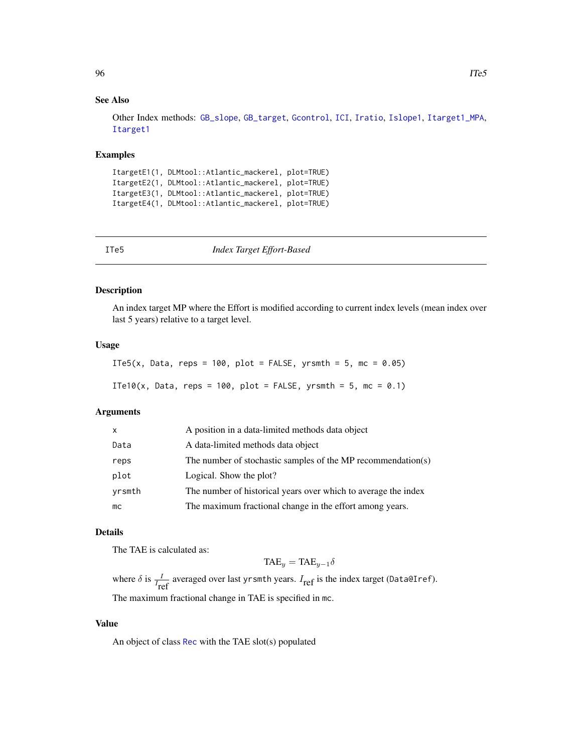### See Also

Other Index methods: [GB\\_slope](#page-69-0), [GB\\_target](#page-70-0), [Gcontrol](#page-72-0), [ICI](#page-80-0), [Iratio](#page-85-0), [Islope1](#page-86-0), [Itarget1\\_MPA](#page-92-0), [Itarget1](#page-90-0)

#### Examples

```
ItargetE1(1, DLMtool::Atlantic_mackerel, plot=TRUE)
ItargetE2(1, DLMtool::Atlantic_mackerel, plot=TRUE)
ItargetE3(1, DLMtool::Atlantic_mackerel, plot=TRUE)
ItargetE4(1, DLMtool::Atlantic_mackerel, plot=TRUE)
```

|  | ٠ |  |
|--|---|--|
|  |   |  |

5 *Index Target Effort-Based* 

### Description

An index target MP where the Effort is modified according to current index levels (mean index over last 5 years) relative to a target level.

### Usage

```
ITe5(x, Data, reps = 100, plot = FALSE, yrsmth = 5, mc = 0.05)
ITe10(x, Data, reps = 100, plot = FALSE, yrsmth = 5, mc = 0.1)
```
## Arguments

| $\mathsf{x}$ | A position in a data-limited methods data object               |
|--------------|----------------------------------------------------------------|
| Data         | A data-limited methods data object                             |
| reps         | The number of stochastic samples of the MP recommendation(s)   |
| plot         | Logical. Show the plot?                                        |
| yrsmth       | The number of historical years over which to average the index |
| mc           | The maximum fractional change in the effort among years.       |

#### Details

The TAE is calculated as:

 $TAE_y = TAE_{y-1}\delta$ 

where  $\delta$  is  $\frac{I}{I_{ref}}$  averaged over last yrsmth years.  $I_{ref}$  is the index target (Data@Iref). The maximum fractional change in TAE is specified in mc.

### Value

An object of class [Rec](#page-159-0) with the TAE slot(s) populated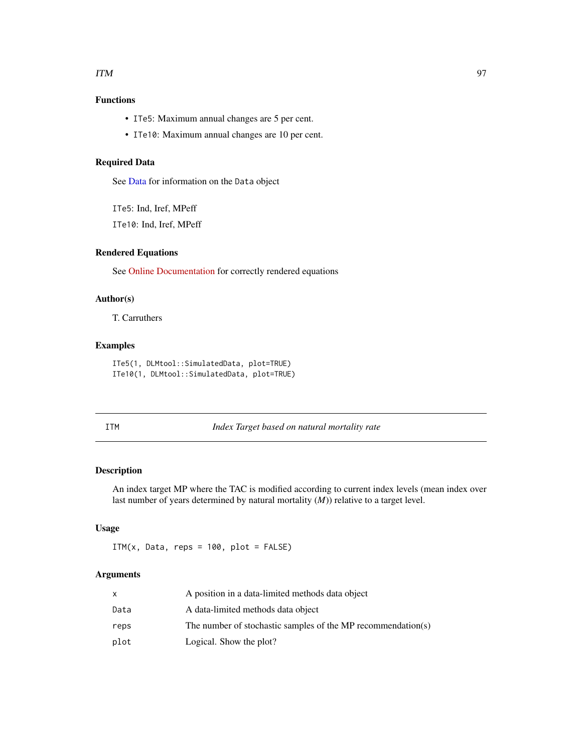#### $\mathbf{I}$  TM  $\mathbf{I}$  97

# Functions

- ITe5: Maximum annual changes are 5 per cent.
- ITe10: Maximum annual changes are 10 per cent.

## Required Data

See [Data](#page-29-0) for information on the Data object

ITe5: Ind, Iref, MPeff

ITe10: Ind, Iref, MPeff

### Rendered Equations

See [Online Documentation](https://dlmtool.github.io/DLMtool/reference/ITe5.html) for correctly rendered equations

### Author(s)

T. Carruthers

### Examples

ITe5(1, DLMtool::SimulatedData, plot=TRUE) ITe10(1, DLMtool::SimulatedData, plot=TRUE)

ITM *Index Target based on natural mortality rate*

# Description

An index target MP where the TAC is modified according to current index levels (mean index over last number of years determined by natural mortality (*M*)) relative to a target level.

## Usage

ITM $(x, \text{Data}, \text{reps} = 100, \text{plot} = \text{FALSE})$ 

### Arguments

|      | A position in a data-limited methods data object             |
|------|--------------------------------------------------------------|
| Data | A data-limited methods data object                           |
| reps | The number of stochastic samples of the MP recommendation(s) |
| plot | Logical. Show the plot?                                      |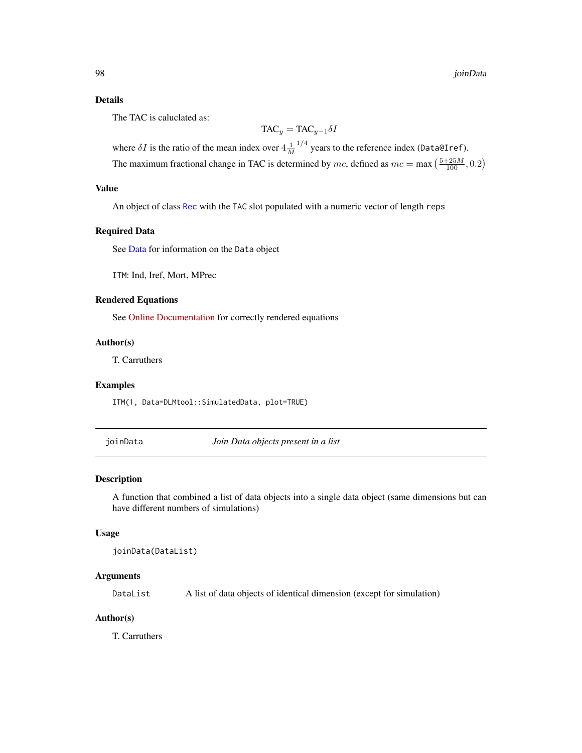### Details

The TAC is caluclated as:

$$
\text{TAC}_y = \text{TAC}_{y-1} \delta I
$$

where  $\delta I$  is the ratio of the mean index over  $4\frac{1}{M}$  $^{1/4}$  years to the reference index (Data@Iref). The maximum fractional change in TAC is determined by mc, defined as  $mc = \max\left(\frac{5+25M}{100}, 0.2\right)$ 

## Value

An object of class [Rec](#page-159-0) with the TAC slot populated with a numeric vector of length reps

### Required Data

See [Data](#page-29-0) for information on the Data object

ITM: Ind, Iref, Mort, MPrec

#### Rendered Equations

See [Online Documentation](https://dlmtool.github.io/DLMtool/reference/ITM.html) for correctly rendered equations

### Author(s)

T. Carruthers

#### Examples

ITM(1, Data=DLMtool::SimulatedData, plot=TRUE)

joinData *Join Data objects present in a list*

#### Description

A function that combined a list of data objects into a single data object (same dimensions but can have different numbers of simulations)

### Usage

joinData(DataList)

#### Arguments

DataList A list of data objects of identical dimension (except for simulation)

#### Author(s)

T. Carruthers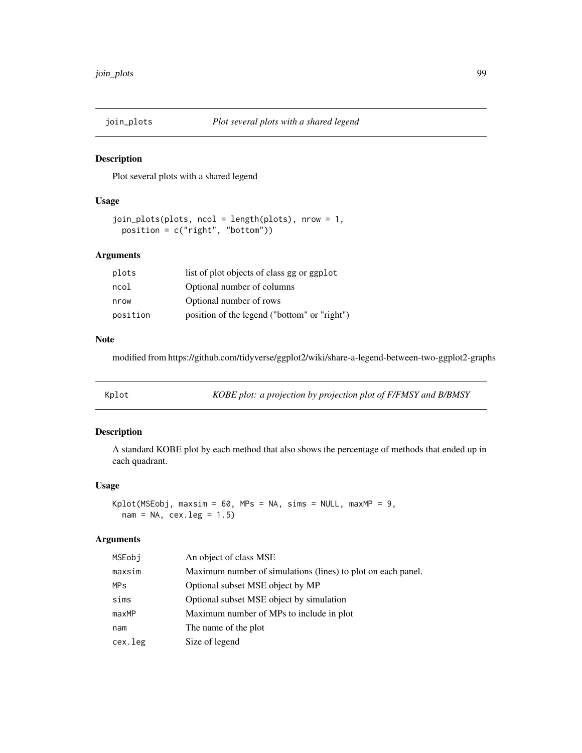### Description

Plot several plots with a shared legend

#### Usage

```
join_plots(plots, ncol = length(plots), nrow = 1,
 position = c("right", "bottom"))
```
### Arguments

| plots    | list of plot objects of class gg or ggplot   |
|----------|----------------------------------------------|
| ncol     | Optional number of columns                   |
| nrow     | Optional number of rows                      |
| position | position of the legend ("bottom" or "right") |

## Note

modified from https://github.com/tidyverse/ggplot2/wiki/share-a-legend-between-two-ggplot2-graphs

| KOBE plot: a projection by projection plot of F/FMSY and B/BMSY<br>Kplot |  |
|--------------------------------------------------------------------------|--|
|--------------------------------------------------------------------------|--|

## Description

A standard KOBE plot by each method that also shows the percentage of methods that ended up in each quadrant.

## Usage

 $Kplot(MSEobj, maxsim = 60, MPs = NA, sims = NULL, maxMP = 9,$  $nam = NA$ ,  $cex.leg = 1.5$ 

### Arguments

| MSEobi     | An object of class MSE                                       |
|------------|--------------------------------------------------------------|
| maxsim     | Maximum number of simulations (lines) to plot on each panel. |
| <b>MPs</b> | Optional subset MSE object by MP                             |
| sims       | Optional subset MSE object by simulation                     |
| maxMP      | Maximum number of MPs to include in plot                     |
| nam        | The name of the plot                                         |
| cex.leg    | Size of legend                                               |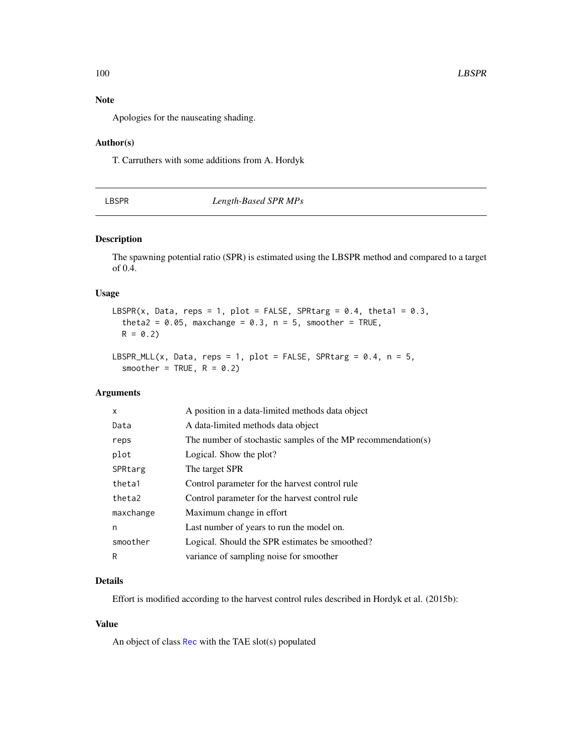# Note

Apologies for the nauseating shading.

#### Author(s)

T. Carruthers with some additions from A. Hordyk

## LBSPR *Length-Based SPR MPs*

### Description

The spawning potential ratio (SPR) is estimated using the LBSPR method and compared to a target of 0.4.

### Usage

```
LBSPR(x, Data, reps = 1, plot = FALSE, SPRtarg = 0.4, theta1 = 0.3,
  theta2 = 0.05, maxchange = 0.3, n = 5, smoother = TRUE,
 R = 0.2
```

```
LBSPR_MLL(x, Data, reps = 1, plot = FALSE, SPRtarg = 0.4, n = 5,
  smoother = TRUE, R = 0.2)
```
## Arguments

| $\mathsf{x}$ | A position in a data-limited methods data object             |
|--------------|--------------------------------------------------------------|
| Data         | A data-limited methods data object                           |
| reps         | The number of stochastic samples of the MP recommendation(s) |
| plot         | Logical. Show the plot?                                      |
| SPRtarg      | The target SPR                                               |
| theta1       | Control parameter for the harvest control rule               |
| theta2       | Control parameter for the harvest control rule               |
| maxchange    | Maximum change in effort                                     |
| n            | Last number of years to run the model on.                    |
| smoother     | Logical. Should the SPR estimates be smoothed?               |
| R            | variance of sampling noise for smoother                      |

## Details

Effort is modified according to the harvest control rules described in Hordyk et al. (2015b):

# Value

An object of class [Rec](#page-159-0) with the TAE slot(s) populated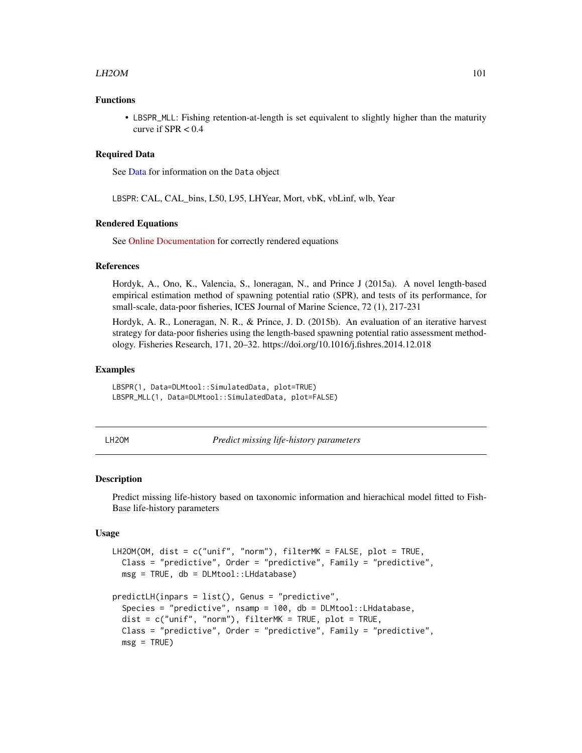#### $L$ H2OM 101

#### Functions

• LBSPR\_MLL: Fishing retention-at-length is set equivalent to slightly higher than the maturity curve if  $SPR < 0.4$ 

#### Required Data

See [Data](#page-29-0) for information on the Data object

LBSPR: CAL, CAL\_bins, L50, L95, LHYear, Mort, vbK, vbLinf, wlb, Year

#### Rendered Equations

See [Online Documentation](https://dlmtool.github.io/DLMtool/reference/LBSPR.html) for correctly rendered equations

## References

Hordyk, A., Ono, K., Valencia, S., loneragan, N., and Prince J (2015a). A novel length-based empirical estimation method of spawning potential ratio (SPR), and tests of its performance, for small-scale, data-poor fisheries, ICES Journal of Marine Science, 72 (1), 217-231

Hordyk, A. R., Loneragan, N. R., & Prince, J. D. (2015b). An evaluation of an iterative harvest strategy for data-poor fisheries using the length-based spawning potential ratio assessment methodology. Fisheries Research, 171, 20–32. https://doi.org/10.1016/j.fishres.2014.12.018

#### Examples

LBSPR(1, Data=DLMtool::SimulatedData, plot=TRUE) LBSPR\_MLL(1, Data=DLMtool::SimulatedData, plot=FALSE)

| ۰ |
|---|
|   |

LH2OM *Predict missing life-history parameters*

#### **Description**

Predict missing life-history based on taxonomic information and hierachical model fitted to Fish-Base life-history parameters

### Usage

```
LH2OM(OM, dist = c("unif", "norm"), filterMK = FALSE, plot = TRUE,
  Class = "predictive", Order = "predictive", Family = "predictive",
  msg = TRUE, db = DLMtool::LHdatabase)
predictLH(inpars = list(), Genus = "predictive",
  Species = "predictive", nsamp = 100, db = DLMtool::LHdatabase,
  dist = c("unif", "norm"), filterMK = TRUE, plot = TRUE,Class = "predictive", Order = "predictive", Family = "predictive",
  msg = TRUE)
```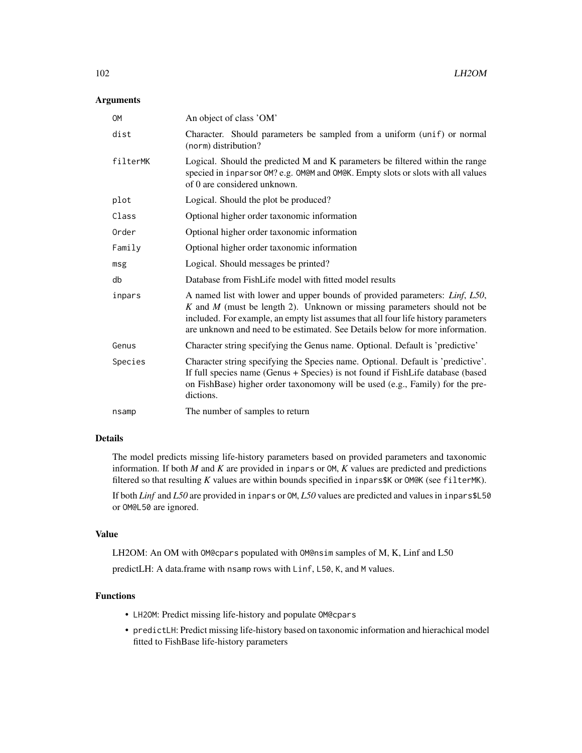### Arguments

| <b>OM</b> | An object of class 'OM'                                                                                                                                                                                                                                                                                                                           |
|-----------|---------------------------------------------------------------------------------------------------------------------------------------------------------------------------------------------------------------------------------------------------------------------------------------------------------------------------------------------------|
| dist      | Character. Should parameters be sampled from a uniform (unif) or normal<br>(norm) distribution?                                                                                                                                                                                                                                                   |
| filterMK  | Logical. Should the predicted M and K parameters be filtered within the range<br>specied in inparsor OM? e.g. OM@M and OM@K. Empty slots or slots with all values<br>of 0 are considered unknown.                                                                                                                                                 |
| plot      | Logical. Should the plot be produced?                                                                                                                                                                                                                                                                                                             |
| Class     | Optional higher order taxonomic information                                                                                                                                                                                                                                                                                                       |
| Order     | Optional higher order taxonomic information                                                                                                                                                                                                                                                                                                       |
| Family    | Optional higher order taxonomic information                                                                                                                                                                                                                                                                                                       |
| msg       | Logical. Should messages be printed?                                                                                                                                                                                                                                                                                                              |
| db        | Database from FishLife model with fitted model results                                                                                                                                                                                                                                                                                            |
| inpars    | A named list with lower and upper bounds of provided parameters: <i>Linf</i> , <i>L50</i> ,<br>$K$ and $M$ (must be length 2). Unknown or missing parameters should not be<br>included. For example, an empty list assumes that all four life history parameters<br>are unknown and need to be estimated. See Details below for more information. |
| Genus     | Character string specifying the Genus name. Optional. Default is 'predictive'                                                                                                                                                                                                                                                                     |
| Species   | Character string specifying the Species name. Optional. Default is 'predictive'.<br>If full species name (Genus + Species) is not found if FishLife database (based<br>on FishBase) higher order taxonomony will be used (e.g., Family) for the pre-<br>dictions.                                                                                 |
| nsamp     | The number of samples to return                                                                                                                                                                                                                                                                                                                   |

### Details

The model predicts missing life-history parameters based on provided parameters and taxonomic information. If both  $M$  and  $K$  are provided in inpars or  $OM$ ,  $K$  values are predicted and predictions filtered so that resulting *K* values are within bounds specified in inpars\$K or OM@K (see filterMK).

If both *Linf* and *L50* are provided in inpars or OM, *L50* values are predicted and values in inpars\$L50 or OM@L50 are ignored.

#### Value

LH2OM: An OM with OM@cpars populated with OM@nsim samples of M, K, Linf and L50

predictLH: A data.frame with nsamp rows with Linf, L50, K, and M values.

# Functions

- LH2OM: Predict missing life-history and populate OM@cpars
- predictLH: Predict missing life-history based on taxonomic information and hierachical model fitted to FishBase life-history parameters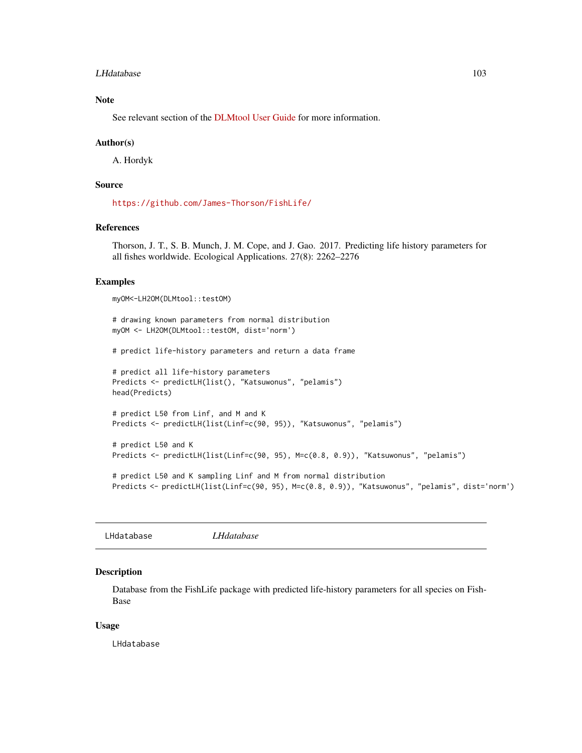#### LHdatabase 103

### Note

See relevant section of the [DLMtool User Guide](https://dlmtool.github.io/DLMtool/userguide/generating-correlated-life-history-parameters.html) for more information.

#### Author(s)

A. Hordyk

### Source

<https://github.com/James-Thorson/FishLife/>

### References

Thorson, J. T., S. B. Munch, J. M. Cope, and J. Gao. 2017. Predicting life history parameters for all fishes worldwide. Ecological Applications. 27(8): 2262–2276

## Examples

```
myOM<-LH2OM(DLMtool::testOM)
```
# drawing known parameters from normal distribution myOM <- LH2OM(DLMtool::testOM, dist='norm')

# predict life-history parameters and return a data frame

```
# predict all life-history parameters
Predicts <- predictLH(list(), "Katsuwonus", "pelamis")
head(Predicts)
```
# predict L50 from Linf, and M and K Predicts <- predictLH(list(Linf=c(90, 95)), "Katsuwonus", "pelamis")

```
# predict L50 and K
Predicts <- predictLH(list(Linf=c(90, 95), M=c(0.8, 0.9)), "Katsuwonus", "pelamis")
```
# predict L50 and K sampling Linf and M from normal distribution Predicts <- predictLH(list(Linf=c(90, 95), M=c(0.8, 0.9)), "Katsuwonus", "pelamis", dist='norm')

LHdatabase *LHdatabase*

#### Description

Database from the FishLife package with predicted life-history parameters for all species on Fish-Base

#### Usage

LHdatabase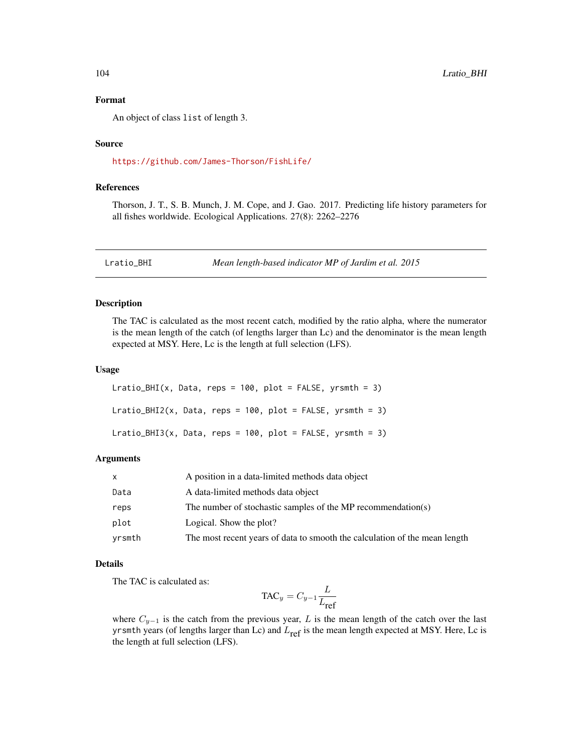### Format

An object of class list of length 3.

### Source

<https://github.com/James-Thorson/FishLife/>

### References

Thorson, J. T., S. B. Munch, J. M. Cope, and J. Gao. 2017. Predicting life history parameters for all fishes worldwide. Ecological Applications. 27(8): 2262–2276

Lratio\_BHI *Mean length-based indicator MP of Jardim et al. 2015*

### Description

The TAC is calculated as the most recent catch, modified by the ratio alpha, where the numerator is the mean length of the catch (of lengths larger than Lc) and the denominator is the mean length expected at MSY. Here, Lc is the length at full selection (LFS).

#### Usage

```
Lratio_BHI(x, Data, reps = 100, plot = FALSE, yrsmth = 3)
Lratio_BHI2(x, Data, reps = 100, plot = FALSE, yrsmth = 3)
Lratio_BHI3(x, Data, reps = 100, plot = FALSE, yrsmth = 3)
```
#### Arguments

| x      | A position in a data-limited methods data object                           |
|--------|----------------------------------------------------------------------------|
| Data   | A data-limited methods data object                                         |
| reps   | The number of stochastic samples of the MP recommendation(s)               |
| plot   | Logical. Show the plot?                                                    |
| yrsmth | The most recent years of data to smooth the calculation of the mean length |

#### Details

The TAC is calculated as:

$$
\text{TAC}_y = C_{y-1} \frac{L}{L_{\text{ref}}}
$$

where  $C_{y-1}$  is the catch from the previous year, L is the mean length of the catch over the last yrsmth years (of lengths larger than Lc) and  $L_{ref}$  is the mean length expected at MSY. Here, Lc is the length at full selection (LFS).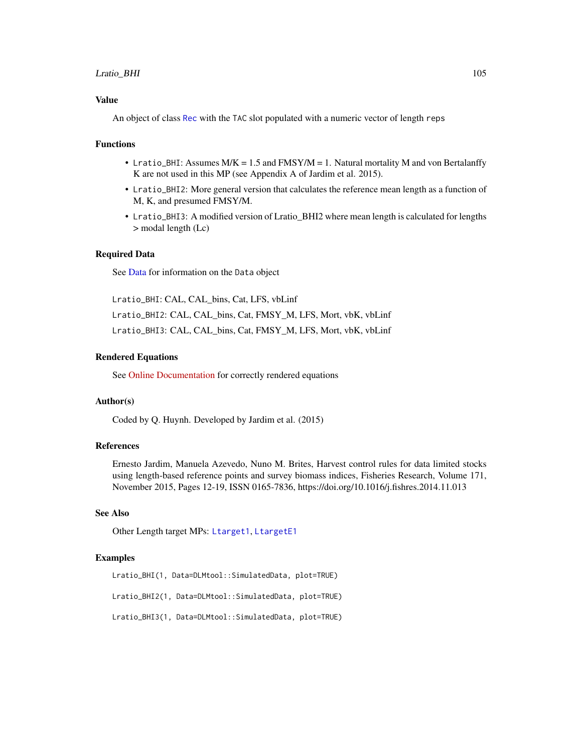### Lratio\_BHI 105

### Value

An object of class [Rec](#page-159-0) with the TAC slot populated with a numeric vector of length reps

#### Functions

- Lratio\_BHI: Assumes  $M/K = 1.5$  and  $FMSY/M = 1$ . Natural mortality M and von Bertalanffy K are not used in this MP (see Appendix A of Jardim et al. 2015).
- Lratio\_BHI2: More general version that calculates the reference mean length as a function of M, K, and presumed FMSY/M.
- Lratio\_BHI3: A modified version of Lratio\_BHI2 where mean length is calculated for lengths > modal length (Lc)

### Required Data

See [Data](#page-29-0) for information on the Data object

Lratio\_BHI: CAL, CAL\_bins, Cat, LFS, vbLinf Lratio\_BHI2: CAL, CAL\_bins, Cat, FMSY\_M, LFS, Mort, vbK, vbLinf Lratio\_BHI3: CAL, CAL\_bins, Cat, FMSY\_M, LFS, Mort, vbK, vbLinf

### Rendered Equations

See [Online Documentation](https://dlmtool.github.io/DLMtool/reference/Lratio_BHI.html) for correctly rendered equations

### Author(s)

Coded by Q. Huynh. Developed by Jardim et al. (2015)

### References

Ernesto Jardim, Manuela Azevedo, Nuno M. Brites, Harvest control rules for data limited stocks using length-based reference points and survey biomass indices, Fisheries Research, Volume 171, November 2015, Pages 12-19, ISSN 0165-7836, https://doi.org/10.1016/j.fishres.2014.11.013

## See Also

Other Length target MPs: [Ltarget1](#page-112-0), [LtargetE1](#page-114-0)

### Examples

Lratio\_BHI(1, Data=DLMtool::SimulatedData, plot=TRUE) Lratio\_BHI2(1, Data=DLMtool::SimulatedData, plot=TRUE) Lratio\_BHI3(1, Data=DLMtool::SimulatedData, plot=TRUE)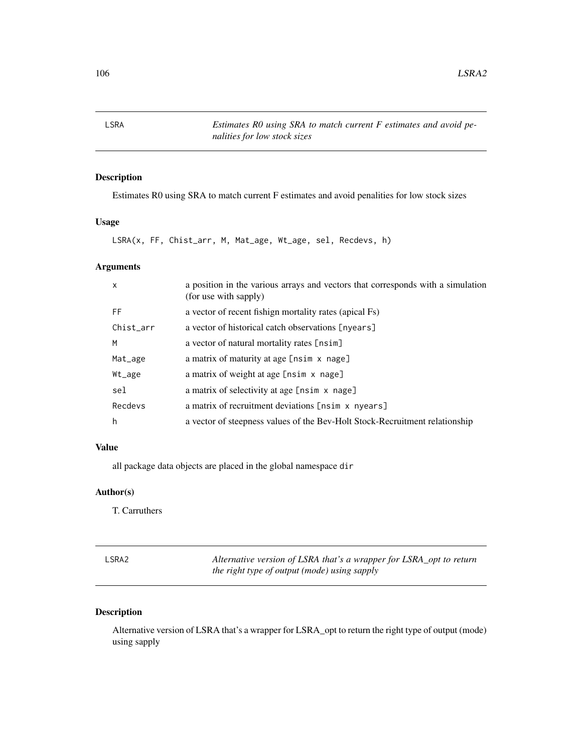LSRA *Estimates R0 using SRA to match current F estimates and avoid penalities for low stock sizes*

## Description

Estimates R0 using SRA to match current F estimates and avoid penalities for low stock sizes

## Usage

LSRA(x, FF, Chist\_arr, M, Mat\_age, Wt\_age, sel, Recdevs, h)

# Arguments

| $\mathsf{x}$ | a position in the various arrays and vectors that corresponds with a simulation<br>(for use with sapply) |
|--------------|----------------------------------------------------------------------------------------------------------|
| FF           | a vector of recent fishign mortality rates (apical Fs)                                                   |
| Chist_arr    | a vector of historical catch observations [nyears]                                                       |
| M            | a vector of natural mortality rates [nsim]                                                               |
| Mat_age      | a matrix of maturity at age [nsim x nage]                                                                |
| Wt_age       | a matrix of weight at age [nsim x nage]                                                                  |
| sel          | a matrix of selectivity at age [nsim x nage]                                                             |
| Recdevs      | a matrix of recruitment deviations [nsim x nyears]                                                       |
| h            | a vector of steepness values of the Bev-Holt Stock-Recruitment relationship                              |

## Value

all package data objects are placed in the global namespace dir

## Author(s)

T. Carruthers

| LSRA2 | Alternative version of LSRA that's a wrapper for LSRA_opt to return |
|-------|---------------------------------------------------------------------|
|       | the right type of output (mode) using sapply                        |

# Description

Alternative version of LSRA that's a wrapper for LSRA\_opt to return the right type of output (mode) using sapply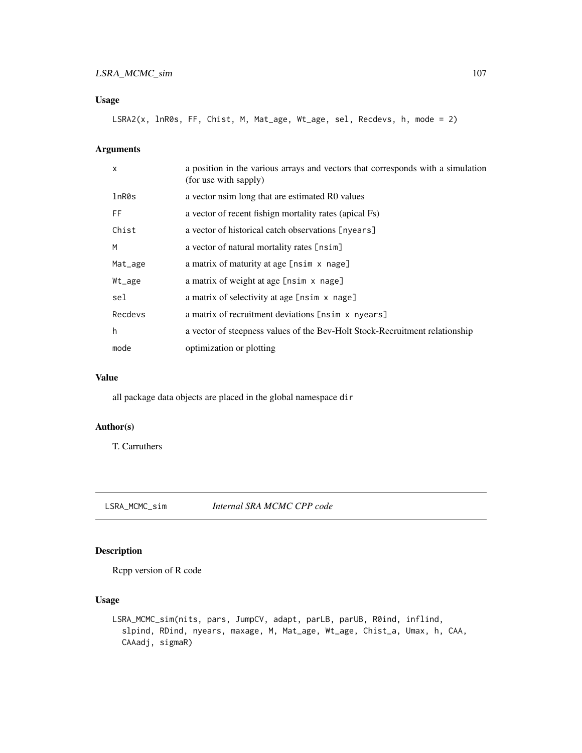## Usage

```
LSRA2(x, lnR0s, FF, Chist, M, Mat_age, Wt_age, sel, Recdevs, h, mode = 2)
```
## Arguments

| $\mathsf{x}$ | a position in the various arrays and vectors that corresponds with a simulation<br>(for use with sapply) |
|--------------|----------------------------------------------------------------------------------------------------------|
| lnR0s        | a vector nsim long that are estimated R0 values                                                          |
| FF           | a vector of recent fishign mortality rates (apical Fs)                                                   |
| Chist        | a vector of historical catch observations [nyears]                                                       |
| M            | a vector of natural mortality rates [nsim]                                                               |
| Mat_age      | a matrix of maturity at age [nsim x nage]                                                                |
| Wt_age       | a matrix of weight at age [nsim x nage]                                                                  |
| sel          | a matrix of selectivity at age [nsim x nage]                                                             |
| Recdevs      | a matrix of recruitment deviations [nsim x nyears]                                                       |
| h            | a vector of steepness values of the Bev-Holt Stock-Recruitment relationship                              |
| mode         | optimization or plotting                                                                                 |

## Value

all package data objects are placed in the global namespace dir

## Author(s)

T. Carruthers

LSRA\_MCMC\_sim *Internal SRA MCMC CPP code*

## Description

Rcpp version of R code

### Usage

```
LSRA_MCMC_sim(nits, pars, JumpCV, adapt, parLB, parUB, R0ind, inflind,
  slpind, RDind, nyears, maxage, M, Mat_age, Wt_age, Chist_a, Umax, h, CAA,
  CAAadj, sigmaR)
```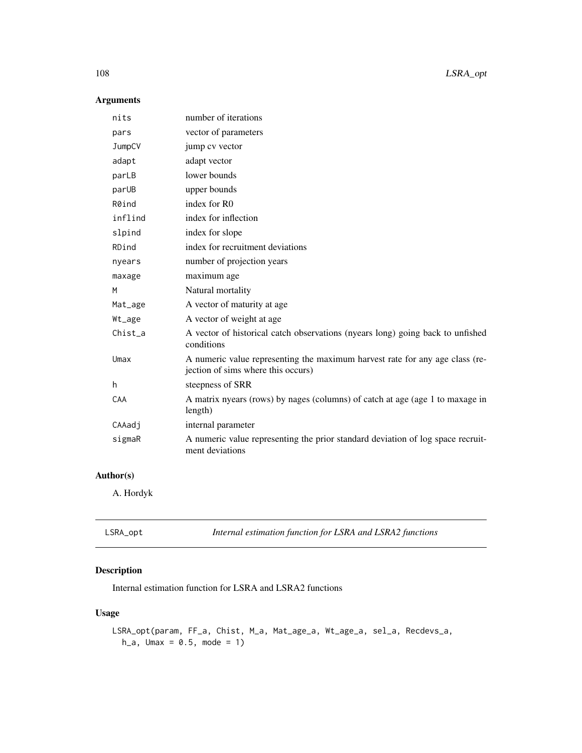## Arguments

| nits    | number of iterations                                                                                               |
|---------|--------------------------------------------------------------------------------------------------------------------|
| pars    | vector of parameters                                                                                               |
| JumpCV  | jump cv vector                                                                                                     |
| adapt   | adapt vector                                                                                                       |
| parLB   | lower bounds                                                                                                       |
| parUB   | upper bounds                                                                                                       |
| R0ind   | index for R0                                                                                                       |
| inflind | index for inflection                                                                                               |
| slpind  | index for slope                                                                                                    |
| RDind   | index for recruitment deviations                                                                                   |
| nyears  | number of projection years                                                                                         |
| maxage  | maximum age                                                                                                        |
| M       | Natural mortality                                                                                                  |
| Mat_age | A vector of maturity at age                                                                                        |
| Wt_age  | A vector of weight at age                                                                                          |
| Chist_a | A vector of historical catch observations (nyears long) going back to unfished<br>conditions                       |
| Umax    | A numeric value representing the maximum harvest rate for any age class (re-<br>jection of sims where this occurs) |
| h.      | steepness of SRR                                                                                                   |
| CAA     | A matrix nyears (rows) by nages (columns) of catch at age (age 1 to maxage in<br>length)                           |
| CAAadj  | internal parameter                                                                                                 |
| sigmaR  | A numeric value representing the prior standard deviation of log space recruit-<br>ment deviations                 |

## Author(s)

A. Hordyk

| LSRA_opt | Internal estimation function for LSRA and LSRA2 functions |  |
|----------|-----------------------------------------------------------|--|
|          |                                                           |  |

# Description

Internal estimation function for LSRA and LSRA2 functions

# Usage

```
LSRA_opt(param, FF_a, Chist, M_a, Mat_age_a, Wt_age_a, sel_a, Recdevs_a,
  h_{-}a, Umax = 0.5, mode = 1)
```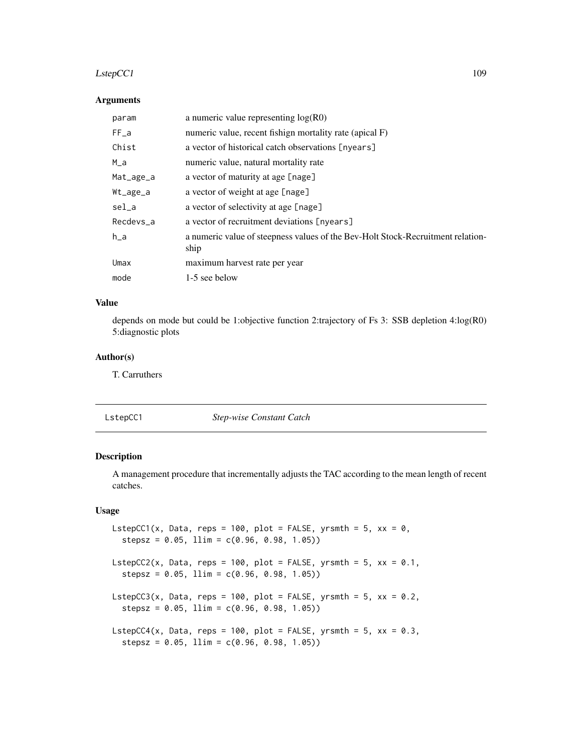#### $LstepCC1$  109

#### Arguments

| param     | a numeric value representing $log(R0)$                                                  |
|-----------|-----------------------------------------------------------------------------------------|
| $FF_a$    | numeric value, recent fishign mortality rate (apical F)                                 |
| Chist     | a vector of historical catch observations [nyears]                                      |
| $M_a$     | numeric value, natural mortality rate                                                   |
| Mat_age_a | a vector of maturity at age [nage]                                                      |
| Wt_age_a  | a vector of weight at age [nage]                                                        |
| sel_a     | a vector of selectivity at age [nage]                                                   |
| Recdevs_a | a vector of recruitment deviations [nyears]                                             |
| $h_a$     | a numeric value of steepness values of the Bev-Holt Stock-Recruitment relation-<br>ship |
| Umax      | maximum harvest rate per year                                                           |
| mode      | 1-5 see below                                                                           |

# Value

depends on mode but could be 1:objective function 2:trajectory of Fs 3: SSB depletion 4:log(R0) 5:diagnostic plots

# Author(s)

T. Carruthers

LstepCC1 *Step-wise Constant Catch*

# Description

A management procedure that incrementally adjusts the TAC according to the mean length of recent catches.

# Usage

```
LstepCC1(x, Data, reps = 100, plot = FALSE, yrsmth = 5, xx = 0,
  stepsz = 0.05, llim = c(0.96, 0.98, 1.05)LstepCC2(x, Data, reps = 100, plot = FALSE, yrsmth = 5, xx = 0.1,
  stepsz = 0.05, llim = c(0.96, 0.98, 1.05)LstepCC3(x, Data, reps = 100, plot = FALSE, yrsmth = 5, xx = 0.2,
  stepsz = 0.05, 1lim = c(0.96, 0.98, 1.05)LstepCC4(x, Data, reps = 100, plot = FALSE, yrsmth = 5, xx = 0.3,
  stepsz = 0.05, llim = c(0.96, 0.98, 1.05)
```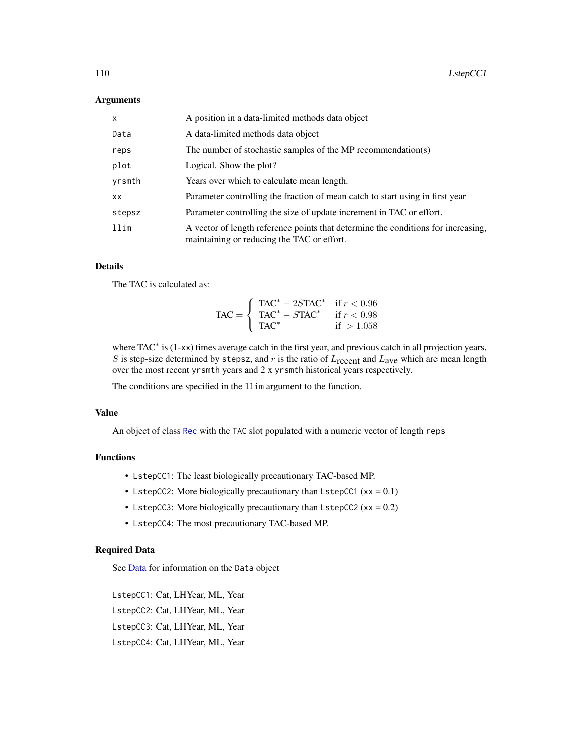#### **Arguments**

| $\mathsf{x}$ | A position in a data-limited methods data object                                                                                |
|--------------|---------------------------------------------------------------------------------------------------------------------------------|
| Data         | A data-limited methods data object                                                                                              |
| reps         | The number of stochastic samples of the MP recommendation(s)                                                                    |
| plot         | Logical. Show the plot?                                                                                                         |
| yrsmth       | Years over which to calculate mean length.                                                                                      |
| <b>XX</b>    | Parameter controlling the fraction of mean catch to start using in first year                                                   |
| stepsz       | Parameter controlling the size of update increment in TAC or effort.                                                            |
| llim         | A vector of length reference points that determine the conditions for increasing,<br>maintaining or reducing the TAC or effort. |

## Details

The TAC is calculated as:

$$
\text{TAC} = \left\{ \begin{array}{ll} \text{TAC}^* - 2S\text{TAC}^* & \text{if } r < 0.96\\ \text{TAC}^* - STAC^* & \text{if } r < 0.98\\ \text{TAC}^* & \text{if } > 1.058 \end{array} \right.
$$

where TAC<sup>\*</sup> is (1-xx) times average catch in the first year, and previous catch in all projection years, S is step-size determined by stepsz, and  $r$  is the ratio of  $L_{\text{recent}}$  and  $L_{\text{ave}}$  which are mean length over the most recent yrsmth years and 2 x yrsmth historical years respectively.

The conditions are specified in the llim argument to the function.

## Value

An object of class [Rec](#page-159-0) with the TAC slot populated with a numeric vector of length reps

# Functions

- LstepCC1: The least biologically precautionary TAC-based MP.
- LstepCC2: More biologically precautionary than LstepCC1  $(xx = 0.1)$
- LstepCC3: More biologically precautionary than LstepCC2 ( $xx = 0.2$ )
- LstepCC4: The most precautionary TAC-based MP.

# Required Data

See [Data](#page-29-0) for information on the Data object

LstepCC1: Cat, LHYear, ML, Year LstepCC2: Cat, LHYear, ML, Year LstepCC3: Cat, LHYear, ML, Year LstepCC4: Cat, LHYear, ML, Year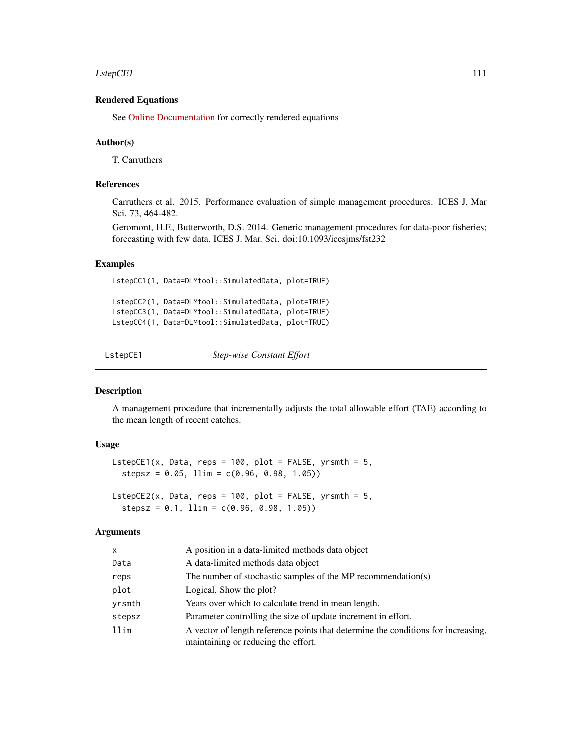#### $LstepCE1$  111

## Rendered Equations

See [Online Documentation](https://dlmtool.github.io/DLMtool/reference/LstepCC1.html) for correctly rendered equations

#### Author(s)

T. Carruthers

# References

Carruthers et al. 2015. Performance evaluation of simple management procedures. ICES J. Mar Sci. 73, 464-482.

Geromont, H.F., Butterworth, D.S. 2014. Generic management procedures for data-poor fisheries; forecasting with few data. ICES J. Mar. Sci. doi:10.1093/icesjms/fst232

#### Examples

LstepCC1(1, Data=DLMtool::SimulatedData, plot=TRUE) LstepCC2(1, Data=DLMtool::SimulatedData, plot=TRUE) LstepCC3(1, Data=DLMtool::SimulatedData, plot=TRUE) LstepCC4(1, Data=DLMtool::SimulatedData, plot=TRUE)

LstepCE1 *Step-wise Constant Effort*

#### Description

A management procedure that incrementally adjusts the total allowable effort (TAE) according to the mean length of recent catches.

## Usage

LstepCE1(x, Data, reps =  $100$ , plot = FALSE, yrsmth =  $5$ , stepsz =  $0.05$ , llim =  $c(0.96, 0.98, 1.05)$ 

LstepCE2(x, Data, reps = 100, plot = FALSE, yrsmth =  $5$ ,  $stepsz = 0.1, 1lim = c(0.96, 0.98, 1.05)$ 

#### Arguments

| X.     | A position in a data-limited methods data object                                                                         |
|--------|--------------------------------------------------------------------------------------------------------------------------|
| Data   | A data-limited methods data object                                                                                       |
| reps   | The number of stochastic samples of the MP recommendation(s)                                                             |
| plot   | Logical. Show the plot?                                                                                                  |
| vrsmth | Years over which to calculate trend in mean length.                                                                      |
| stepsz | Parameter controlling the size of update increment in effort.                                                            |
| llim   | A vector of length reference points that determine the conditions for increasing,<br>maintaining or reducing the effort. |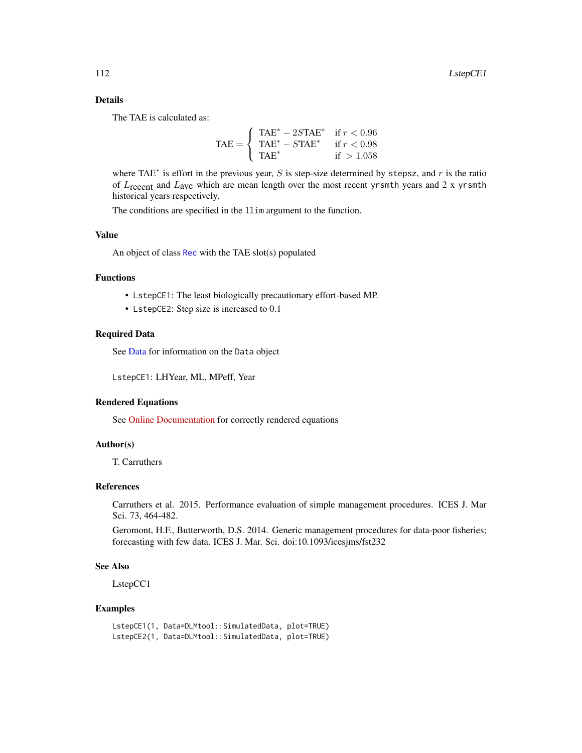# Details

The TAE is calculated as:

$$
\text{TAE} = \begin{cases} \text{TAE}^* - 2S\text{TAE}^* & \text{if } r < 0.96\\ \text{TAE}^* - S\text{TAE}^* & \text{if } r < 0.98\\ \text{TAE}^* & \text{if } > 1.058 \end{cases}
$$

where TAE<sup> $*$ </sup> is effort in the previous year, S is step-size determined by stepsz, and r is the ratio of  $L_{\text{recent}}$  and  $L_{\text{ave}}$  which are mean length over the most recent yrsmth years and 2 x yrsmth historical years respectively.

The conditions are specified in the llim argument to the function.

# Value

An object of class [Rec](#page-159-0) with the TAE slot(s) populated

## Functions

- LstepCE1: The least biologically precautionary effort-based MP.
- LstepCE2: Step size is increased to 0.1

#### Required Data

See [Data](#page-29-0) for information on the Data object

LstepCE1: LHYear, ML, MPeff, Year

# Rendered Equations

See [Online Documentation](https://dlmtool.github.io/DLMtool/reference/LstepCE1.html) for correctly rendered equations

# Author(s)

T. Carruthers

## References

Carruthers et al. 2015. Performance evaluation of simple management procedures. ICES J. Mar Sci. 73, 464-482.

Geromont, H.F., Butterworth, D.S. 2014. Generic management procedures for data-poor fisheries; forecasting with few data. ICES J. Mar. Sci. doi:10.1093/icesjms/fst232

#### See Also

LstepCC1

### Examples

```
LstepCE1(1, Data=DLMtool::SimulatedData, plot=TRUE)
LstepCE2(1, Data=DLMtool::SimulatedData, plot=TRUE)
```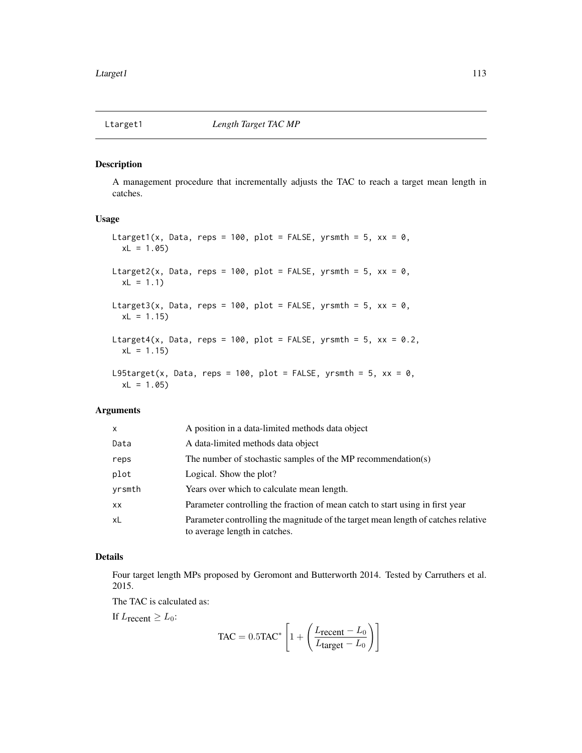#### <span id="page-112-0"></span>Description

A management procedure that incrementally adjusts the TAC to reach a target mean length in catches.

## Usage

```
Ltarget1(x, Data, reps = 100, plot = FALSE, yrsmth = 5, xx = 0,
 xL = 1.05Ltarget2(x, Data, reps = 100, plot = FALSE, yrsmth = 5, xx = 0,
 xL = 1.1Ltarget3(x, Data, reps = 100, plot = FALSE, yrsmth = 5, xx = 0,
  xL = 1.15Ltarget4(x, Data, reps = 100, plot = FALSE, yrsmth = 5, xx = 0.2,
  xL = 1.15L95target(x, Data, reps = 100, plot = FALSE, yrsmth = 5, xx = 0,
  xL = 1.05
```
## Arguments

| x      | A position in a data-limited methods data object                                                                   |
|--------|--------------------------------------------------------------------------------------------------------------------|
| Data   | A data-limited methods data object                                                                                 |
| reps   | The number of stochastic samples of the MP recommendation(s)                                                       |
| plot   | Logical. Show the plot?                                                                                            |
| vrsmth | Years over which to calculate mean length.                                                                         |
| xх     | Parameter controlling the fraction of mean catch to start using in first year                                      |
| xL     | Parameter controlling the magnitude of the target mean length of catches relative<br>to average length in catches. |

#### Details

Four target length MPs proposed by Geromont and Butterworth 2014. Tested by Carruthers et al. 2015.

The TAC is calculated as:

If  $L_{\text{recent}} \geq L_0$ :

$$
\text{TAC} = 0.5 \text{TAC}^* \left[ 1 + \left( \frac{L_{\text{recent}} - L_0}{L_{\text{target}} - L_0} \right) \right]
$$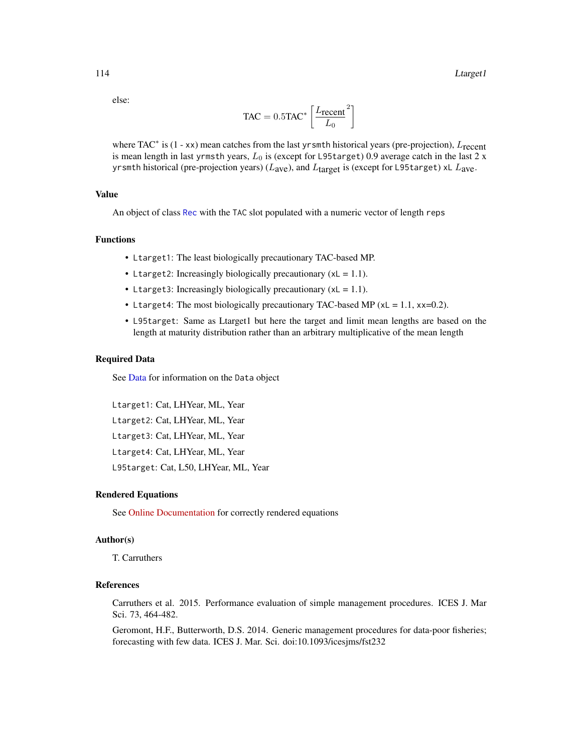else:

$$
TAC = 0.5TAC^* \left[ \frac{L_{\text{recent}}}{L_0}^2 \right]
$$

where TAC<sup>\*</sup> is (1 - xx) mean catches from the last yr smth historical years (pre-projection),  $L_{\text{recent}}$ is mean length in last yrmsth years,  $L_0$  is (except for L95target) 0.9 average catch in the last 2 x yrsmth historical (pre-projection years) ( $L_{\text{ave}}$ ), and  $L_{\text{target}}$  is (except for L95target) xL  $L_{\text{ave}}$ .

# Value

An object of class [Rec](#page-159-0) with the TAC slot populated with a numeric vector of length reps

#### Functions

- Ltarget1: The least biologically precautionary TAC-based MP.
- Ltarget2: Increasingly biologically precautionary  $(xL = 1.1)$ .
- Ltarget3: Increasingly biologically precautionary  $(xL = 1.1)$ .
- Ltarget4: The most biologically precautionary TAC-based MP ( $xL = 1.1$ ,  $xx=0.2$ ).
- L95target: Same as Ltarget1 but here the target and limit mean lengths are based on the length at maturity distribution rather than an arbitrary multiplicative of the mean length

#### Required Data

See [Data](#page-29-0) for information on the Data object

Ltarget1: Cat, LHYear, ML, Year Ltarget2: Cat, LHYear, ML, Year Ltarget3: Cat, LHYear, ML, Year Ltarget4: Cat, LHYear, ML, Year L95target: Cat, L50, LHYear, ML, Year

#### Rendered Equations

See [Online Documentation](https://dlmtool.github.io/DLMtool/reference/Ltarget1.html) for correctly rendered equations

## Author(s)

T. Carruthers

# References

Carruthers et al. 2015. Performance evaluation of simple management procedures. ICES J. Mar Sci. 73, 464-482.

Geromont, H.F., Butterworth, D.S. 2014. Generic management procedures for data-poor fisheries; forecasting with few data. ICES J. Mar. Sci. doi:10.1093/icesjms/fst232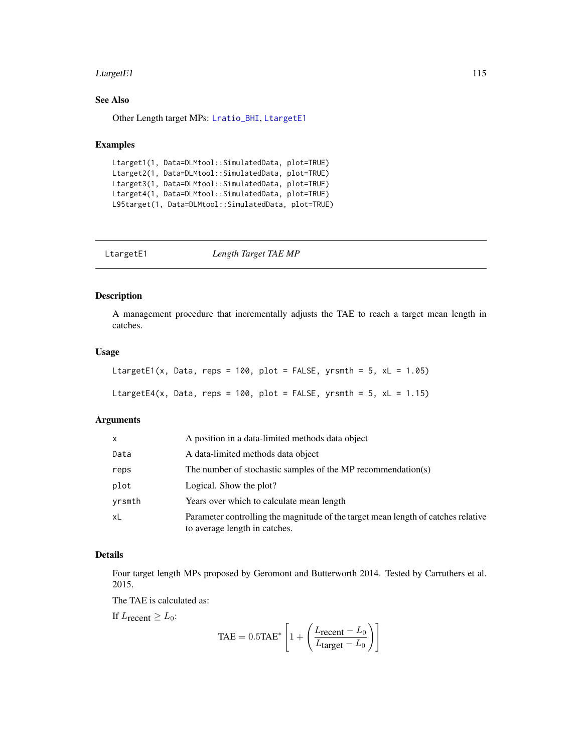#### $\text{Large }t\text{E1}$  115

# See Also

Other Length target MPs: [Lratio\\_BHI](#page-103-0), [LtargetE1](#page-114-0)

#### Examples

```
Ltarget1(1, Data=DLMtool::SimulatedData, plot=TRUE)
Ltarget2(1, Data=DLMtool::SimulatedData, plot=TRUE)
Ltarget3(1, Data=DLMtool::SimulatedData, plot=TRUE)
Ltarget4(1, Data=DLMtool::SimulatedData, plot=TRUE)
L95target(1, Data=DLMtool::SimulatedData, plot=TRUE)
```
<span id="page-114-0"></span>

| LtargetE1 | Length Target TAE MP |  |
|-----------|----------------------|--|
|-----------|----------------------|--|

# Description

A management procedure that incrementally adjusts the TAE to reach a target mean length in catches.

## Usage

```
LtargetE1(x, Data, reps = 100, plot = FALSE, yrsmth = 5, xL = 1.05)
LtargetE4(x, Data, reps = 100, plot = FALSE, yrsmth = 5, xL = 1.15)
```
## Arguments

| x      | A position in a data-limited methods data object                                                                   |
|--------|--------------------------------------------------------------------------------------------------------------------|
| Data   | A data-limited methods data object                                                                                 |
| reps   | The number of stochastic samples of the MP recommendation(s)                                                       |
| plot   | Logical. Show the plot?                                                                                            |
| yrsmth | Years over which to calculate mean length                                                                          |
| xL     | Parameter controlling the magnitude of the target mean length of catches relative<br>to average length in catches. |

# Details

Four target length MPs proposed by Geromont and Butterworth 2014. Tested by Carruthers et al. 2015.

The TAE is calculated as:

If  $L$ <sub>recent</sub>  $\geq L_0$ :

$$
\text{TAE} = 0.5 \text{TAE}^* \left[ 1 + \left( \frac{L_{\text{recent}} - L_0}{L_{\text{target}} - L_0} \right) \right]
$$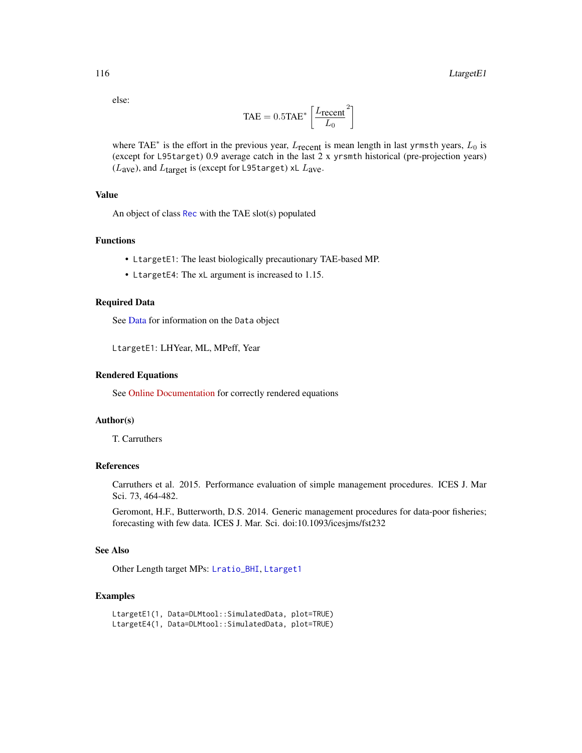else:

$$
TAE = 0.5TAE^* \left[ \frac{L_{\text{recent}}}{L_0}^2 \right]
$$

where TAE<sup>\*</sup> is the effort in the previous year,  $L_{\text{recent}}$  is mean length in last yrmsth years,  $L_0$  is (except for L95target) 0.9 average catch in the last 2 x yrsmth historical (pre-projection years) ( $L$ <sub>ave</sub>), and  $L$ <sub>target</sub> is (except for L95target) xL  $L$ <sub>ave</sub>.

# Value

An object of class [Rec](#page-159-0) with the TAE slot(s) populated

# Functions

- LtargetE1: The least biologically precautionary TAE-based MP.
- LtargetE4: The xL argument is increased to 1.15.

# Required Data

See [Data](#page-29-0) for information on the Data object

LtargetE1: LHYear, ML, MPeff, Year

#### Rendered Equations

See [Online Documentation](https://dlmtool.github.io/DLMtool/reference/LtargetE1.html) for correctly rendered equations

## Author(s)

T. Carruthers

#### References

Carruthers et al. 2015. Performance evaluation of simple management procedures. ICES J. Mar Sci. 73, 464-482.

Geromont, H.F., Butterworth, D.S. 2014. Generic management procedures for data-poor fisheries; forecasting with few data. ICES J. Mar. Sci. doi:10.1093/icesjms/fst232

# See Also

Other Length target MPs: [Lratio\\_BHI](#page-103-0), [Ltarget1](#page-112-0)

### Examples

```
LtargetE1(1, Data=DLMtool::SimulatedData, plot=TRUE)
LtargetE4(1, Data=DLMtool::SimulatedData, plot=TRUE)
```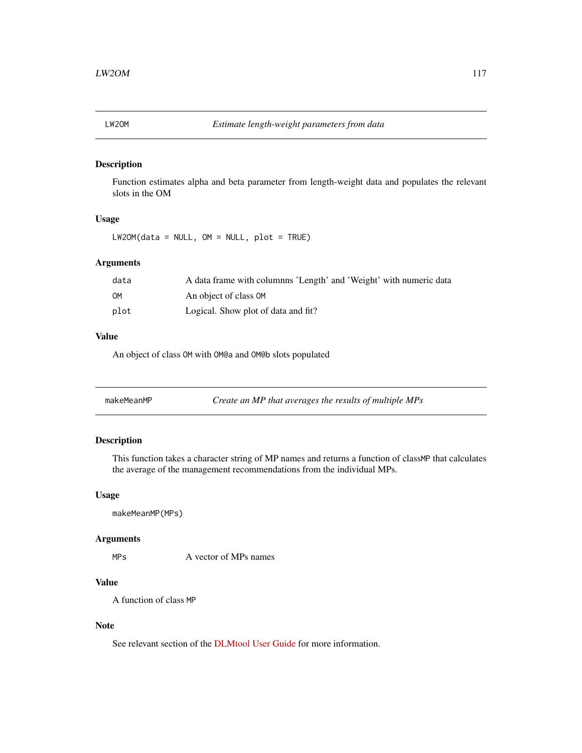# Description

Function estimates alpha and beta parameter from length-weight data and populates the relevant slots in the OM

# Usage

 $LW2OM(data = NULL, OM = NULL, plot = TRUE)$ 

# Arguments

| data | A data frame with columnns 'Length' and 'Weight' with numeric data |
|------|--------------------------------------------------------------------|
| OМ   | An object of class OM                                              |
| plot | Logical. Show plot of data and fit?                                |

#### Value

An object of class OM with OM@a and OM@b slots populated

| makeMeanMP | Create an MP that averages the results of multiple MPs |
|------------|--------------------------------------------------------|
|------------|--------------------------------------------------------|

# Description

This function takes a character string of MP names and returns a function of classMP that calculates the average of the management recommendations from the individual MPs.

## Usage

makeMeanMP(MPs)

# Arguments

MPs A vector of MPs names

# Value

A function of class MP

# Note

See relevant section of the [DLMtool User Guide](https://dlmtool.github.io/DLMtool/userguide/averaging-mps.html) for more information.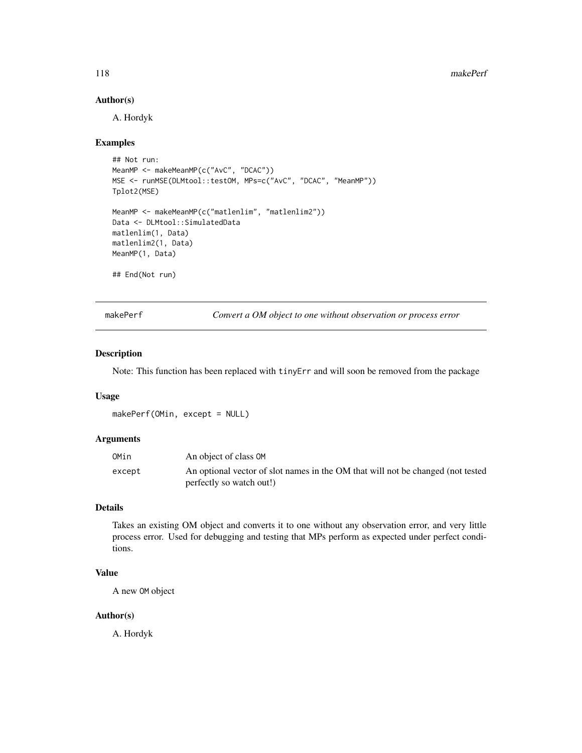# Author(s)

A. Hordyk

#### Examples

```
## Not run:
MeanMP <- makeMeanMP(c("AvC", "DCAC"))
MSE <- runMSE(DLMtool::testOM, MPs=c("AvC", "DCAC", "MeanMP"))
Tplot2(MSE)
MeanMP <- makeMeanMP(c("matlenlim", "matlenlim2"))
Data <- DLMtool::SimulatedData
matlenlim(1, Data)
matlenlim2(1, Data)
MeanMP(1, Data)
## End(Not run)
```
makePerf *Convert a OM object to one without observation or process error*

#### Description

Note: This function has been replaced with tinyErr and will soon be removed from the package

#### Usage

makePerf(OMin, except = NULL)

## Arguments

| OMin   | An object of class OM                                                                                       |
|--------|-------------------------------------------------------------------------------------------------------------|
| except | An optional vector of slot names in the OM that will not be changed (not tested<br>perfectly so watch out!) |

# Details

Takes an existing OM object and converts it to one without any observation error, and very little process error. Used for debugging and testing that MPs perform as expected under perfect conditions.

# Value

A new OM object

#### Author(s)

A. Hordyk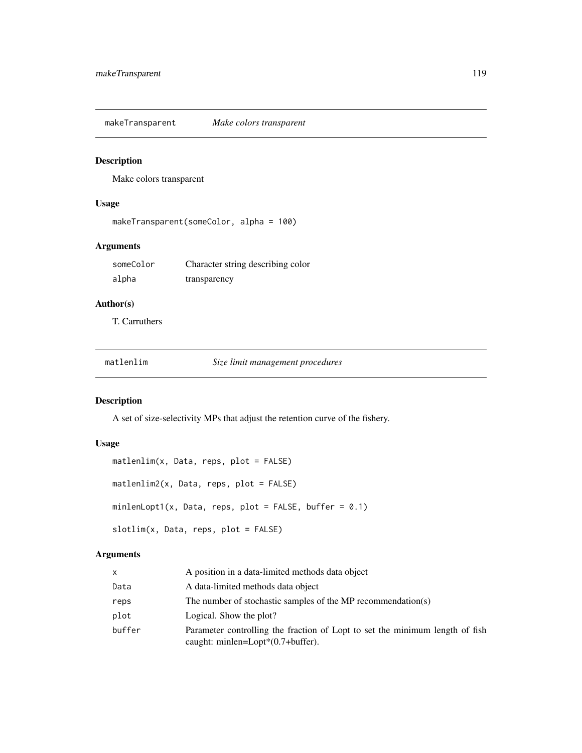makeTransparent *Make colors transparent*

# Description

Make colors transparent

# Usage

```
makeTransparent(someColor, alpha = 100)
```
# Arguments

| someColor | Character string describing color |
|-----------|-----------------------------------|
| alpha     | transparency                      |

# Author(s)

T. Carruthers

matlenlim *Size limit management procedures*

# Description

A set of size-selectivity MPs that adjust the retention curve of the fishery.

# Usage

```
matlenlim(x, Data, reps, plot = FALSE)
matlenlim2(x, Data, reps, plot = FALSE)
minlenLopt1(x, Data, reps, plot = FALSE, buffer = 0.1)slotlim(x, Data, reps, plot = FALSE)
```
# Arguments

| x      | A position in a data-limited methods data object                                                                      |
|--------|-----------------------------------------------------------------------------------------------------------------------|
| Data   | A data-limited methods data object                                                                                    |
| reps   | The number of stochastic samples of the MP recommendation(s)                                                          |
| plot   | Logical. Show the plot?                                                                                               |
| buffer | Parameter controlling the fraction of Lopt to set the minimum length of fish<br>caught: minlen=Lopt $*(0.7+buffer)$ . |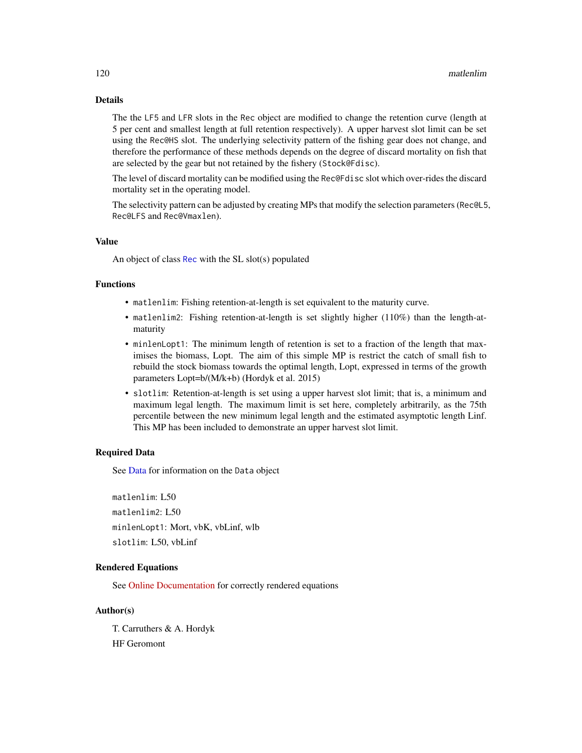# Details

The the LF5 and LFR slots in the Rec object are modified to change the retention curve (length at 5 per cent and smallest length at full retention respectively). A upper harvest slot limit can be set using the Rec@HS slot. The underlying selectivity pattern of the fishing gear does not change, and therefore the performance of these methods depends on the degree of discard mortality on fish that are selected by the gear but not retained by the fishery (Stock@Fdisc).

The level of discard mortality can be modified using the Rec@Fdisc slot which over-rides the discard mortality set in the operating model.

The selectivity pattern can be adjusted by creating MPs that modify the selection parameters (Rec@L5, Rec@LFS and Rec@Vmaxlen).

# Value

An object of class [Rec](#page-159-0) with the SL slot(s) populated

#### Functions

- matlenlim: Fishing retention-at-length is set equivalent to the maturity curve.
- matlenlim2: Fishing retention-at-length is set slightly higher (110%) than the length-atmaturity
- minlenLopt1: The minimum length of retention is set to a fraction of the length that maximises the biomass, Lopt. The aim of this simple MP is restrict the catch of small fish to rebuild the stock biomass towards the optimal length, Lopt, expressed in terms of the growth parameters Lopt=b/(M/k+b) (Hordyk et al. 2015)
- slotlim: Retention-at-length is set using a upper harvest slot limit; that is, a minimum and maximum legal length. The maximum limit is set here, completely arbitrarily, as the 75th percentile between the new minimum legal length and the estimated asymptotic length Linf. This MP has been included to demonstrate an upper harvest slot limit.

#### Required Data

See [Data](#page-29-0) for information on the Data object

matlenlim: L50 matlenlim2: L50 minlenLopt1: Mort, vbK, vbLinf, wlb slotlim: L50, vbLinf

## Rendered Equations

See [Online Documentation](https://dlmtool.github.io/DLMtool/reference/matlenlim.html) for correctly rendered equations

# Author(s)

T. Carruthers & A. Hordyk HF Geromont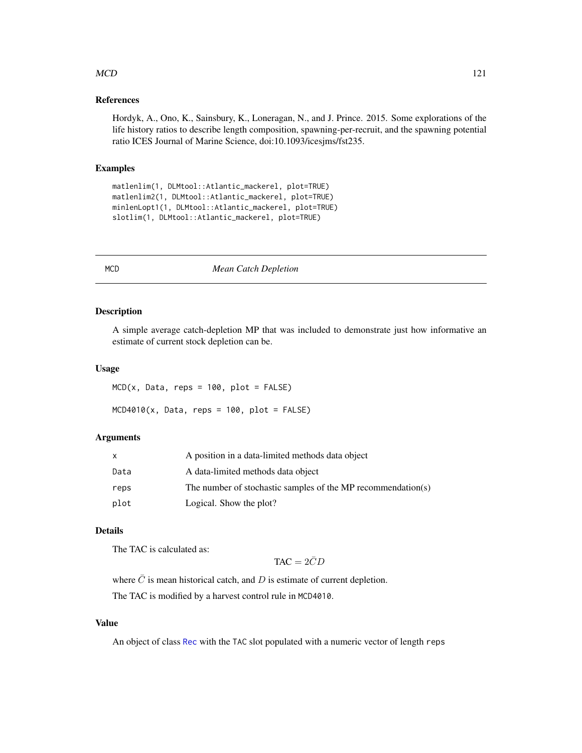## $MCD$  121

## References

Hordyk, A., Ono, K., Sainsbury, K., Loneragan, N., and J. Prince. 2015. Some explorations of the life history ratios to describe length composition, spawning-per-recruit, and the spawning potential ratio ICES Journal of Marine Science, doi:10.1093/icesjms/fst235.

# Examples

```
matlenlim(1, DLMtool::Atlantic_mackerel, plot=TRUE)
matlenlim2(1, DLMtool::Atlantic_mackerel, plot=TRUE)
minlenLopt1(1, DLMtool::Atlantic_mackerel, plot=TRUE)
slotlim(1, DLMtool::Atlantic_mackerel, plot=TRUE)
```
MCD *Mean Catch Depletion*

#### Description

A simple average catch-depletion MP that was included to demonstrate just how informative an estimate of current stock depletion can be.

#### Usage

 $MCD(x, Data, reps = 100, plot = FALSE)$ 

 $MCD4010(x, Data, reps = 100, plot = FALSE)$ 

#### Arguments

|      | A position in a data-limited methods data object             |
|------|--------------------------------------------------------------|
| Data | A data-limited methods data object                           |
| reps | The number of stochastic samples of the MP recommendation(s) |
| plot | Logical. Show the plot?                                      |

# Details

The TAC is calculated as:

 $TAC = 2\bar{C}D$ 

where  $\overline{C}$  is mean historical catch, and  $D$  is estimate of current depletion.

The TAC is modified by a harvest control rule in MCD4010.

# Value

An object of class [Rec](#page-159-0) with the TAC slot populated with a numeric vector of length reps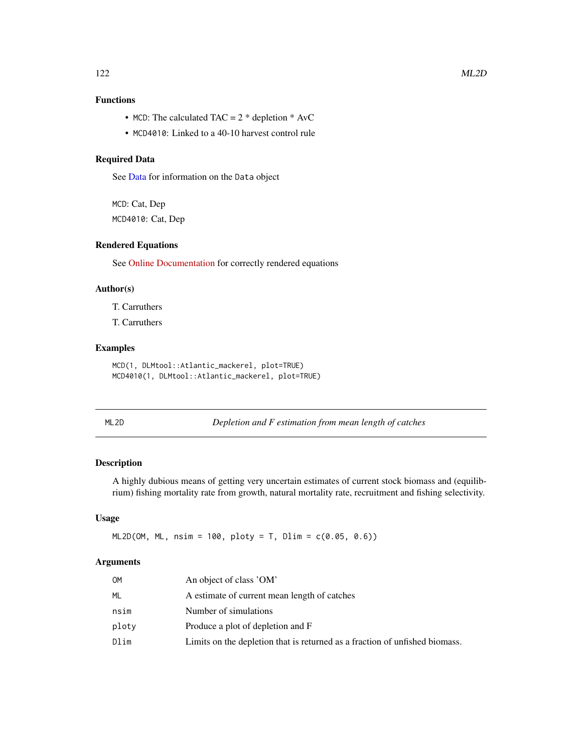# Functions

- MCD: The calculated TAC =  $2 *$  depletion  $*$  AvC
- MCD4010: Linked to a 40-10 harvest control rule

# Required Data

See [Data](#page-29-0) for information on the Data object

MCD: Cat, Dep MCD4010: Cat, Dep

# Rendered Equations

See [Online Documentation](https://dlmtool.github.io/DLMtool/reference/MCD.html) for correctly rendered equations

## Author(s)

T. Carruthers

T. Carruthers

## Examples

MCD(1, DLMtool::Atlantic\_mackerel, plot=TRUE) MCD4010(1, DLMtool::Atlantic\_mackerel, plot=TRUE)

ML2D *Depletion and F estimation from mean length of catches*

# Description

A highly dubious means of getting very uncertain estimates of current stock biomass and (equilibrium) fishing mortality rate from growth, natural mortality rate, recruitment and fishing selectivity.

# Usage

 $ML2D(OM, ML, nsim = 100, ploty = T, Dlim = c(0.05, 0.6))$ 

#### Arguments

| OМ    | An object of class 'OM'                                                     |
|-------|-----------------------------------------------------------------------------|
| ML    | A estimate of current mean length of catches                                |
| nsim  | Number of simulations                                                       |
| ploty | Produce a plot of depletion and F                                           |
| Dlim  | Limits on the depletion that is returned as a fraction of unfished biomass. |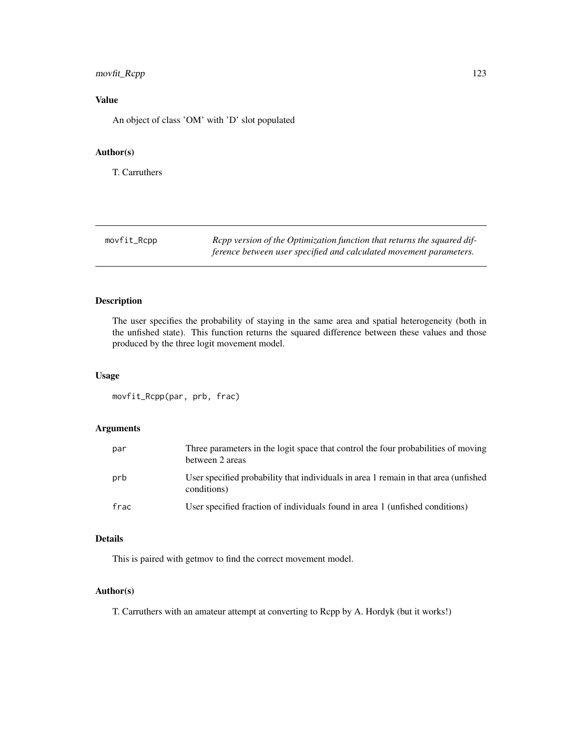# movfit\_Rcpp 123

# Value

An object of class 'OM' with 'D' slot populated

# Author(s)

T. Carruthers

| movfit_Rcpp | Repp version of the Optimization function that returns the squared dif- |
|-------------|-------------------------------------------------------------------------|
|             | ference between user specified and calculated movement parameters.      |

# Description

The user specifies the probability of staying in the same area and spatial heterogeneity (both in the unfished state). This function returns the squared difference between these values and those produced by the three logit movement model.

# Usage

movfit\_Rcpp(par, prb, frac)

# Arguments

| par  | Three parameters in the logit space that control the four probabilities of moving<br>between 2 areas |
|------|------------------------------------------------------------------------------------------------------|
| prb  | User specified probability that individuals in area 1 remain in that area (unfished<br>conditions)   |
| frac | User specified fraction of individuals found in area 1 (unfished conditions)                         |

# Details

This is paired with getmov to find the correct movement model.

# Author(s)

T. Carruthers with an amateur attempt at converting to Rcpp by A. Hordyk (but it works!)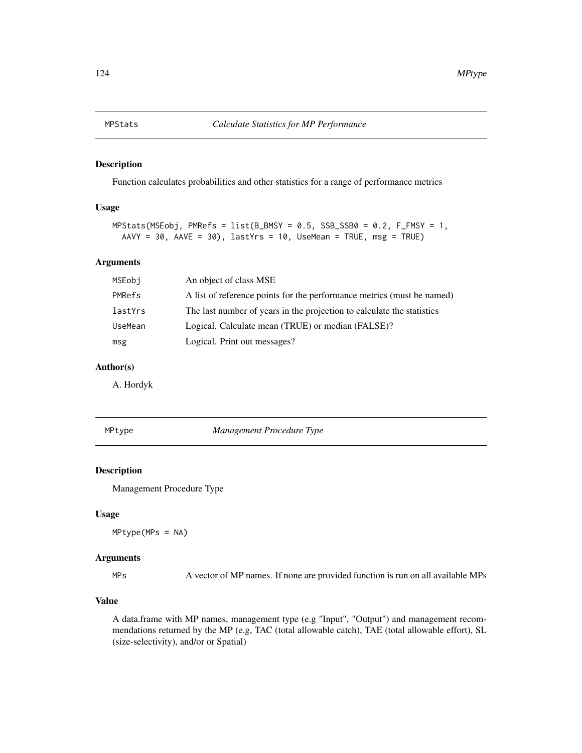#### Description

Function calculates probabilities and other statistics for a range of performance metrics

## Usage

```
MPStats(MSEobj, PMRefs = list(B_BMSY = 0.5, SSB_SSB0 = 0.2, F_FMSY = 1,AAVY = 30, AAVE = 30), lastYrs = 10, UseMean = TRUE, msg = TRUE)
```
## Arguments

| MSEobj  | An object of class MSE                                                 |
|---------|------------------------------------------------------------------------|
| PMRefs  | A list of reference points for the performance metrics (must be named) |
| lastYrs | The last number of years in the projection to calculate the statistics |
| UseMean | Logical. Calculate mean (TRUE) or median (FALSE)?                      |
| msg     | Logical. Print out messages?                                           |

# Author(s)

A. Hordyk

MPtype *Management Procedure Type*

## Description

Management Procedure Type

#### Usage

MPtype(MPs = NA)

#### Arguments

MPs A vector of MP names. If none are provided function is run on all available MPs

## Value

A data.frame with MP names, management type (e.g "Input", "Output") and management recommendations returned by the MP (e.g, TAC (total allowable catch), TAE (total allowable effort), SL (size-selectivity), and/or or Spatial)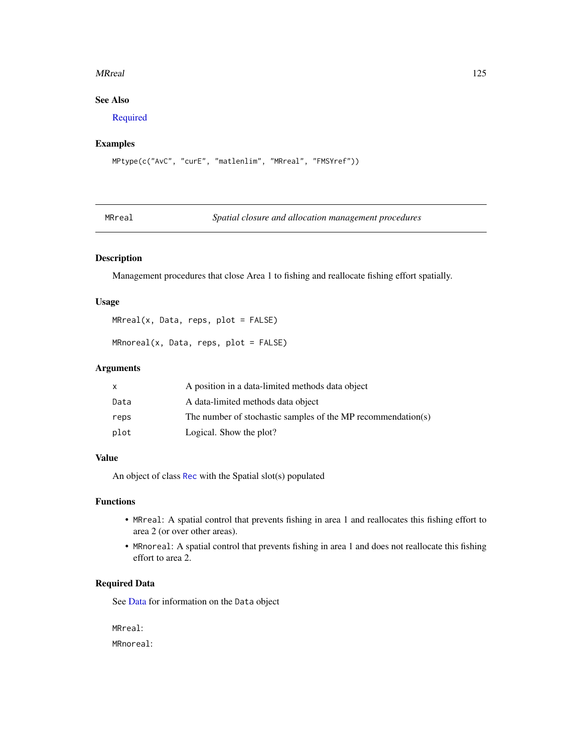#### MRreal 25

# See Also

[Required](#page-162-0)

# Examples

```
MPtype(c("AvC", "curE", "matlenlim", "MRreal", "FMSYref"))
```
MRreal *Spatial closure and allocation management procedures*

# Description

Management procedures that close Area 1 to fishing and reallocate fishing effort spatially.

## Usage

```
M R real(x, Data, reps, plot = FALSE)
```

```
MRnoreal(x, Data, reps, plot = FALSE)
```
# Arguments

|      | A position in a data-limited methods data object             |
|------|--------------------------------------------------------------|
| Data | A data-limited methods data object                           |
| reps | The number of stochastic samples of the MP recommendation(s) |
| plot | Logical. Show the plot?                                      |

# Value

An object of class [Rec](#page-159-0) with the Spatial slot(s) populated

## Functions

- MRreal: A spatial control that prevents fishing in area 1 and reallocates this fishing effort to area 2 (or over other areas).
- MRnoreal: A spatial control that prevents fishing in area 1 and does not reallocate this fishing effort to area 2.

# Required Data

See [Data](#page-29-0) for information on the Data object

MRreal: MRnoreal: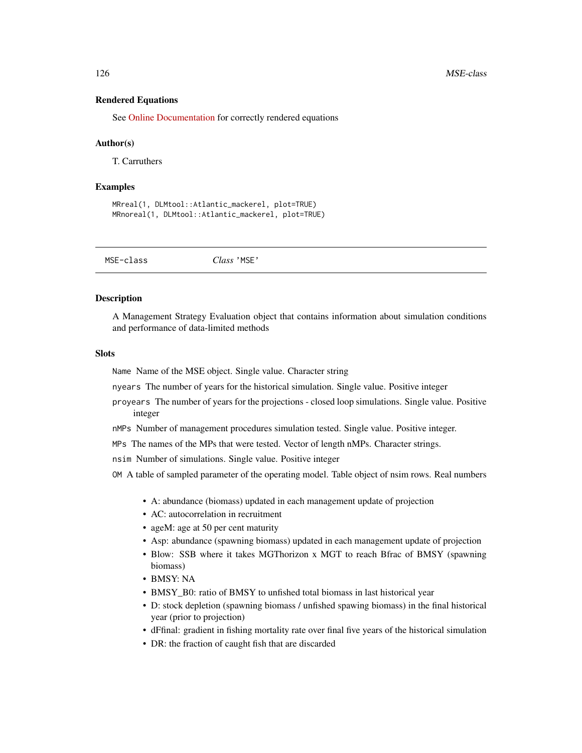#### Rendered Equations

See [Online Documentation](https://dlmtool.github.io/DLMtool/reference/MRreal.html) for correctly rendered equations

#### Author(s)

T. Carruthers

#### Examples

```
MRreal(1, DLMtool::Atlantic_mackerel, plot=TRUE)
MRnoreal(1, DLMtool::Atlantic_mackerel, plot=TRUE)
```

| MSE-class | Class 'MSE' |  |  |
|-----------|-------------|--|--|
|-----------|-------------|--|--|

#### Description

A Management Strategy Evaluation object that contains information about simulation conditions and performance of data-limited methods

#### Slots

Name Name of the MSE object. Single value. Character string

nyears The number of years for the historical simulation. Single value. Positive integer

- proyears The number of years for the projections closed loop simulations. Single value. Positive integer
- nMPs Number of management procedures simulation tested. Single value. Positive integer.
- MPs The names of the MPs that were tested. Vector of length nMPs. Character strings.

nsim Number of simulations. Single value. Positive integer

OM A table of sampled parameter of the operating model. Table object of nsim rows. Real numbers

- A: abundance (biomass) updated in each management update of projection
- AC: autocorrelation in recruitment
- ageM: age at 50 per cent maturity
- Asp: abundance (spawning biomass) updated in each management update of projection
- Blow: SSB where it takes MGThorizon x MGT to reach Bfrac of BMSY (spawning biomass)
- BMSY: NA
- BMSY\_B0: ratio of BMSY to unfished total biomass in last historical year
- D: stock depletion (spawning biomass / unfished spawing biomass) in the final historical year (prior to projection)
- dFfinal: gradient in fishing mortality rate over final five years of the historical simulation
- DR: the fraction of caught fish that are discarded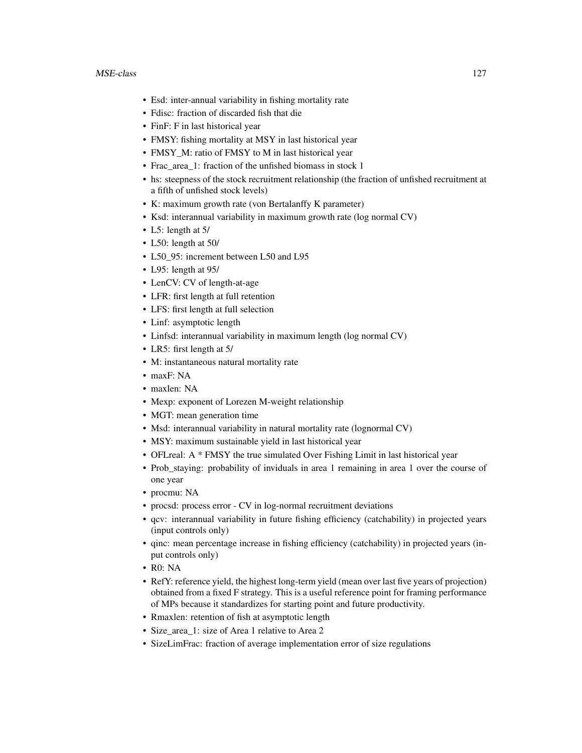- Esd: inter-annual variability in fishing mortality rate
- Fdisc: fraction of discarded fish that die
- FinF: F in last historical year
- FMSY: fishing mortality at MSY in last historical year
- FMSY\_M: ratio of FMSY to M in last historical year
- Frac\_area\_1: fraction of the unfished biomass in stock 1
- hs: steepness of the stock recruitment relationship (the fraction of unfished recruitment at a fifth of unfished stock levels)
- K: maximum growth rate (von Bertalanffy K parameter)
- Ksd: interannual variability in maximum growth rate (log normal CV)
- L5: length at 5/
- L50: length at 50/
- L50\_95: increment between L50 and L95
- L95: length at 95/
- LenCV: CV of length-at-age
- LFR: first length at full retention
- LFS: first length at full selection
- Linf: asymptotic length
- Linfsd: interannual variability in maximum length (log normal CV)
- LR5: first length at 5/
- M: instantaneous natural mortality rate
- maxF: NA
- maxlen: NA
- Mexp: exponent of Lorezen M-weight relationship
- MGT: mean generation time
- Msd: interannual variability in natural mortality rate (lognormal CV)
- MSY: maximum sustainable yield in last historical year
- OFLreal: A \* FMSY the true simulated Over Fishing Limit in last historical year
- Prob\_staying: probability of inviduals in area 1 remaining in area 1 over the course of one year
- procmu: NA
- procsd: process error CV in log-normal recruitment deviations
- qcv: interannual variability in future fishing efficiency (catchability) in projected years (input controls only)
- qinc: mean percentage increase in fishing efficiency (catchability) in projected years (input controls only)
- R0: NA
- RefY: reference yield, the highest long-term yield (mean over last five years of projection) obtained from a fixed F strategy. This is a useful reference point for framing performance of MPs because it standardizes for starting point and future productivity.
- Rmaxlen: retention of fish at asymptotic length
- Size\_area\_1: size of Area 1 relative to Area 2
- SizeLimFrac: fraction of average implementation error of size regulations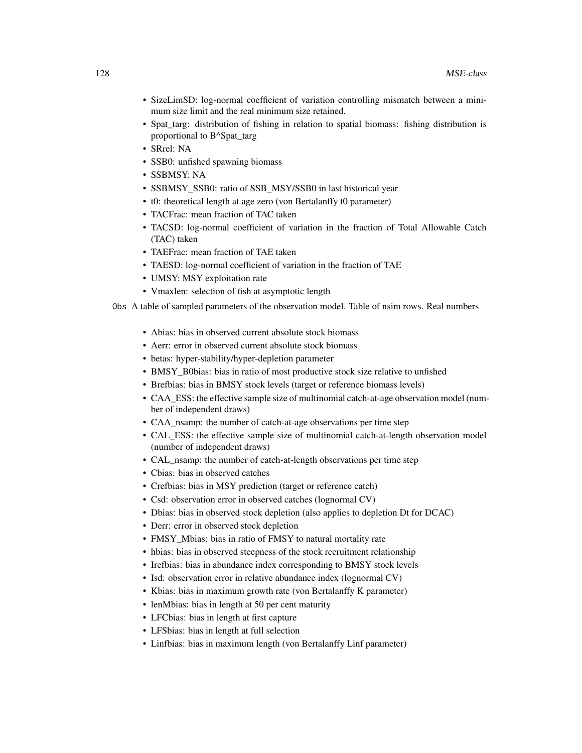- SizeLimSD: log-normal coefficient of variation controlling mismatch between a minimum size limit and the real minimum size retained.
- Spat\_targ: distribution of fishing in relation to spatial biomass: fishing distribution is proportional to B^Spat\_targ
- SRrel: NA
- SSB0: unfished spawning biomass
- SSBMSY: NA
- SSBMSY\_SSB0: ratio of SSB\_MSY/SSB0 in last historical year
- t0: theoretical length at age zero (von Bertalanffy t0 parameter)
- TACFrac: mean fraction of TAC taken
- TACSD: log-normal coefficient of variation in the fraction of Total Allowable Catch (TAC) taken
- TAEFrac: mean fraction of TAE taken
- TAESD: log-normal coefficient of variation in the fraction of TAE
- UMSY: MSY exploitation rate
- Vmaxlen: selection of fish at asymptotic length

Obs A table of sampled parameters of the observation model. Table of nsim rows. Real numbers

- Abias: bias in observed current absolute stock biomass
- Aerr: error in observed current absolute stock biomass
- betas: hyper-stability/hyper-depletion parameter
- BMSY\_B0bias: bias in ratio of most productive stock size relative to unfished
- Brefbias: bias in BMSY stock levels (target or reference biomass levels)
- CAA\_ESS: the effective sample size of multinomial catch-at-age observation model (number of independent draws)
- CAA\_nsamp: the number of catch-at-age observations per time step
- CAL\_ESS: the effective sample size of multinomial catch-at-length observation model (number of independent draws)
- CAL\_nsamp: the number of catch-at-length observations per time step
- Cbias: bias in observed catches
- Crefbias: bias in MSY prediction (target or reference catch)
- Csd: observation error in observed catches (lognormal CV)
- Dbias: bias in observed stock depletion (also applies to depletion Dt for DCAC)
- Derr: error in observed stock depletion
- FMSY\_Mbias: bias in ratio of FMSY to natural mortality rate
- hbias: bias in observed steepness of the stock recruitment relationship
- Irefbias: bias in abundance index corresponding to BMSY stock levels
- Isd: observation error in relative abundance index (lognormal CV)
- Kbias: bias in maximum growth rate (von Bertalanffy K parameter)
- lenMbias: bias in length at 50 per cent maturity
- LFCbias: bias in length at first capture
- LFSbias: bias in length at full selection
- Linfbias: bias in maximum length (von Bertalanffy Linf parameter)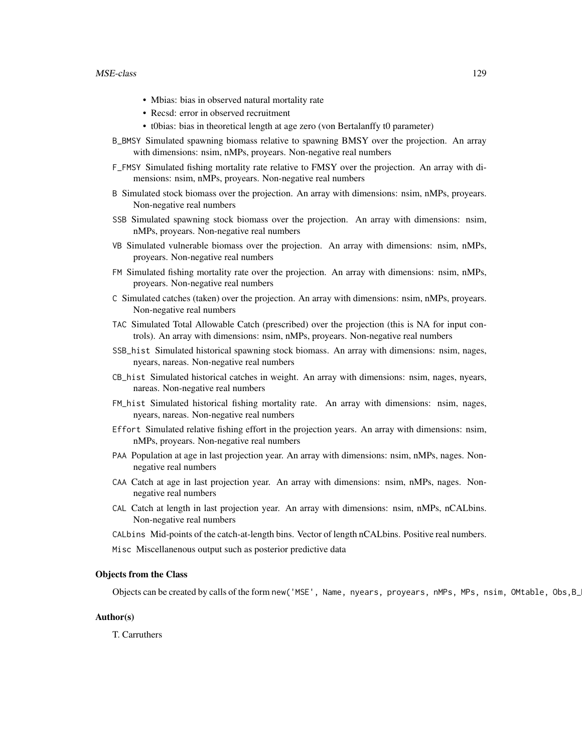#### MSE-class 229

- Mbias: bias in observed natural mortality rate
- Recsd: error in observed recruitment
- t0bias: bias in theoretical length at age zero (von Bertalanffy t0 parameter)
- B\_BMSY Simulated spawning biomass relative to spawning BMSY over the projection. An array with dimensions: nsim, nMPs, proyears. Non-negative real numbers
- F\_FMSY Simulated fishing mortality rate relative to FMSY over the projection. An array with dimensions: nsim, nMPs, proyears. Non-negative real numbers
- B Simulated stock biomass over the projection. An array with dimensions: nsim, nMPs, proyears. Non-negative real numbers
- SSB Simulated spawning stock biomass over the projection. An array with dimensions: nsim, nMPs, proyears. Non-negative real numbers
- VB Simulated vulnerable biomass over the projection. An array with dimensions: nsim, nMPs, proyears. Non-negative real numbers
- FM Simulated fishing mortality rate over the projection. An array with dimensions: nsim, nMPs, proyears. Non-negative real numbers
- C Simulated catches (taken) over the projection. An array with dimensions: nsim, nMPs, proyears. Non-negative real numbers
- TAC Simulated Total Allowable Catch (prescribed) over the projection (this is NA for input controls). An array with dimensions: nsim, nMPs, proyears. Non-negative real numbers
- SSB\_hist Simulated historical spawning stock biomass. An array with dimensions: nsim, nages, nyears, nareas. Non-negative real numbers
- CB\_hist Simulated historical catches in weight. An array with dimensions: nsim, nages, nyears, nareas. Non-negative real numbers
- FM\_hist Simulated historical fishing mortality rate. An array with dimensions: nsim, nages, nyears, nareas. Non-negative real numbers
- Effort Simulated relative fishing effort in the projection years. An array with dimensions: nsim, nMPs, proyears. Non-negative real numbers
- PAA Population at age in last projection year. An array with dimensions: nsim, nMPs, nages. Nonnegative real numbers
- CAA Catch at age in last projection year. An array with dimensions: nsim, nMPs, nages. Nonnegative real numbers
- CAL Catch at length in last projection year. An array with dimensions: nsim, nMPs, nCALbins. Non-negative real numbers
- CALbins Mid-points of the catch-at-length bins. Vector of length nCALbins. Positive real numbers.
- Misc Miscellanenous output such as posterior predictive data

#### Objects from the Class

Objects can be created by calls of the form new('MSE', Name, nyears, proyears, nMPs, MPs, nsim, OMtable, Obs, B\_

## Author(s)

T. Carruthers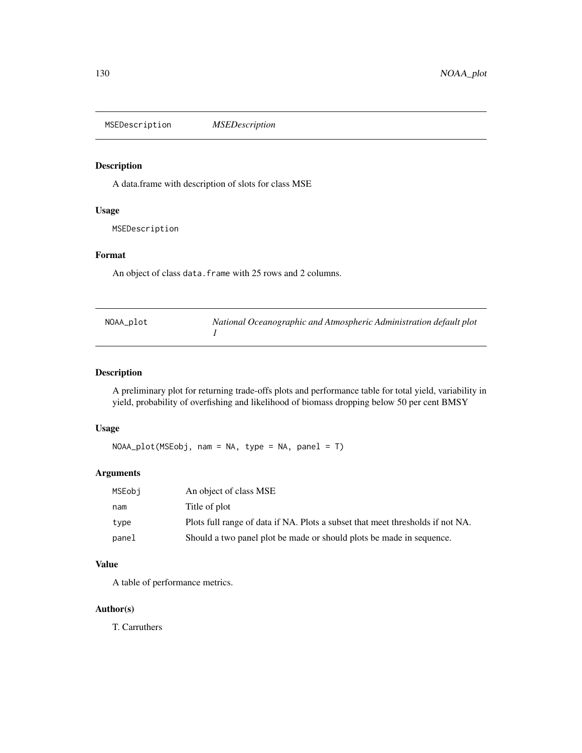MSEDescription *MSEDescription*

# Description

A data.frame with description of slots for class MSE

# Usage

MSEDescription

# Format

An object of class data. frame with 25 rows and 2 columns.

| NOAA_plot | National Oceanographic and Atmospheric Administration default plot |
|-----------|--------------------------------------------------------------------|
|           |                                                                    |

# Description

A preliminary plot for returning trade-offs plots and performance table for total yield, variability in yield, probability of overfishing and likelihood of biomass dropping below 50 per cent BMSY

# Usage

NOAA\_plot(MSEobj, nam = NA, type = NA, panel = T)

# Arguments

| MSEobi | An object of class MSE                                                         |
|--------|--------------------------------------------------------------------------------|
| nam    | Title of plot                                                                  |
| type   | Plots full range of data if NA. Plots a subset that meet thresholds if not NA. |
| panel  | Should a two panel plot be made or should plots be made in sequence.           |

# Value

A table of performance metrics.

# Author(s)

T. Carruthers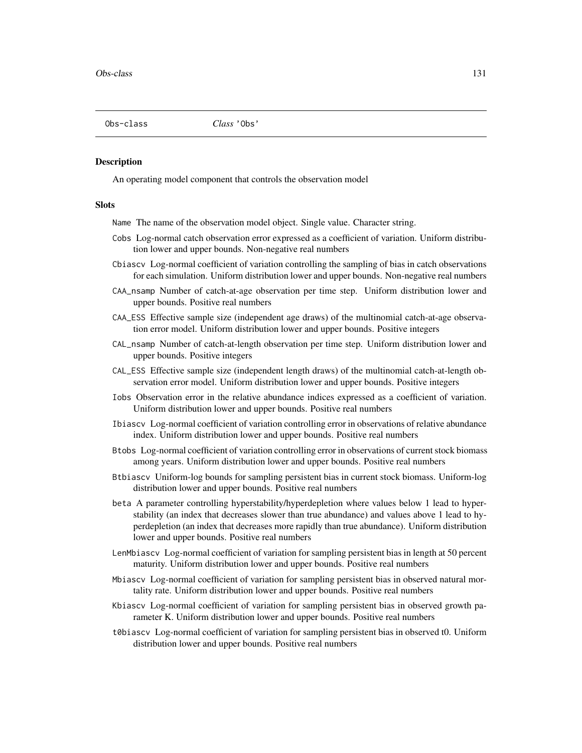#### Description

An operating model component that controls the observation model

#### Slots

Name The name of the observation model object. Single value. Character string.

- Cobs Log-normal catch observation error expressed as a coefficient of variation. Uniform distribution lower and upper bounds. Non-negative real numbers
- Cbiascv Log-normal coefficient of variation controlling the sampling of bias in catch observations for each simulation. Uniform distribution lower and upper bounds. Non-negative real numbers
- CAA\_nsamp Number of catch-at-age observation per time step. Uniform distribution lower and upper bounds. Positive real numbers
- CAA\_ESS Effective sample size (independent age draws) of the multinomial catch-at-age observation error model. Uniform distribution lower and upper bounds. Positive integers
- CAL\_nsamp Number of catch-at-length observation per time step. Uniform distribution lower and upper bounds. Positive integers
- CAL\_ESS Effective sample size (independent length draws) of the multinomial catch-at-length observation error model. Uniform distribution lower and upper bounds. Positive integers
- Iobs Observation error in the relative abundance indices expressed as a coefficient of variation. Uniform distribution lower and upper bounds. Positive real numbers
- Ibiascv Log-normal coefficient of variation controlling error in observations of relative abundance index. Uniform distribution lower and upper bounds. Positive real numbers
- Btobs Log-normal coefficient of variation controlling error in observations of current stock biomass among years. Uniform distribution lower and upper bounds. Positive real numbers
- Btbiascv Uniform-log bounds for sampling persistent bias in current stock biomass. Uniform-log distribution lower and upper bounds. Positive real numbers
- beta A parameter controlling hyperstability/hyperdepletion where values below 1 lead to hyperstability (an index that decreases slower than true abundance) and values above 1 lead to hyperdepletion (an index that decreases more rapidly than true abundance). Uniform distribution lower and upper bounds. Positive real numbers
- LenMbiascv Log-normal coefficient of variation for sampling persistent bias in length at 50 percent maturity. Uniform distribution lower and upper bounds. Positive real numbers
- Mbiascv Log-normal coefficient of variation for sampling persistent bias in observed natural mortality rate. Uniform distribution lower and upper bounds. Positive real numbers
- Kbiascv Log-normal coefficient of variation for sampling persistent bias in observed growth parameter K. Uniform distribution lower and upper bounds. Positive real numbers
- t0biascv Log-normal coefficient of variation for sampling persistent bias in observed t0. Uniform distribution lower and upper bounds. Positive real numbers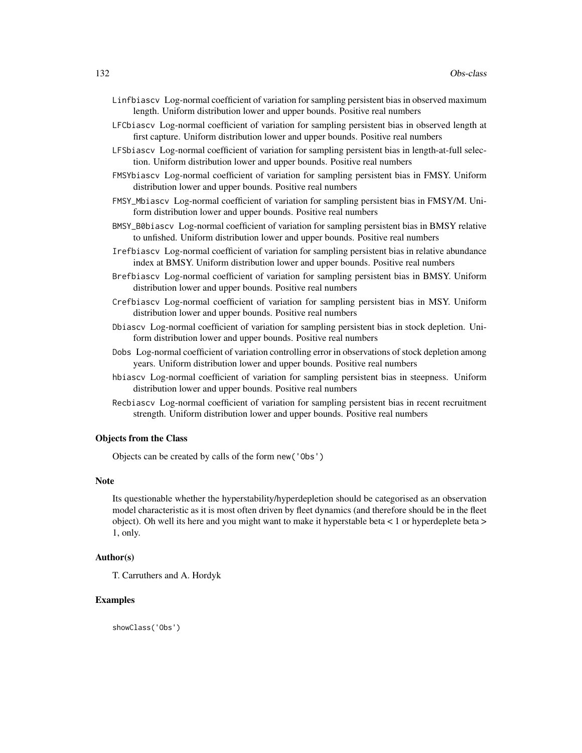- Linfbiascv Log-normal coefficient of variation for sampling persistent bias in observed maximum length. Uniform distribution lower and upper bounds. Positive real numbers
- LFCbiascv Log-normal coefficient of variation for sampling persistent bias in observed length at first capture. Uniform distribution lower and upper bounds. Positive real numbers
- LFSbiascv Log-normal coefficient of variation for sampling persistent bias in length-at-full selection. Uniform distribution lower and upper bounds. Positive real numbers
- FMSYbiascv Log-normal coefficient of variation for sampling persistent bias in FMSY. Uniform distribution lower and upper bounds. Positive real numbers
- FMSY\_Mbiascv Log-normal coefficient of variation for sampling persistent bias in FMSY/M. Uniform distribution lower and upper bounds. Positive real numbers
- BMSY\_B0biascv Log-normal coefficient of variation for sampling persistent bias in BMSY relative to unfished. Uniform distribution lower and upper bounds. Positive real numbers
- Irefbiascv Log-normal coefficient of variation for sampling persistent bias in relative abundance index at BMSY. Uniform distribution lower and upper bounds. Positive real numbers
- Brefbiascv Log-normal coefficient of variation for sampling persistent bias in BMSY. Uniform distribution lower and upper bounds. Positive real numbers
- Crefbiascv Log-normal coefficient of variation for sampling persistent bias in MSY. Uniform distribution lower and upper bounds. Positive real numbers
- Dbiascv Log-normal coefficient of variation for sampling persistent bias in stock depletion. Uniform distribution lower and upper bounds. Positive real numbers
- Dobs Log-normal coefficient of variation controlling error in observations of stock depletion among years. Uniform distribution lower and upper bounds. Positive real numbers
- hbiascv Log-normal coefficient of variation for sampling persistent bias in steepness. Uniform distribution lower and upper bounds. Positive real numbers
- Recbiascv Log-normal coefficient of variation for sampling persistent bias in recent recruitment strength. Uniform distribution lower and upper bounds. Positive real numbers

## Objects from the Class

Objects can be created by calls of the form new('Obs')

## Note

Its questionable whether the hyperstability/hyperdepletion should be categorised as an observation model characteristic as it is most often driven by fleet dynamics (and therefore should be in the fleet object). Oh well its here and you might want to make it hyperstable beta < 1 or hyperdeplete beta > 1, only.

#### Author(s)

T. Carruthers and A. Hordyk

#### Examples

showClass('Obs')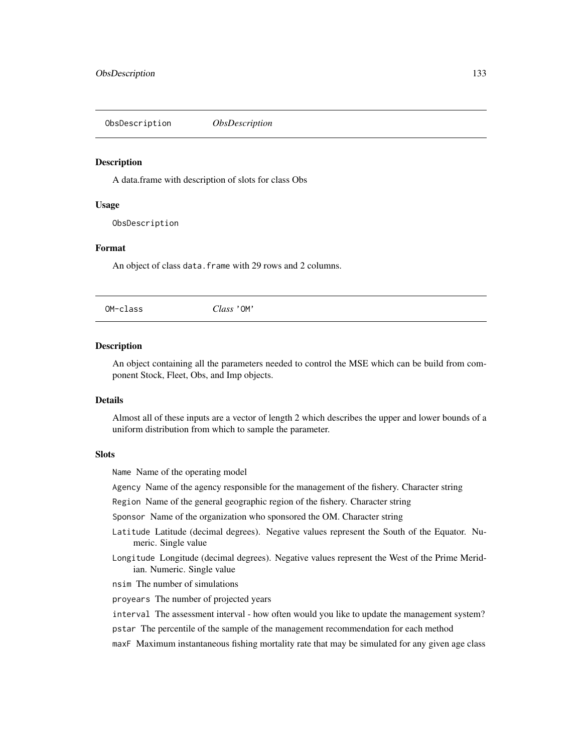ObsDescription *ObsDescription*

## Description

A data.frame with description of slots for class Obs

#### Usage

ObsDescription

#### Format

An object of class data. frame with 29 rows and 2 columns.

OM-class *Class* 'OM'

#### Description

An object containing all the parameters needed to control the MSE which can be build from component Stock, Fleet, Obs, and Imp objects.

# **Details**

Almost all of these inputs are a vector of length 2 which describes the upper and lower bounds of a uniform distribution from which to sample the parameter.

#### **Slots**

Name Name of the operating model

Agency Name of the agency responsible for the management of the fishery. Character string

Region Name of the general geographic region of the fishery. Character string

Sponsor Name of the organization who sponsored the OM. Character string

- Latitude Latitude (decimal degrees). Negative values represent the South of the Equator. Numeric. Single value
- Longitude Longitude (decimal degrees). Negative values represent the West of the Prime Meridian. Numeric. Single value

nsim The number of simulations

proyears The number of projected years

- interval The assessment interval how often would you like to update the management system?
- pstar The percentile of the sample of the management recommendation for each method
- maxF Maximum instantaneous fishing mortality rate that may be simulated for any given age class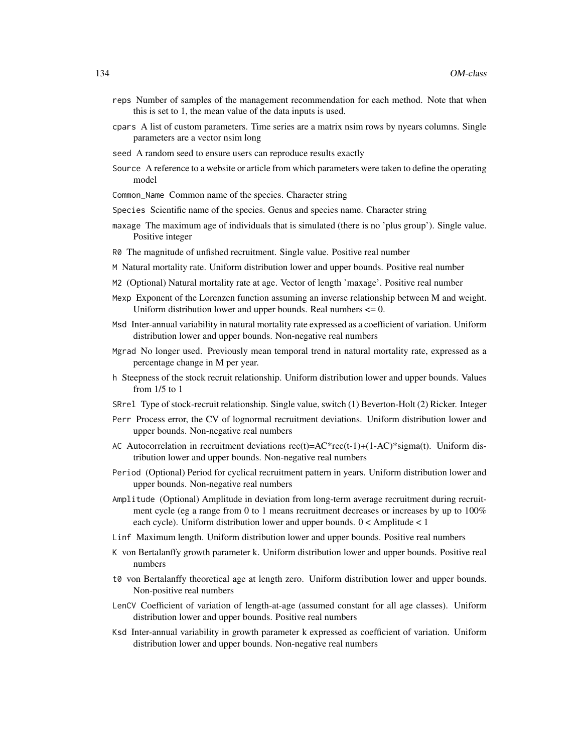- reps Number of samples of the management recommendation for each method. Note that when this is set to 1, the mean value of the data inputs is used.
- cpars A list of custom parameters. Time series are a matrix nsim rows by nyears columns. Single parameters are a vector nsim long
- seed A random seed to ensure users can reproduce results exactly
- Source A reference to a website or article from which parameters were taken to define the operating model
- Common\_Name Common name of the species. Character string
- Species Scientific name of the species. Genus and species name. Character string
- maxage The maximum age of individuals that is simulated (there is no 'plus group'). Single value. Positive integer
- R0 The magnitude of unfished recruitment. Single value. Positive real number
- M Natural mortality rate. Uniform distribution lower and upper bounds. Positive real number
- M2 (Optional) Natural mortality rate at age. Vector of length 'maxage'. Positive real number
- Mexp Exponent of the Lorenzen function assuming an inverse relationship between M and weight. Uniform distribution lower and upper bounds. Real numbers  $\leq 0$ .
- Msd Inter-annual variability in natural mortality rate expressed as a coefficient of variation. Uniform distribution lower and upper bounds. Non-negative real numbers
- Mgrad No longer used. Previously mean temporal trend in natural mortality rate, expressed as a percentage change in M per year.
- h Steepness of the stock recruit relationship. Uniform distribution lower and upper bounds. Values from 1/5 to 1
- SRrel Type of stock-recruit relationship. Single value, switch (1) Beverton-Holt (2) Ricker. Integer
- Perr Process error, the CV of lognormal recruitment deviations. Uniform distribution lower and upper bounds. Non-negative real numbers
- AC Autocorrelation in recruitment deviations  $rec(t)=AC*rec(t-1)+(1-AC)*sigma(t)$ . Uniform distribution lower and upper bounds. Non-negative real numbers
- Period (Optional) Period for cyclical recruitment pattern in years. Uniform distribution lower and upper bounds. Non-negative real numbers
- Amplitude (Optional) Amplitude in deviation from long-term average recruitment during recruitment cycle (eg a range from 0 to 1 means recruitment decreases or increases by up to 100% each cycle). Uniform distribution lower and upper bounds. 0 < Amplitude < 1
- Linf Maximum length. Uniform distribution lower and upper bounds. Positive real numbers
- K von Bertalanffy growth parameter k. Uniform distribution lower and upper bounds. Positive real numbers
- t0 von Bertalanffy theoretical age at length zero. Uniform distribution lower and upper bounds. Non-positive real numbers
- LenCV Coefficient of variation of length-at-age (assumed constant for all age classes). Uniform distribution lower and upper bounds. Positive real numbers
- Ksd Inter-annual variability in growth parameter k expressed as coefficient of variation. Uniform distribution lower and upper bounds. Non-negative real numbers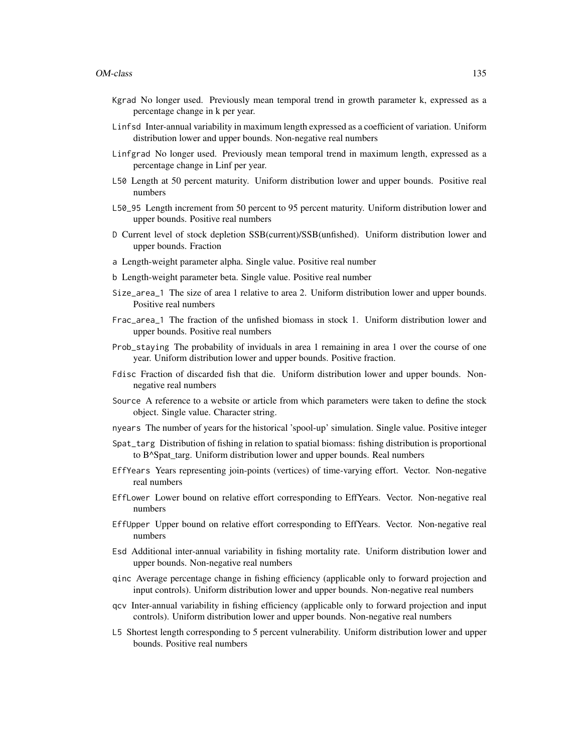- Kgrad No longer used. Previously mean temporal trend in growth parameter k, expressed as a percentage change in k per year.
- Linfsd Inter-annual variability in maximum length expressed as a coefficient of variation. Uniform distribution lower and upper bounds. Non-negative real numbers
- Linfgrad No longer used. Previously mean temporal trend in maximum length, expressed as a percentage change in Linf per year.
- L50 Length at 50 percent maturity. Uniform distribution lower and upper bounds. Positive real numbers
- L50\_95 Length increment from 50 percent to 95 percent maturity. Uniform distribution lower and upper bounds. Positive real numbers
- D Current level of stock depletion SSB(current)/SSB(unfished). Uniform distribution lower and upper bounds. Fraction
- a Length-weight parameter alpha. Single value. Positive real number
- b Length-weight parameter beta. Single value. Positive real number
- Size\_area\_1 The size of area 1 relative to area 2. Uniform distribution lower and upper bounds. Positive real numbers
- Frac\_area\_1 The fraction of the unfished biomass in stock 1. Uniform distribution lower and upper bounds. Positive real numbers
- Prob\_staying The probability of inviduals in area 1 remaining in area 1 over the course of one year. Uniform distribution lower and upper bounds. Positive fraction.
- Fdisc Fraction of discarded fish that die. Uniform distribution lower and upper bounds. Nonnegative real numbers
- Source A reference to a website or article from which parameters were taken to define the stock object. Single value. Character string.
- nyears The number of years for the historical 'spool-up' simulation. Single value. Positive integer
- Spat\_targ Distribution of fishing in relation to spatial biomass: fishing distribution is proportional to B^Spat\_targ. Uniform distribution lower and upper bounds. Real numbers
- EffYears Years representing join-points (vertices) of time-varying effort. Vector. Non-negative real numbers
- EffLower Lower bound on relative effort corresponding to EffYears. Vector. Non-negative real numbers
- EffUpper Upper bound on relative effort corresponding to EffYears. Vector. Non-negative real numbers
- Esd Additional inter-annual variability in fishing mortality rate. Uniform distribution lower and upper bounds. Non-negative real numbers
- qinc Average percentage change in fishing efficiency (applicable only to forward projection and input controls). Uniform distribution lower and upper bounds. Non-negative real numbers
- qcv Inter-annual variability in fishing efficiency (applicable only to forward projection and input controls). Uniform distribution lower and upper bounds. Non-negative real numbers
- L5 Shortest length corresponding to 5 percent vulnerability. Uniform distribution lower and upper bounds. Positive real numbers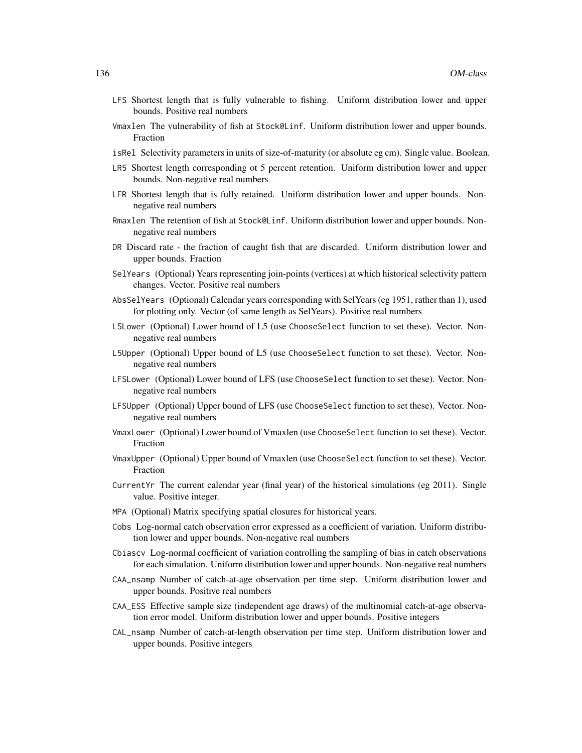- LFS Shortest length that is fully vulnerable to fishing. Uniform distribution lower and upper bounds. Positive real numbers
- Vmaxlen The vulnerability of fish at Stock@Linf. Uniform distribution lower and upper bounds. Fraction
- isRel Selectivity parameters in units of size-of-maturity (or absolute eg cm). Single value. Boolean.
- LR5 Shortest length corresponding ot 5 percent retention. Uniform distribution lower and upper bounds. Non-negative real numbers
- LFR Shortest length that is fully retained. Uniform distribution lower and upper bounds. Nonnegative real numbers
- Rmaxlen The retention of fish at Stock@Linf. Uniform distribution lower and upper bounds. Nonnegative real numbers
- DR Discard rate the fraction of caught fish that are discarded. Uniform distribution lower and upper bounds. Fraction
- SelYears (Optional) Years representing join-points (vertices) at which historical selectivity pattern changes. Vector. Positive real numbers
- AbsSelYears (Optional) Calendar years corresponding with SelYears (eg 1951, rather than 1), used for plotting only. Vector (of same length as SelYears). Positive real numbers
- L5Lower (Optional) Lower bound of L5 (use ChooseSelect function to set these). Vector. Nonnegative real numbers
- L5Upper (Optional) Upper bound of L5 (use ChooseSelect function to set these). Vector. Nonnegative real numbers
- LFSLower (Optional) Lower bound of LFS (use ChooseSelect function to set these). Vector. Nonnegative real numbers
- LFSUpper (Optional) Upper bound of LFS (use ChooseSelect function to set these). Vector. Nonnegative real numbers
- VmaxLower (Optional) Lower bound of Vmaxlen (use ChooseSelect function to set these). Vector. Fraction
- VmaxUpper (Optional) Upper bound of Vmaxlen (use ChooseSelect function to set these). Vector. Fraction
- CurrentYr The current calendar year (final year) of the historical simulations (eg 2011). Single value. Positive integer.
- MPA (Optional) Matrix specifying spatial closures for historical years.
- Cobs Log-normal catch observation error expressed as a coefficient of variation. Uniform distribution lower and upper bounds. Non-negative real numbers
- Cbiascv Log-normal coefficient of variation controlling the sampling of bias in catch observations for each simulation. Uniform distribution lower and upper bounds. Non-negative real numbers
- CAA\_nsamp Number of catch-at-age observation per time step. Uniform distribution lower and upper bounds. Positive real numbers
- CAA\_ESS Effective sample size (independent age draws) of the multinomial catch-at-age observation error model. Uniform distribution lower and upper bounds. Positive integers
- CAL\_nsamp Number of catch-at-length observation per time step. Uniform distribution lower and upper bounds. Positive integers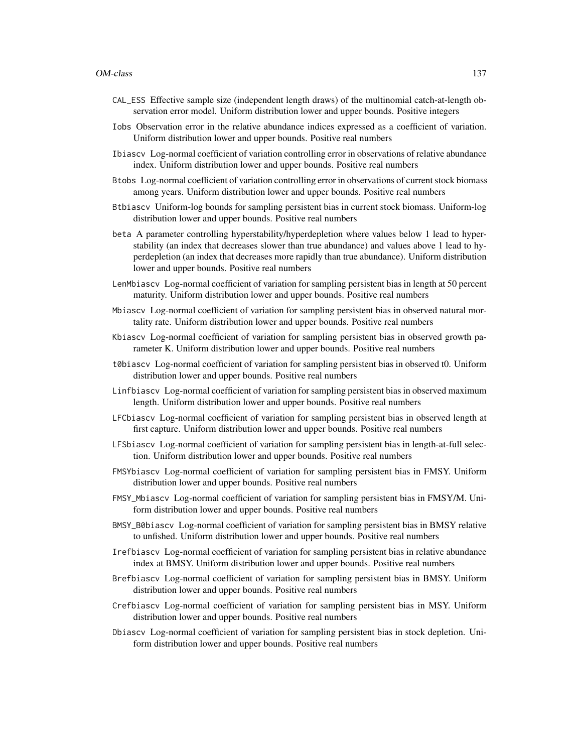- CAL\_ESS Effective sample size (independent length draws) of the multinomial catch-at-length observation error model. Uniform distribution lower and upper bounds. Positive integers
- Iobs Observation error in the relative abundance indices expressed as a coefficient of variation. Uniform distribution lower and upper bounds. Positive real numbers
- Ibiascv Log-normal coefficient of variation controlling error in observations of relative abundance index. Uniform distribution lower and upper bounds. Positive real numbers
- Btobs Log-normal coefficient of variation controlling error in observations of current stock biomass among years. Uniform distribution lower and upper bounds. Positive real numbers
- Btbiascv Uniform-log bounds for sampling persistent bias in current stock biomass. Uniform-log distribution lower and upper bounds. Positive real numbers
- beta A parameter controlling hyperstability/hyperdepletion where values below 1 lead to hyperstability (an index that decreases slower than true abundance) and values above 1 lead to hyperdepletion (an index that decreases more rapidly than true abundance). Uniform distribution lower and upper bounds. Positive real numbers
- LenMbiascv Log-normal coefficient of variation for sampling persistent bias in length at 50 percent maturity. Uniform distribution lower and upper bounds. Positive real numbers
- Mbiascv Log-normal coefficient of variation for sampling persistent bias in observed natural mortality rate. Uniform distribution lower and upper bounds. Positive real numbers
- Kbiascv Log-normal coefficient of variation for sampling persistent bias in observed growth parameter K. Uniform distribution lower and upper bounds. Positive real numbers
- t0biascv Log-normal coefficient of variation for sampling persistent bias in observed t0. Uniform distribution lower and upper bounds. Positive real numbers
- Linfbiascv Log-normal coefficient of variation for sampling persistent bias in observed maximum length. Uniform distribution lower and upper bounds. Positive real numbers
- LFCbiascv Log-normal coefficient of variation for sampling persistent bias in observed length at first capture. Uniform distribution lower and upper bounds. Positive real numbers
- LFSbiascv Log-normal coefficient of variation for sampling persistent bias in length-at-full selection. Uniform distribution lower and upper bounds. Positive real numbers
- FMSYbiascv Log-normal coefficient of variation for sampling persistent bias in FMSY. Uniform distribution lower and upper bounds. Positive real numbers
- FMSY\_Mbiascv Log-normal coefficient of variation for sampling persistent bias in FMSY/M. Uniform distribution lower and upper bounds. Positive real numbers
- BMSY\_B0biascv Log-normal coefficient of variation for sampling persistent bias in BMSY relative to unfished. Uniform distribution lower and upper bounds. Positive real numbers
- Irefbiascv Log-normal coefficient of variation for sampling persistent bias in relative abundance index at BMSY. Uniform distribution lower and upper bounds. Positive real numbers
- Brefbiascv Log-normal coefficient of variation for sampling persistent bias in BMSY. Uniform distribution lower and upper bounds. Positive real numbers
- Crefbiascv Log-normal coefficient of variation for sampling persistent bias in MSY. Uniform distribution lower and upper bounds. Positive real numbers
- Dbiascv Log-normal coefficient of variation for sampling persistent bias in stock depletion. Uniform distribution lower and upper bounds. Positive real numbers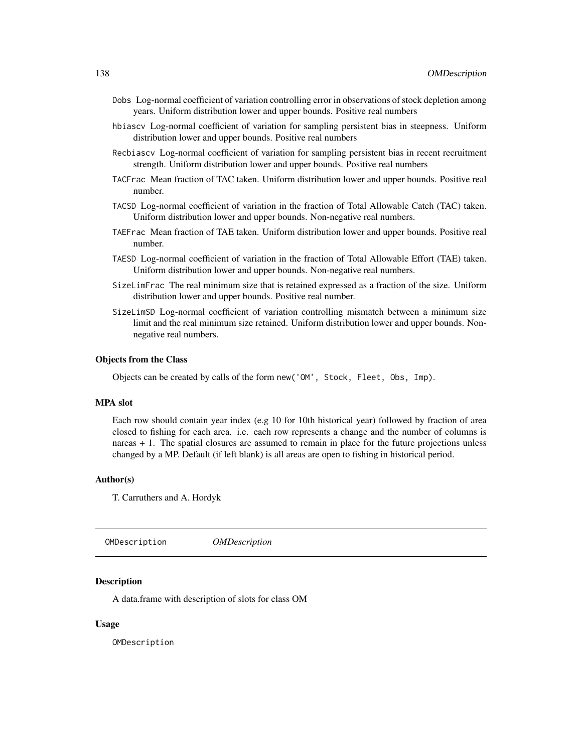- Dobs Log-normal coefficient of variation controlling error in observations of stock depletion among years. Uniform distribution lower and upper bounds. Positive real numbers
- hbiascv Log-normal coefficient of variation for sampling persistent bias in steepness. Uniform distribution lower and upper bounds. Positive real numbers
- Recbiascv Log-normal coefficient of variation for sampling persistent bias in recent recruitment strength. Uniform distribution lower and upper bounds. Positive real numbers
- TACFrac Mean fraction of TAC taken. Uniform distribution lower and upper bounds. Positive real number.
- TACSD Log-normal coefficient of variation in the fraction of Total Allowable Catch (TAC) taken. Uniform distribution lower and upper bounds. Non-negative real numbers.
- TAEFrac Mean fraction of TAE taken. Uniform distribution lower and upper bounds. Positive real number.
- TAESD Log-normal coefficient of variation in the fraction of Total Allowable Effort (TAE) taken. Uniform distribution lower and upper bounds. Non-negative real numbers.
- SizeLimFrac The real minimum size that is retained expressed as a fraction of the size. Uniform distribution lower and upper bounds. Positive real number.
- SizeLimSD Log-normal coefficient of variation controlling mismatch between a minimum size limit and the real minimum size retained. Uniform distribution lower and upper bounds. Nonnegative real numbers.

#### Objects from the Class

Objects can be created by calls of the form new('OM', Stock, Fleet, Obs, Imp).

# MPA slot

Each row should contain year index (e.g 10 for 10th historical year) followed by fraction of area closed to fishing for each area. i.e. each row represents a change and the number of columns is nareas + 1. The spatial closures are assumed to remain in place for the future projections unless changed by a MP. Default (if left blank) is all areas are open to fishing in historical period.

## Author(s)

T. Carruthers and A. Hordyk

OMDescription *OMDescription*

#### Description

A data.frame with description of slots for class OM

#### Usage

OMDescription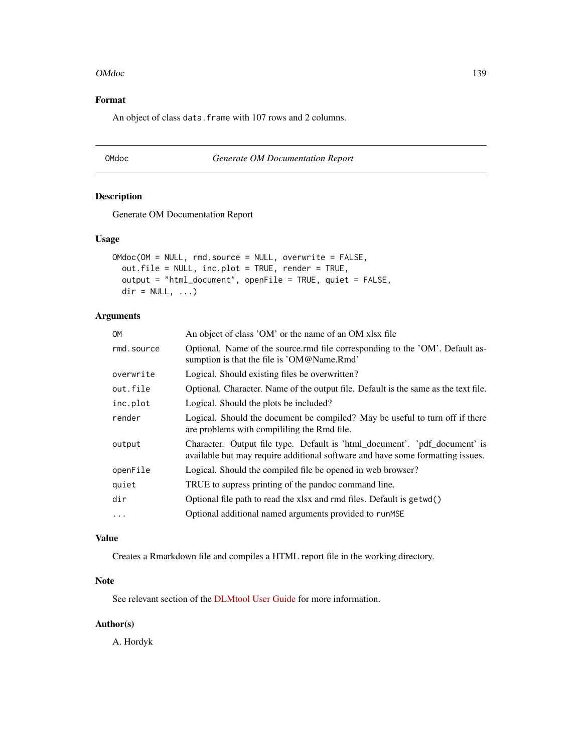#### OMdoc and the state of the state of the state of the state of the state of the state of the state of the state of the state of the state of the state of the state of the state of the state of the state of the state of the

# Format

An object of class data. frame with 107 rows and 2 columns.

# OMdoc *Generate OM Documentation Report*

# Description

Generate OM Documentation Report

#### Usage

```
OMdoc(OM = NULL, rmd.source = NULL, overwrite = FALSE,
 out.file = NULL, inc.plot = TRUE, render = TRUE,
 output = "html_document", openFile = TRUE, quiet = FALSE,
 dir = NULL, ...)
```
# Arguments

| OМ         | An object of class 'OM' or the name of an OM xlsx file                                                                                                       |
|------------|--------------------------------------------------------------------------------------------------------------------------------------------------------------|
| rmd.source | Optional. Name of the source.rmd file corresponding to the 'OM'. Default as-<br>sumption is that the file is 'OM@Name.Rmd'                                   |
| overwrite  | Logical. Should existing files be overwritten?                                                                                                               |
| out.file   | Optional. Character. Name of the output file. Default is the same as the text file.                                                                          |
| inc.plot   | Logical. Should the plots be included?                                                                                                                       |
| render     | Logical. Should the document be compiled? May be useful to turn off if there<br>are problems with compiliting the Rmd file.                                  |
| output     | Character. Output file type. Default is 'html_document'. 'pdf_document' is<br>available but may require additional software and have some formatting issues. |
| openFile   | Logical. Should the compiled file be opened in web browser?                                                                                                  |
| quiet      | TRUE to supress printing of the pandoc command line.                                                                                                         |
| dir        | Optional file path to read the xlsx and rmd files. Default is getwd()                                                                                        |
| $\ddots$   | Optional additional named arguments provided to runMSE                                                                                                       |
|            |                                                                                                                                                              |

# Value

Creates a Rmarkdown file and compiles a HTML report file in the working directory.

# Note

See relevant section of the [DLMtool User Guide](https://dlmtool.github.io/DLMtool/userguide/creating-a-new-operating-model.html#populate-and-document-om) for more information.

# Author(s)

A. Hordyk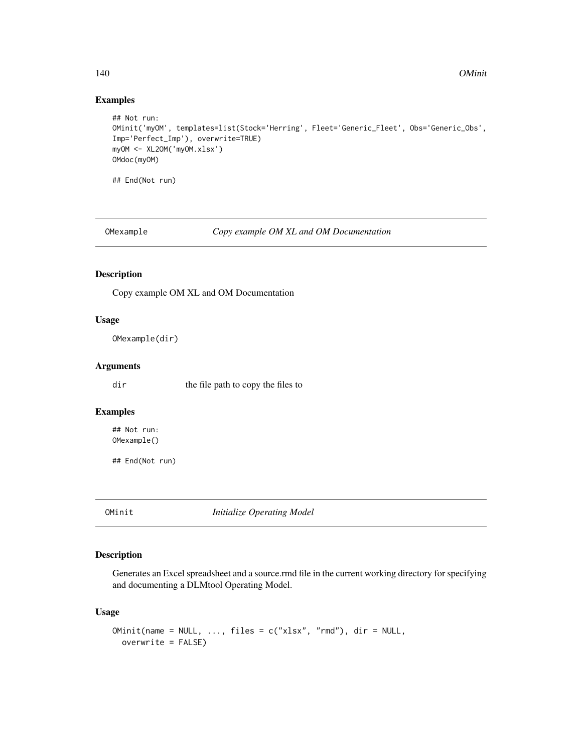# Examples

```
## Not run:
OMinit('myOM', templates=list(Stock='Herring', Fleet='Generic_Fleet', Obs='Generic_Obs',
Imp='Perfect_Imp'), overwrite=TRUE)
myOM <- XL2OM('myOM.xlsx')
OMdoc(myOM)
## End(Not run)
```
OMexample *Copy example OM XL and OM Documentation*

# Description

Copy example OM XL and OM Documentation

# Usage

OMexample(dir)

# Arguments

dir the file path to copy the files to

#### Examples

## Not run: OMexample()

## End(Not run)

OMinit *Initialize Operating Model*

# Description

Generates an Excel spreadsheet and a source.rmd file in the current working directory for specifying and documenting a DLMtool Operating Model.

# Usage

```
OMinit(name = NULL, ..., files = c("xlsx", "rmd"), dir = NULL,
 overwrite = FALSE)
```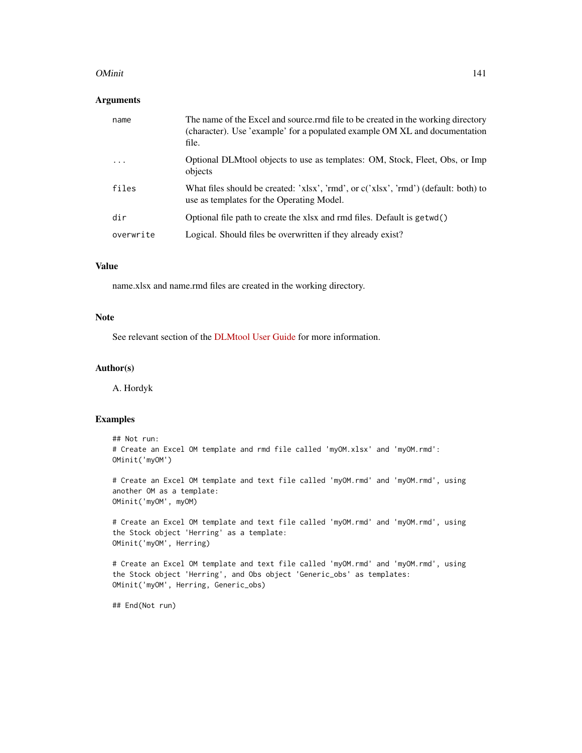#### OMinit 2008 and 2008 and 2008 and 2008 and 2008 and 2008 and 2008 and 2008 and 2008 and 2008 and 2008 and 2008 and 2008 and 2008 and 2008 and 2008 and 2008 and 2008 and 2008 and 2008 and 2008 and 2008 and 2008 and 2008 and

# Arguments

| name      | The name of the Excel and source rmd file to be created in the working directory<br>(character). Use 'example' for a populated example OM XL and documentation<br>file. |
|-----------|-------------------------------------------------------------------------------------------------------------------------------------------------------------------------|
| .         | Optional DLMtool objects to use as templates: OM, Stock, Fleet, Obs, or Imp<br>objects                                                                                  |
| files     | What files should be created: 'xlsx', 'rmd', or c('xlsx', 'rmd') (default: both) to<br>use as templates for the Operating Model.                                        |
| dir       | Optional file path to create the xlsx and rmd files. Default is $getwd()$                                                                                               |
| overwrite | Logical. Should files be overwritten if they already exist?                                                                                                             |

## Value

name.xlsx and name.rmd files are created in the working directory.

# Note

See relevant section of the [DLMtool User Guide](https://dlmtool.github.io/DLMtool/userguide/creating-a-new-operating-model.html#initialize-a-new-om) for more information.

## Author(s)

A. Hordyk

## Examples

```
## Not run:
# Create an Excel OM template and rmd file called 'myOM.xlsx' and 'myOM.rmd':
OMinit('myOM')
```
# Create an Excel OM template and text file called 'myOM.rmd' and 'myOM.rmd', using another OM as a template: OMinit('myOM', myOM)

# Create an Excel OM template and text file called 'myOM.rmd' and 'myOM.rmd', using the Stock object 'Herring' as a template: OMinit('myOM', Herring)

```
# Create an Excel OM template and text file called 'myOM.rmd' and 'myOM.rmd', using
the Stock object 'Herring', and Obs object 'Generic_obs' as templates:
OMinit('myOM', Herring, Generic_obs)
```
## End(Not run)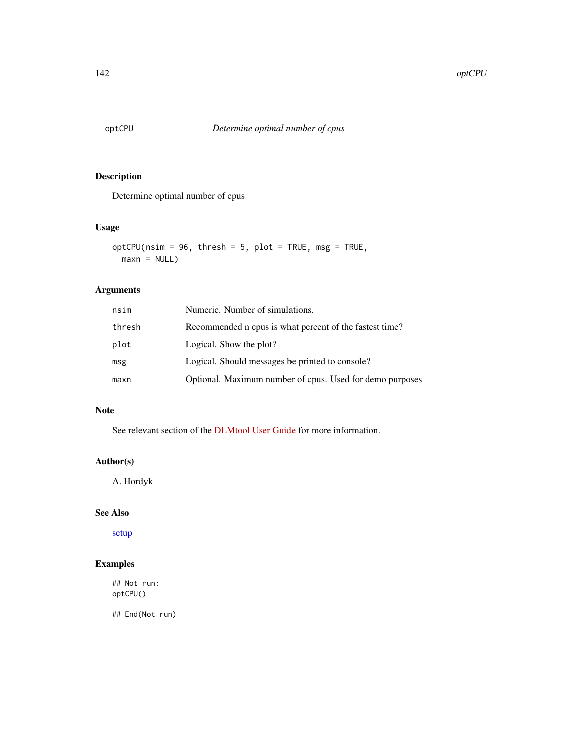# Description

Determine optimal number of cpus

# Usage

```
optCPU(nsim = 96, thresh = 5, plot = TRUE, msg = TRUE,maxn = NULL
```
# Arguments

| nsim   | Numeric. Number of simulations.                          |
|--------|----------------------------------------------------------|
| thresh | Recommended n cpus is what percent of the fastest time?  |
| plot   | Logical. Show the plot?                                  |
| msg    | Logical. Should messages be printed to console?          |
| maxn   | Optional. Maximum number of cpus. Used for demo purposes |

# Note

See relevant section of the [DLMtool User Guide](https://dlmtool.github.io/DLMtool/userguide/parallel-processing.html#determining-optimal-number-of-processors) for more information.

# Author(s)

A. Hordyk

# See Also

[setup](#page-170-0)

# Examples

## Not run: optCPU()

## End(Not run)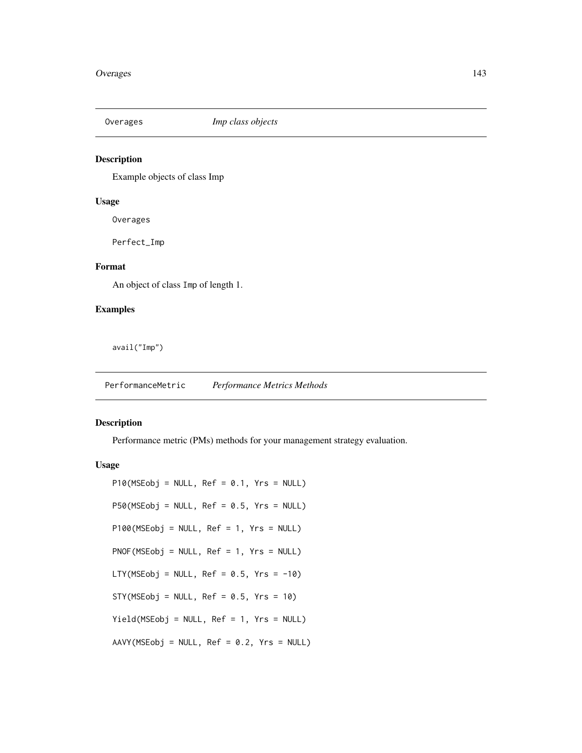# Description

Example objects of class Imp

#### Usage

Overages

Perfect\_Imp

# Format

An object of class Imp of length 1.

# Examples

avail("Imp")

PerformanceMetric *Performance Metrics Methods*

# Description

Performance metric (PMs) methods for your management strategy evaluation.

## Usage

 $P10(MSEobj = NULL, Ref = 0.1, Yrs = NULL)$ P50(MSEobj = NULL, Ref = 0.5, Yrs = NULL) P100(MSEobj = NULL, Ref = 1, Yrs = NULL) PNOF(MSEobj = NULL, Ref = 1, Yrs = NULL) LTY(MSEobj = NULL,  $Ref = 0.5$ ,  $Yrs = -10$ )  $STY(MSEobj = NULL, Ref = 0.5, Yrs = 10)$ Yield(MSEobj = NULL, Ref = 1, Yrs = NULL) AAVY(MSEobj = NULL, Ref = 0.2, Yrs = NULL)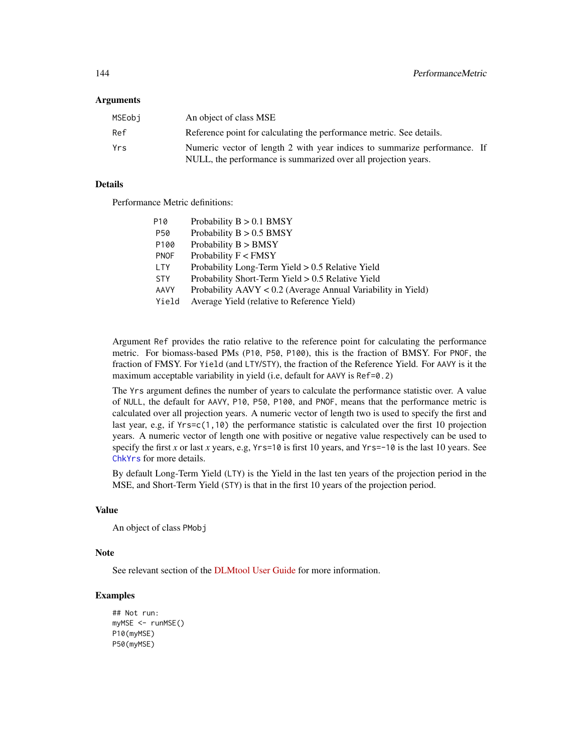#### **Arguments**

| MSEobi | An object of class MSE                                                                                                                      |  |
|--------|---------------------------------------------------------------------------------------------------------------------------------------------|--|
| Ref    | Reference point for calculating the performance metric. See details.                                                                        |  |
| Yrs    | Numeric vector of length 2 with year indices to summarize performance. If<br>NULL, the performance is summarized over all projection years. |  |

## Details

Performance Metric definitions:

| P <sub>10</sub> | Probability $B > 0.1$ BMSY                                     |
|-----------------|----------------------------------------------------------------|
| P50             | Probability $B > 0.5$ BMSY                                     |
| P100            | Probability $B > BMSY$                                         |
| <b>PNOF</b>     | Probability $F <$ FMSY                                         |
| <b>LTY</b>      | Probability Long-Term Yield $> 0.5$ Relative Yield             |
| <b>STY</b>      | Probability Short-Term Yield $> 0.5$ Relative Yield            |
| AAVY            | Probability $AAVY < 0.2$ (Average Annual Variability in Yield) |
| Yield           | Average Yield (relative to Reference Yield)                    |

Argument Ref provides the ratio relative to the reference point for calculating the performance metric. For biomass-based PMs (P10, P50, P100), this is the fraction of BMSY. For PNOF, the fraction of FMSY. For Yield (and LTY/STY), the fraction of the Reference Yield. For AAVY is it the maximum acceptable variability in yield (i.e, default for AAVY is Ref=0.2)

The Yrs argument defines the number of years to calculate the performance statistic over. A value of NULL, the default for AAVY, P10, P50, P100, and PNOF, means that the performance metric is calculated over all projection years. A numeric vector of length two is used to specify the first and last year, e.g, if Yrs=c(1,10) the performance statistic is calculated over the first 10 projection years. A numeric vector of length one with positive or negative value respectively can be used to specify the first *x* or last *x* years, e.g, Yrs=10 is first 10 years, and Yrs=-10 is the last 10 years. See [ChkYrs](#page-0-0) for more details.

By default Long-Term Yield (LTY) is the Yield in the last ten years of the projection period in the MSE, and Short-Term Yield (STY) is that in the first 10 years of the projection period.

## Value

An object of class PMobj

#### Note

See relevant section of the [DLMtool User Guide](https://dlmtool.github.io/DLMtool/userguide/performance-metrics.html) for more information.

# Examples

```
## Not run:
myMSE <- runMSE()
P10(myMSE)
P50(myMSE)
```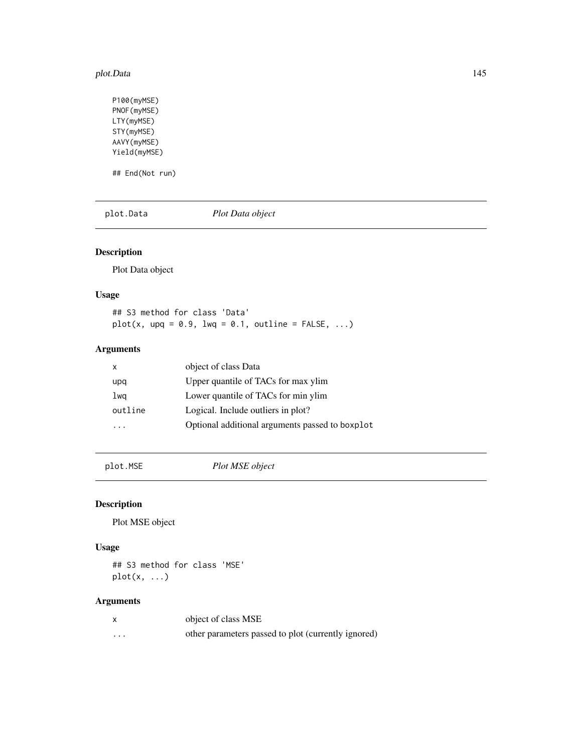#### plot.Data 145

P100(myMSE) PNOF(myMSE) LTY(myMSE) STY(myMSE) AAVY(myMSE) Yield(myMSE) ## End(Not run)

plot.Data *Plot Data object*

# Description

Plot Data object

## Usage

## S3 method for class 'Data'  $plot(x, upq = 0.9, lwq = 0.1, outline = FALSE, ...)$ 

# Arguments

| x       | object of class Data                            |
|---------|-------------------------------------------------|
| upq     | Upper quantile of TACs for max ylim             |
| lwa     | Lower quantile of TACs for min ylim             |
| outline | Logical. Include outliers in plot?              |
|         | Optional additional arguments passed to boxplot |
|         |                                                 |

plot.MSE *Plot MSE object*

# Description

Plot MSE object

# Usage

## S3 method for class 'MSE'  $plot(x, \ldots)$ 

# Arguments

|          | object of class MSE                                 |
|----------|-----------------------------------------------------|
| $\cdots$ | other parameters passed to plot (currently ignored) |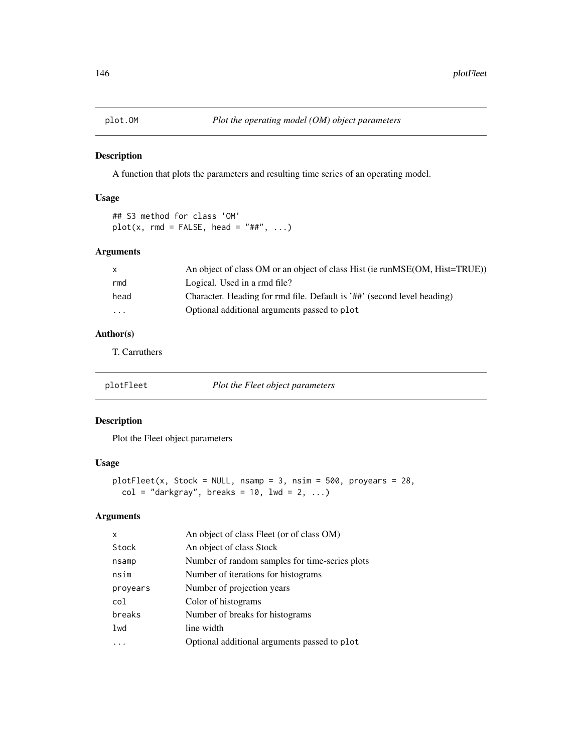A function that plots the parameters and resulting time series of an operating model.

# Usage

```
## S3 method for class 'OM'
plot(x, rmd = FALSE, head = "##", ...)
```
## Arguments

| An object of class OM or an object of class Hist (ie runMSE(OM, Hist=TRUE)) |
|-----------------------------------------------------------------------------|
| Logical. Used in a rmd file?                                                |
| Character. Heading for rmd file. Default is '##' (second level heading)     |
| Optional additional arguments passed to plot                                |
|                                                                             |

# Author(s)

T. Carruthers

| plotFleet | Plot the Fleet object parameters |
|-----------|----------------------------------|
|-----------|----------------------------------|

# Description

Plot the Fleet object parameters

# Usage

```
plotFleet(x, Stock = NULL, nsamp = 3, nsim = 500, proyears = 28,
 col = "darkgray", breaks = 10, lwd = 2, ...)
```
# Arguments

| x        | An object of class Fleet (or of class OM)      |
|----------|------------------------------------------------|
| Stock    | An object of class Stock                       |
| nsamp    | Number of random samples for time-series plots |
| nsim     | Number of iterations for histograms            |
| proyears | Number of projection years                     |
| col      | Color of histograms                            |
| breaks   | Number of breaks for histograms                |
| 1wd      | line width                                     |
|          | Optional additional arguments passed to plot   |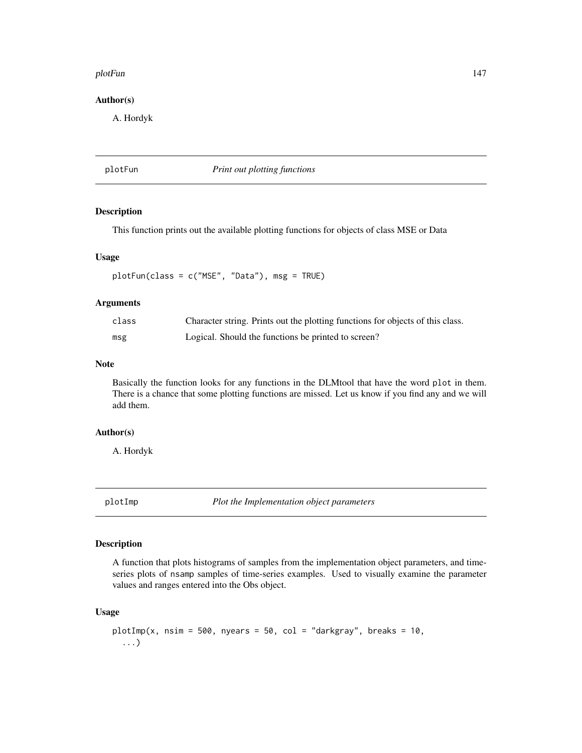### plotFun that the contract of the contract of the contract of the contract of the contract of the contract of the contract of the contract of the contract of the contract of the contract of the contract of the contract of t

## Author(s)

A. Hordyk

plotFun *Print out plotting functions*

## Description

This function prints out the available plotting functions for objects of class MSE or Data

### Usage

plotFun(class = c("MSE", "Data"), msg = TRUE)

## Arguments

| class | Character string. Prints out the plotting functions for objects of this class. |
|-------|--------------------------------------------------------------------------------|
| msg   | Logical. Should the functions be printed to screen?                            |

## Note

Basically the function looks for any functions in the DLMtool that have the word plot in them. There is a chance that some plotting functions are missed. Let us know if you find any and we will add them.

## Author(s)

A. Hordyk

plotImp *Plot the Implementation object parameters*

# Description

A function that plots histograms of samples from the implementation object parameters, and timeseries plots of nsamp samples of time-series examples. Used to visually examine the parameter values and ranges entered into the Obs object.

## Usage

```
plotImp(x, nsim = 500, nyears = 50, col = "darkgray", breaks = 10,...)
```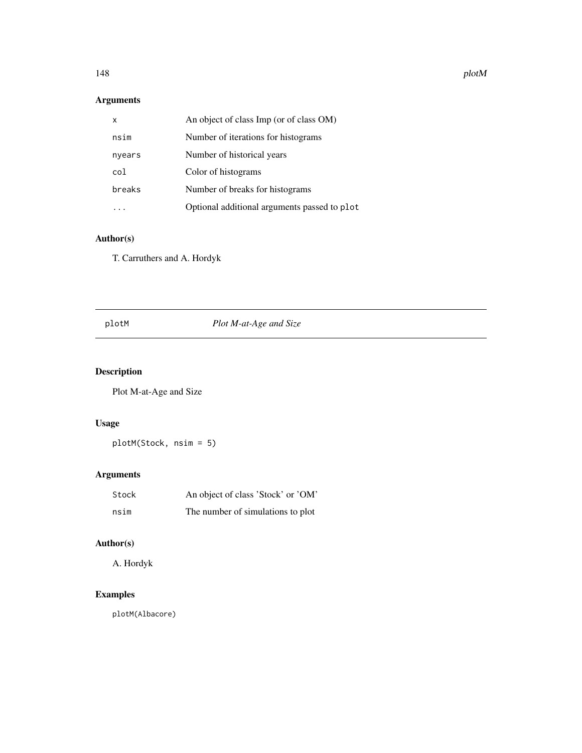148 plotM

# Arguments

| x      | An object of class Imp (or of class OM)      |
|--------|----------------------------------------------|
| nsim   | Number of iterations for histograms          |
| nyears | Number of historical years                   |
| col    | Color of histograms                          |
| breaks | Number of breaks for histograms              |
|        | Optional additional arguments passed to plot |

# Author(s)

T. Carruthers and A. Hordyk

# plotM *Plot M-at-Age and Size*

# Description

Plot M-at-Age and Size

# Usage

plotM(Stock, nsim = 5)

# Arguments

| Stock | An object of class 'Stock' or 'OM' |
|-------|------------------------------------|
| nsim  | The number of simulations to plot  |

# Author(s)

A. Hordyk

# Examples

plotM(Albacore)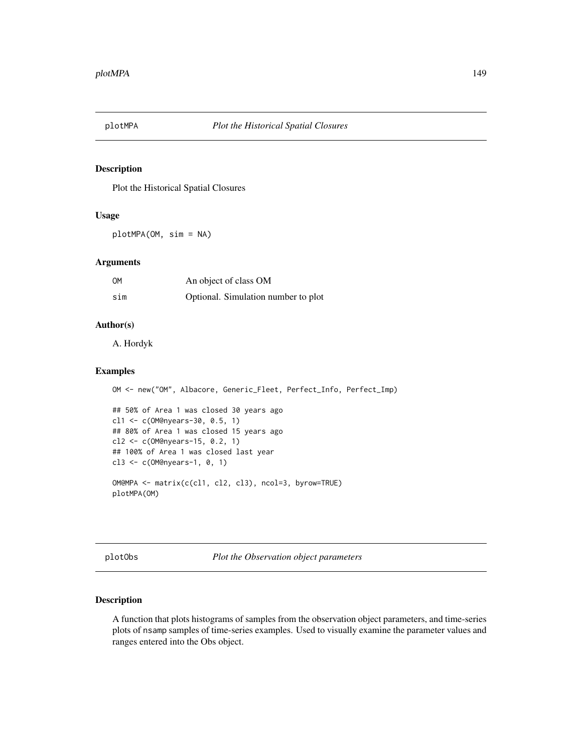Plot the Historical Spatial Closures

## Usage

plotMPA(OM, sim = NA)

## Arguments

| OM  | An object of class OM               |
|-----|-------------------------------------|
| sim | Optional. Simulation number to plot |

## Author(s)

A. Hordyk

## Examples

```
OM <- new("OM", Albacore, Generic_Fleet, Perfect_Info, Perfect_Imp)
## 50% of Area 1 was closed 30 years ago
cl1 <- c(OM@nyears-30, 0.5, 1)
## 80% of Area 1 was closed 15 years ago
cl2 <- c(OM@nyears-15, 0.2, 1)
## 100% of Area 1 was closed last year
cl3 <- c(OM@nyears-1, 0, 1)
OM@MPA <- matrix(c(cl1, cl2, cl3), ncol=3, byrow=TRUE)
plotMPA(OM)
```
plotObs *Plot the Observation object parameters*

## Description

A function that plots histograms of samples from the observation object parameters, and time-series plots of nsamp samples of time-series examples. Used to visually examine the parameter values and ranges entered into the Obs object.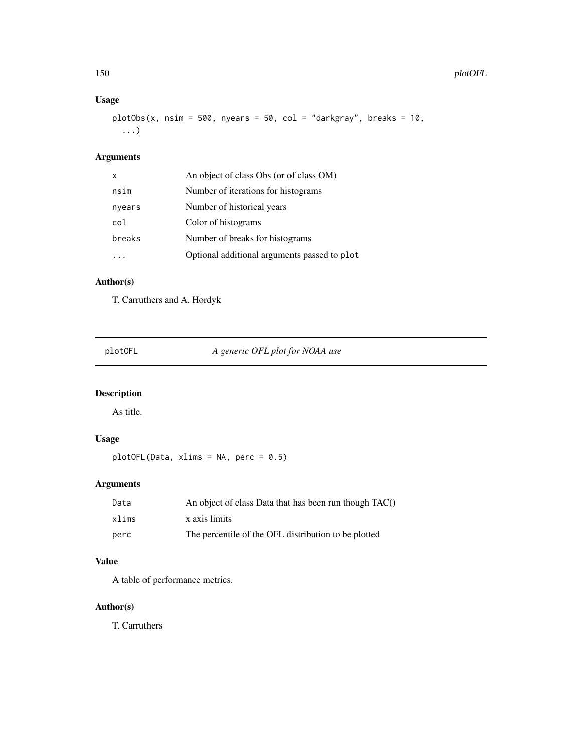# Usage

```
plotObs(x, nsim = 500, nyears = 50, col = "darkgray", breaks = 10,...)
```
# Arguments

| X      | An object of class Obs (or of class OM)      |
|--------|----------------------------------------------|
| nsim   | Number of iterations for histograms          |
| nyears | Number of historical years                   |
| col    | Color of histograms                          |
| breaks | Number of breaks for histograms              |
|        | Optional additional arguments passed to plot |

# Author(s)

T. Carruthers and A. Hordyk

plotOFL *A generic OFL plot for NOAA use*

# Description

As title.

# Usage

plotOFL(Data, xlims = NA, perc = 0.5)

# Arguments

| Data  | An object of class Data that has been run though TAC() |
|-------|--------------------------------------------------------|
| xlims | x axis limits                                          |
| perc  | The percentile of the OFL distribution to be plotted   |

# Value

A table of performance metrics.

# Author(s)

T. Carruthers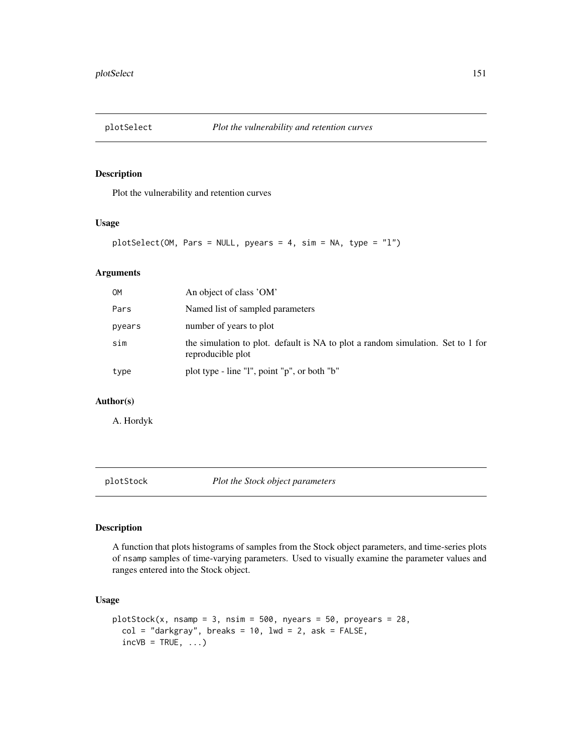Plot the vulnerability and retention curves

## Usage

```
plotSelect(OM, Pars = NULL, pyears = 4, sim = NA, type = "l")
```
## Arguments

| OМ     | An object of class 'OM'                                                                              |
|--------|------------------------------------------------------------------------------------------------------|
| Pars   | Named list of sampled parameters                                                                     |
| pyears | number of years to plot                                                                              |
| sim    | the simulation to plot. default is NA to plot a random simulation. Set to 1 for<br>reproducible plot |
| type   | plot type - line "l", point "p", or both "b"                                                         |

## Author(s)

A. Hordyk

plotStock *Plot the Stock object parameters*

# Description

A function that plots histograms of samples from the Stock object parameters, and time-series plots of nsamp samples of time-varying parameters. Used to visually examine the parameter values and ranges entered into the Stock object.

## Usage

```
plotStock(x, nsamp = 3, nsim = 500, nyears = 50, proyears = 28,col = "darkgray", breaks = 10, lwd = 2, ask = FALSE,incVB = TRUE, ...)
```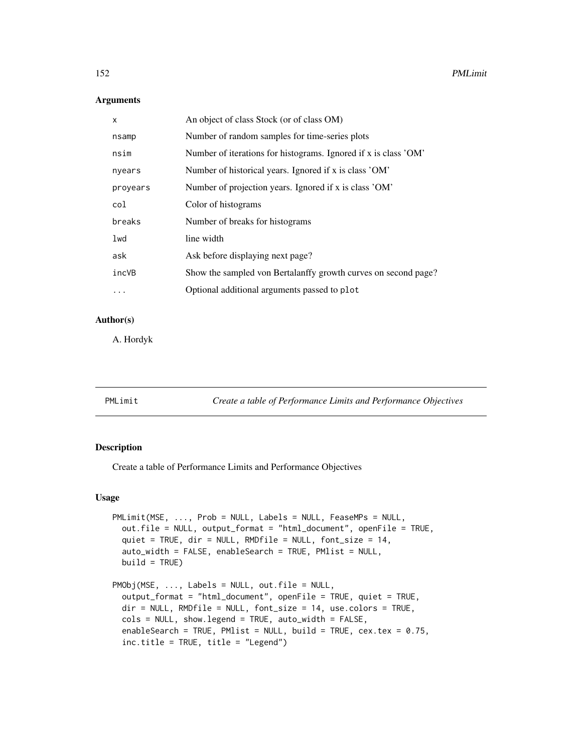# Arguments

| X         | An object of class Stock (or of class OM)                       |
|-----------|-----------------------------------------------------------------|
| nsamp     | Number of random samples for time-series plots                  |
| nsim      | Number of iterations for histograms. Ignored if x is class 'OM' |
| nyears    | Number of historical years. Ignored if x is class 'OM'          |
| proyears  | Number of projection years. Ignored if x is class 'OM'          |
| col       | Color of histograms                                             |
| breaks    | Number of breaks for histograms                                 |
| lwd       | line width                                                      |
| ask       | Ask before displaying next page?                                |
| incVB     | Show the sampled von Bertalanffy growth curves on second page?  |
| $\ddotsc$ | Optional additional arguments passed to plot                    |

## Author(s)

A. Hordyk

| PMLimit<br>Create a table of Performance Limits and Performance Objectives |
|----------------------------------------------------------------------------|
|----------------------------------------------------------------------------|

## Description

Create a table of Performance Limits and Performance Objectives

## Usage

```
PMLimit(MSE, ..., Prob = NULL, Labels = NULL, FeaseMPs = NULL,
  out.file = NULL, output_format = "html_document", openFile = TRUE,
  quiet = TRUE, dir = NULL, RMDfile = NULL, font_size = 14,
  auto_width = FALSE, enableSearch = TRUE, PMlist = NULL,
 build = TRUE)
PMObj(MSE, ..., Labels = NULL, out.file = NULL,
  output_format = "html_document", openFile = TRUE, quiet = TRUE,
 dir = NULL, RMDfile = NULL, font_size = 14, use.colors = TRUE,
  cols = NULL, show.legend = TRUE, auto_width = FALSE,
  enableSearch = TRUE, PMlist = NULL, build = TRUE, cex.tex = 0.75,
```

```
inc.title = TRUE, title = "Legend")
```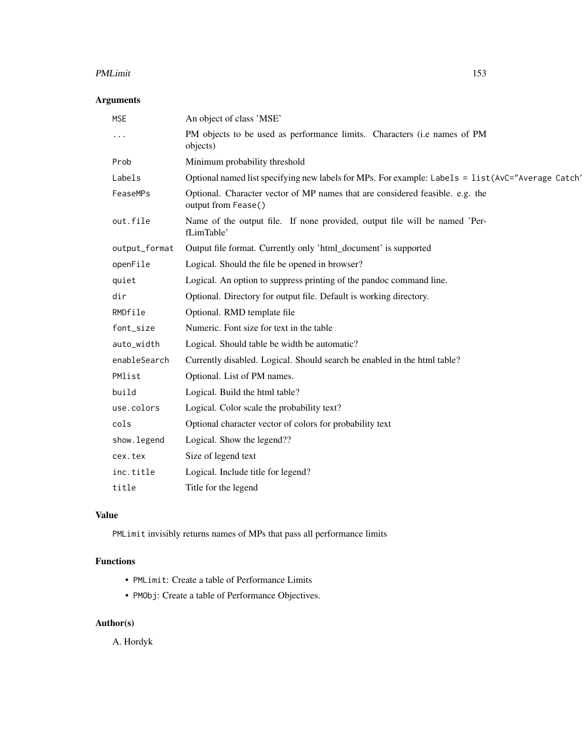### PMLimit 153

# Arguments

| <b>MSE</b>    | An object of class 'MSE'                                                                             |
|---------------|------------------------------------------------------------------------------------------------------|
| .             | PM objects to be used as performance limits. Characters (i.e names of PM<br>objects)                 |
| Prob          | Minimum probability threshold                                                                        |
| Labels        | Optional named list specifying new labels for MPs. For example: Labels = list (AvC="Average Catch"   |
| FeaseMPs      | Optional. Character vector of MP names that are considered feasible. e.g. the<br>output from Fease() |
| out.file      | Name of the output file. If none provided, output file will be named 'Per-<br>fLimTable'             |
| output_format | Output file format. Currently only 'html_document' is supported                                      |
| openFile      | Logical. Should the file be opened in browser?                                                       |
| quiet         | Logical. An option to suppress printing of the pandoc command line.                                  |
| dir           | Optional. Directory for output file. Default is working directory.                                   |
| RMDfile       | Optional. RMD template file                                                                          |
| font_size     | Numeric. Font size for text in the table                                                             |
| auto_width    | Logical. Should table be width be automatic?                                                         |
| enableSearch  | Currently disabled. Logical. Should search be enabled in the html table?                             |
| PMlist        | Optional. List of PM names.                                                                          |
| build         | Logical. Build the html table?                                                                       |
| use.colors    | Logical. Color scale the probability text?                                                           |
| cols          | Optional character vector of colors for probability text                                             |
| show.legend   | Logical. Show the legend??                                                                           |
| cex.tex       | Size of legend text                                                                                  |
| inc.title     | Logical. Include title for legend?                                                                   |
| title         | Title for the legend                                                                                 |

# Value

PMLimit invisibly returns names of MPs that pass all performance limits

# Functions

- PMLimit: Create a table of Performance Limits
- PMObj: Create a table of Performance Objectives.

# Author(s)

A. Hordyk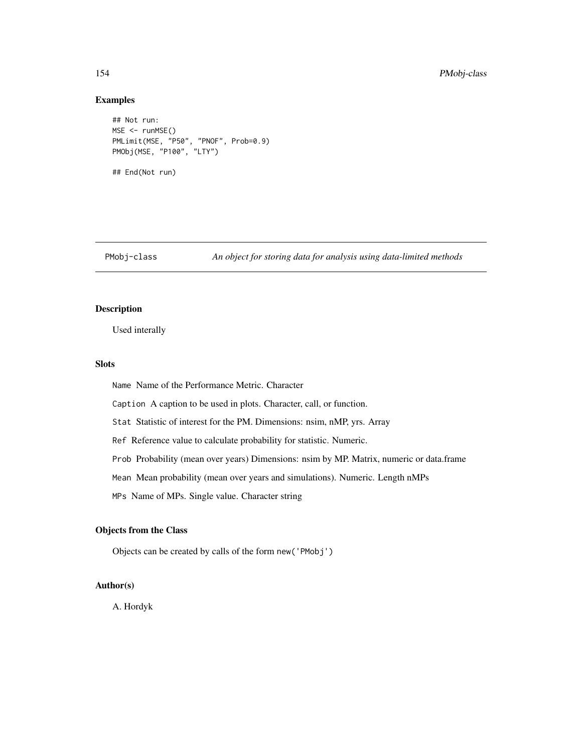## Examples

```
## Not run:
MSE <- runMSE()
PMLimit(MSE, "P50", "PNOF", Prob=0.9)
PMObj(MSE, "P100", "LTY")
## End(Not run)
```
PMobj-class *An object for storing data for analysis using data-limited methods*

# Description

Used interally

## Slots

Name Name of the Performance Metric. Character

Caption A caption to be used in plots. Character, call, or function.

Stat Statistic of interest for the PM. Dimensions: nsim, nMP, yrs. Array

Ref Reference value to calculate probability for statistic. Numeric.

Prob Probability (mean over years) Dimensions: nsim by MP. Matrix, numeric or data.frame

Mean Mean probability (mean over years and simulations). Numeric. Length nMPs

MPs Name of MPs. Single value. Character string

## Objects from the Class

Objects can be created by calls of the form new('PMobj')

# Author(s)

A. Hordyk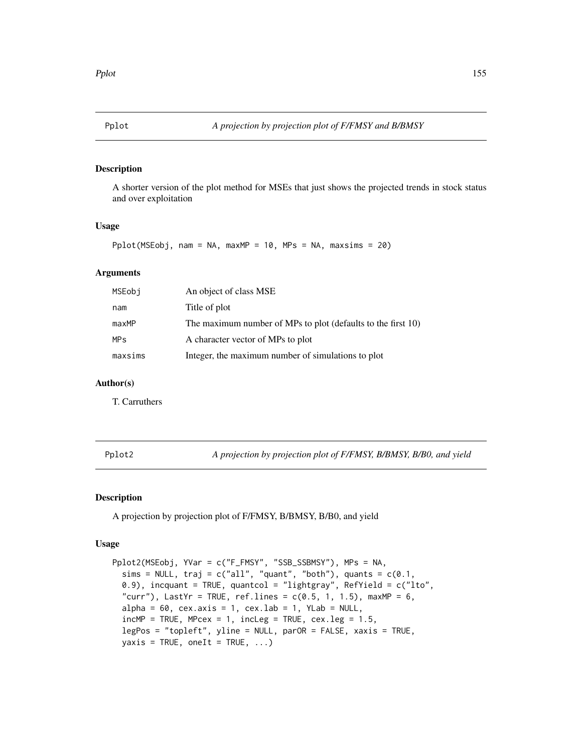A shorter version of the plot method for MSEs that just shows the projected trends in stock status and over exploitation

## Usage

Pplot(MSEobj, nam = NA, maxMP = 10, MPs = NA, maxsims = 20)

# Arguments

| MSEobi     | An object of class MSE                                       |
|------------|--------------------------------------------------------------|
| nam        | Title of plot                                                |
| maxMP      | The maximum number of MPs to plot (defaults to the first 10) |
| <b>MPs</b> | A character vector of MPs to plot                            |
| maxsims    | Integer, the maximum number of simulations to plot           |

### Author(s)

T. Carruthers

Pplot2 *A projection by projection plot of F/FMSY, B/BMSY, B/B0, and yield*

## Description

A projection by projection plot of F/FMSY, B/BMSY, B/B0, and yield

#### Usage

```
Pplot2(MSEobj, YVar = c("F_FMSY", "SSB_SSBMSY"), MPs = NA,
  sims = NULL, traj = c("all", "quant", "both"), quants = <math>c(0.1,</math>0.9), incquant = TRUE, quantcol = "lightgray", RefYield = c("lto",
  "curr"), LastYr = TRUE, ref.lines = c(0.5, 1, 1.5), maxMP = 6,
  alpha = 60, cex.axis = 1, cex.lab = 1, YLab = NULL,
  incMP = TRUE, MPcex = 1, incLeg = TRUE, cex.leg = 1.5,
  legPos = "topleft", yline = NULL, parOR = FALSE, xaxis = TRUE,
  yaxis = TRUE, oneIt = TRUE, ...)
```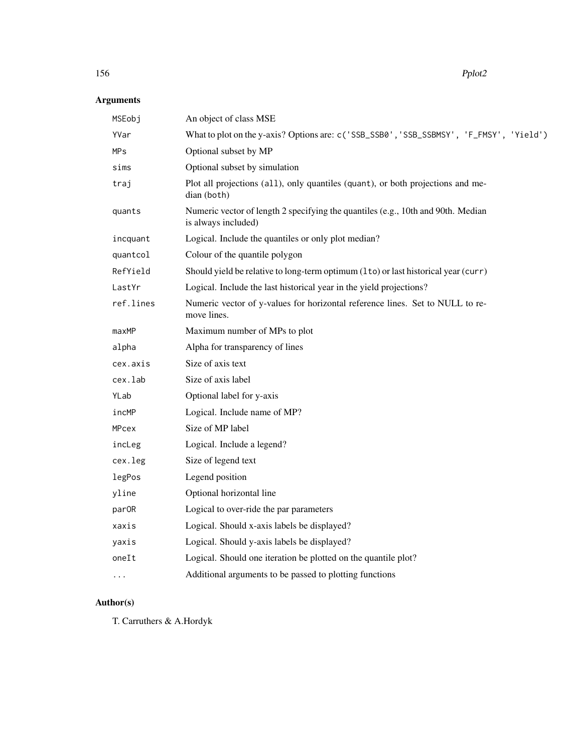# Arguments

| MSEobj       | An object of class MSE                                                                                  |
|--------------|---------------------------------------------------------------------------------------------------------|
| YVar         | What to plot on the y-axis? Options are: c('SSB_SSB0', 'SSB_SSBMSY', 'F_FMSY', 'Yield')                 |
| <b>MPs</b>   | Optional subset by MP                                                                                   |
| sims         | Optional subset by simulation                                                                           |
| traj         | Plot all projections (all), only quantiles (quant), or both projections and me-<br>dian (both)          |
| quants       | Numeric vector of length 2 specifying the quantiles (e.g., 10th and 90th. Median<br>is always included) |
| incquant     | Logical. Include the quantiles or only plot median?                                                     |
| quantcol     | Colour of the quantile polygon                                                                          |
| RefYield     | Should yield be relative to long-term optimum (1to) or last historical year (curr)                      |
| LastYr       | Logical. Include the last historical year in the yield projections?                                     |
| ref.lines    | Numeric vector of y-values for horizontal reference lines. Set to NULL to re-<br>move lines.            |
| maxMP        | Maximum number of MPs to plot                                                                           |
| alpha        | Alpha for transparency of lines                                                                         |
| cex.axis     | Size of axis text                                                                                       |
| cex.lab      | Size of axis label                                                                                      |
| YLab         | Optional label for y-axis                                                                               |
| incMP        | Logical. Include name of MP?                                                                            |
| <b>MPcex</b> | Size of MP label                                                                                        |
| incLeg       | Logical. Include a legend?                                                                              |
| cex.leg      | Size of legend text                                                                                     |
| legPos       | Legend position                                                                                         |
| yline        | Optional horizontal line                                                                                |
| parOR        | Logical to over-ride the par parameters                                                                 |
| xaxis        | Logical. Should x-axis labels be displayed?                                                             |
| yaxis        | Logical. Should y-axis labels be displayed?                                                             |
| oneIt        | Logical. Should one iteration be plotted on the quantile plot?                                          |
| $\cdots$     | Additional arguments to be passed to plotting functions                                                 |
|              |                                                                                                         |

# Author(s)

T. Carruthers & A.Hordyk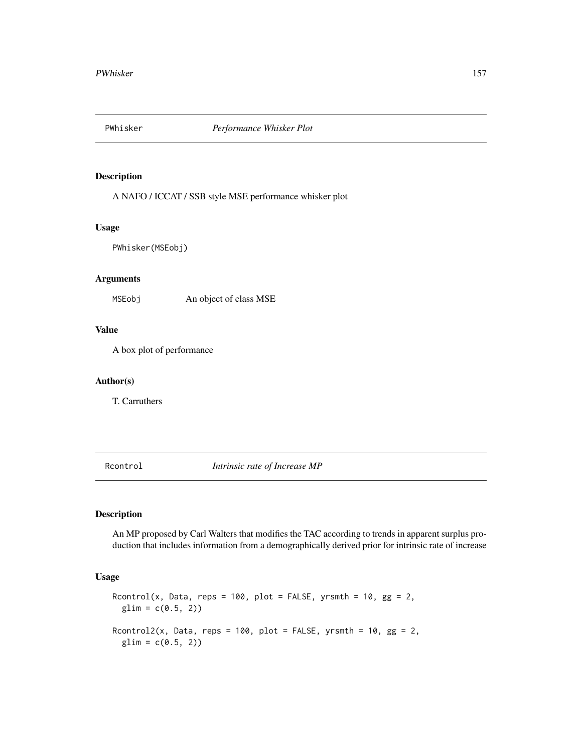A NAFO / ICCAT / SSB style MSE performance whisker plot

## Usage

PWhisker(MSEobj)

# Arguments

MSEobj An object of class MSE

# Value

A box plot of performance

## Author(s)

T. Carruthers

<span id="page-156-0"></span>Rcontrol *Intrinsic rate of Increase MP*

## Description

An MP proposed by Carl Walters that modifies the TAC according to trends in apparent surplus production that includes information from a demographically derived prior for intrinsic rate of increase

## Usage

```
Rcontrol(x, Data, reps = 100, plot = FALSE, yrsmth = 10, gg = 2,
 glim = c(0.5, 2)Rcontrol2(x, Data, reps = 100, plot = FALSE, yrsmth = 10, gg = 2,
 glim = c(0.5, 2)
```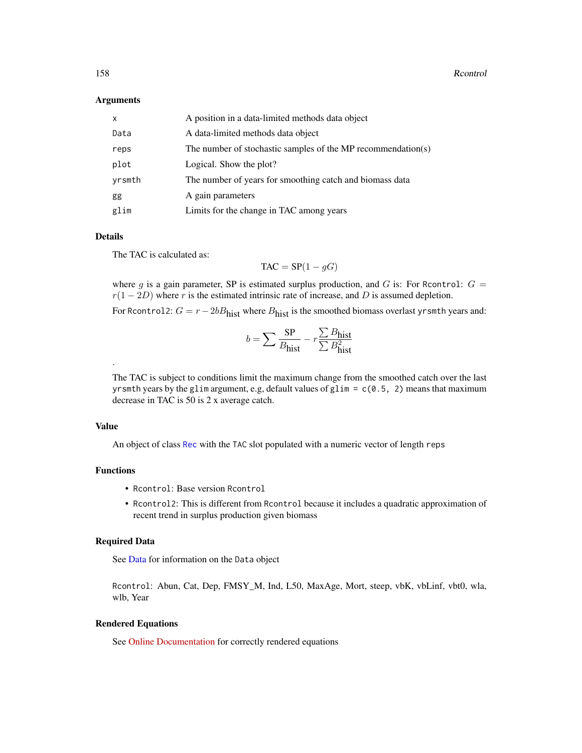### Arguments

| $\mathsf{x}$ | A position in a data-limited methods data object             |
|--------------|--------------------------------------------------------------|
| Data         | A data-limited methods data object                           |
| reps         | The number of stochastic samples of the MP recommendation(s) |
| plot         | Logical. Show the plot?                                      |
| yrsmth       | The number of years for smoothing catch and biomass data     |
| gg           | A gain parameters                                            |
| glim         | Limits for the change in TAC among years                     |

## Details

The TAC is calculated as:

 $TAC = SP(1 - gG)$ 

where g is a gain parameter, SP is estimated surplus production, and G is: For Rcontrol:  $G =$  $r(1 - 2D)$  where r is the estimated intrinsic rate of increase, and D is assumed depletion.

For Rcontrol2:  $G = r - 2bB<sub>hist</sub>$  where  $B<sub>hist</sub>$  is the smoothed biomass overlast yrsmth years and:

$$
b = \sum \frac{\text{SP}}{B_{\text{hist}}} - r \frac{\sum B_{\text{hist}}}{\sum B_{\text{hist}}^2}
$$

The TAC is subject to conditions limit the maximum change from the smoothed catch over the last yrsmth years by the glim argument, e.g, default values of glim =  $c(0.5, 2)$  means that maximum decrease in TAC is 50 is 2 x average catch.

## Value

.

An object of class [Rec](#page-159-0) with the TAC slot populated with a numeric vector of length reps

## Functions

- Rcontrol: Base version Rcontrol
- Rcontrol2: This is different from Rcontrol because it includes a quadratic approximation of recent trend in surplus production given biomass

## Required Data

See [Data](#page-29-0) for information on the Data object

Rcontrol: Abun, Cat, Dep, FMSY\_M, Ind, L50, MaxAge, Mort, steep, vbK, vbLinf, vbt0, wla, wlb, Year

## Rendered Equations

See [Online Documentation](https://dlmtool.github.io/DLMtool/reference/Rcontrol.html) for correctly rendered equations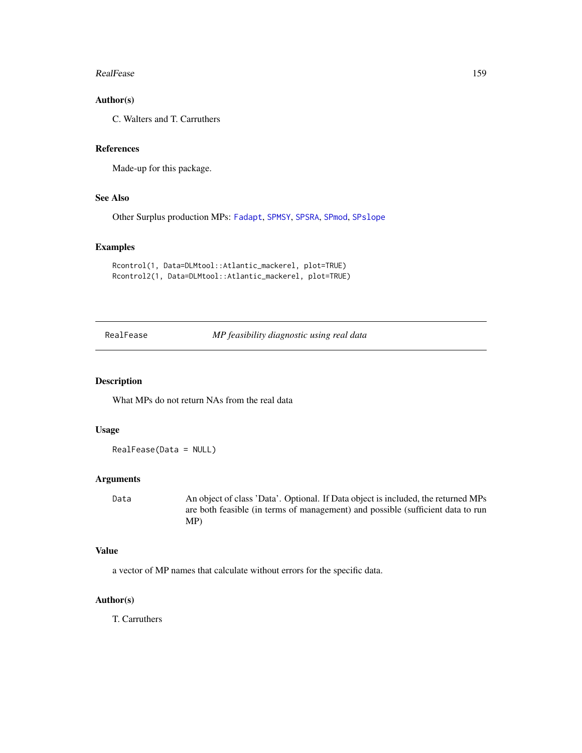#### RealFease 159

# Author(s)

C. Walters and T. Carruthers

## References

Made-up for this package.

# See Also

Other Surplus production MPs: [Fadapt](#page-57-0), [SPMSY](#page-176-0), [SPSRA](#page-179-0), [SPmod](#page-174-0), [SPslope](#page-177-0)

## Examples

```
Rcontrol(1, Data=DLMtool::Atlantic_mackerel, plot=TRUE)
Rcontrol2(1, Data=DLMtool::Atlantic_mackerel, plot=TRUE)
```
RealFease *MP feasibility diagnostic using real data*

## Description

What MPs do not return NAs from the real data

## Usage

RealFease(Data = NULL)

## Arguments

Data An object of class 'Data'. Optional. If Data object is included, the returned MPs are both feasible (in terms of management) and possible (sufficient data to run MP)

# Value

a vector of MP names that calculate without errors for the specific data.

## Author(s)

T. Carruthers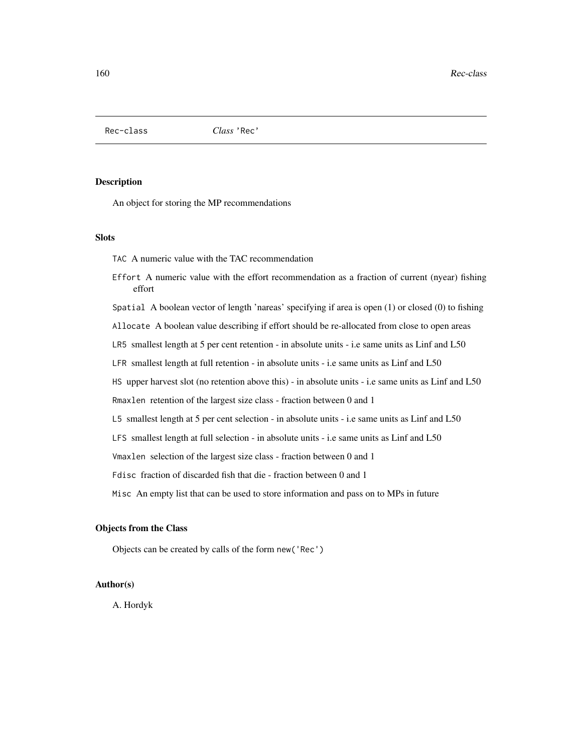<span id="page-159-0"></span>Rec-class *Class* 'Rec'

## Description

An object for storing the MP recommendations

## **Slots**

TAC A numeric value with the TAC recommendation

Effort A numeric value with the effort recommendation as a fraction of current (nyear) fishing effort

Spatial A boolean vector of length 'nareas' specifying if area is open (1) or closed (0) to fishing

Allocate A boolean value describing if effort should be re-allocated from close to open areas

LR5 smallest length at 5 per cent retention - in absolute units - i.e same units as Linf and L50

LFR smallest length at full retention - in absolute units - i.e same units as Linf and L50

HS upper harvest slot (no retention above this) - in absolute units - i.e same units as Linf and L50

Rmaxlen retention of the largest size class - fraction between 0 and 1

L5 smallest length at 5 per cent selection - in absolute units - i.e same units as Linf and L50

LFS smallest length at full selection - in absolute units - i.e same units as Linf and L50

Vmaxlen selection of the largest size class - fraction between 0 and 1

Fdisc fraction of discarded fish that die - fraction between 0 and 1

Misc An empty list that can be used to store information and pass on to MPs in future

## Objects from the Class

Objects can be created by calls of the form new('Rec')

## Author(s)

A. Hordyk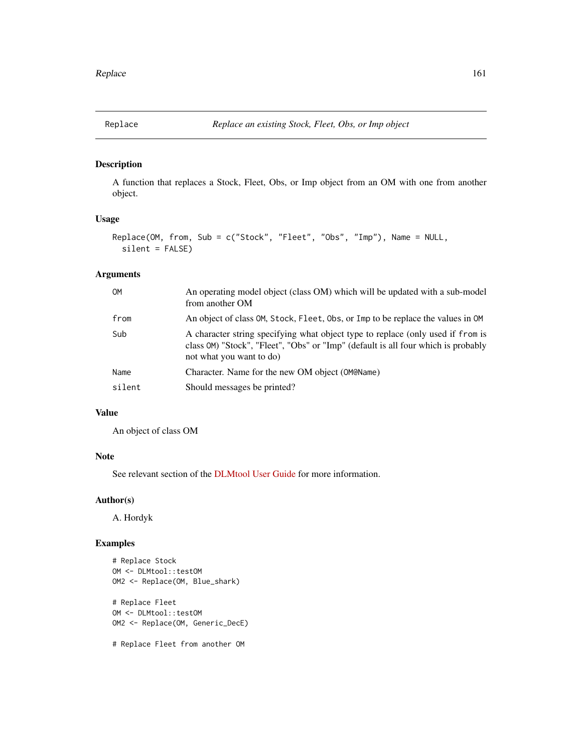A function that replaces a Stock, Fleet, Obs, or Imp object from an OM with one from another object.

# Usage

```
Replace(OM, from, Sub = c("Stock", "Fleet", "Obs", "Imp"), Name = NULL,
  silent = FALSE)
```
# Arguments

| <b>OM</b> | An operating model object (class OM) which will be updated with a sub-model<br>from another OM                                                                                                   |
|-----------|--------------------------------------------------------------------------------------------------------------------------------------------------------------------------------------------------|
| from      | An object of class OM, Stock, Fleet, Obs, or Imp to be replace the values in OM                                                                                                                  |
| Sub       | A character string specifying what object type to replace (only used if from is<br>class OM) "Stock", "Fleet", "Obs" or "Imp" (default is all four which is probably<br>not what you want to do) |
| Name      | Character. Name for the new OM object (OM@Name)                                                                                                                                                  |
| silent    | Should messages be printed?                                                                                                                                                                      |

## Value

An object of class OM

# Note

See relevant section of the [DLMtool User Guide](https://dlmtool.github.io/DLMtool/userguide/modifying-the-om.html#the-replace-function) for more information.

# Author(s)

A. Hordyk

# Examples

```
# Replace Stock
OM <- DLMtool::testOM
OM2 <- Replace(OM, Blue_shark)
# Replace Fleet
OM <- DLMtool::testOM
OM2 <- Replace(OM, Generic_DecE)
# Replace Fleet from another OM
```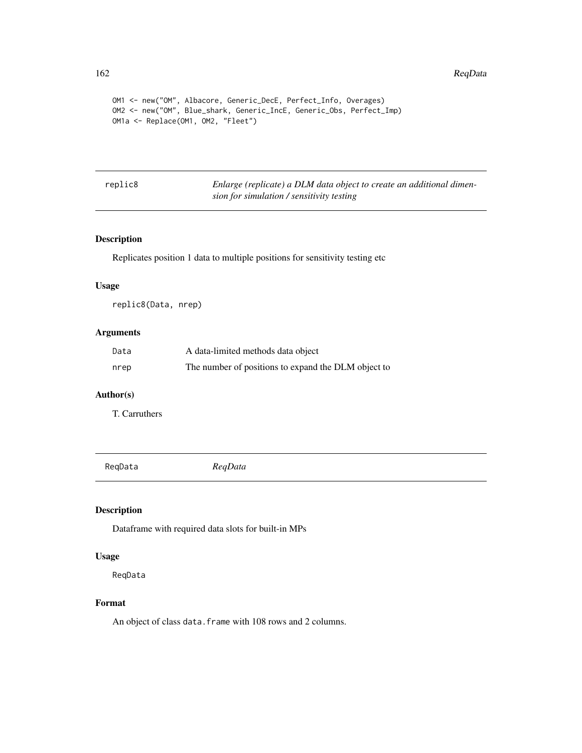#### 162 ReqData

```
OM1 <- new("OM", Albacore, Generic_DecE, Perfect_Info, Overages)
OM2 <- new("OM", Blue_shark, Generic_IncE, Generic_Obs, Perfect_Imp)
OM1a <- Replace(OM1, OM2, "Fleet")
```
replic8 *Enlarge (replicate) a DLM data object to create an additional dimension for simulation / sensitivity testing*

# Description

Replicates position 1 data to multiple positions for sensitivity testing etc

#### Usage

replic8(Data, nrep)

# Arguments

| Data | A data-limited methods data object                  |
|------|-----------------------------------------------------|
| nrep | The number of positions to expand the DLM object to |

## Author(s)

T. Carruthers

ReqData *ReqData*

## Description

Dataframe with required data slots for built-in MPs

#### Usage

ReqData

## Format

An object of class data. frame with 108 rows and 2 columns.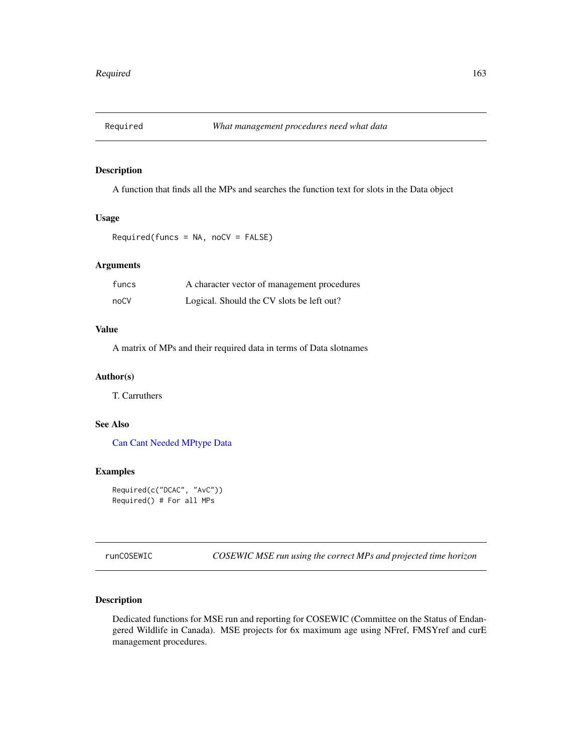A function that finds all the MPs and searches the function text for slots in the Data object

## Usage

```
Required(funcs = NA, noCV = FALSE)
```
# Arguments

| funcs | A character vector of management procedures |
|-------|---------------------------------------------|
| noCV  | Logical. Should the CV slots be left out?   |

## Value

A matrix of MPs and their required data in terms of Data slotnames

## Author(s)

T. Carruthers

## See Also

[Can](#page-15-0) [Cant](#page-15-1) [Needed](#page-15-1) [MPtype](#page-123-0) [Data](#page-29-0)

## Examples

```
Required(c("DCAC", "AvC"))
Required() # For all MPs
```
runCOSEWIC *COSEWIC MSE run using the correct MPs and projected time horizon*

## Description

Dedicated functions for MSE run and reporting for COSEWIC (Committee on the Status of Endangered Wildlife in Canada). MSE projects for 6x maximum age using NFref, FMSYref and curE management procedures.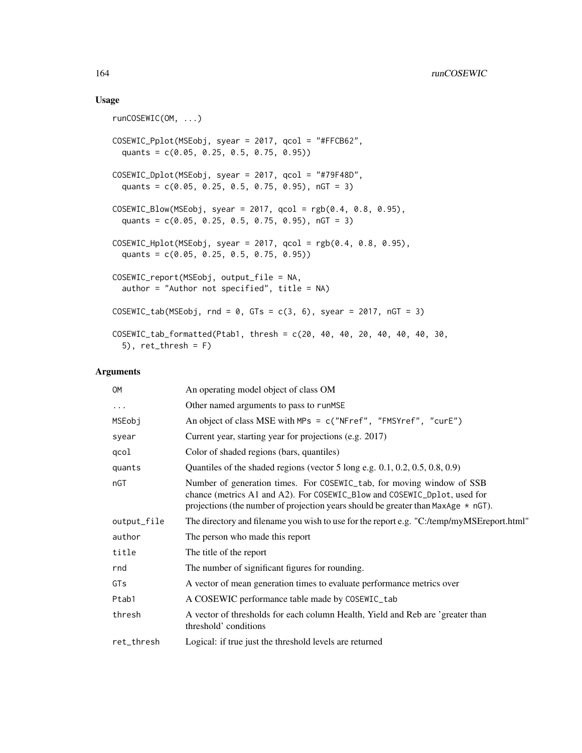## Usage

```
runCOSEWIC(OM, ...)
COSEWIC_Pplot(MSEobj, syear = 2017, qcol = "#FFCB62",
 quants = c(0.05, 0.25, 0.5, 0.75, 0.95))
COSEWIC_Dplot(MSEobj, syear = 2017, qcol = "#79F48D",
  quants = c(0.05, 0.25, 0.5, 0.75, 0.95), nGT = 3)
COSEWIC_Blow(MSEobj, syear = 2017, qcol = rgb(0.4, 0.8, 0.95),
  quants = c(0.05, 0.25, 0.5, 0.75, 0.95), nGT = 3)
COSEWIC_Hplot(MSEobj, system = 2017, qcol = rgb(0.4, 0.8, 0.95),quants = c(0.05, 0.25, 0.5, 0.75, 0.95))
COSEWIC_report(MSEobj, output_file = NA,
  author = "Author not specified", title = NA)
COSEWIC_tab(MSEobj, rnd = 0, GTs = c(3, 6), syear = 2017, nGT = 3)
COSEWIC_tab_formatted(Ptab1, thresh = c(20, 40, 40, 20, 40, 40, 40, 30,
  5), ret_thresh = F)
```
## Arguments

| <b>OM</b>   | An operating model object of class OM                                                                                                                                                                                                        |
|-------------|----------------------------------------------------------------------------------------------------------------------------------------------------------------------------------------------------------------------------------------------|
| $\cdots$    | Other named arguments to pass to runMSE                                                                                                                                                                                                      |
| MSEobj      | An object of class MSE with MPs = c("NFref", "FMSYref", "curE")                                                                                                                                                                              |
| syear       | Current year, starting year for projections (e.g. 2017)                                                                                                                                                                                      |
| qcol        | Color of shaded regions (bars, quantiles)                                                                                                                                                                                                    |
| quants      | Quantiles of the shaded regions (vector 5 long e.g. $0.1, 0.2, 0.5, 0.8, 0.9$ )                                                                                                                                                              |
| nGT         | Number of generation times. For COSEWIC_tab, for moving window of SSB<br>chance (metrics A1 and A2). For COSEWIC_Blow and COSEWIC_Dplot, used for<br>projections (the number of projection years should be greater than MaxAge $\star$ nGT). |
| output_file | The directory and filename you wish to use for the report e.g. "C:/temp/myMSEreport.html"                                                                                                                                                    |
| author      | The person who made this report                                                                                                                                                                                                              |
| title       | The title of the report                                                                                                                                                                                                                      |
| rnd         | The number of significant figures for rounding.                                                                                                                                                                                              |
| GTs         | A vector of mean generation times to evaluate performance metrics over                                                                                                                                                                       |
| Ptab1       | A COSEWIC performance table made by COSEWIC_tab                                                                                                                                                                                              |
| thresh      | A vector of thresholds for each column Health, Yield and Reb are 'greater than<br>threshold' conditions                                                                                                                                      |
| ret_thresh  | Logical: if true just the threshold levels are returned                                                                                                                                                                                      |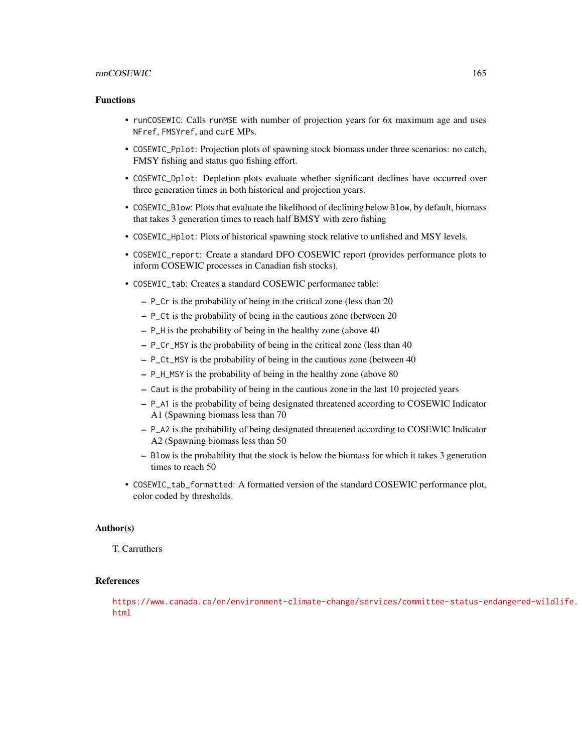## runCOSEWIC 165

## Functions

- runCOSEWIC: Calls runMSE with number of projection years for 6x maximum age and uses NFref, FMSYref, and curE MPs.
- COSEWIC\_Pplot: Projection plots of spawning stock biomass under three scenarios: no catch, FMSY fishing and status quo fishing effort.
- COSEWIC\_Dplot: Depletion plots evaluate whether significant declines have occurred over three generation times in both historical and projection years.
- COSEWIC\_Blow: Plots that evaluate the likelihood of declining below Blow, by default, biomass that takes 3 generation times to reach half BMSY with zero fishing
- COSEWIC\_Hplot: Plots of historical spawning stock relative to unfished and MSY levels.
- COSEWIC\_report: Create a standard DFO COSEWIC report (provides performance plots to inform COSEWIC processes in Canadian fish stocks).
- COSEWIC\_tab: Creates a standard COSEWIC performance table:
	- P\_Cr is the probability of being in the critical zone (less than 20
	- P\_Ct is the probability of being in the cautious zone (between 20
	- P\_H is the probability of being in the healthy zone (above 40
	- P\_Cr\_MSY is the probability of being in the critical zone (less than 40
	- P\_Ct\_MSY is the probability of being in the cautious zone (between 40
	- P\_H\_MSY is the probability of being in the healthy zone (above 80
	- Caut is the probability of being in the cautious zone in the last 10 projected years
	- P\_A1 is the probability of being designated threatened according to COSEWIC Indicator A1 (Spawning biomass less than 70
	- P\_A2 is the probability of being designated threatened according to COSEWIC Indicator A2 (Spawning biomass less than 50
	- Blow is the probability that the stock is below the biomass for which it takes 3 generation times to reach 50
- COSEWIC\_tab\_formatted: A formatted version of the standard COSEWIC performance plot, color coded by thresholds.

# Author(s)

T. Carruthers

## References

[https://www.canada.ca/en/environment-climate-change/services/committee-status-e](https://www.canada.ca/en/environment-climate-change/services/committee-status-endangered-wildlife.html)ndangered-wildlife. [html](https://www.canada.ca/en/environment-climate-change/services/committee-status-endangered-wildlife.html)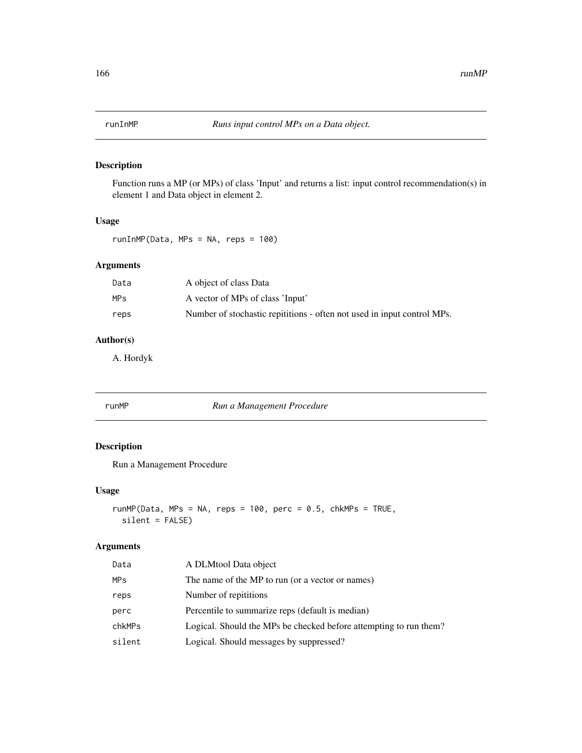Function runs a MP (or MPs) of class 'Input' and returns a list: input control recommendation(s) in element 1 and Data object in element 2.

# Usage

runInMP(Data, MPs = NA, reps = 100)

# Arguments

| Data | A object of class Data                                                  |
|------|-------------------------------------------------------------------------|
| MPs  | A vector of MPs of class 'Input'                                        |
| reps | Number of stochastic repititions - often not used in input control MPs. |

# Author(s)

A. Hordyk

runMP *Run a Management Procedure*

# Description

Run a Management Procedure

## Usage

```
runMP(Data, MPs = NA, reps = 100, perc = 0.5, chkMPs = TRUE,
 silent = FALSE)
```
## Arguments

| Data   | A DLMtool Data object                                             |
|--------|-------------------------------------------------------------------|
| MPS    | The name of the MP to run (or a vector or names)                  |
| reps   | Number of repititions                                             |
| perc   | Percentile to summarize reps (default is median)                  |
| chkMPs | Logical. Should the MPs be checked before attempting to run them? |
| silent | Logical. Should messages by suppressed?                           |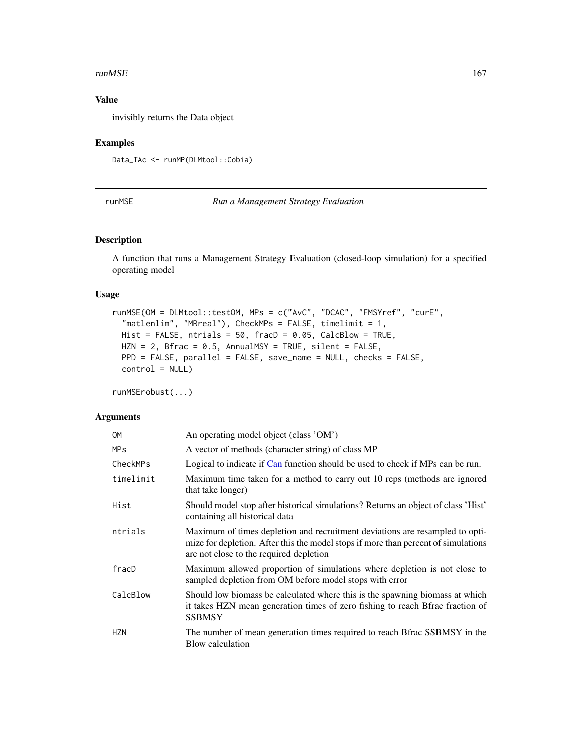#### $r$ unMSE  $167$

## Value

invisibly returns the Data object

# Examples

Data\_TAc <- runMP(DLMtool::Cobia)

runMSE *Run a Management Strategy Evaluation*

## Description

A function that runs a Management Strategy Evaluation (closed-loop simulation) for a specified operating model

# Usage

```
runMSE(OM = DLMtool::testOM, MPs = c("AvC", "DCAC", "FMSYref", "curE",
  "matlenlim", "MRreal"), CheckMPs = FALSE, timelimit = 1,
 Hist = FALSE, ntrials = 50, fracD = 0.05, CalcBlow = TRUE,
 HZN = 2, Bfrac = 0.5, AnnualMSY = TRUE, silent = FALSE,
 PPD = FALSE, parallel = FALSE, save_name = NULL, checks = FALSE,
 control = NULL)
```
runMSErobust(...)

### Arguments

| 0M         | An operating model object (class 'OM')                                                                                                                                                                        |
|------------|---------------------------------------------------------------------------------------------------------------------------------------------------------------------------------------------------------------|
| MPs        | A vector of methods (character string) of class MP                                                                                                                                                            |
| CheckMPs   | Logical to indicate if Can function should be used to check if MPs can be run.                                                                                                                                |
| timelimit  | Maximum time taken for a method to carry out 10 reps (methods are ignored<br>that take longer)                                                                                                                |
| Hist       | Should model stop after historical simulations? Returns an object of class 'Hist'<br>containing all historical data                                                                                           |
| ntrials    | Maximum of times depletion and recruitment deviations are resampled to opti-<br>mize for depletion. After this the model stops if more than percent of simulations<br>are not close to the required depletion |
| fracD      | Maximum allowed proportion of simulations where depletion is not close to<br>sampled depletion from OM before model stops with error                                                                          |
| CalcBlow   | Should low biomass be calculated where this is the spawning biomass at which<br>it takes HZN mean generation times of zero fishing to reach Bfrac fraction of<br><b>SSBMSY</b>                                |
| <b>HZN</b> | The number of mean generation times required to reach Bfrac SSBMSY in the<br>Blow calculation                                                                                                                 |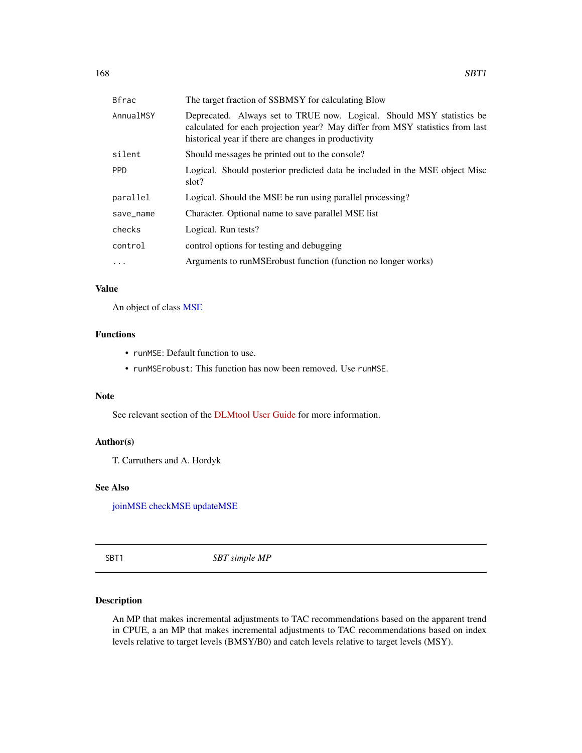| <b>Bfrac</b> | The target fraction of SSBMSY for calculating Blow                                                                                                                                                             |
|--------------|----------------------------------------------------------------------------------------------------------------------------------------------------------------------------------------------------------------|
| AnnualMSY    | Deprecated. Always set to TRUE now. Logical. Should MSY statistics be<br>calculated for each projection year? May differ from MSY statistics from last<br>historical year if there are changes in productivity |
| silent       | Should messages be printed out to the console?                                                                                                                                                                 |
| <b>PPD</b>   | Logical. Should posterior predicted data be included in the MSE object Misc<br>slot?                                                                                                                           |
| parallel     | Logical. Should the MSE be run using parallel processing?                                                                                                                                                      |
| save_name    | Character. Optional name to save parallel MSE list                                                                                                                                                             |
| checks       | Logical. Run tests?                                                                                                                                                                                            |
| control      | control options for testing and debugging                                                                                                                                                                      |
| $\ddots$     | Arguments to runMSE robust function (function no longer works)                                                                                                                                                 |

# Value

An object of class [MSE](#page-125-0)

# Functions

- runMSE: Default function to use.
- runMSErobust: This function has now been removed. Use runMSE.

## Note

See relevant section of the [DLMtool User Guide](https://dlmtool.github.io/DLMtool/userguide/running-the-mse.html) for more information.

## Author(s)

T. Carruthers and A. Hordyk

## See Also

[joinMSE](#page-19-0) [checkMSE](#page-19-1) [updateMSE](#page-19-0)

SBT1 *SBT simple MP*

## Description

An MP that makes incremental adjustments to TAC recommendations based on the apparent trend in CPUE, a an MP that makes incremental adjustments to TAC recommendations based on index levels relative to target levels (BMSY/B0) and catch levels relative to target levels (MSY).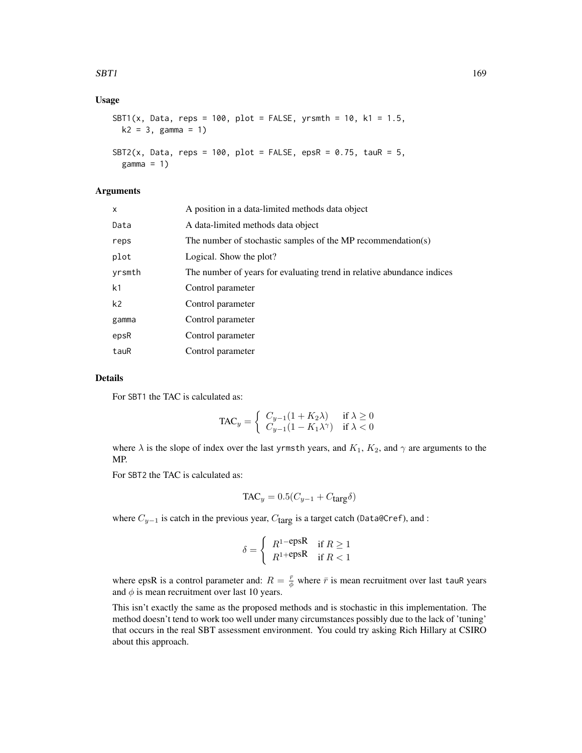## $SBT1$  169

## Usage

```
SBT1(x, Data, reps = 100, plot = FALSE, yrsmth = 10, k1 = 1.5,
 k2 = 3, gamma = 1)
SBT2(x, Data, reps = 100, plot = FALSE, epsR = 0.75, tauR = 5,
 gamma = 1)
```
## Arguments

| X              | A position in a data-limited methods data object                       |
|----------------|------------------------------------------------------------------------|
| Data           | A data-limited methods data object                                     |
| reps           | The number of stochastic samples of the MP recommendation(s)           |
| plot           | Logical. Show the plot?                                                |
| yrsmth         | The number of years for evaluating trend in relative abundance indices |
| k <sub>1</sub> | Control parameter                                                      |
| k <sub>2</sub> | Control parameter                                                      |
| gamma          | Control parameter                                                      |
| epsR           | Control parameter                                                      |
| tauR           | Control parameter                                                      |

## Details

For SBT1 the TAC is calculated as:

$$
\text{TAC}_y = \begin{cases} C_{y-1}(1 + K_2\lambda) & \text{if } \lambda \ge 0\\ C_{y-1}(1 - K_1\lambda^{\gamma}) & \text{if } \lambda < 0 \end{cases}
$$

where  $\lambda$  is the slope of index over the last yrmsth years, and  $K_1$ ,  $K_2$ , and  $\gamma$  are arguments to the MP.

For SBT2 the TAC is calculated as:

$$
TAC_y = 0.5(C_{y-1} + C_{\text{targ}}\delta)
$$

where  $C_{y-1}$  is catch in the previous year,  $C_{\text{targ}}$  is a target catch (Data@Cref), and :

$$
\delta = \begin{cases} R^{1-\text{epsR}} & \text{if } R \ge 1\\ R^{1+\text{epsR}} & \text{if } R < 1 \end{cases}
$$

where epsR is a control parameter and:  $R = \frac{\bar{r}}{\phi}$  where  $\bar{r}$  is mean recruitment over last tauR years and  $\phi$  is mean recruitment over last 10 years.

This isn't exactly the same as the proposed methods and is stochastic in this implementation. The method doesn't tend to work too well under many circumstances possibly due to the lack of 'tuning' that occurs in the real SBT assessment environment. You could try asking Rich Hillary at CSIRO about this approach.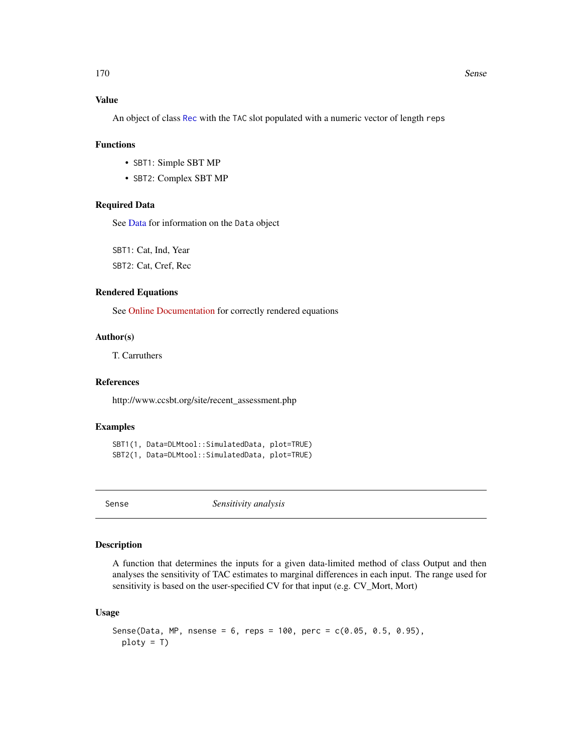## Value

An object of class [Rec](#page-159-0) with the TAC slot populated with a numeric vector of length reps

## Functions

- SBT1: Simple SBT MP
- SBT2: Complex SBT MP

## Required Data

See [Data](#page-29-0) for information on the Data object

SBT1: Cat, Ind, Year

SBT2: Cat, Cref, Rec

# Rendered Equations

See [Online Documentation](https://dlmtool.github.io/DLMtool/reference/SBT1.html) for correctly rendered equations

## Author(s)

T. Carruthers

# References

http://www.ccsbt.org/site/recent\_assessment.php

## Examples

SBT1(1, Data=DLMtool::SimulatedData, plot=TRUE) SBT2(1, Data=DLMtool::SimulatedData, plot=TRUE)

Sense *Sensitivity analysis*

## Description

A function that determines the inputs for a given data-limited method of class Output and then analyses the sensitivity of TAC estimates to marginal differences in each input. The range used for sensitivity is based on the user-specified CV for that input (e.g. CV\_Mort, Mort)

## Usage

```
Sense(Data, MP, nsense = 6, reps = 100, perc = c(0.05, 0.5, 0.95),
 ploty = T)
```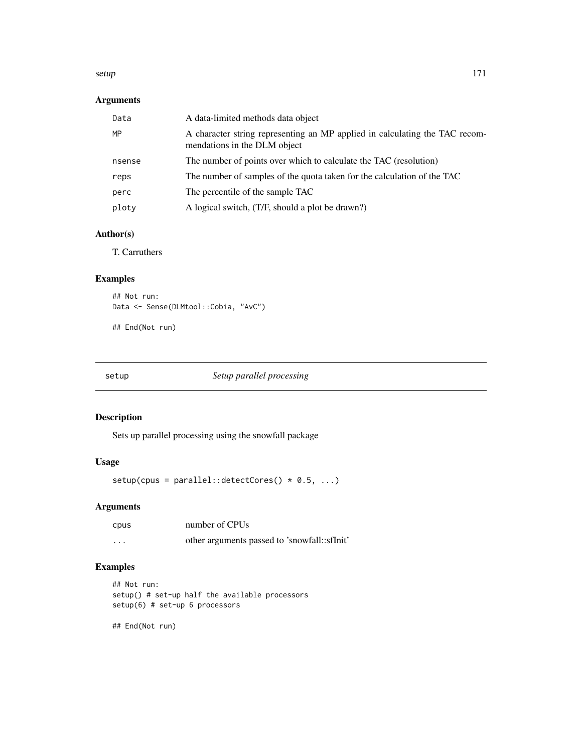#### setup 171

# Arguments

| Data   | A data-limited methods data object                                                                          |
|--------|-------------------------------------------------------------------------------------------------------------|
| MP     | A character string representing an MP applied in calculating the TAC recom-<br>mendations in the DLM object |
| nsense | The number of points over which to calculate the TAC (resolution)                                           |
| reps   | The number of samples of the quota taken for the calculation of the TAC                                     |
| perc   | The percentile of the sample TAC                                                                            |
| ploty  | A logical switch, (T/F, should a plot be drawn?)                                                            |

# Author(s)

T. Carruthers

# Examples

```
## Not run:
Data <- Sense(DLMtool::Cobia, "AvC")
```
## End(Not run)

# setup *Setup parallel processing*

# Description

Sets up parallel processing using the snowfall package

# Usage

 $setup(cpus = parallel::detectCores() * 0.5, ...)$ 

# Arguments

| cpus     | number of CPUs                               |
|----------|----------------------------------------------|
| $\cdots$ | other arguments passed to 'snowfall::sfInit' |

# Examples

```
## Not run:
setup() # set-up half the available processors
setup(6) # set-up 6 processors
```
## End(Not run)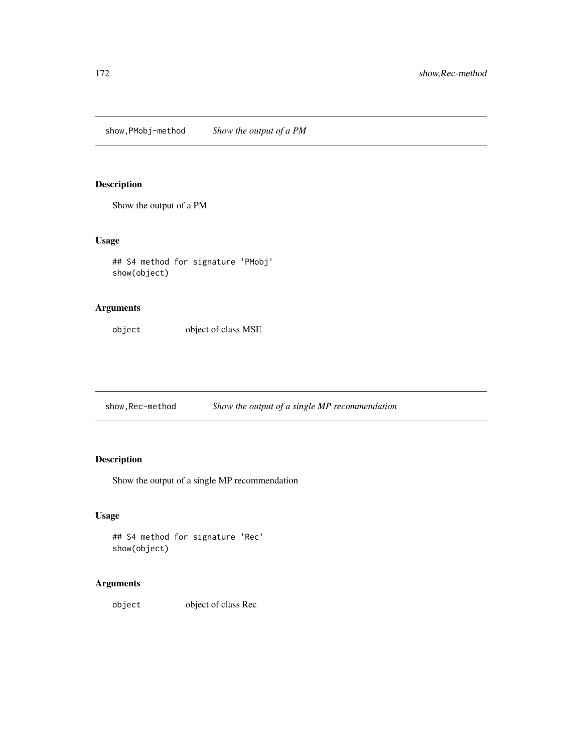show,PMobj-method *Show the output of a PM*

# Description

Show the output of a PM

# Usage

## S4 method for signature 'PMobj' show(object)

# Arguments

object object of class MSE

show,Rec-method *Show the output of a single MP recommendation*

# Description

Show the output of a single MP recommendation

## Usage

```
## S4 method for signature 'Rec'
show(object)
```
# Arguments

object object of class Rec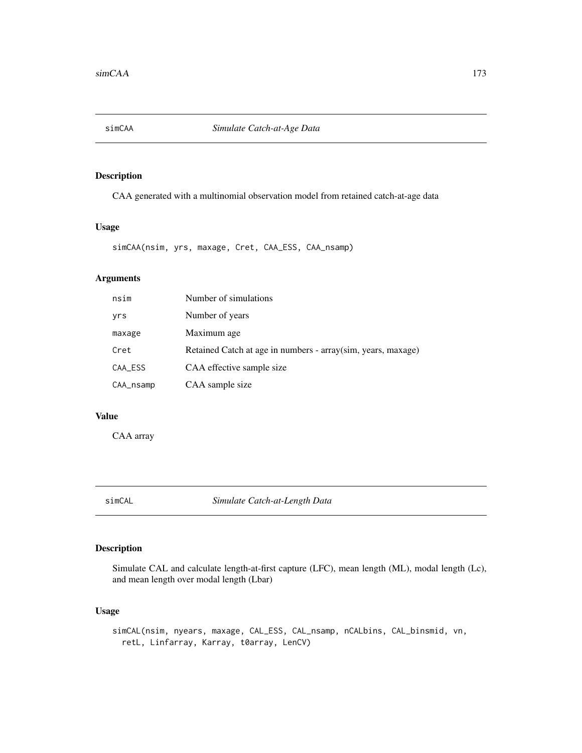CAA generated with a multinomial observation model from retained catch-at-age data

## Usage

```
simCAA(nsim, yrs, maxage, Cret, CAA_ESS, CAA_nsamp)
```
## Arguments

| nsim      | Number of simulations                                         |
|-----------|---------------------------------------------------------------|
| yrs       | Number of years                                               |
| maxage    | Maximum age                                                   |
| Cret      | Retained Catch at age in numbers - array (sim, years, maxage) |
| CAA_ESS   | CAA effective sample size                                     |
| CAA_nsamp | CAA sample size                                               |

# Value

CAA array

simCAL *Simulate Catch-at-Length Data*

# Description

Simulate CAL and calculate length-at-first capture (LFC), mean length (ML), modal length (Lc), and mean length over modal length (Lbar)

## Usage

simCAL(nsim, nyears, maxage, CAL\_ESS, CAL\_nsamp, nCALbins, CAL\_binsmid, vn, retL, Linfarray, Karray, t0array, LenCV)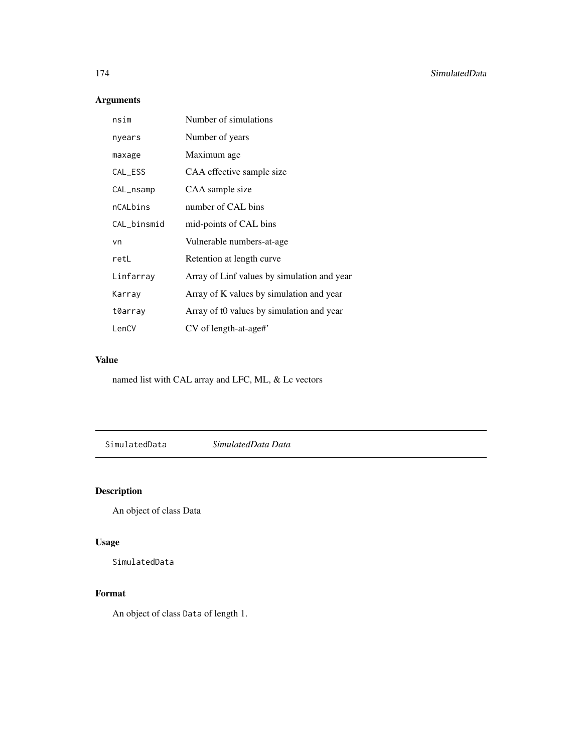# Arguments

| nsim        | Number of simulations                       |
|-------------|---------------------------------------------|
| nyears      | Number of years                             |
| maxage      | Maximum age                                 |
| CAL_ESS     | CAA effective sample size                   |
| CAL_nsamp   | CAA sample size                             |
| nCALbins    | number of CAL bins                          |
| CAL_binsmid | mid-points of CAL bins                      |
| vn          | Vulnerable numbers-at-age                   |
| retL        | Retention at length curve                   |
| Linfarray   | Array of Linf values by simulation and year |
| Karray      | Array of K values by simulation and year    |
| t0array     | Array of t0 values by simulation and year   |
| LenCV       | $CV$ of length-at-age#'                     |

# Value

named list with CAL array and LFC, ML, & Lc vectors

SimulatedData *SimulatedData Data*

# Description

An object of class Data

# Usage

SimulatedData

# Format

An object of class Data of length 1.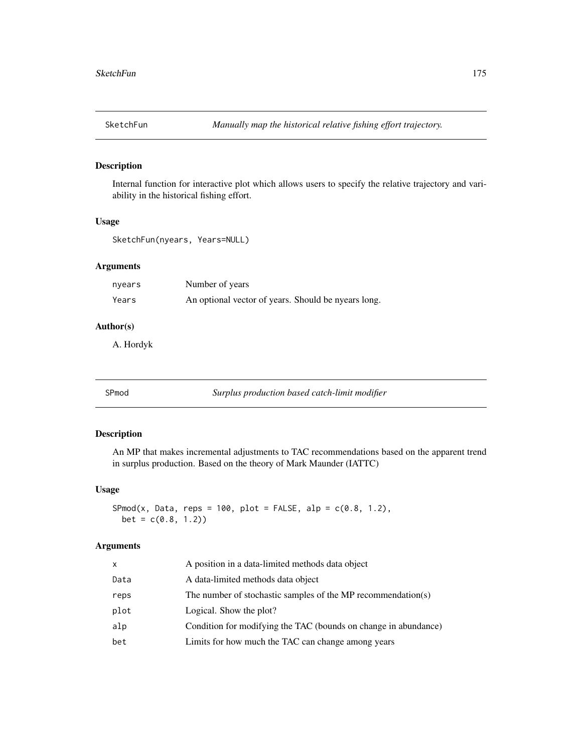Internal function for interactive plot which allows users to specify the relative trajectory and variability in the historical fishing effort.

## Usage

```
SketchFun(nyears, Years=NULL)
```
# Arguments

| nyears | Number of years                                     |
|--------|-----------------------------------------------------|
| Years  | An optional vector of years. Should be nyears long. |

## Author(s)

A. Hordyk

<span id="page-174-0"></span>SPmod *Surplus production based catch-limit modifier*

## Description

An MP that makes incremental adjustments to TAC recommendations based on the apparent trend in surplus production. Based on the theory of Mark Maunder (IATTC)

### Usage

```
SPmod(x, Data, reps = 100, plot = FALSE, alp = c(0.8, 1.2),bet = c(0.8, 1.2)
```
## Arguments

| x    | A position in a data-limited methods data object                |
|------|-----------------------------------------------------------------|
| Data | A data-limited methods data object                              |
| reps | The number of stochastic samples of the MP recommendation(s)    |
| plot | Logical. Show the plot?                                         |
| alp  | Condition for modifying the TAC (bounds on change in abundance) |
| bet  | Limits for how much the TAC can change among years              |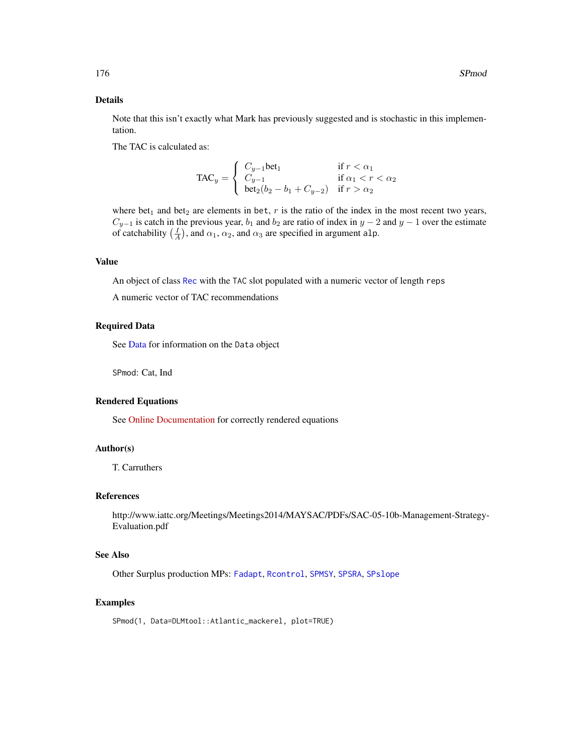## Details

Note that this isn't exactly what Mark has previously suggested and is stochastic in this implementation.

The TAC is calculated as:

$$
\text{TAC}_y = \begin{cases} C_{y-1} \text{bet}_1 & \text{if } r < \alpha_1 \\ C_{y-1} & \text{if } \alpha_1 < r < \alpha_2 \\ \text{bet}_2(b_2 - b_1 + C_{y-2}) & \text{if } r > \alpha_2 \end{cases}
$$

where bet<sub>1</sub> and bet<sub>2</sub> are elements in bet,  $r$  is the ratio of the index in the most recent two years,  $C_{y-1}$  is catch in the previous year,  $b_1$  and  $b_2$  are ratio of index in  $y-2$  and  $y-1$  over the estimate of catchability  $(\frac{I}{A})$ , and  $\alpha_1$ ,  $\alpha_2$ , and  $\alpha_3$  are specified in argument alp.

## Value

An object of class [Rec](#page-159-0) with the TAC slot populated with a numeric vector of length reps

A numeric vector of TAC recommendations

### Required Data

See [Data](#page-29-0) for information on the Data object

SPmod: Cat, Ind

#### Rendered Equations

See [Online Documentation](https://dlmtool.github.io/DLMtool/reference/SPmod.html) for correctly rendered equations

## Author(s)

T. Carruthers

## References

http://www.iattc.org/Meetings/Meetings2014/MAYSAC/PDFs/SAC-05-10b-Management-Strategy-Evaluation.pdf

## See Also

Other Surplus production MPs: [Fadapt](#page-57-0), [Rcontrol](#page-156-0), [SPMSY](#page-176-0), [SPSRA](#page-179-0), [SPslope](#page-177-0)

## Examples

SPmod(1, Data=DLMtool::Atlantic\_mackerel, plot=TRUE)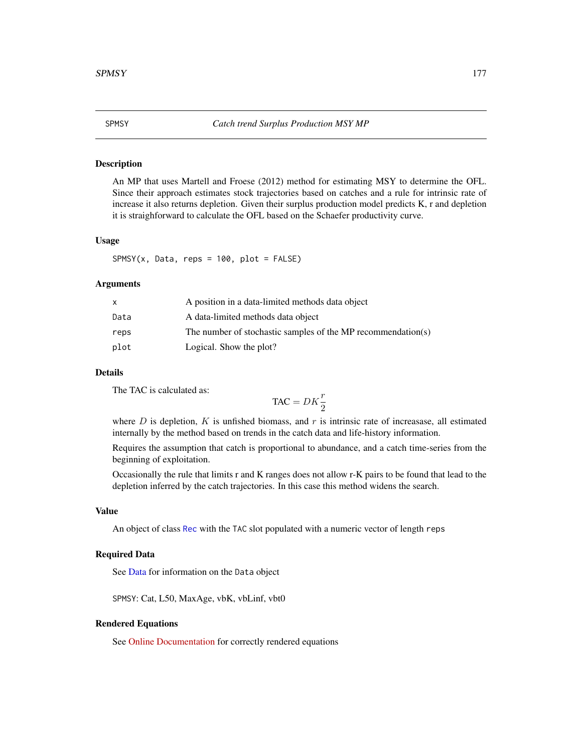<span id="page-176-0"></span>

An MP that uses Martell and Froese (2012) method for estimating MSY to determine the OFL. Since their approach estimates stock trajectories based on catches and a rule for intrinsic rate of increase it also returns depletion. Given their surplus production model predicts K, r and depletion it is straighforward to calculate the OFL based on the Schaefer productivity curve.

## Usage

 $SPMSY(x, Data, reps = 100, plot = FALSE)$ 

#### Arguments

| x    | A position in a data-limited methods data object             |
|------|--------------------------------------------------------------|
| Data | A data-limited methods data object                           |
| reps | The number of stochastic samples of the MP recommendation(s) |
| plot | Logical. Show the plot?                                      |

## Details

The TAC is calculated as:

$$
\text{TAC} = DK\frac{r}{2}
$$

where  $D$  is depletion,  $K$  is unfished biomass, and  $r$  is intrinsic rate of increasase, all estimated internally by the method based on trends in the catch data and life-history information.

Requires the assumption that catch is proportional to abundance, and a catch time-series from the beginning of exploitation.

Occasionally the rule that limits r and K ranges does not allow r-K pairs to be found that lead to the depletion inferred by the catch trajectories. In this case this method widens the search.

#### Value

An object of class [Rec](#page-159-0) with the TAC slot populated with a numeric vector of length reps

## Required Data

See [Data](#page-29-0) for information on the Data object

SPMSY: Cat, L50, MaxAge, vbK, vbLinf, vbt0

#### Rendered Equations

See [Online Documentation](https://dlmtool.github.io/DLMtool/reference/SPMSY.html) for correctly rendered equations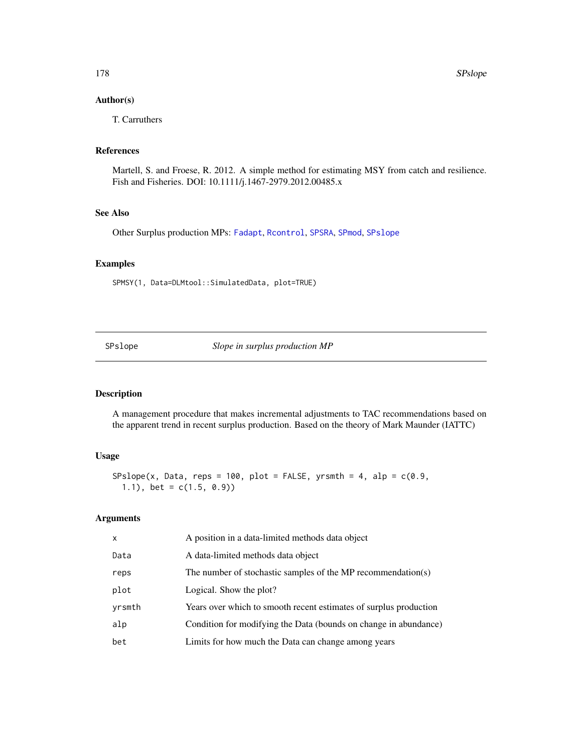## Author(s)

T. Carruthers

## References

Martell, S. and Froese, R. 2012. A simple method for estimating MSY from catch and resilience. Fish and Fisheries. DOI: 10.1111/j.1467-2979.2012.00485.x

### See Also

Other Surplus production MPs: [Fadapt](#page-57-0), [Rcontrol](#page-156-0), [SPSRA](#page-179-0), [SPmod](#page-174-0), [SPslope](#page-177-0)

## Examples

SPMSY(1, Data=DLMtool::SimulatedData, plot=TRUE)

<span id="page-177-0"></span>SPslope *Slope in surplus production MP*

## Description

A management procedure that makes incremental adjustments to TAC recommendations based on the apparent trend in recent surplus production. Based on the theory of Mark Maunder (IATTC)

## Usage

SPslope(x, Data, reps = 100, plot = FALSE, yrsmth = 4, alp =  $c(0.9, 1)$ 1.1), bet =  $c(1.5, 0.9)$ 

# Arguments

| X      | A position in a data-limited methods data object                  |
|--------|-------------------------------------------------------------------|
| Data   | A data-limited methods data object                                |
| reps   | The number of stochastic samples of the MP recommendation(s)      |
| plot   | Logical. Show the plot?                                           |
| yrsmth | Years over which to smooth recent estimates of surplus production |
| alp    | Condition for modifying the Data (bounds on change in abundance)  |
| bet    | Limits for how much the Data can change among years               |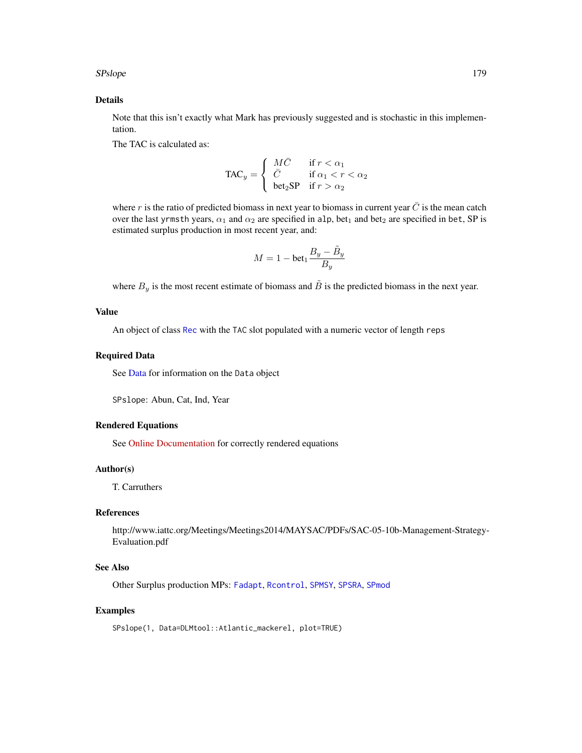## SPslope 179

## Details

Note that this isn't exactly what Mark has previously suggested and is stochastic in this implementation.

The TAC is calculated as:

$$
\text{TAC}_y = \left\{ \begin{array}{ll} M\bar{C} & \text{if } r < \alpha_1 \\ \bar{C} & \text{if } \alpha_1 < r < \alpha_2 \\ \text{bet}_2 \text{SP} & \text{if } r > \alpha_2 \end{array} \right.
$$

where r is the ratio of predicted biomass in next year to biomass in current year  $\bar{C}$  is the mean catch over the last yrmsth years,  $\alpha_1$  and  $\alpha_2$  are specified in alp, bet<sub>1</sub> and bet<sub>2</sub> are specified in bet, SP is estimated surplus production in most recent year, and:

$$
M = 1 - \text{bet}_1 \frac{B_y - \tilde{B}_y}{B_y}
$$

where  $B_y$  is the most recent estimate of biomass and  $\tilde{B}$  is the predicted biomass in the next year.

## Value

An object of class [Rec](#page-159-0) with the TAC slot populated with a numeric vector of length reps

#### Required Data

See [Data](#page-29-0) for information on the Data object

SPslope: Abun, Cat, Ind, Year

#### Rendered Equations

See [Online Documentation](https://dlmtool.github.io/DLMtool/reference/SPslope.html) for correctly rendered equations

## Author(s)

T. Carruthers

## References

http://www.iattc.org/Meetings/Meetings2014/MAYSAC/PDFs/SAC-05-10b-Management-Strategy-Evaluation.pdf

## See Also

Other Surplus production MPs: [Fadapt](#page-57-0), [Rcontrol](#page-156-0), [SPMSY](#page-176-0), [SPSRA](#page-179-0), [SPmod](#page-174-0)

# Examples

SPslope(1, Data=DLMtool::Atlantic\_mackerel, plot=TRUE)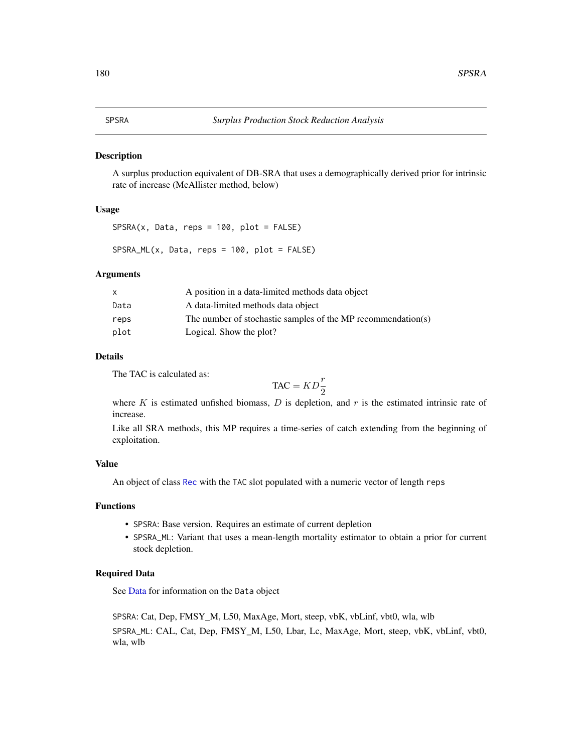<span id="page-179-0"></span>A surplus production equivalent of DB-SRA that uses a demographically derived prior for intrinsic rate of increase (McAllister method, below)

# Usage

 $SPSRA(x, Data, reps = 100, plot = FALSE)$ 

SPSRA\_ML(x, Data, reps = 100, plot = FALSE)

## Arguments

| X    | A position in a data-limited methods data object             |
|------|--------------------------------------------------------------|
| Data | A data-limited methods data object                           |
| reps | The number of stochastic samples of the MP recommendation(s) |
| plot | Logical. Show the plot?                                      |

## Details

The TAC is calculated as:

$$
\text{TAC} = KD\frac{r}{2}
$$

where  $K$  is estimated unfished biomass,  $D$  is depletion, and  $r$  is the estimated intrinsic rate of increase.

Like all SRA methods, this MP requires a time-series of catch extending from the beginning of exploitation.

### Value

An object of class [Rec](#page-159-0) with the TAC slot populated with a numeric vector of length reps

## Functions

- SPSRA: Base version. Requires an estimate of current depletion
- SPSRA\_ML: Variant that uses a mean-length mortality estimator to obtain a prior for current stock depletion.

## Required Data

See [Data](#page-29-0) for information on the Data object

SPSRA: Cat, Dep, FMSY\_M, L50, MaxAge, Mort, steep, vbK, vbLinf, vbt0, wla, wlb SPSRA\_ML: CAL, Cat, Dep, FMSY\_M, L50, Lbar, Lc, MaxAge, Mort, steep, vbK, vbLinf, vbt0, wla, wlb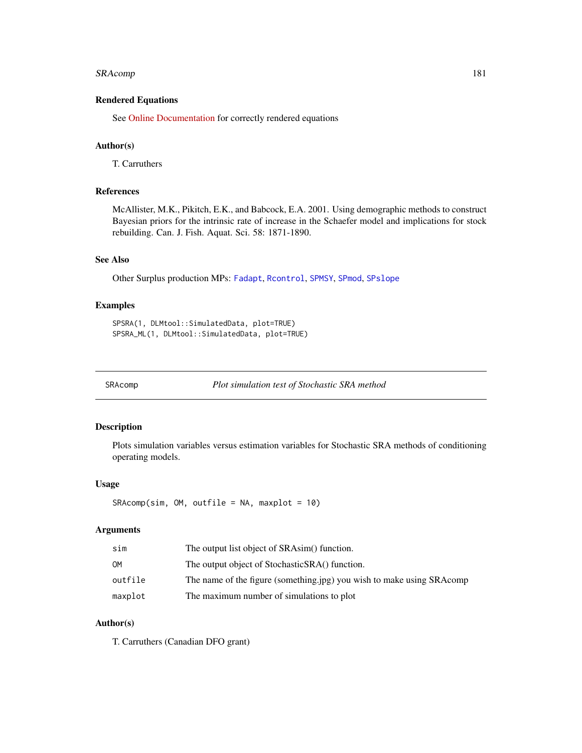## <span id="page-180-0"></span>SRAcomp 181

## Rendered Equations

See [Online Documentation](https://dlmtool.github.io/DLMtool/reference/SPSRA.html) for correctly rendered equations

## Author(s)

T. Carruthers

## References

McAllister, M.K., Pikitch, E.K., and Babcock, E.A. 2001. Using demographic methods to construct Bayesian priors for the intrinsic rate of increase in the Schaefer model and implications for stock rebuilding. Can. J. Fish. Aquat. Sci. 58: 1871-1890.

#### See Also

Other Surplus production MPs: [Fadapt](#page-57-0), [Rcontrol](#page-156-0), [SPMSY](#page-176-0), [SPmod](#page-174-0), [SPslope](#page-177-0)

#### Examples

```
SPSRA(1, DLMtool::SimulatedData, plot=TRUE)
SPSRA_ML(1, DLMtool::SimulatedData, plot=TRUE)
```
SRAcomp *Plot simulation test of Stochastic SRA method*

## Description

Plots simulation variables versus estimation variables for Stochastic SRA methods of conditioning operating models.

#### Usage

```
SRAcomp(sim, OM, outfile = NA, maxplot = 10)
```
## Arguments

| sim     | The output list object of SRAsim() function.                          |
|---------|-----------------------------------------------------------------------|
| OМ      | The output object of StochasticSRA() function.                        |
| outfile | The name of the figure (something.jpg) you wish to make using SRAcomp |
| maxplot | The maximum number of simulations to plot                             |

## Author(s)

T. Carruthers (Canadian DFO grant)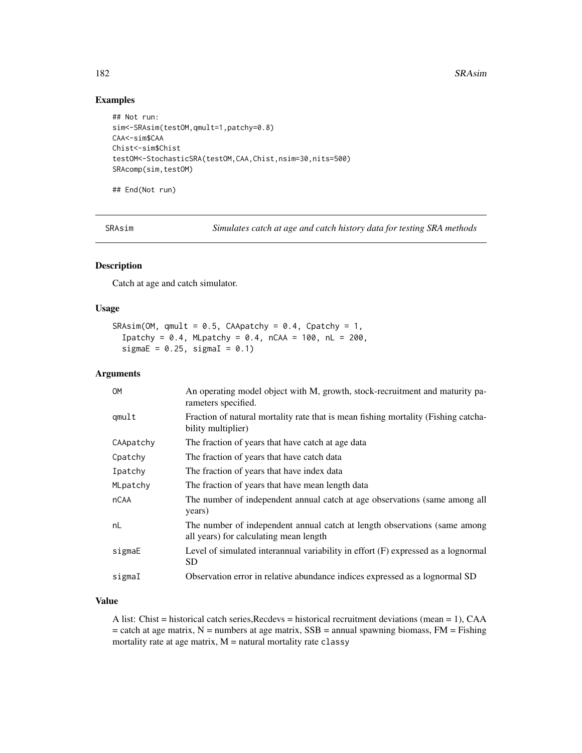## <span id="page-181-0"></span>Examples

```
## Not run:
sim<-SRAsim(testOM,qmult=1,patchy=0.8)
CAA<-sim$CAA
Chist<-sim$Chist
testOM<-StochasticSRA(testOM,CAA,Chist,nsim=30,nits=500)
SRAcomp(sim,testOM)
```
## End(Not run)

SRAsim *Simulates catch at age and catch history data for testing SRA methods*

## Description

Catch at age and catch simulator.

#### Usage

```
SRAsim(OM, qmult = 0.5, CAApatchy = 0.4, Cpatchy = 1,
  Ipatchy = 0.4, MLpatchy = 0.4, nCAA = 100, nL = 200,
  sigmaE = 0.25, sigmaI = 0.1)
```
#### Arguments

| <b>OM</b>   | An operating model object with M, growth, stock-recruitment and maturity pa-<br>rameters specified.                 |
|-------------|---------------------------------------------------------------------------------------------------------------------|
| qmult       | Fraction of natural mortality rate that is mean fishing mortality (Fishing catcha-<br>bility multiplier)            |
| CAApatchy   | The fraction of years that have catch at age data                                                                   |
| Cpatchy     | The fraction of years that have catch data                                                                          |
| Ipatchy     | The fraction of years that have index data                                                                          |
| MLpatchy    | The fraction of years that have mean length data                                                                    |
| <b>nCAA</b> | The number of independent annual catch at age observations (same among all<br>years)                                |
| nL          | The number of independent annual catch at length observations (same among<br>all years) for calculating mean length |
| sigmaE      | Level of simulated interannual variability in effort $(F)$ expressed as a lognormal<br><b>SD</b>                    |
| sigmaI      | Observation error in relative abundance indices expressed as a lognormal SD                                         |

#### Value

A list: Chist = historical catch series, Recdevs = historical recruitment deviations (mean = 1), CAA  $=$  catch at age matrix, N = numbers at age matrix, SSB = annual spawning biomass, FM = Fishing mortality rate at age matrix,  $M =$  natural mortality rate classy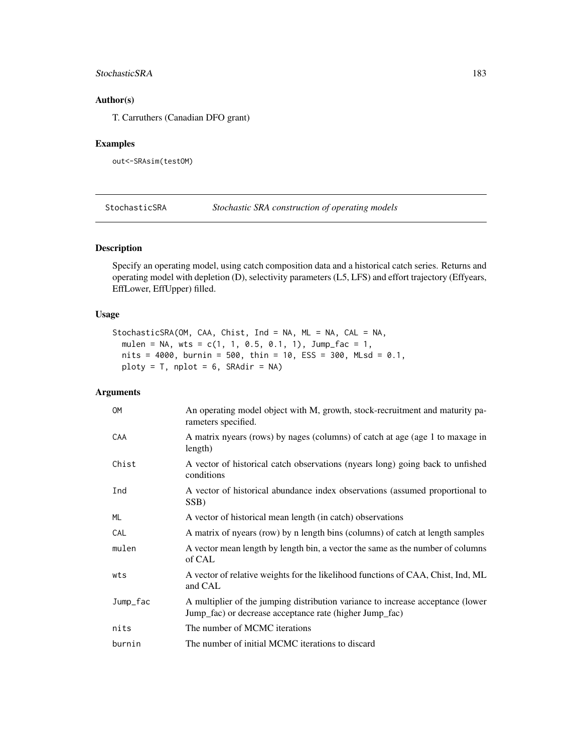#### <span id="page-182-0"></span>StochasticSRA 183

## Author(s)

T. Carruthers (Canadian DFO grant)

## Examples

out<-SRAsim(testOM)

StochasticSRA *Stochastic SRA construction of operating models*

## Description

Specify an operating model, using catch composition data and a historical catch series. Returns and operating model with depletion (D), selectivity parameters (L5, LFS) and effort trajectory (Effyears, EffLower, EffUpper) filled.

#### Usage

```
StochasticSRA(OM, CAA, Chist, Ind = NA, ML = NA, CAL = NA,
 mulen = NA, wts = c(1, 1, 0.5, 0.1, 1), Jump_fac = 1,
 nits = 4000, burnin = 500, thin = 10, ESS = 300, MLsd = 0.1,
 ploty = T, nplot = 6, SRAdir = NA)
```
## Arguments

| <b>OM</b> | An operating model object with M, growth, stock-recruitment and maturity pa-<br>rameters specified.                                        |
|-----------|--------------------------------------------------------------------------------------------------------------------------------------------|
| CAA       | A matrix nyears (rows) by nages (columns) of catch at age (age 1 to maxage in<br>length)                                                   |
| Chist     | A vector of historical catch observations (nyears long) going back to unfished<br>conditions                                               |
| Ind       | A vector of historical abundance index observations (assumed proportional to<br>SSB)                                                       |
| ML        | A vector of historical mean length (in catch) observations                                                                                 |
| CAL       | A matrix of nyears (row) by n length bins (columns) of catch at length samples                                                             |
| mulen     | A vector mean length by length bin, a vector the same as the number of columns<br>of CAL                                                   |
| wts       | A vector of relative weights for the likelihood functions of CAA, Chist, Ind, ML<br>and CAL                                                |
| Jump_fac  | A multiplier of the jumping distribution variance to increase acceptance (lower<br>Jump_fac) or decrease acceptance rate (higher Jump_fac) |
| nits      | The number of MCMC iterations                                                                                                              |
| burnin    | The number of initial MCMC iterations to discard                                                                                           |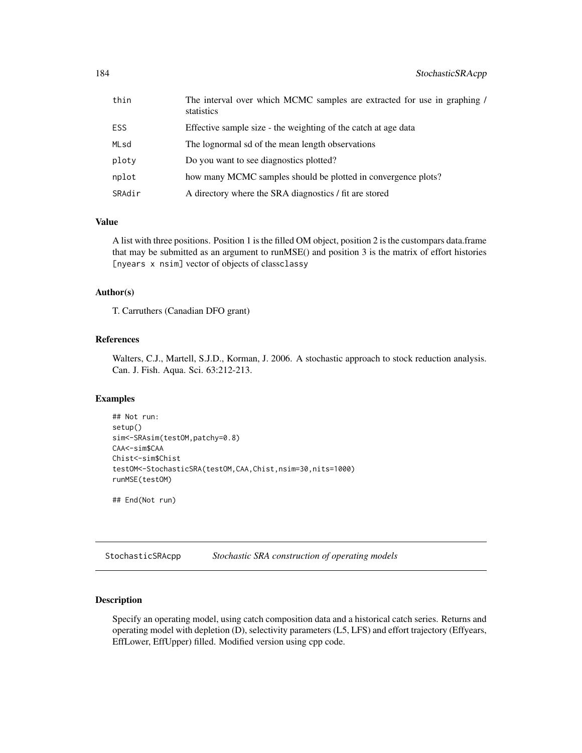<span id="page-183-0"></span>

| thin   | The interval over which MCMC samples are extracted for use in graphing /<br>statistics |
|--------|----------------------------------------------------------------------------------------|
| ESS    | Effective sample size - the weighting of the catch at age data                         |
| MLsd   | The lognormal sd of the mean length observations                                       |
| ploty  | Do you want to see diagnostics plotted?                                                |
| nplot  | how many MCMC samples should be plotted in convergence plots?                          |
| SRAdir | A directory where the SRA diagnostics / fit are stored                                 |

## Value

A list with three positions. Position 1 is the filled OM object, position 2 is the custompars data.frame that may be submitted as an argument to runMSE() and position 3 is the matrix of effort histories [nyears x nsim] vector of objects of classclassy

## Author(s)

T. Carruthers (Canadian DFO grant)

## References

Walters, C.J., Martell, S.J.D., Korman, J. 2006. A stochastic approach to stock reduction analysis. Can. J. Fish. Aqua. Sci. 63:212-213.

#### Examples

```
## Not run:
setup()
sim<-SRAsim(testOM,patchy=0.8)
CAA<-sim$CAA
Chist<-sim$Chist
testOM<-StochasticSRA(testOM,CAA,Chist,nsim=30,nits=1000)
runMSE(testOM)
```
## End(Not run)

StochasticSRAcpp *Stochastic SRA construction of operating models*

#### Description

Specify an operating model, using catch composition data and a historical catch series. Returns and operating model with depletion (D), selectivity parameters (L5, LFS) and effort trajectory (Effyears, EffLower, EffUpper) filled. Modified version using cpp code.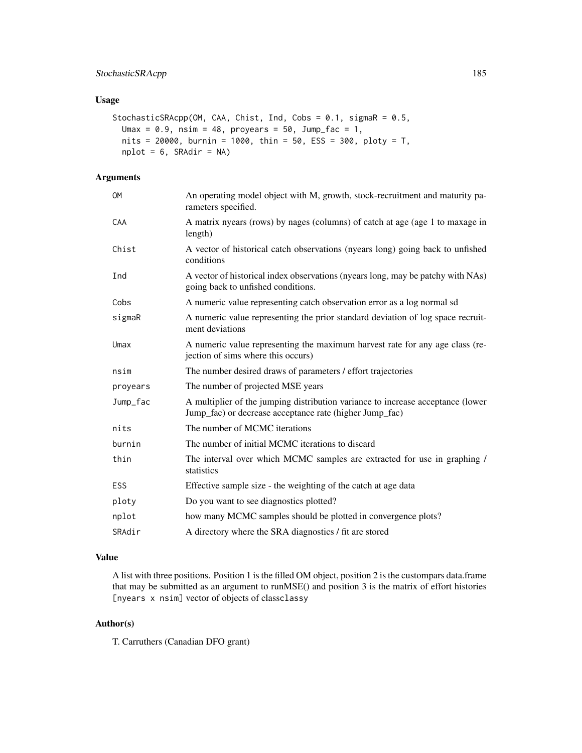## StochasticSRAcpp 185

#### Usage

```
StochasticSRAcpp(OM, CAA, Chist, Ind, Cobs = 0.1, sigmaR = 0.5,
 Umax = 0.9, nsim = 48, proyears = 50, Jump_fac = 1,
 nits = 20000, burnin = 1000, thin = 50, ESS = 300, ploty = T,
 nplot = 6, SRAdir = NA)
```
## Arguments

| ОM       | An operating model object with M, growth, stock-recruitment and maturity pa-<br>rameters specified.                                        |
|----------|--------------------------------------------------------------------------------------------------------------------------------------------|
| CAA      | A matrix nyears (rows) by nages (columns) of catch at age (age 1 to maxage in<br>length)                                                   |
| Chist    | A vector of historical catch observations (nyears long) going back to unfished<br>conditions                                               |
| Ind      | A vector of historical index observations (nyears long, may be patchy with NAs)<br>going back to unfished conditions.                      |
| Cobs     | A numeric value representing catch observation error as a log normal sd                                                                    |
| sigmaR   | A numeric value representing the prior standard deviation of log space recruit-<br>ment deviations                                         |
| Umax     | A numeric value representing the maximum harvest rate for any age class (re-<br>jection of sims where this occurs)                         |
| nsim     | The number desired draws of parameters / effort trajectories                                                                               |
| proyears | The number of projected MSE years                                                                                                          |
| Jump_fac | A multiplier of the jumping distribution variance to increase acceptance (lower<br>Jump_fac) or decrease acceptance rate (higher Jump_fac) |
| nits     | The number of MCMC iterations                                                                                                              |
| burnin   | The number of initial MCMC iterations to discard                                                                                           |
| thin     | The interval over which MCMC samples are extracted for use in graphing /<br>statistics                                                     |
| ESS      | Effective sample size - the weighting of the catch at age data                                                                             |
| ploty    | Do you want to see diagnostics plotted?                                                                                                    |
| nplot    | how many MCMC samples should be plotted in convergence plots?                                                                              |
| SRAdir   | A directory where the SRA diagnostics / fit are stored                                                                                     |

#### Value

A list with three positions. Position 1 is the filled OM object, position 2 is the custompars data.frame that may be submitted as an argument to runMSE() and position 3 is the matrix of effort histories [nyears x nsim] vector of objects of classclassy

## Author(s)

T. Carruthers (Canadian DFO grant)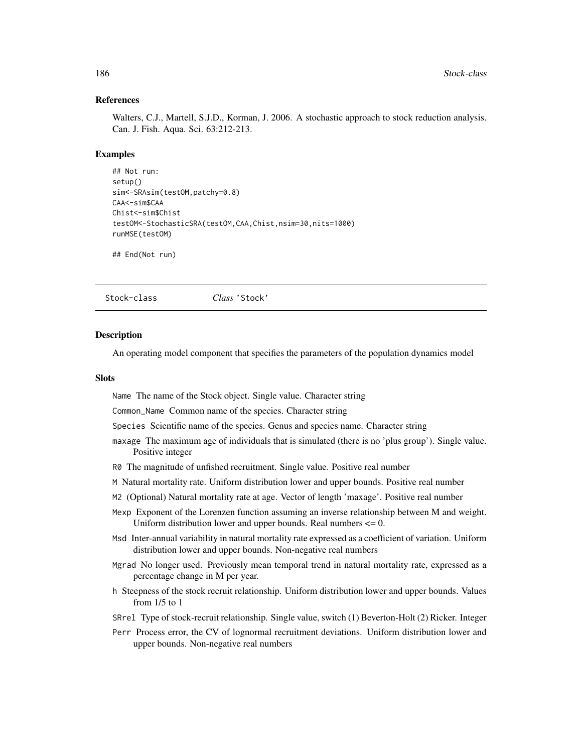#### <span id="page-185-0"></span>References

Walters, C.J., Martell, S.J.D., Korman, J. 2006. A stochastic approach to stock reduction analysis. Can. J. Fish. Aqua. Sci. 63:212-213.

#### Examples

```
## Not run:
setup()
sim<-SRAsim(testOM,patchy=0.8)
CAA<-sim$CAA
Chist<-sim$Chist
testOM<-StochasticSRA(testOM,CAA,Chist,nsim=30,nits=1000)
runMSE(testOM)
```
## End(Not run)

Stock-class *Class* 'Stock'

#### Description

An operating model component that specifies the parameters of the population dynamics model

#### Slots

Name The name of the Stock object. Single value. Character string

Common\_Name Common name of the species. Character string

Species Scientific name of the species. Genus and species name. Character string

- maxage The maximum age of individuals that is simulated (there is no 'plus group'). Single value. Positive integer
- R0 The magnitude of unfished recruitment. Single value. Positive real number
- M Natural mortality rate. Uniform distribution lower and upper bounds. Positive real number
- M2 (Optional) Natural mortality rate at age. Vector of length 'maxage'. Positive real number
- Mexp Exponent of the Lorenzen function assuming an inverse relationship between M and weight. Uniform distribution lower and upper bounds. Real numbers  $\leq 0$ .
- Msd Inter-annual variability in natural mortality rate expressed as a coefficient of variation. Uniform distribution lower and upper bounds. Non-negative real numbers
- Mgrad No longer used. Previously mean temporal trend in natural mortality rate, expressed as a percentage change in M per year.
- h Steepness of the stock recruit relationship. Uniform distribution lower and upper bounds. Values from 1/5 to 1
- SRrel Type of stock-recruit relationship. Single value, switch (1) Beverton-Holt (2) Ricker. Integer
- Perr Process error, the CV of lognormal recruitment deviations. Uniform distribution lower and upper bounds. Non-negative real numbers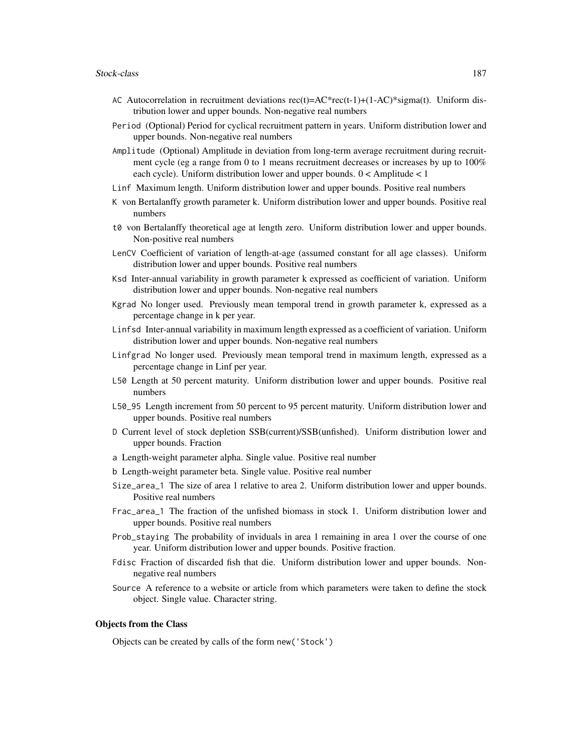- AC Autocorrelation in recruitment deviations  $rec(t)=AC*rec(t-1)+(1-AC)*sigma(t)$ . Uniform distribution lower and upper bounds. Non-negative real numbers
- Period (Optional) Period for cyclical recruitment pattern in years. Uniform distribution lower and upper bounds. Non-negative real numbers
- Amplitude (Optional) Amplitude in deviation from long-term average recruitment during recruitment cycle (eg a range from 0 to 1 means recruitment decreases or increases by up to 100% each cycle). Uniform distribution lower and upper bounds. 0 < Amplitude < 1
- Linf Maximum length. Uniform distribution lower and upper bounds. Positive real numbers
- K von Bertalanffy growth parameter k. Uniform distribution lower and upper bounds. Positive real numbers
- t0 von Bertalanffy theoretical age at length zero. Uniform distribution lower and upper bounds. Non-positive real numbers
- LenCV Coefficient of variation of length-at-age (assumed constant for all age classes). Uniform distribution lower and upper bounds. Positive real numbers
- Ksd Inter-annual variability in growth parameter k expressed as coefficient of variation. Uniform distribution lower and upper bounds. Non-negative real numbers
- Kgrad No longer used. Previously mean temporal trend in growth parameter k, expressed as a percentage change in k per year.
- Linfsd Inter-annual variability in maximum length expressed as a coefficient of variation. Uniform distribution lower and upper bounds. Non-negative real numbers
- Linfgrad No longer used. Previously mean temporal trend in maximum length, expressed as a percentage change in Linf per year.
- L50 Length at 50 percent maturity. Uniform distribution lower and upper bounds. Positive real numbers
- L50\_95 Length increment from 50 percent to 95 percent maturity. Uniform distribution lower and upper bounds. Positive real numbers
- D Current level of stock depletion SSB(current)/SSB(unfished). Uniform distribution lower and upper bounds. Fraction
- a Length-weight parameter alpha. Single value. Positive real number
- b Length-weight parameter beta. Single value. Positive real number
- Size\_area\_1 The size of area 1 relative to area 2. Uniform distribution lower and upper bounds. Positive real numbers
- Frac\_area\_1 The fraction of the unfished biomass in stock 1. Uniform distribution lower and upper bounds. Positive real numbers
- Prob\_staying The probability of inviduals in area 1 remaining in area 1 over the course of one year. Uniform distribution lower and upper bounds. Positive fraction.
- Fdisc Fraction of discarded fish that die. Uniform distribution lower and upper bounds. Nonnegative real numbers
- Source A reference to a website or article from which parameters were taken to define the stock object. Single value. Character string.

#### Objects from the Class

Objects can be created by calls of the form new('Stock')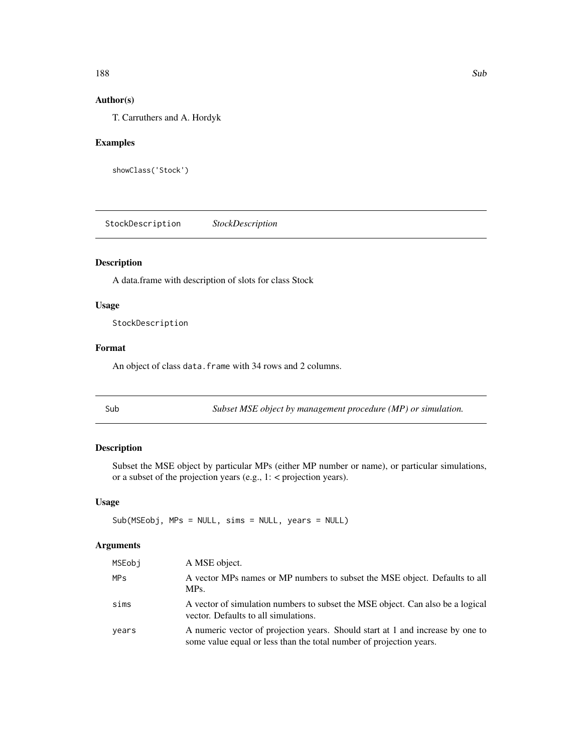#### <span id="page-187-0"></span>188 Subset of the state of the state of the state of the state of the state of the state of the state of the state of the state of the state of the state of the state of the state of the state of the state of the state of

## Author(s)

T. Carruthers and A. Hordyk

#### Examples

showClass('Stock')

StockDescription *StockDescription*

## Description

A data.frame with description of slots for class Stock

#### Usage

StockDescription

#### Format

An object of class data. frame with 34 rows and 2 columns.

Sub *Subset MSE object by management procedure (MP) or simulation.*

## Description

Subset the MSE object by particular MPs (either MP number or name), or particular simulations, or a subset of the projection years (e.g., 1: < projection years).

## Usage

Sub(MSEobj, MPs = NULL, sims = NULL, years = NULL)

#### Arguments

| MSEobj                | A MSE object.                                                                                                                                         |
|-----------------------|-------------------------------------------------------------------------------------------------------------------------------------------------------|
| <b>MP<sub>S</sub></b> | A vector MPs names or MP numbers to subset the MSE object. Defaults to all<br>MPs.                                                                    |
| sims                  | A vector of simulation numbers to subset the MSE object. Can also be a logical<br>vector. Defaults to all simulations.                                |
| years                 | A numeric vector of projection years. Should start at 1 and increase by one to<br>some value equal or less than the total number of projection years. |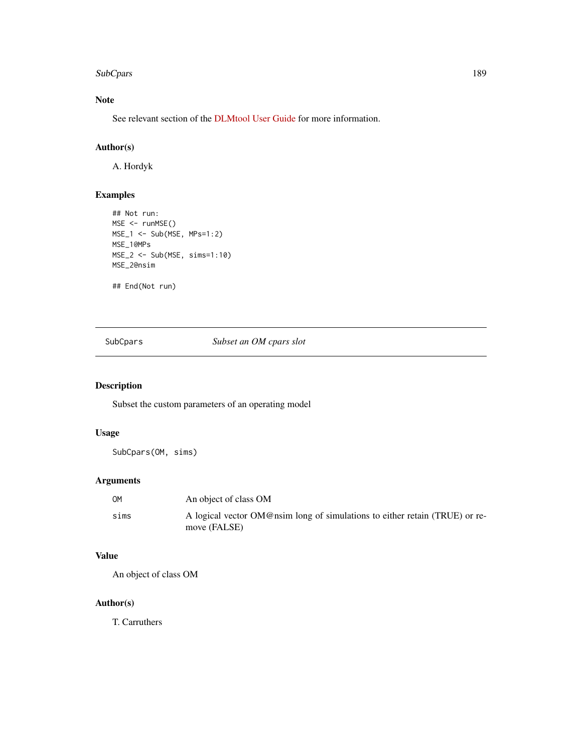#### <span id="page-188-0"></span>SubCpars 189

# Note

See relevant section of the [DLMtool User Guide](https://dlmtool.github.io/DLMtool/userguide/subsetting-the-mse-object.html) for more information.

## Author(s)

A. Hordyk

## Examples

```
## Not run:
MSE <- runMSE()
MSE_1 <- Sub(MSE, MPs=1:2)
MSE_1@MPs
MSE_2 <- Sub(MSE, sims=1:10)
MSE_2@nsim
```
## End(Not run)

SubCpars *Subset an OM cpars slot*

## Description

Subset the custom parameters of an operating model

## Usage

SubCpars(OM, sims)

## Arguments

| OM   | An object of class OM                                                                       |
|------|---------------------------------------------------------------------------------------------|
| sims | A logical vector OM@nsim long of simulations to either retain (TRUE) or re-<br>move (FALSE) |

## Value

An object of class OM

## Author(s)

T. Carruthers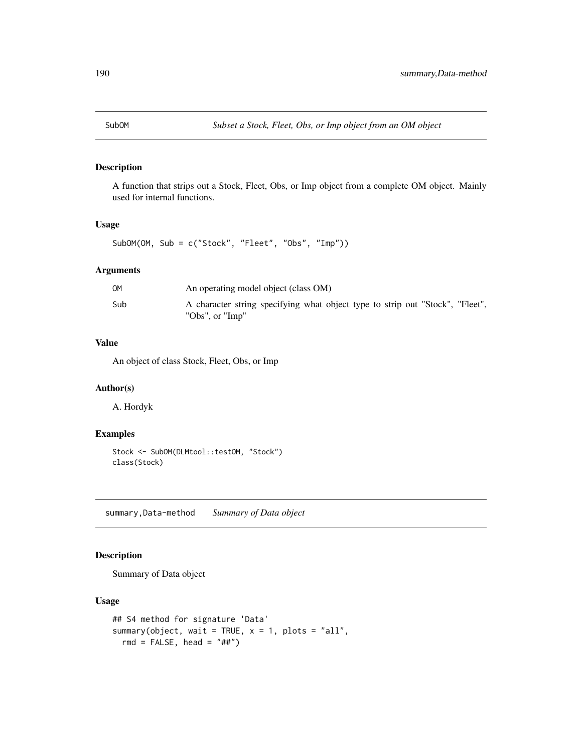<span id="page-189-0"></span>

A function that strips out a Stock, Fleet, Obs, or Imp object from a complete OM object. Mainly used for internal functions.

## Usage

SubOM(OM, Sub = c("Stock", "Fleet", "Obs", "Imp"))

#### Arguments

| OМ  | An operating model object (class OM)                                                             |
|-----|--------------------------------------------------------------------------------------------------|
| Sub | A character string specifying what object type to strip out "Stock", "Fleet",<br>"Obs", or "Imp" |

#### Value

An object of class Stock, Fleet, Obs, or Imp

#### Author(s)

A. Hordyk

## Examples

```
Stock <- SubOM(DLMtool::testOM, "Stock")
class(Stock)
```
summary,Data-method *Summary of Data object*

#### Description

Summary of Data object

## Usage

```
## S4 method for signature 'Data'
summary(object, wait = TRUE, x = 1, plots = "all",
 rmd = FALSE, head = "##")
```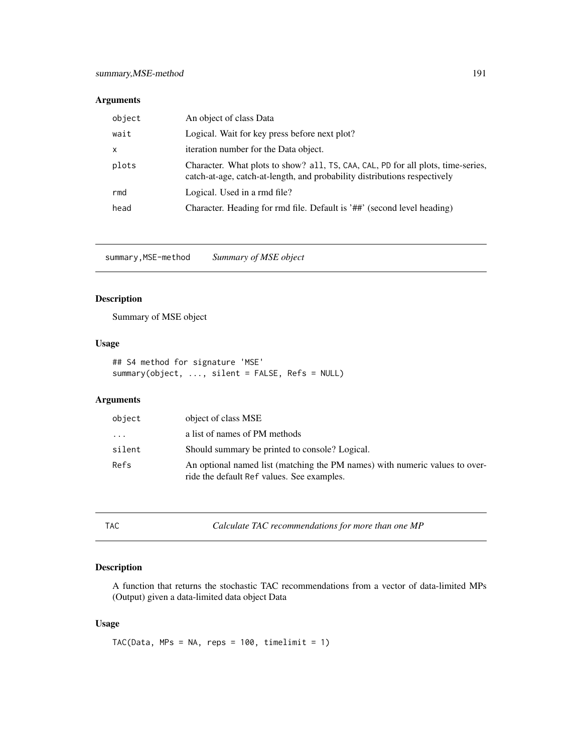## <span id="page-190-0"></span>Arguments

| object | An object of class Data                                                                                                                                       |
|--------|---------------------------------------------------------------------------------------------------------------------------------------------------------------|
| wait   | Logical. Wait for key press before next plot?                                                                                                                 |
| X      | iteration number for the Data object.                                                                                                                         |
| plots  | Character. What plots to show? all, TS, CAA, CAL, PD for all plots, time-series,<br>catch-at-age, catch-at-length, and probability distributions respectively |
| rmd    | Logical. Used in a rmd file?                                                                                                                                  |
| head   | Character. Heading for rmd file. Default is '##' (second level heading)                                                                                       |

summary,MSE-method *Summary of MSE object*

#### Description

Summary of MSE object

#### Usage

## S4 method for signature 'MSE' summary(object, ..., silent = FALSE, Refs = NULL)

## Arguments

| object | object of class MSE                                                                                                       |
|--------|---------------------------------------------------------------------------------------------------------------------------|
| .      | a list of names of PM methods                                                                                             |
| silent | Should summary be printed to console? Logical.                                                                            |
| Refs   | An optional named list (matching the PM names) with numeric values to over-<br>ride the default Ref values. See examples. |

TAC *Calculate TAC recommendations for more than one MP*

## Description

A function that returns the stochastic TAC recommendations from a vector of data-limited MPs (Output) given a data-limited data object Data

## Usage

TAC(Data, MPs = NA, reps =  $100$ , timelimit =  $1$ )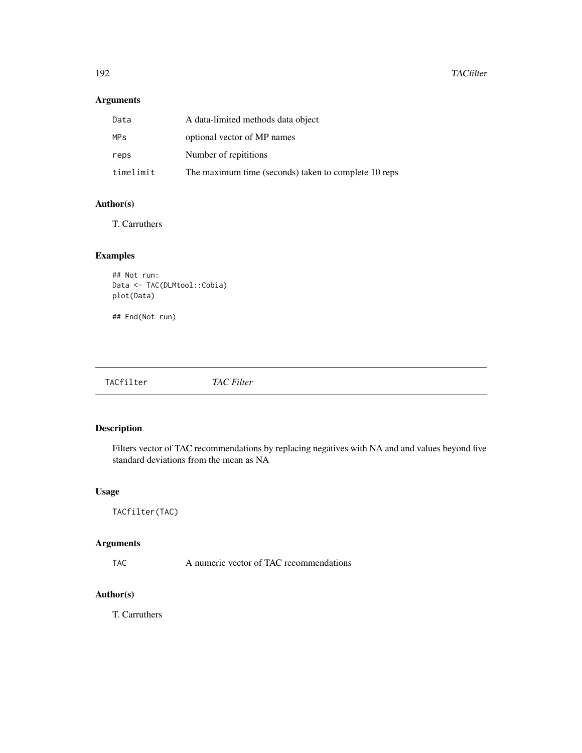## <span id="page-191-0"></span>Arguments

| Data                  | A data-limited methods data object                   |
|-----------------------|------------------------------------------------------|
| <b>MP<sub>S</sub></b> | optional vector of MP names                          |
| reps                  | Number of repititions                                |
| timelimit             | The maximum time (seconds) taken to complete 10 reps |

## Author(s)

T. Carruthers

## Examples

## Not run: Data <- TAC(DLMtool::Cobia) plot(Data)

## End(Not run)

| TACfilter<br><b>TAC</b> Filter |  |
|--------------------------------|--|
|--------------------------------|--|

# Description

Filters vector of TAC recommendations by replacing negatives with NA and and values beyond five standard deviations from the mean as NA

## Usage

```
TACfilter(TAC)
```
## Arguments

TAC A numeric vector of TAC recommendations

## Author(s)

T. Carruthers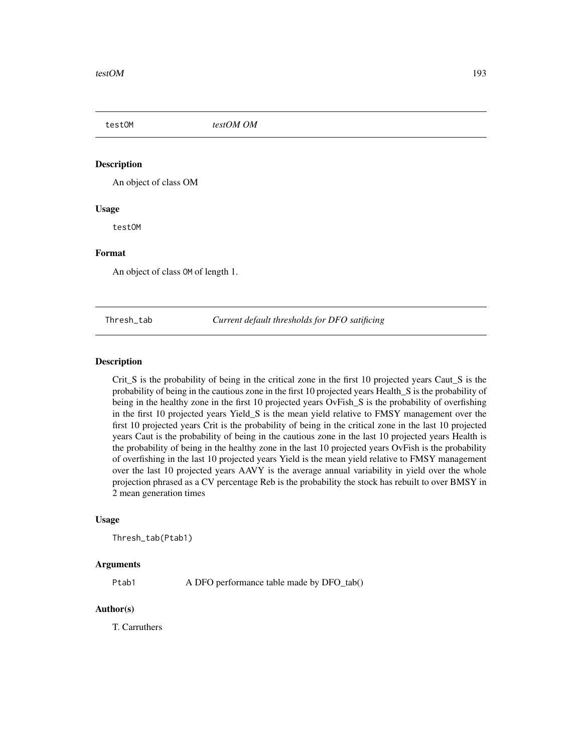<span id="page-192-0"></span>testOM *testOM OM*

#### Description

An object of class OM

#### Usage

testOM

#### Format

An object of class OM of length 1.

Thresh\_tab *Current default thresholds for DFO satificing*

#### Description

Crit\_S is the probability of being in the critical zone in the first 10 projected years Caut\_S is the probability of being in the cautious zone in the first 10 projected years Health\_S is the probability of being in the healthy zone in the first 10 projected years OvFish\_S is the probability of overfishing in the first 10 projected years Yield\_S is the mean yield relative to FMSY management over the first 10 projected years Crit is the probability of being in the critical zone in the last 10 projected years Caut is the probability of being in the cautious zone in the last 10 projected years Health is the probability of being in the healthy zone in the last 10 projected years OvFish is the probability of overfishing in the last 10 projected years Yield is the mean yield relative to FMSY management over the last 10 projected years AAVY is the average annual variability in yield over the whole projection phrased as a CV percentage Reb is the probability the stock has rebuilt to over BMSY in 2 mean generation times

#### Usage

Thresh\_tab(Ptab1)

#### Arguments

Ptab1 A DFO performance table made by DFO\_tab()

#### Author(s)

T. Carruthers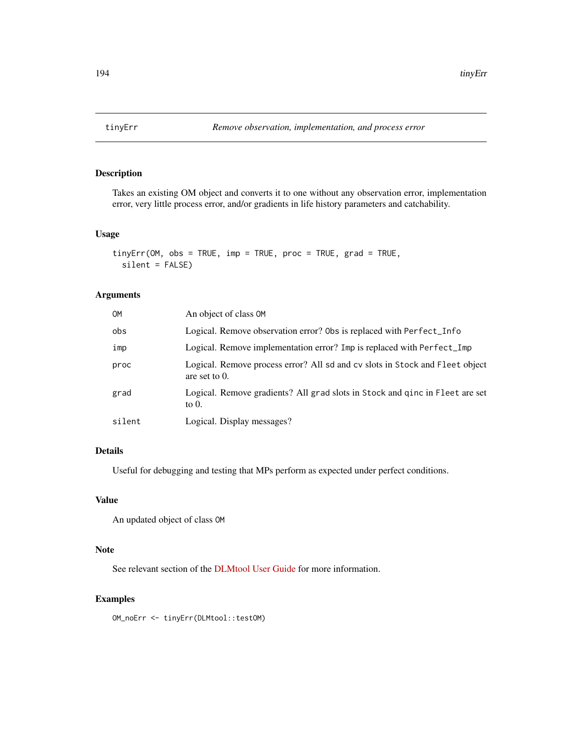<span id="page-193-0"></span>

Takes an existing OM object and converts it to one without any observation error, implementation error, very little process error, and/or gradients in life history parameters and catchability.

#### Usage

```
tinyErr(OM, obs = TRUE, imp = TRUE, proc = TRUE, grad = TRUE,
 silent = FALSE)
```
#### Arguments

| OM     | An object of class OM                                                                            |
|--------|--------------------------------------------------------------------------------------------------|
| obs    | Logical. Remove observation error? Obs is replaced with Perfect_Info                             |
| imp    | Logical. Remove implementation error? Imp is replaced with Perfect_Imp                           |
| proc   | Logical. Remove process error? All sd and cv slots in Stock and Fleet object<br>are set to $0$ . |
| grad   | Logical. Remove gradients? All grad slots in Stock and ginc in Fleet are set<br>to $0$ .         |
| silent | Logical. Display messages?                                                                       |

## Details

Useful for debugging and testing that MPs perform as expected under perfect conditions.

## Value

An updated object of class OM

#### Note

See relevant section of the [DLMtool User Guide](https://dlmtool.github.io/DLMtool/userguide/modifying-the-om.html#the-tinyerr-function) for more information.

#### Examples

OM\_noErr <- tinyErr(DLMtool::testOM)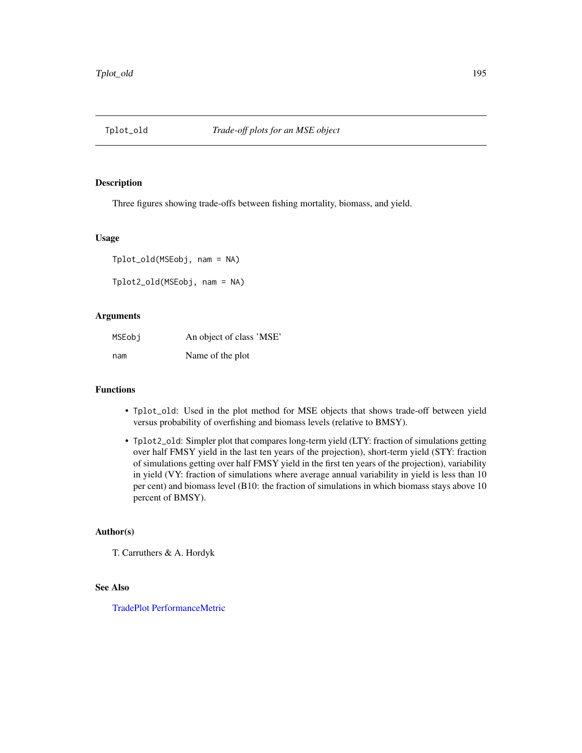<span id="page-194-0"></span>

Three figures showing trade-offs between fishing mortality, biomass, and yield.

#### Usage

```
Tplot_old(MSEobj, nam = NA)
```
Tplot2\_old(MSEobj, nam = NA)

#### Arguments

| MSEobi | An object of class 'MSE' |
|--------|--------------------------|
| nam    | Name of the plot         |

#### Functions

- Tplot\_old: Used in the plot method for MSE objects that shows trade-off between yield versus probability of overfishing and biomass levels (relative to BMSY).
- Tplot2\_old: Simpler plot that compares long-term yield (LTY: fraction of simulations getting over half FMSY yield in the last ten years of the projection), short-term yield (STY: fraction of simulations getting over half FMSY yield in the first ten years of the projection), variability in yield (VY: fraction of simulations where average annual variability in yield is less than 10 per cent) and biomass level (B10: the fraction of simulations in which biomass stays above 10 percent of BMSY).

#### Author(s)

T. Carruthers & A. Hordyk

#### See Also

[TradePlot](#page-195-0) [PerformanceMetric](#page-142-0)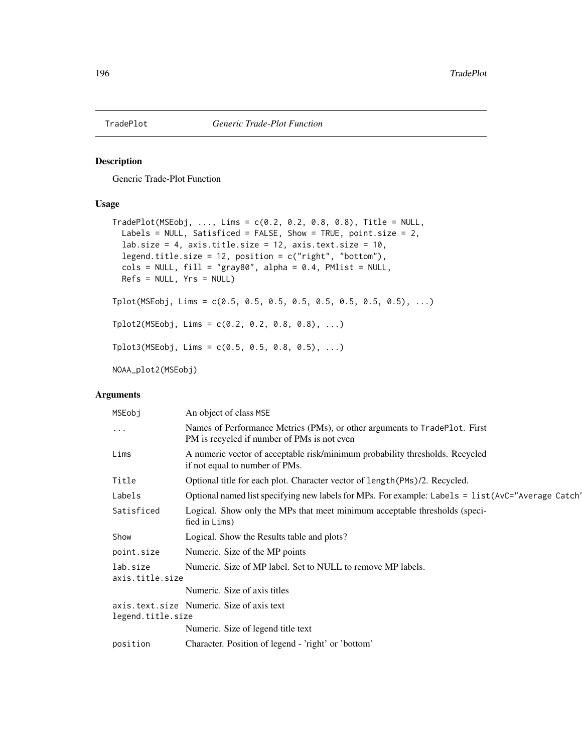<span id="page-195-1"></span><span id="page-195-0"></span>

Generic Trade-Plot Function

## Usage

```
TradePlot(MSEobj, ..., Lims = c(0.2, 0.2, 0.8, 0.8), Title = NULL,Labels = NULL, Satisficed = FALSE, Show = TRUE, point.size = 2,
  lab.size = 4, axis.title.size = 12, axis.text.size = 10,
  legend.title.size = 12, position = c("right", "bottom"),cols = NULL, fill = "gray80", alpha = 0.4, PMlist = NULL,Refs = NULL, Yrs = NULL)Tplot(MSEobj, Lims = c(0.5, 0.5, 0.5, 0.5, 0.5, 0.5, 0.5, 0.5), ...)
Tplot2(MSEobj, Lims = c(0.2, 0.2, 0.8, 0.8), ...)
Tplot3(MSEobj, Lims = c(0.5, 0.5, 0.8, 0.5), ...)
NOAA_plot2(MSEobj)
```
# Arguments

| MSEobj                      | An object of class MSE                                                                                                    |
|-----------------------------|---------------------------------------------------------------------------------------------------------------------------|
| $\cdot$                     | Names of Performance Metrics (PMs), or other arguments to TradePlot. First<br>PM is recycled if number of PMs is not even |
| Lims                        | A numeric vector of acceptable risk/minimum probability thresholds. Recycled<br>if not equal to number of PMs.            |
| Title                       | Optional title for each plot. Character vector of length (PMs)/2. Recycled.                                               |
| Labels                      | Optional named list specifying new labels for MPs. For example: Labels = list (AvC="Average Catch"                        |
| Satisficed                  | Logical. Show only the MPs that meet minimum acceptable thresholds (speci-<br>fied in Lims)                               |
| Show                        | Logical. Show the Results table and plots?                                                                                |
| point.size                  | Numeric. Size of the MP points                                                                                            |
| lab.size<br>axis.title.size | Numeric. Size of MP label. Set to NULL to remove MP labels.                                                               |
|                             | Numeric. Size of axis titles                                                                                              |
| legend.title.size           | axis.text.size Numeric. Size of axis text                                                                                 |
|                             | Numeric. Size of legend title text                                                                                        |
| position                    | Character. Position of legend - 'right' or 'bottom'                                                                       |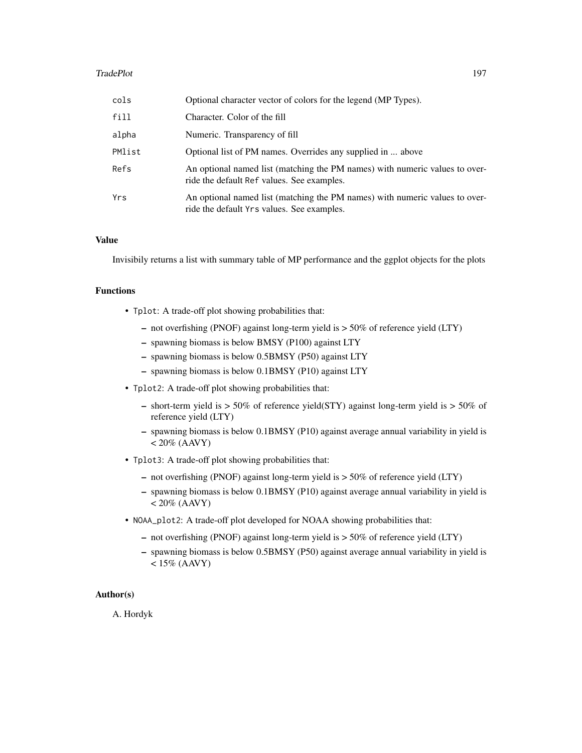#### TradePlot 197

| cols   | Optional character vector of colors for the legend (MP Types).                                                            |
|--------|---------------------------------------------------------------------------------------------------------------------------|
| fill   | Character. Color of the fill                                                                                              |
| alpha  | Numeric. Transparency of fill                                                                                             |
| PMlist | Optional list of PM names. Overrides any supplied in  above                                                               |
| Refs   | An optional named list (matching the PM names) with numeric values to over-<br>ride the default Ref values. See examples. |
| Yrs    | An optional named list (matching the PM names) with numeric values to over-<br>ride the default Yrs values. See examples. |

#### Value

Invisibily returns a list with summary table of MP performance and the ggplot objects for the plots

## Functions

- Tplot: A trade-off plot showing probabilities that:
	- not overfishing (PNOF) against long-term yield is > 50% of reference yield (LTY)
	- spawning biomass is below BMSY (P100) against LTY
	- spawning biomass is below 0.5BMSY (P50) against LTY
	- spawning biomass is below 0.1BMSY (P10) against LTY
- Tplot2: A trade-off plot showing probabilities that:
	- short-term yield is > 50% of reference yield(STY) against long-term yield is > 50% of reference yield (LTY)
	- spawning biomass is below 0.1BMSY (P10) against average annual variability in yield is  $< 20\%$  (AAVY)
- Tplot3: A trade-off plot showing probabilities that:
	- not overfishing (PNOF) against long-term yield is > 50% of reference yield (LTY)
	- spawning biomass is below 0.1BMSY (P10) against average annual variability in yield is  $< 20\%$  (AAVY)
- NOAA\_plot2: A trade-off plot developed for NOAA showing probabilities that:
	- not overfishing (PNOF) against long-term yield is > 50% of reference yield (LTY)
	- spawning biomass is below 0.5BMSY (P50) against average annual variability in yield is  $< 15\%$  (AAVY)

#### Author(s)

A. Hordyk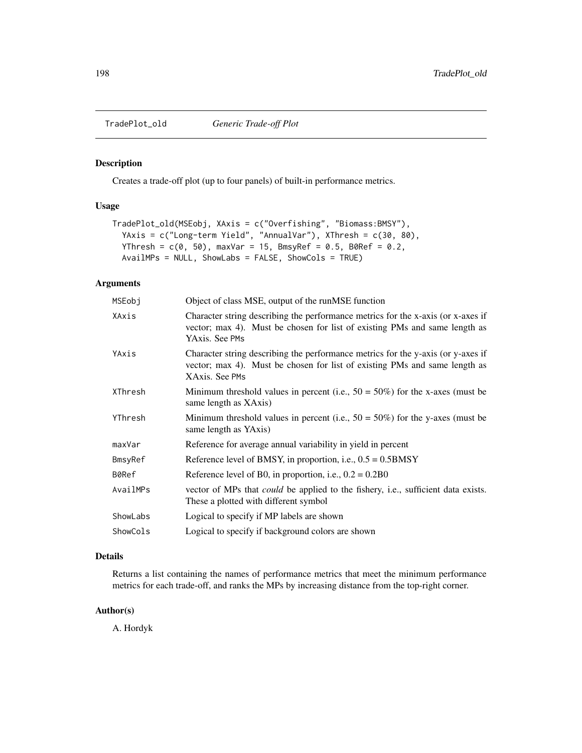<span id="page-197-0"></span>

Creates a trade-off plot (up to four panels) of built-in performance metrics.

#### Usage

```
TradePlot_old(MSEobj, XAxis = c("Overfishing", "Biomass:BMSY"),
 YAxis = c("Long-term Yield", "AnnualVar"), XThresh = c(30, 80),
  YThresh = c(0, 50), maxVar = 15, BmsyRef = 0.5, B0Ref = 0.2,
 AvailMPs = NULL, ShowLabs = FALSE, ShowCols = TRUE)
```
## Arguments

| MSEobj   | Object of class MSE, output of the runMSE function                                                                                                                               |
|----------|----------------------------------------------------------------------------------------------------------------------------------------------------------------------------------|
| XAxis    | Character string describing the performance metrics for the x-axis (or x-axes if<br>vector; max 4). Must be chosen for list of existing PMs and same length as<br>YAxis. See PMs |
| YAxis    | Character string describing the performance metrics for the y-axis (or y-axes if<br>vector; max 4). Must be chosen for list of existing PMs and same length as<br>XAxis. See PMs |
| XThresh  | Minimum threshold values in percent (i.e., $50 = 50\%$ ) for the x-axes (must be<br>same length as XAxis)                                                                        |
| YThresh  | Minimum threshold values in percent (i.e., $50 = 50\%$ ) for the y-axes (must be<br>same length as YAxis)                                                                        |
| maxVar   | Reference for average annual variability in yield in percent                                                                                                                     |
| BmsyRef  | Reference level of BMSY, in proportion, i.e., $0.5 = 0.5$ BMSY                                                                                                                   |
| B0Ref    | Reference level of B0, in proportion, i.e., $0.2 = 0.2B0$                                                                                                                        |
| AvailMPs | vector of MPs that <i>could</i> be applied to the fishery, i.e., sufficient data exists.<br>These a plotted with different symbol                                                |
| ShowLabs | Logical to specify if MP labels are shown                                                                                                                                        |
| ShowCols | Logical to specify if background colors are shown                                                                                                                                |

#### Details

Returns a list containing the names of performance metrics that meet the minimum performance metrics for each trade-off, and ranks the MPs by increasing distance from the top-right corner.

#### Author(s)

A. Hordyk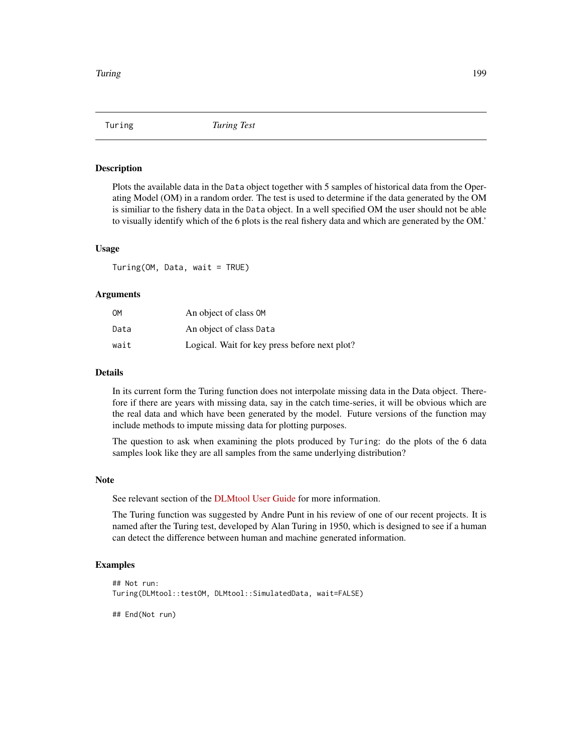<span id="page-198-0"></span>

Plots the available data in the Data object together with 5 samples of historical data from the Operating Model (OM) in a random order. The test is used to determine if the data generated by the OM is similiar to the fishery data in the Data object. In a well specified OM the user should not be able to visually identify which of the 6 plots is the real fishery data and which are generated by the OM.'

#### Usage

Turing(OM, Data, wait = TRUE)

#### **Arguments**

| OМ   | An object of class OM                         |
|------|-----------------------------------------------|
| Data | An object of class Data                       |
| wait | Logical. Wait for key press before next plot? |

#### Details

In its current form the Turing function does not interpolate missing data in the Data object. Therefore if there are years with missing data, say in the catch time-series, it will be obvious which are the real data and which have been generated by the model. Future versions of the function may include methods to impute missing data for plotting purposes.

The question to ask when examining the plots produced by Turing: do the plots of the 6 data samples look like they are all samples from the same underlying distribution?

#### Note

See relevant section of the [DLMtool User Guide](https://dlmtool.github.io/DLMtool/userguide/evaluating-om.html) for more information.

The Turing function was suggested by Andre Punt in his review of one of our recent projects. It is named after the Turing test, developed by Alan Turing in 1950, which is designed to see if a human can detect the difference between human and machine generated information.

## Examples

```
## Not run:
Turing(DLMtool::testOM, DLMtool::SimulatedData, wait=FALSE)
```
## End(Not run)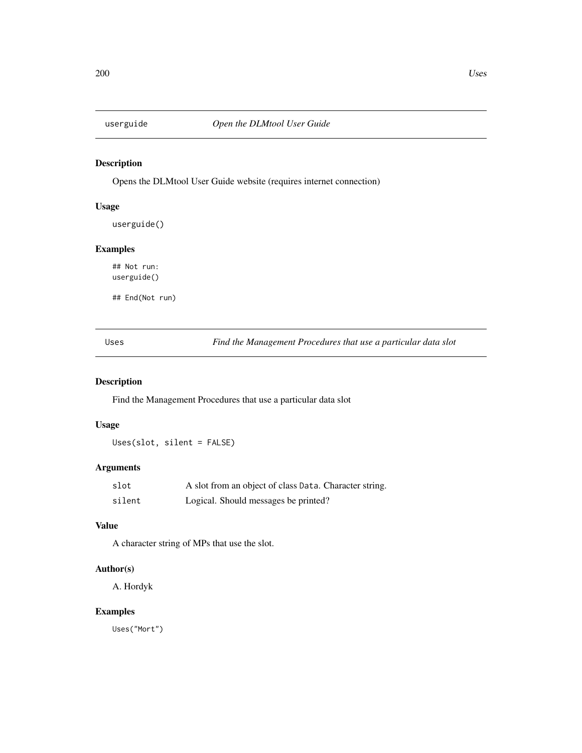<span id="page-199-0"></span>

Opens the DLMtool User Guide website (requires internet connection)

## Usage

userguide()

## Examples

## Not run: userguide()

## End(Not run)

Uses *Find the Management Procedures that use a particular data slot*

## Description

Find the Management Procedures that use a particular data slot

## Usage

Uses(slot, silent = FALSE)

## Arguments

| slot   | A slot from an object of class Data. Character string. |
|--------|--------------------------------------------------------|
| silent | Logical. Should messages be printed?                   |

## Value

A character string of MPs that use the slot.

## Author(s)

A. Hordyk

## Examples

Uses("Mort")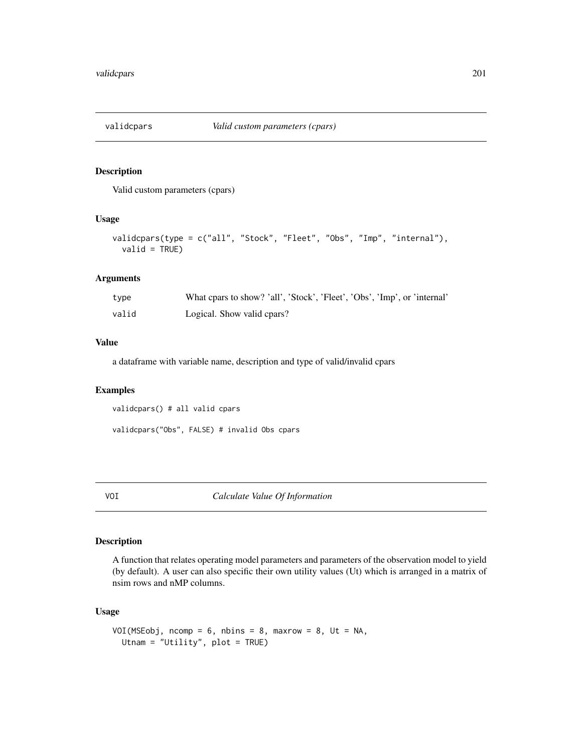<span id="page-200-0"></span>

Valid custom parameters (cpars)

#### Usage

```
validcpars(type = c("all", "Stock", "Fleet", "Obs", "Imp", "internal"),
  valid = TRUE)
```
## Arguments

| type  | What cpars to show? 'all', 'Stock', 'Fleet', 'Obs', 'Imp', or 'internal' |
|-------|--------------------------------------------------------------------------|
| valid | Logical. Show valid cpars?                                               |

#### Value

a dataframe with variable name, description and type of valid/invalid cpars

#### Examples

validcpars() # all valid cpars

validcpars("Obs", FALSE) # invalid Obs cpars

VOI *Calculate Value Of Information*

#### Description

A function that relates operating model parameters and parameters of the observation model to yield (by default). A user can also specific their own utility values (Ut) which is arranged in a matrix of nsim rows and nMP columns.

## Usage

```
VOI(MSEobj, ncomp = 6, nbins = 8, maxrow = 8, Ut = NA,
  Utnam = "Utility", plot = TRUE)
```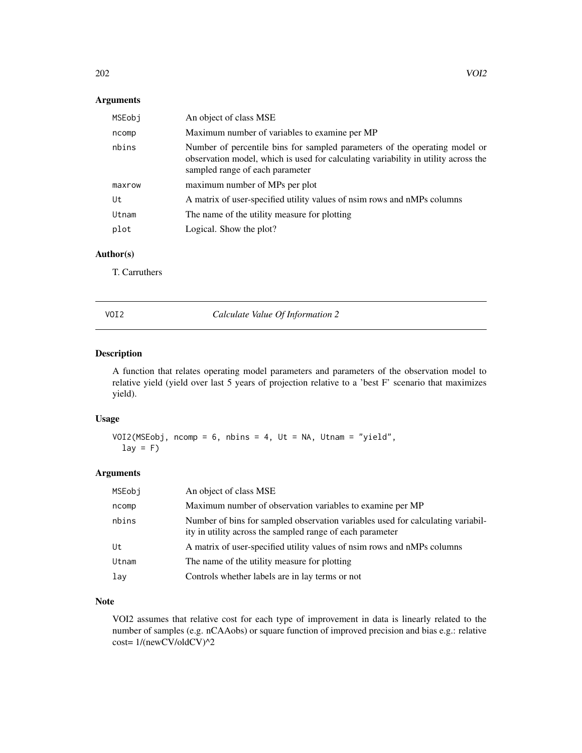## <span id="page-201-0"></span>Arguments

| MSEobj | An object of class MSE                                                                                                                                                                              |
|--------|-----------------------------------------------------------------------------------------------------------------------------------------------------------------------------------------------------|
| ncomp  | Maximum number of variables to examine per MP                                                                                                                                                       |
| nbins  | Number of percentile bins for sampled parameters of the operating model or<br>observation model, which is used for calculating variability in utility across the<br>sampled range of each parameter |
| maxrow | maximum number of MPs per plot                                                                                                                                                                      |
| Ut     | A matrix of user-specified utility values of nsim rows and nMPs columns                                                                                                                             |
| Utnam  | The name of the utility measure for plotting                                                                                                                                                        |
| plot   | Logical. Show the plot?                                                                                                                                                                             |

## Author(s)

T. Carruthers

VOI2 *Calculate Value Of Information 2*

#### Description

A function that relates operating model parameters and parameters of the observation model to relative yield (yield over last 5 years of projection relative to a 'best F' scenario that maximizes yield).

## Usage

```
VOI2(MSEobj, ncomp = 6, nbins = 4, Ut = NA, Utnam = "yield",
  lay = F
```
#### Arguments

| MSEobj | An object of class MSE                                                                                                                       |
|--------|----------------------------------------------------------------------------------------------------------------------------------------------|
| ncomp  | Maximum number of observation variables to examine per MP                                                                                    |
| nbins  | Number of bins for sampled observation variables used for calculating variabil-<br>ity in utility across the sampled range of each parameter |
| Ut     | A matrix of user-specified utility values of nsim rows and nMPs columns                                                                      |
| Utnam  | The name of the utility measure for plotting                                                                                                 |
| lav    | Controls whether labels are in lay terms or not                                                                                              |

# Note

VOI2 assumes that relative cost for each type of improvement in data is linearly related to the number of samples (e.g. nCAAobs) or square function of improved precision and bias e.g.: relative cost= 1/(newCV/oldCV)^2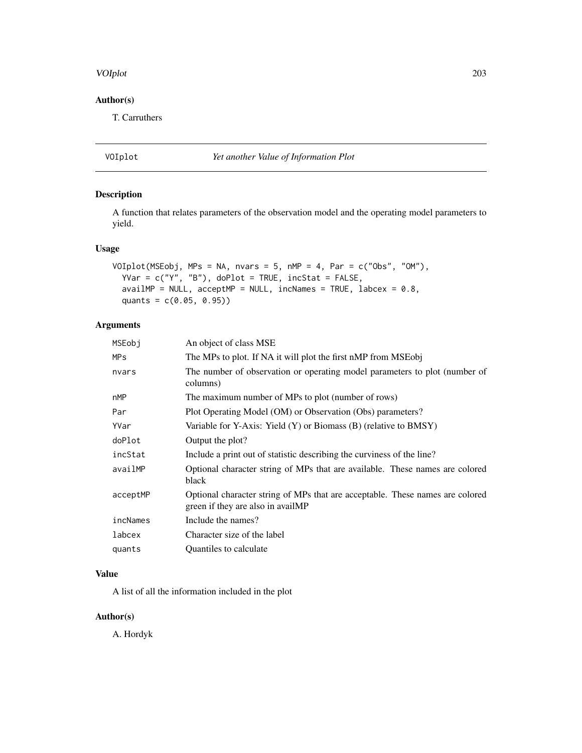#### <span id="page-202-0"></span>VOIplot 203

# Author(s)

T. Carruthers

# VOIplot *Yet another Value of Information Plot*

## Description

A function that relates parameters of the observation model and the operating model parameters to yield.

## Usage

```
VOIplot(MSEobj, MPs = NA, nvars = 5, nMP = 4, Par = c("Obs", "OM"),
  YVar = c("Y", "B"), doPlot = TRUE, incStat = FALSE,
  availMP = NULL, acceptMP = NULL, inclames = TRUE, labcex = 0.8,
  quants = c(0.05, 0.95))
```
## Arguments

| MSEobi     | An object of class MSE                                                                                             |
|------------|--------------------------------------------------------------------------------------------------------------------|
| <b>MPs</b> | The MPs to plot. If NA it will plot the first nMP from MSEobj                                                      |
| nvars      | The number of observation or operating model parameters to plot (number of<br>columns)                             |
| nMP        | The maximum number of MPs to plot (number of rows)                                                                 |
| Par        | Plot Operating Model (OM) or Observation (Obs) parameters?                                                         |
| YVar       | Variable for Y-Axis: Yield $(Y)$ or Biomass $(B)$ (relative to BMSY)                                               |
| doPlot     | Output the plot?                                                                                                   |
| incStat    | Include a print out of statistic describing the curviness of the line?                                             |
| availMP    | Optional character string of MPs that are available. These names are colored<br>black                              |
| acceptMP   | Optional character string of MPs that are acceptable. These names are colored<br>green if they are also in availMP |
| incNames   | Include the names?                                                                                                 |
| labcex     | Character size of the label                                                                                        |
| quants     | Quantiles to calculate                                                                                             |

#### Value

A list of all the information included in the plot

## Author(s)

A. Hordyk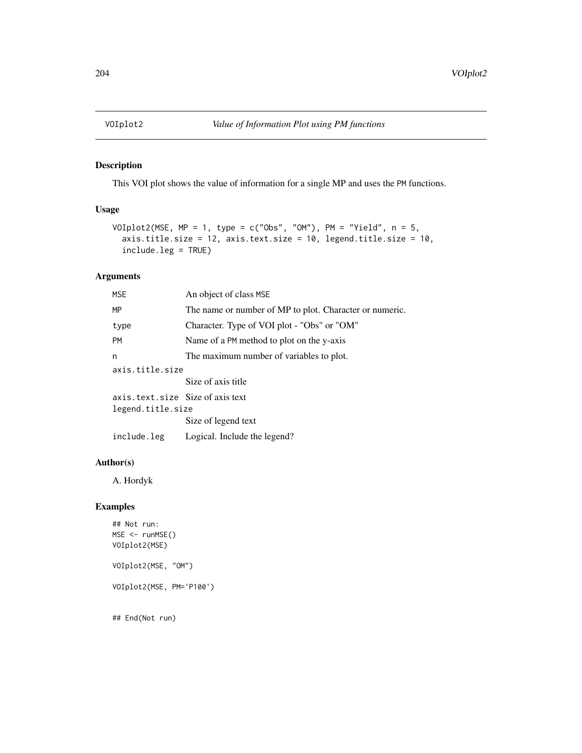<span id="page-203-0"></span>

This VOI plot shows the value of information for a single MP and uses the PM functions.

## Usage

```
VOIplot2(MSE, MP = 1, type = c("Obs", "OM"), PM = "Yield", n = 5,axis.title.size = 12, axis.text.size = 10, legend.title.size = 10,
  include.leg = TRUE)
```
## Arguments

| <b>MSE</b>                                            | An object of class MSE                                  |
|-------------------------------------------------------|---------------------------------------------------------|
| MP                                                    | The name or number of MP to plot. Character or numeric. |
| type                                                  | Character. Type of VOI plot - "Obs" or "OM"             |
| <b>PM</b>                                             | Name of a PM method to plot on the y-axis               |
| n                                                     | The maximum number of variables to plot.                |
| axis.title.size                                       |                                                         |
|                                                       | Size of axis title                                      |
| axis.text.size Size of axis text<br>legend.title.size |                                                         |
|                                                       | Size of legend text                                     |
| include.leg                                           | Logical. Include the legend?                            |
|                                                       |                                                         |

## Author(s)

A. Hordyk

## Examples

## Not run: MSE <- runMSE() VOIplot2(MSE) VOIplot2(MSE, "OM") VOIplot2(MSE, PM='P100') ## End(Not run)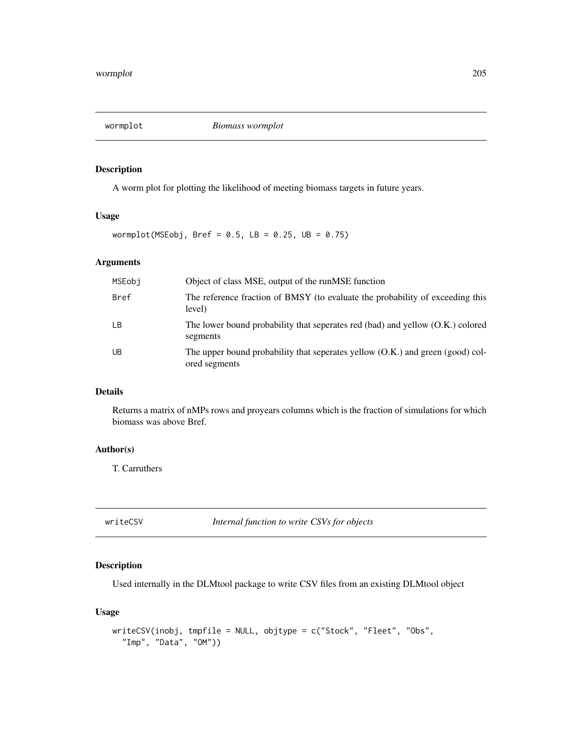<span id="page-204-0"></span>wormplot *Biomass wormplot*

#### Description

A worm plot for plotting the likelihood of meeting biomass targets in future years.

## Usage

wormplot(MSEobj, Bref =  $0.5$ , LB =  $0.25$ , UB =  $0.75$ )

#### Arguments

| MSEobi      | Object of class MSE, output of the runMSE function                                              |
|-------------|-------------------------------------------------------------------------------------------------|
| <b>Bref</b> | The reference fraction of BMSY (to evaluate the probability of exceeding this<br>level)         |
| LB          | The lower bound probability that seperates red (bad) and yellow (O.K.) colored<br>segments      |
| UB          | The upper bound probability that seperates yellow (O.K.) and green (good) col-<br>ored segments |

#### Details

Returns a matrix of nMPs rows and proyears columns which is the fraction of simulations for which biomass was above Bref.

#### Author(s)

T. Carruthers

writeCSV *Internal function to write CSVs for objects*

# Description

Used internally in the DLMtool package to write CSV files from an existing DLMtool object

## Usage

```
writeCSV(inobj, tmpfile = NULL, objtype = c("Stock", "Fleet", "Obs",
  "Imp", "Data", "OM"))
```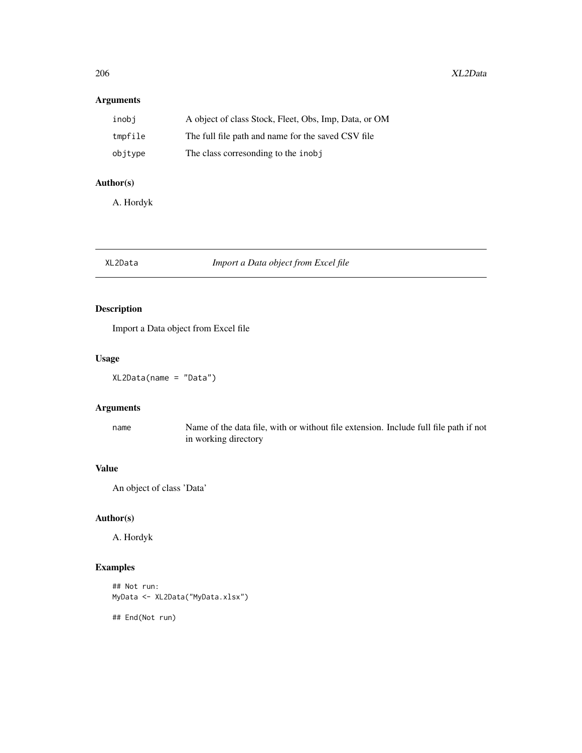## <span id="page-205-0"></span>Arguments

| inobi   | A object of class Stock, Fleet, Obs, Imp, Data, or OM |
|---------|-------------------------------------------------------|
| tmpfile | The full file path and name for the saved CSV file    |
| objtype | The class corresonding to the inobj                   |

## Author(s)

A. Hordyk

## XL2Data *Import a Data object from Excel file*

## Description

Import a Data object from Excel file

## Usage

XL2Data(name = "Data")

## Arguments

name Name of the data file, with or without file extension. Include full file path if not in working directory

## Value

An object of class 'Data'

## Author(s)

A. Hordyk

## Examples

```
## Not run:
MyData <- XL2Data("MyData.xlsx")
```
## End(Not run)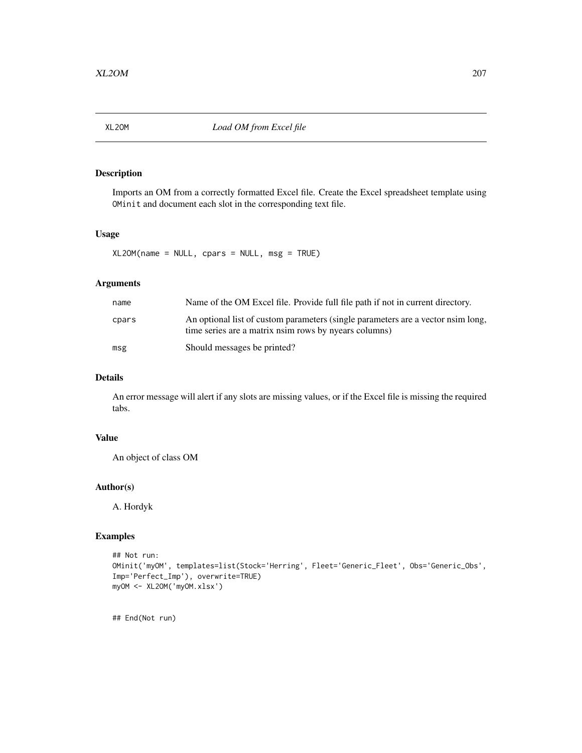<span id="page-206-0"></span>

Imports an OM from a correctly formatted Excel file. Create the Excel spreadsheet template using OMinit and document each slot in the corresponding text file.

#### Usage

 $XL20M(name = NULL, \text{cparse} = NULL, \text{msg} = TRUE)$ 

#### Arguments

| name  | Name of the OM Excel file. Provide full file path if not in current directory.                                                            |
|-------|-------------------------------------------------------------------------------------------------------------------------------------------|
| cpars | An optional list of custom parameters (single parameters are a vector nsim long,<br>time series are a matrix nsim rows by nyears columns) |
| msg   | Should messages be printed?                                                                                                               |

## Details

An error message will alert if any slots are missing values, or if the Excel file is missing the required tabs.

#### Value

An object of class OM

#### Author(s)

A. Hordyk

#### Examples

```
## Not run:
OMinit('myOM', templates=list(Stock='Herring', Fleet='Generic_Fleet', Obs='Generic_Obs',
Imp='Perfect_Imp'), overwrite=TRUE)
myOM <- XL2OM('myOM.xlsx')
```
## End(Not run)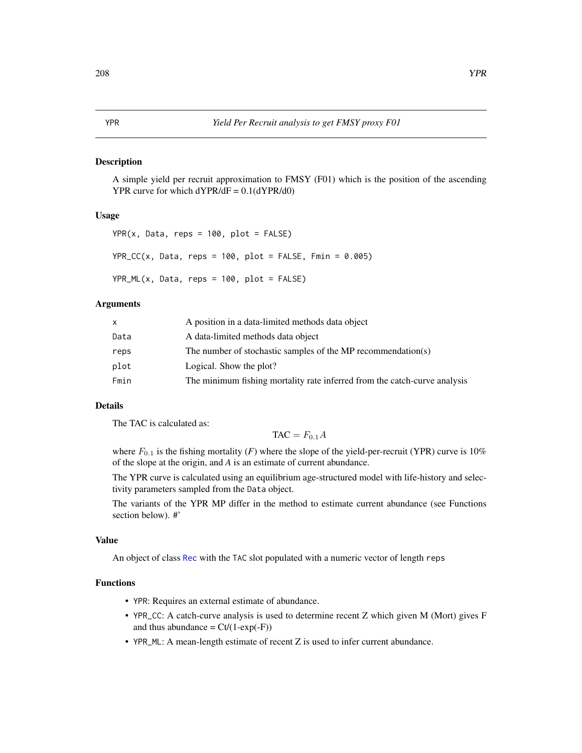<span id="page-207-0"></span>A simple yield per recruit approximation to FMSY (F01) which is the position of the ascending YPR curve for which  $dYPR/dF = 0.1(dYPR/d0)$ 

#### Usage

```
YPR(x, Data, reps = 100, plot = FALSE)YPR\_CC(x, Data, reps = 100, plot = FALSE, Fmin = 0.005)YPR_ML(x, Data, reps = 100, plot = FALSE)
```
#### Arguments

|      | A position in a data-limited methods data object                          |
|------|---------------------------------------------------------------------------|
| Data | A data-limited methods data object                                        |
| reps | The number of stochastic samples of the MP recommendation(s)              |
| plot | Logical. Show the plot?                                                   |
| Fmin | The minimum fishing mortality rate inferred from the catch-curve analysis |

#### Details

The TAC is calculated as:

 $TAC = F_{0.1}A$ 

where  $F_{0,1}$  is the fishing mortality (*F*) where the slope of the yield-per-recruit (YPR) curve is 10% of the slope at the origin, and *A* is an estimate of current abundance.

The YPR curve is calculated using an equilibrium age-structured model with life-history and selectivity parameters sampled from the Data object.

The variants of the YPR MP differ in the method to estimate current abundance (see Functions section below). #'

#### Value

An object of class [Rec](#page-159-0) with the TAC slot populated with a numeric vector of length reps

## Functions

- YPR: Requires an external estimate of abundance.
- YPR\_CC: A catch-curve analysis is used to determine recent Z which given M (Mort) gives F and thus abundance =  $Ct/(1-exp(-F))$
- YPR\_ML: A mean-length estimate of recent Z is used to infer current abundance.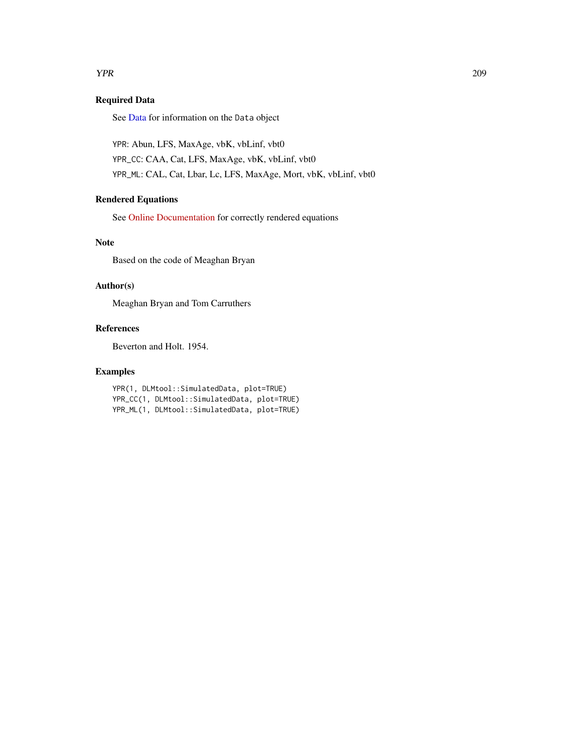#### <span id="page-208-0"></span>**THE SET OF STREET ASSESSMENT AND RESPONSE ASSESSMENT AND RESPONSE ASSESSMENT AND RESPONSE ASSESSMENT AND RESPONSE ASSESSMENT AND RESPONSE ASSESSMENT AND RESPONSE ASSESSMENT AND RESPONSE ASSESSMENT AND RESPONSE ASSESSMENT**

## Required Data

See [Data](#page-29-0) for information on the Data object

YPR: Abun, LFS, MaxAge, vbK, vbLinf, vbt0 YPR\_CC: CAA, Cat, LFS, MaxAge, vbK, vbLinf, vbt0 YPR\_ML: CAL, Cat, Lbar, Lc, LFS, MaxAge, Mort, vbK, vbLinf, vbt0

## Rendered Equations

See [Online Documentation](https://dlmtool.github.io/DLMtool/reference/YPR.html) for correctly rendered equations

#### Note

Based on the code of Meaghan Bryan

#### Author(s)

Meaghan Bryan and Tom Carruthers

#### References

Beverton and Holt. 1954.

#### Examples

YPR(1, DLMtool::SimulatedData, plot=TRUE) YPR\_CC(1, DLMtool::SimulatedData, plot=TRUE) YPR\_ML(1, DLMtool::SimulatedData, plot=TRUE)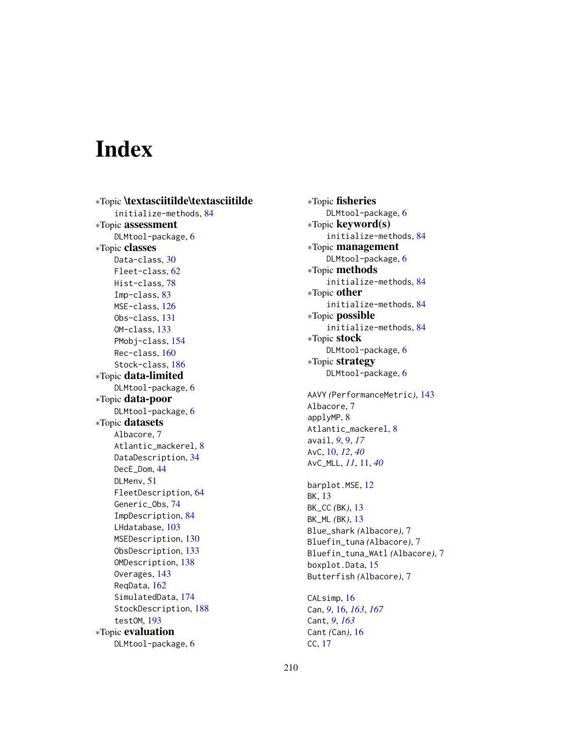# Index

∗Topic \textasciitilde\textasciitilde initialize-methods, [84](#page-83-0) ∗Topic assessment DLMtool-package, [6](#page-5-0) ∗Topic classes Data-class, [30](#page-29-1) Fleet-class, [62](#page-61-0) Hist-class, [78](#page-77-0) Imp-class, [83](#page-82-0) MSE-class, [126](#page-125-0) Obs-class, [131](#page-130-0) OM-class, [133](#page-132-0) PMobj-class, [154](#page-153-0) Rec-class, [160](#page-159-1) Stock-class, [186](#page-185-0) ∗Topic data-limited DLMtool-package, [6](#page-5-0) ∗Topic data-poor DLMtool-package, [6](#page-5-0) ∗Topic datasets Albacore, [7](#page-6-0) Atlantic\_mackerel, [8](#page-7-0) DataDescription, [34](#page-33-0) DecE\_Dom, [44](#page-43-0) DLMenv, [51](#page-50-0) FleetDescription, [64](#page-63-0) Generic\_Obs, [74](#page-73-0) ImpDescription, [84](#page-83-0) LHdatabase, [103](#page-102-0) MSEDescription, [130](#page-129-0) ObsDescription, [133](#page-132-0) OMDescription, [138](#page-137-0) Overages, [143](#page-142-1) ReqData, [162](#page-161-0) SimulatedData, [174](#page-173-0) StockDescription, [188](#page-187-0) testOM, [193](#page-192-0) ∗Topic evaluation DLMtool-package, [6](#page-5-0)

∗Topic fisheries DLMtool-package, [6](#page-5-0) ∗Topic keyword(s) initialize-methods, [84](#page-83-0) ∗Topic management DLMtool-package, [6](#page-5-0) ∗Topic methods initialize-methods, [84](#page-83-0) ∗Topic other initialize-methods, [84](#page-83-0) ∗Topic possible initialize-methods, [84](#page-83-0) ∗Topic stock DLMtool-package, [6](#page-5-0) ∗Topic strategy DLMtool-package, [6](#page-5-0) AAVY *(*PerformanceMetric*)*, [143](#page-142-1) Albacore, [7](#page-6-0) applyMP, [8](#page-7-0) Atlantic\_mackerel, [8](#page-7-0) avail, *[9](#page-8-0)*, [9,](#page-8-0) *[17](#page-16-0)* AvC, [10,](#page-9-0) *[12](#page-11-0)*, *[40](#page-39-0)* AvC\_MLL, *[11](#page-10-0)*, [11,](#page-10-0) *[40](#page-39-0)* barplot.MSE, [12](#page-11-0) BK, [13](#page-12-0) BK\_CC *(*BK*)*, [13](#page-12-0) BK\_ML *(*BK*)*, [13](#page-12-0) Blue\_shark *(*Albacore*)*, [7](#page-6-0) Bluefin\_tuna *(*Albacore*)*, [7](#page-6-0) Bluefin\_tuna\_WAtl *(*Albacore*)*, [7](#page-6-0) boxplot.Data, [15](#page-14-0) Butterfish *(*Albacore*)*, [7](#page-6-0) CALsimp, [16](#page-15-0) Can, *[9](#page-8-0)*, [16,](#page-15-0) *[163](#page-162-0)*, *[167](#page-166-0)* Cant, *[9](#page-8-0)*, *[163](#page-162-0)* Cant *(*Can*)*, [16](#page-15-0)

CC, [17](#page-16-0)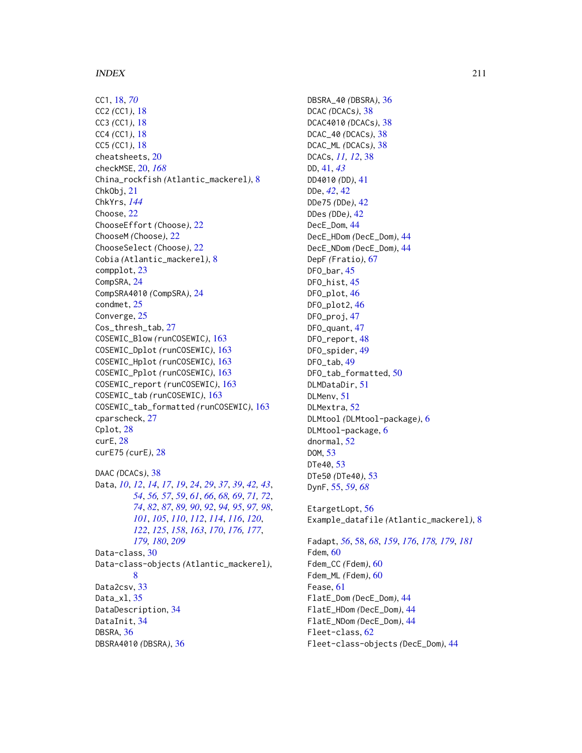#### INDEX 211

CC1, [18,](#page-17-0) *[70](#page-69-0)* CC2 *(*CC1*)*, [18](#page-17-0) CC3 *(*CC1*)*, [18](#page-17-0) CC4 *(*CC1*)*, [18](#page-17-0) CC5 *(*CC1*)*, [18](#page-17-0) cheatsheets, [20](#page-19-0) checkMSE, [20,](#page-19-0) *[168](#page-167-0)* China\_rockfish *(*Atlantic\_mackerel*)*, [8](#page-7-0) ChkObj, [21](#page-20-0) ChkYrs, *[144](#page-143-0)* Choose, [22](#page-21-0) ChooseEffort *(*Choose*)*, [22](#page-21-0) ChooseM *(*Choose*)*, [22](#page-21-0) ChooseSelect *(*Choose*)*, [22](#page-21-0) Cobia *(*Atlantic\_mackerel*)*, [8](#page-7-0) compplot, [23](#page-22-0) CompSRA, [24](#page-23-0) CompSRA4010 *(*CompSRA*)*, [24](#page-23-0) condmet, [25](#page-24-0) Converge, [25](#page-24-0) Cos\_thresh\_tab, [27](#page-26-0) COSEWIC\_Blow *(*runCOSEWIC*)*, [163](#page-162-0) COSEWIC\_Dplot *(*runCOSEWIC*)*, [163](#page-162-0) COSEWIC\_Hplot *(*runCOSEWIC*)*, [163](#page-162-0) COSEWIC\_Pplot *(*runCOSEWIC*)*, [163](#page-162-0) COSEWIC\_report *(*runCOSEWIC*)*, [163](#page-162-0) COSEWIC\_tab *(*runCOSEWIC*)*, [163](#page-162-0) COSEWIC\_tab\_formatted *(*runCOSEWIC*)*, [163](#page-162-0) cparscheck, [27](#page-26-0) Cplot, [28](#page-27-0) curE, [28](#page-27-0) curE75 *(*curE*)*, [28](#page-27-0) DAAC *(*DCACs*)*, [38](#page-37-0) Data, *[10](#page-9-0)*, *[12](#page-11-0)*, *[14](#page-13-0)*, *[17](#page-16-0)*, *[19](#page-18-0)*, *[24](#page-23-0)*, *[29](#page-28-0)*, *[37](#page-36-0)*, *[39](#page-38-0)*, *[42,](#page-41-0) [43](#page-42-0)*, *[54](#page-53-0)*, *[56,](#page-55-0) [57](#page-56-0)*, *[59](#page-58-0)*, *[61](#page-60-0)*, *[66](#page-65-0)*, *[68,](#page-67-0) [69](#page-68-0)*, *[71,](#page-70-0) [72](#page-71-0)*, *[74](#page-73-0)*, *[82](#page-81-0)*, *[87](#page-86-0)*, *[89,](#page-88-0) [90](#page-89-0)*, *[92](#page-91-0)*, *[94,](#page-93-0) [95](#page-94-0)*, *[97,](#page-96-0) [98](#page-97-0)*, *[101](#page-100-0)*, *[105](#page-104-0)*, *[110](#page-109-0)*, *[112](#page-111-0)*, *[114](#page-113-0)*, *[116](#page-115-0)*, *[120](#page-119-0)*, *[122](#page-121-0)*, *[125](#page-124-0)*, *[158](#page-157-0)*, *[163](#page-162-0)*, *[170](#page-169-0)*, *[176,](#page-175-0) [177](#page-176-1)*, *[179,](#page-178-0) [180](#page-179-0)*, *[209](#page-208-0)* Data-class, [30](#page-29-1) Data-class-objects *(*Atlantic\_mackerel*)*, [8](#page-7-0) Data2csv, [33](#page-32-0) Data\_xl, [35](#page-34-0) DataDescription, [34](#page-33-0) DataInit, [34](#page-33-0) DBSRA, [36](#page-35-0) DBSRA4010 *(*DBSRA*)*, [36](#page-35-0)

DBSRA\_40 *(*DBSRA*)*, [36](#page-35-0) DCAC *(*DCACs*)*, [38](#page-37-0) DCAC4010 *(*DCACs*)*, [38](#page-37-0) DCAC\_40 *(*DCACs*)*, [38](#page-37-0) DCAC\_ML *(*DCACs*)*, [38](#page-37-0) DCACs, *[11,](#page-10-0) [12](#page-11-0)*, [38](#page-37-0) DD, [41,](#page-40-0) *[43](#page-42-0)* DD4010 *(*DD*)*, [41](#page-40-0) DDe, *[42](#page-41-0)*, [42](#page-41-0) DDe75 *(*DDe*)*, [42](#page-41-0) DDes *(*DDe*)*, [42](#page-41-0) DecE\_Dom, [44](#page-43-0) DecE\_HDom *(*DecE\_Dom*)*, [44](#page-43-0) DecE\_NDom *(*DecE\_Dom*)*, [44](#page-43-0) DepF *(*Fratio*)*, [67](#page-66-0) DFO\_bar, [45](#page-44-0) DFO\_hist, [45](#page-44-0) DFO\_plot, [46](#page-45-0) DFO\_plot2, [46](#page-45-0) DFO\_proj, [47](#page-46-0) DFO\_quant, [47](#page-46-0) DFO\_report, [48](#page-47-0) DFO\_spider, [49](#page-48-0) DFO\_tab, [49](#page-48-0) DFO\_tab\_formatted, [50](#page-49-0) DLMDataDir, [51](#page-50-0) DLMenv, [51](#page-50-0) DLMextra, [52](#page-51-0) DLMtool *(*DLMtool-package*)*, [6](#page-5-0) DLMtool-package, [6](#page-5-0) dnormal, [52](#page-51-0) DOM, [53](#page-52-0) DTe40, [53](#page-52-0) DTe50 *(*DTe40*)*, [53](#page-52-0) DynF, [55,](#page-54-0) *[59](#page-58-0)*, *[68](#page-67-0)* EtargetLopt, [56](#page-55-0) Example\_datafile *(*Atlantic\_mackerel*)*, [8](#page-7-0) Fadapt, *[56](#page-55-0)*, [58,](#page-57-1) *[68](#page-67-0)*, *[159](#page-158-0)*, *[176](#page-175-0)*, *[178,](#page-177-1) [179](#page-178-0)*, *[181](#page-180-0)* Fdem, [60](#page-59-0)

Fdem\_CC *(*Fdem*)*, [60](#page-59-0) Fdem\_ML *(*Fdem*)*, [60](#page-59-0) Fease, [61](#page-60-0) FlatE\_Dom *(*DecE\_Dom*)*, [44](#page-43-0) FlatE\_HDom *(*DecE\_Dom*)*, [44](#page-43-0) FlatE\_NDom *(*DecE\_Dom*)*, [44](#page-43-0) Fleet-class, [62](#page-61-0)

Fleet-class-objects *(*DecE\_Dom*)*, [44](#page-43-0)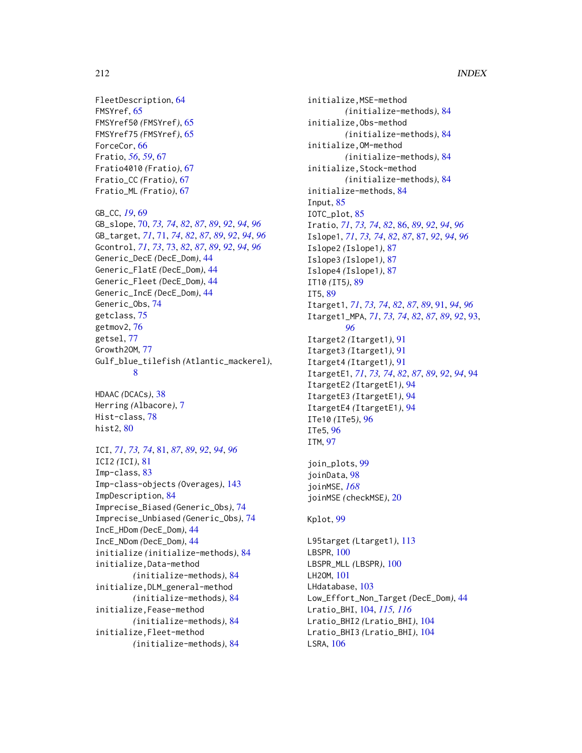FleetDescription, [64](#page-63-0) FMSYref, [65](#page-64-0) FMSYref50 *(*FMSYref*)*, [65](#page-64-0) FMSYref75 *(*FMSYref*)*, [65](#page-64-0) ForceCor, [66](#page-65-0) Fratio, *[56](#page-55-0)*, *[59](#page-58-0)*, [67](#page-66-0) Fratio4010 *(*Fratio*)*, [67](#page-66-0) Fratio\_CC *(*Fratio*)*, [67](#page-66-0) Fratio\_ML *(*Fratio*)*, [67](#page-66-0)

GB\_CC, *[19](#page-18-0)*, [69](#page-68-0) GB\_slope, [70,](#page-69-0) *[73,](#page-72-0) [74](#page-73-0)*, *[82](#page-81-0)*, *[87](#page-86-0)*, *[89](#page-88-0)*, *[92](#page-91-0)*, *[94](#page-93-0)*, *[96](#page-95-0)* GB\_target, *[71](#page-70-0)*, [71,](#page-70-0) *[74](#page-73-0)*, *[82](#page-81-0)*, *[87](#page-86-0)*, *[89](#page-88-0)*, *[92](#page-91-0)*, *[94](#page-93-0)*, *[96](#page-95-0)* Gcontrol, *[71](#page-70-0)*, *[73](#page-72-0)*, [73,](#page-72-0) *[82](#page-81-0)*, *[87](#page-86-0)*, *[89](#page-88-0)*, *[92](#page-91-0)*, *[94](#page-93-0)*, *[96](#page-95-0)* Generic\_DecE *(*DecE\_Dom*)*, [44](#page-43-0) Generic\_FlatE *(*DecE\_Dom*)*, [44](#page-43-0) Generic\_Fleet *(*DecE\_Dom*)*, [44](#page-43-0) Generic\_IncE *(*DecE\_Dom*)*, [44](#page-43-0) Generic\_Obs, [74](#page-73-0) getclass, [75](#page-74-0) getmov2, [76](#page-75-0) getsel, [77](#page-76-0) Growth2OM, [77](#page-76-0) Gulf\_blue\_tilefish *(*Atlantic\_mackerel*)*, [8](#page-7-0)

HDAAC *(*DCACs*)*, [38](#page-37-0) Herring *(*Albacore*)*, [7](#page-6-0) Hist-class, [78](#page-77-0) hist2, [80](#page-79-0)

ICI, *[71](#page-70-0)*, *[73,](#page-72-0) [74](#page-73-0)*, [81,](#page-80-0) *[87](#page-86-0)*, *[89](#page-88-0)*, *[92](#page-91-0)*, *[94](#page-93-0)*, *[96](#page-95-0)* ICI2 *(*ICI*)*, [81](#page-80-0) Imp-class, [83](#page-82-0) Imp-class-objects *(*Overages*)*, [143](#page-142-1) ImpDescription, [84](#page-83-0) Imprecise\_Biased *(*Generic\_Obs*)*, [74](#page-73-0) Imprecise\_Unbiased *(*Generic\_Obs*)*, [74](#page-73-0) IncE\_HDom *(*DecE\_Dom*)*, [44](#page-43-0) IncE\_NDom *(*DecE\_Dom*)*, [44](#page-43-0) initialize *(*initialize-methods*)*, [84](#page-83-0) initialize,Data-method *(*initialize-methods*)*, [84](#page-83-0) initialize,DLM\_general-method *(*initialize-methods*)*, [84](#page-83-0) initialize,Fease-method *(*initialize-methods*)*, [84](#page-83-0) initialize,Fleet-method *(*initialize-methods*)*, [84](#page-83-0)

initialize,MSE-method *(*initialize-methods*)*, [84](#page-83-0) initialize,Obs-method *(*initialize-methods*)*, [84](#page-83-0) initialize,OM-method *(*initialize-methods*)*, [84](#page-83-0) initialize,Stock-method *(*initialize-methods*)*, [84](#page-83-0) initialize-methods, [84](#page-83-0) Input, [85](#page-84-0) IOTC\_plot, [85](#page-84-0) Iratio, *[71](#page-70-0)*, *[73,](#page-72-0) [74](#page-73-0)*, *[82](#page-81-0)*, [86,](#page-85-0) *[89](#page-88-0)*, *[92](#page-91-0)*, *[94](#page-93-0)*, *[96](#page-95-0)* Islope1, *[71](#page-70-0)*, *[73,](#page-72-0) [74](#page-73-0)*, *[82](#page-81-0)*, *[87](#page-86-0)*, [87,](#page-86-0) *[92](#page-91-0)*, *[94](#page-93-0)*, *[96](#page-95-0)* Islope2 *(*Islope1*)*, [87](#page-86-0) Islope3 *(*Islope1*)*, [87](#page-86-0) Islope4 *(*Islope1*)*, [87](#page-86-0) IT10 *(*IT5*)*, [89](#page-88-0) IT5, [89](#page-88-0) Itarget1, *[71](#page-70-0)*, *[73,](#page-72-0) [74](#page-73-0)*, *[82](#page-81-0)*, *[87](#page-86-0)*, *[89](#page-88-0)*, [91,](#page-90-0) *[94](#page-93-0)*, *[96](#page-95-0)* Itarget1\_MPA, *[71](#page-70-0)*, *[73,](#page-72-0) [74](#page-73-0)*, *[82](#page-81-0)*, *[87](#page-86-0)*, *[89](#page-88-0)*, *[92](#page-91-0)*, [93,](#page-92-0) *[96](#page-95-0)* Itarget2 *(*Itarget1*)*, [91](#page-90-0) Itarget3 *(*Itarget1*)*, [91](#page-90-0) Itarget4 *(*Itarget1*)*, [91](#page-90-0) ItargetE1, *[71](#page-70-0)*, *[73,](#page-72-0) [74](#page-73-0)*, *[82](#page-81-0)*, *[87](#page-86-0)*, *[89](#page-88-0)*, *[92](#page-91-0)*, *[94](#page-93-0)*, [94](#page-93-0) ItargetE2 *(*ItargetE1*)*, [94](#page-93-0) ItargetE3 *(*ItargetE1*)*, [94](#page-93-0) ItargetE4 *(*ItargetE1*)*, [94](#page-93-0) ITe10 *(*ITe5*)*, [96](#page-95-0) ITe5, [96](#page-95-0) ITM, [97](#page-96-0)

join\_plots, [99](#page-98-0) joinData, [98](#page-97-0) joinMSE, *[168](#page-167-0)* joinMSE *(*checkMSE*)*, [20](#page-19-0)

#### Kplot, [99](#page-98-0)

L95target *(*Ltarget1*)*, [113](#page-112-0) LBSPR, [100](#page-99-0) LBSPR\_MLL *(*LBSPR*)*, [100](#page-99-0) LH2OM, [101](#page-100-0) LHdatabase, [103](#page-102-0) Low\_Effort\_Non\_Target *(*DecE\_Dom*)*, [44](#page-43-0) Lratio\_BHI, [104,](#page-103-0) *[115,](#page-114-0) [116](#page-115-0)* Lratio\_BHI2 *(*Lratio\_BHI*)*, [104](#page-103-0) Lratio\_BHI3 *(*Lratio\_BHI*)*, [104](#page-103-0) LSRA, [106](#page-105-0)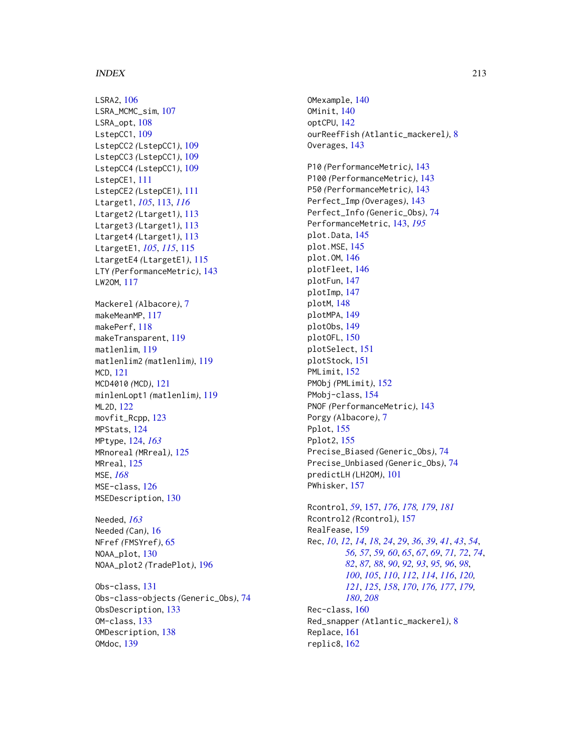#### INDEX 213

LSRA2, [106](#page-105-0) LSRA\_MCMC\_sim, [107](#page-106-0) LSRA\_opt, [108](#page-107-0) LstepCC1, [109](#page-108-0) LstepCC2 *(*LstepCC1*)*, [109](#page-108-0) LstepCC3 *(*LstepCC1*)*, [109](#page-108-0) LstepCC4 *(*LstepCC1*)*, [109](#page-108-0) LstepCE1, [111](#page-110-0) LstepCE2 *(*LstepCE1*)*, [111](#page-110-0) Ltarget1, *[105](#page-104-0)*, [113,](#page-112-0) *[116](#page-115-0)* Ltarget2 *(*Ltarget1*)*, [113](#page-112-0) Ltarget3 *(*Ltarget1*)*, [113](#page-112-0) Ltarget4 *(*Ltarget1*)*, [113](#page-112-0) LtargetE1, *[105](#page-104-0)*, *[115](#page-114-0)*, [115](#page-114-0) LtargetE4 *(*LtargetE1*)*, [115](#page-114-0) LTY *(*PerformanceMetric*)*, [143](#page-142-1) LW2OM, [117](#page-116-0) Mackerel *(*Albacore*)*, [7](#page-6-0) makeMeanMP, [117](#page-116-0) makePerf, [118](#page-117-0) makeTransparent, [119](#page-118-0) matlenlim, [119](#page-118-0) matlenlim2 *(*matlenlim*)*, [119](#page-118-0) MCD, [121](#page-120-0) MCD4010 *(*MCD*)*, [121](#page-120-0) minlenLopt1 *(*matlenlim*)*, [119](#page-118-0) ML2D, [122](#page-121-0) movfit\_Rcpp, [123](#page-122-0) MPStats, [124](#page-123-0) MPtype, [124,](#page-123-0) *[163](#page-162-0)* MRnoreal *(*MRreal*)*, [125](#page-124-0) MRreal, [125](#page-124-0) MSE, *[168](#page-167-0)* MSE-class, [126](#page-125-0) MSEDescription, [130](#page-129-0) Needed, *[163](#page-162-0)* Needed *(*Can*)*, [16](#page-15-0) NFref *(*FMSYref*)*, [65](#page-64-0) NOAA\_plot, [130](#page-129-0) NOAA\_plot2 *(*TradePlot*)*, [196](#page-195-1) Obs-class, [131](#page-130-0)

Obs-class-objects *(*Generic\_Obs*)*, [74](#page-73-0) ObsDescription, [133](#page-132-0) OM-class, [133](#page-132-0) OMDescription, [138](#page-137-0) OMdoc, [139](#page-138-0)

OMexample, [140](#page-139-0) OMinit, [140](#page-139-0) optCPU, [142](#page-141-0) ourReefFish *(*Atlantic\_mackerel*)*, [8](#page-7-0) Overages, [143](#page-142-1) P10 *(*PerformanceMetric*)*, [143](#page-142-1) P100 *(*PerformanceMetric*)*, [143](#page-142-1) P50 *(*PerformanceMetric*)*, [143](#page-142-1) Perfect\_Imp *(*Overages*)*, [143](#page-142-1) Perfect\_Info *(*Generic\_Obs*)*, [74](#page-73-0) PerformanceMetric, [143,](#page-142-1) *[195](#page-194-0)* plot.Data, [145](#page-144-0) plot.MSE, [145](#page-144-0) plot.OM, [146](#page-145-0) plotFleet, [146](#page-145-0) plotFun, [147](#page-146-0) plotImp, [147](#page-146-0) plotM, [148](#page-147-0) plotMPA, [149](#page-148-0) plotObs, [149](#page-148-0) plotOFL, [150](#page-149-0) plotSelect, [151](#page-150-0) plotStock, [151](#page-150-0) PMLimit, [152](#page-151-0) PMObj *(*PMLimit*)*, [152](#page-151-0) PMobj-class, [154](#page-153-0) PNOF *(*PerformanceMetric*)*, [143](#page-142-1) Porgy *(*Albacore*)*, [7](#page-6-0) Pplot, [155](#page-154-0) Pplot2, [155](#page-154-0) Precise\_Biased *(*Generic\_Obs*)*, [74](#page-73-0) Precise\_Unbiased *(*Generic\_Obs*)*, [74](#page-73-0) predictLH *(*LH2OM*)*, [101](#page-100-0) PWhisker, [157](#page-156-1) Rcontrol, *[59](#page-58-0)*, [157,](#page-156-1) *[176](#page-175-0)*, *[178,](#page-177-1) [179](#page-178-0)*, *[181](#page-180-0)* Rcontrol2 *(*Rcontrol*)*, [157](#page-156-1) RealFease, [159](#page-158-0) Rec, *[10](#page-9-0)*, *[12](#page-11-0)*, *[14](#page-13-0)*, *[18](#page-17-0)*, *[24](#page-23-0)*, *[29](#page-28-0)*, *[36](#page-35-0)*, *[39](#page-38-0)*, *[41](#page-40-0)*, *[43](#page-42-0)*, *[54](#page-53-0)*, *[56,](#page-55-0) [57](#page-56-0)*, *[59,](#page-58-0) [60](#page-59-0)*, *[65](#page-64-0)*, *[67](#page-66-0)*, *[69](#page-68-0)*, *[71,](#page-70-0) [72](#page-71-0)*, *[74](#page-73-0)*, *[82](#page-81-0)*, *[87,](#page-86-0) [88](#page-87-0)*, *[90](#page-89-0)*, *[92,](#page-91-0) [93](#page-92-0)*, *[95,](#page-94-0) [96](#page-95-0)*, *[98](#page-97-0)*,

*[100](#page-99-0)*, *[105](#page-104-0)*, *[110](#page-109-0)*, *[112](#page-111-0)*, *[114](#page-113-0)*, *[116](#page-115-0)*, *[120,](#page-119-0) [121](#page-120-0)*, *[125](#page-124-0)*, *[158](#page-157-0)*, *[170](#page-169-0)*, *[176,](#page-175-0) [177](#page-176-1)*, *[179,](#page-178-0) [180](#page-179-0)*, *[208](#page-207-0)* Rec-class, [160](#page-159-1) Red\_snapper *(*Atlantic\_mackerel*)*, [8](#page-7-0) Replace, [161](#page-160-0) replic8, [162](#page-161-0)